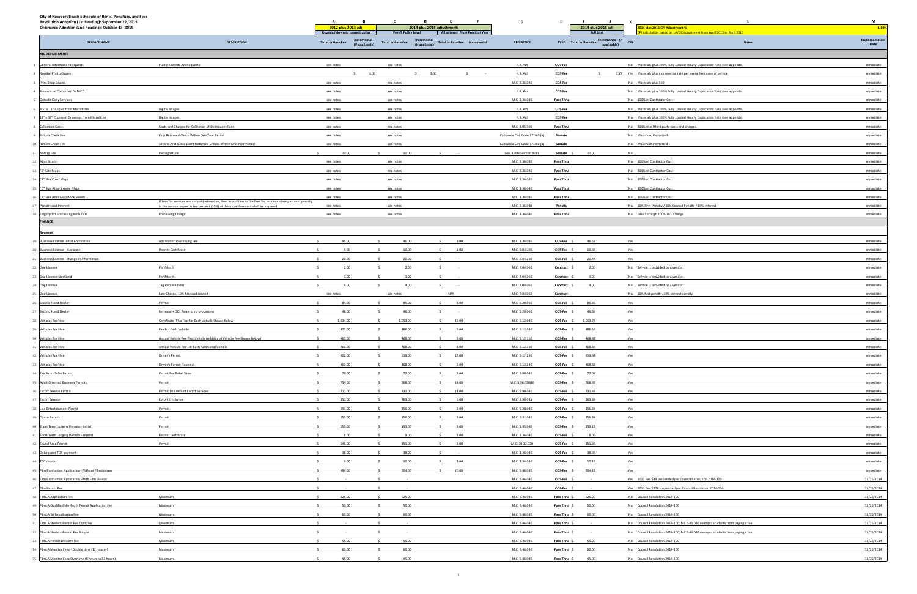| City of Newport Beach Schedule of Rents, Penalties, and Fees<br>Resolution Adoption (1st Reading): September 22, 2015 |                                                                                                              | A                                                          |                                | D                                                                  | G                                |                           |                                              |                                                                                                                                                       | M                      |
|-----------------------------------------------------------------------------------------------------------------------|--------------------------------------------------------------------------------------------------------------|------------------------------------------------------------|--------------------------------|--------------------------------------------------------------------|----------------------------------|---------------------------|----------------------------------------------|-------------------------------------------------------------------------------------------------------------------------------------------------------|------------------------|
| Ordinance Adoption (2nd Reading): October 13, 2015                                                                    |                                                                                                              | 2012 plus 2013 adj<br>Rounded down to nearest dollar       | Fee @ Policy Level             | 2014 plus 2015 adjustments<br><b>Adjustment From Previous Year</b> |                                  |                           | 2014 plus 2015 adj<br><b>Full Cost</b>       | 2014 plus 2015 CPI Adjustment %<br>I calculation based on LA/OC adjustment from April 2013 to April 2015                                              | 1.89%                  |
| <b>SERVICE NAME</b>                                                                                                   | <b>DESCRIPTION</b>                                                                                           | Incremental<br><b>Total or Base Fee</b><br>(if applicable) | <b>Total or Base Fee</b>       | Incremental -<br>(if applicable)<br>Total or Base Fee Incremental  | <b>REFERENCE</b>                 |                           | TYPE Total or Base Fee Incremental - (if CPI | <b>Notes</b>                                                                                                                                          | Implementatio          |
| <b>ALL DEPARTMENTS</b>                                                                                                |                                                                                                              |                                                            |                                |                                                                    |                                  |                           |                                              |                                                                                                                                                       | Date                   |
|                                                                                                                       |                                                                                                              |                                                            |                                |                                                                    |                                  |                           |                                              |                                                                                                                                                       |                        |
| <b>General Information Requests</b><br>Regular Photo Copies                                                           | Public Records Act Requests                                                                                  | see notes                                                  | see notes<br>3.00              | 3.00                                                               | P.R. Act<br>P.R. Act             | <b>COS-Fee</b><br>COS-Fee |                                              | No Materials plus 100% Fully Loaded Hourly Duplication Rate (see appendix)<br>3.27 Yes Materials plus incremental rate per every 5 minutes of service | Immediate<br>Immediate |
| Print Shop Copies                                                                                                     |                                                                                                              | see notes                                                  | see notes                      |                                                                    | M.C. 3.36.030                    | COS-Fee                   |                                              | No Materials plus \$10                                                                                                                                | Immediate              |
| Records on Computer DVD/CD                                                                                            |                                                                                                              | see notes                                                  | see notes                      |                                                                    | P.R. Act                         | <b>COS-Fee</b>            |                                              | No Materials plus 100% Fully Loaded Hourly Duplication Rate (see appendix)                                                                            | Immediate              |
| <b>Outside Copy Services</b>                                                                                          |                                                                                                              | see notes                                                  | see notes                      |                                                                    | M.C. 3.36.030                    | Pass Thru                 |                                              | No 100% of Contractor Cost                                                                                                                            | Immediate              |
| 8.5" x 11" Copies from Microfiche                                                                                     | Digital Images                                                                                               | see notes                                                  | see notes                      |                                                                    | P.R. Act                         | <b>COS-Fee</b>            |                                              | No Materials plus 100% Fully Loaded Hourly Duplication Rate (see appendix)                                                                            | Immediate              |
| 11" x 17" Copies of Drawings from Microfiche                                                                          | Digital Images                                                                                               | see notes                                                  | see notes                      |                                                                    | P.R. Act                         | COS-Fee                   |                                              | No Materials plus 100% Fully Loaded Hourly Duplication Rate (see appendix)                                                                            | Immediate              |
| <b>Collection Costs</b>                                                                                               | Costs and Charges for Collection of Delinquent Fees                                                          | see notes                                                  | see notes                      |                                                                    | M.C. 1.05.100                    | Pass Thru                 |                                              | No 100% of all third party costs and charges                                                                                                          | Immediate              |
| Return Check Fee                                                                                                      | First Returned Check Within One Year Period                                                                  | see notes                                                  | see notes                      |                                                                    | California Civil Code 1719.0 (a) | Statute                   |                                              | No Maximum Permitted                                                                                                                                  | Immediate              |
| Return Check Fee                                                                                                      | Second And Subsequent Returned Checks Within One Year Period                                                 | see notes                                                  | see notes                      |                                                                    | California Civil Code 1719.0 (a) | Statute                   |                                              | No Maximum Permitted                                                                                                                                  | Immediate              |
| Notary Fee                                                                                                            | Per Signature                                                                                                | 10.00                                                      | 10.00                          |                                                                    | Gov. Code Section 8211           | Statute \$                | 10.00                                        | No                                                                                                                                                    | Immediate              |
| Atlas Books                                                                                                           |                                                                                                              | see notes                                                  | see notes                      |                                                                    | M.C. 3.36.030                    | <b>Pass Thru</b>          |                                              | No 100% of Contractor Cost                                                                                                                            | Immediate              |
| "E" Size Maps                                                                                                         |                                                                                                              | see notes                                                  | see notes                      |                                                                    | M.C. 3.36.030                    | Pass Thru                 |                                              | No 100% of Contractor Cost                                                                                                                            | Immediate              |
| "B" Size Color Maps                                                                                                   |                                                                                                              | see notes                                                  | see notes                      |                                                                    | M.C. 3.36.030                    | Pass Thru                 |                                              | No 100% of Contractor Cost                                                                                                                            | Immediate              |
| "D" Size Atlas Sheets Maps                                                                                            |                                                                                                              | see notes                                                  | see notes                      |                                                                    | M.C. 3.36.030                    | Pass Thru                 |                                              | No 100% of Contractor Cost                                                                                                                            | Immediate              |
| "B" Size Atlas Map Book Sheets                                                                                        | If fees for services are not paid when due, then in addition to the fees for services a late payment penalty | see notes                                                  | see notes                      |                                                                    | M.C. 3.36.030                    | Pass Thru                 |                                              | No 100% of Contractor Cost                                                                                                                            | Immediate              |
| Penalty and Interest                                                                                                  | in the amount equal to ten percent (10%) of the unpaid amount shall be imposed.                              | see notes                                                  | see notes                      |                                                                    | M.C. 3.36.040                    | Penalty                   |                                              | No 10% First Penalty / 10% Second Penalty / 10% Interest                                                                                              | Immediate              |
| Eingerprint Processing With DOJ<br><b>FINANCE</b>                                                                     | Processing Charge                                                                                            | see notes                                                  | see notes                      |                                                                    | M.C. 3.36.030                    | Pass Thru                 |                                              | No Pass Through 100% DOJ Charge                                                                                                                       | Immediate              |
|                                                                                                                       |                                                                                                              |                                                            |                                |                                                                    |                                  |                           |                                              |                                                                                                                                                       |                        |
| <b>≷evenue</b>                                                                                                        |                                                                                                              |                                                            |                                |                                                                    |                                  |                           |                                              |                                                                                                                                                       |                        |
| <b>Business License Initial Application</b>                                                                           | Application Processing Fee                                                                                   | 45.00                                                      | 46.00                          | 1.00                                                               | M.C. 3.36.030                    | COS-Fee \$                | 46.57                                        | Yes                                                                                                                                                   | Immediate              |
| Business License - duplicate                                                                                          | Reprint Certificate                                                                                          | 9.00<br>20.00                                              | 10.00<br>20.00                 | 1.00                                                               | M.C. 5.04.200<br>M.C. 5.04.210   | COS-Fee \$                | 10.05                                        | Yes<br>Yes                                                                                                                                            | Immediate<br>Immediate |
| Business License - change in information                                                                              |                                                                                                              | 2.00                                                       | 2.00                           |                                                                    | M.C. 7.04.060                    | COS-Fee \$                | 20.44                                        |                                                                                                                                                       |                        |
| 22 Dog License<br>23 Dog License-Sterilized                                                                           | Per Month<br>Per Month                                                                                       | 1.00                                                       | 1.00                           |                                                                    | M.C. 7.04.060                    | Contract<br>Contract      | 2.00<br>1.00                                 | No Service is provided by a vendor<br>No Service is provided by a vendor.                                                                             | Immediate<br>Immediate |
|                                                                                                                       | Tag Replacement                                                                                              | 4.00                                                       | 4.00                           |                                                                    | M.C. 7.04.060                    | Contract                  | 4.00                                         | No Service is provided by a vendor.                                                                                                                   | Immediate              |
| Dog License<br>Dog License                                                                                            | Late Charge, 10% first and second                                                                            | see notes                                                  | see notes                      | N/A                                                                | M.C. 7.04.060                    | Contract                  |                                              | No 10% first penalty, 10% second penalty                                                                                                              | Immediate              |
| Second Hand Dealer                                                                                                    | Permit                                                                                                       | 84.00                                                      | 85.00                          | 1.00                                                               | M.C. 5.20.060                    | COS-Fee \$                | 85.83                                        | Yes                                                                                                                                                   | Immediate              |
| Second Hand Dealer                                                                                                    | Renewal + DOJ Fingerprint processing                                                                         | 46.00                                                      | 46.00                          |                                                                    | M.C. 5.20.060                    | COS-Fee \$                | 46.89                                        | Yes                                                                                                                                                   | Immediate              |
| Vehicles For Hire                                                                                                     | Certificate (Plus Fee For Each Vehicle Shown Below)                                                          | 1,034.00                                                   | 1,053.00                       | 19.00                                                              | M.C. 5.12.030                    | COS-Fee \$                | 1,053.78                                     | Yes                                                                                                                                                   | Immediate              |
| Vehicles For Hire                                                                                                     | Fee For Each Vehicle                                                                                         | 477.00                                                     | 486.00                         | 9.00                                                               | M.C. 5.12.030                    | COS-Fee \$                | 486.59                                       | Yes                                                                                                                                                   | Immediate              |
| Vehicles For Hire                                                                                                     | Annual Vehicle Fee First Vehicle (Additional Vehicle Fee Shown Below)                                        | 460.00                                                     | 468.00                         | 8.00                                                               | M.C. 5.12.110                    | COS-Fee \$                | 468.87                                       | Yes                                                                                                                                                   | Immediate              |
| Vehicles For Hire                                                                                                     | Annual Vehicle Fee For Each Additional Vehicle                                                               | 460.00                                                     | 468.00<br>-S                   | 8.00                                                               | M.C. 5.12.110                    | COS-Fee \$                | 468.87                                       | Yes                                                                                                                                                   | Immediate              |
| Vehicles For Hire                                                                                                     | Driver's Permit                                                                                              | 902.00                                                     | $\hat{\mathbf{S}}$<br>919.00   | S<br>17.00                                                         | M.C. 5.12.230                    | $COS-Fee$ \$              | 919.67                                       | Yes                                                                                                                                                   | Immediate              |
| Vehicles For Hire                                                                                                     | Driver's Permit Renewal                                                                                      | 460.00                                                     | 468.00                         | 8.00                                                               | M.C. 5.12.230                    | COS-Fee \$                | 468.87                                       | Yes                                                                                                                                                   | Immediate              |
| Fire Arms Sales Permit                                                                                                | Permit For Retail Sales                                                                                      | 70.00                                                      | 72.00                          | 2.00                                                               | M.C. 5.80.040                    | COS-Fee \$                | 72.07                                        | Yes                                                                                                                                                   | Immediate              |
| <b>Adult Oriented Business Permits</b>                                                                                | Permit                                                                                                       | 754.00                                                     | 768.00<br>$\ddot{\phantom{1}}$ | 14.00<br>$\sim$                                                    | M.C. 5.96.020(B)                 | COS-Fee \$                | 768.63                                       | Yes                                                                                                                                                   | Immediate              |
| <b>Escort Service Permit</b>                                                                                          | Permit To Conduct Escort Services                                                                            | 717.00                                                     | 731.00                         | 14.00                                                              | M.C. 5.90.020                    | COS-Fee \$                | 731.32                                       | Yes                                                                                                                                                   | Immediate              |
| <b>Escort Service</b>                                                                                                 | <b>Escort Employee</b>                                                                                       | 357.00                                                     | 363.00                         | 6.00                                                               | M.C. 5.90.035                    | COS-Fee \$                | 363.84                                       | Yes                                                                                                                                                   | Immediate              |
| Live Entertainment Permit                                                                                             | Permit                                                                                                       | 153.00                                                     | 156.00                         | 3.00                                                               | M.C. 5.28.030                    | COS-Fee \$                | 156.34                                       | Yes                                                                                                                                                   | Immediate              |
| Dance Permit                                                                                                          | Permit                                                                                                       | 153.00                                                     | 156.00                         | 3.00                                                               | M.C. 5.32.040                    | COS-Fee \$                | 156.34                                       | Yes                                                                                                                                                   | Immediate              |
| 10 Short Term Lodging Permits - initial                                                                               | Permit                                                                                                       | 150.00                                                     | 153.00                         | 3.00                                                               | M.C. 5.95.040                    | COS-Fee \$                | 153.13                                       | Yes                                                                                                                                                   | Immediate              |
| 11 Short Term Lodging Permits - reprint                                                                               | Reprint Certificate                                                                                          | 8.00                                                       | 9.00                           | 1.00                                                               | M.C. 3.36.030                    | COS-Fee \$                | 9.06                                         | Yes                                                                                                                                                   | Immediate              |
| 12 Sound Amp Permit                                                                                                   | Permit                                                                                                       | 148.00                                                     | 151.00                         | 3.00                                                               | M.C. 10.32.020                   | COS-Fee \$                | 151.35                                       | Yes                                                                                                                                                   | Immediate              |
| 43 Delinquent TOT payment                                                                                             |                                                                                                              | 38.00                                                      | 38.00<br>- S                   |                                                                    | M.C. 3.36.030                    | COS-Fee \$                | 38.95                                        | Yes                                                                                                                                                   | Immediate              |
| 44 TOT reprint                                                                                                        |                                                                                                              | 9.00<br>494.00                                             | 10.00<br>504.00                | 1.00<br>10.00                                                      | M.C. 3.36.030<br>M.C. 5.46.030   | COS-Fee \$<br>COS-Fee \$  | 10.12<br>504.12                              | Yes<br>Yes                                                                                                                                            | Immediate<br>Immediate |
| 45 Film Production Application - Without Film Liaison<br>16 Film Production Application - With Film Liaison           |                                                                                                              |                                                            | $\sim$                         |                                                                    | M.C. 5.46.030                    | COS-Fee \$                |                                              | Yes 2012 Fee \$49 suspended per Council Resolution 2014-100                                                                                           | 11/25/2014             |
| 47 Film Permit Fee                                                                                                    |                                                                                                              |                                                            |                                |                                                                    | M.C. 5.46.030                    | COS-Fee \$                |                                              | Yes 2012 Fee \$276 suspended per Council Resolution 2014-100                                                                                          | 11/25/2014             |
| 48 FilmLA Application Fee                                                                                             | Maximum                                                                                                      | 625.00                                                     | 625.00                         |                                                                    | M.C. 5.46.030                    | Pass Thru \$              | 625.00                                       | No Council Resolution 2014-100                                                                                                                        | 11/25/2014             |
| 19 FilmLA Qualified NonProfit Permit Application Fee                                                                  | Maximum                                                                                                      | 50.00                                                      | 50.00                          |                                                                    | M.C. 5.46.030                    | Pass Thru \$              | 50.00                                        | No Council Resolution 2014-100                                                                                                                        | 11/25/2014             |
| 50 FilmLA Still Application Fee                                                                                       | Maximum                                                                                                      | 60.00                                                      | 60.00                          |                                                                    | M.C. 5.46.030                    | Pass Thru \$              | 60.00                                        | No Council Resolution 2014-100                                                                                                                        | 11/25/2014             |
| 51 FilmLA Student Permit Fee Complex                                                                                  | Maximum                                                                                                      |                                                            |                                |                                                                    | M.C. 5.46.030                    | Pass Thru \$              |                                              | No Council Resolution 2014-100; MC 5.46.030 exempts students from paying a fee                                                                        | 11/25/2014             |
| 2 FilmLA Student Permit Fee Simple                                                                                    | Maximum                                                                                                      |                                                            |                                |                                                                    | M.C. 5.46.030                    | Pass Thru \$              |                                              | No Council Resolution 2014-100; MC 5.46.030 exempts students from paying a fee                                                                        | 11/25/2014             |
| FilmLA Permit Delivery Fee                                                                                            | Maximum                                                                                                      | 55.00                                                      | 55.00                          |                                                                    | M.C. 5.46.030                    | Pass Thru \$              | 55.00                                        | No Council Resolution 2014-100                                                                                                                        | 11/25/2014             |
| FilmLA Monitor Fees - Double time (12 hours+)                                                                         | Maximum                                                                                                      | 60.00                                                      | 60.00<br>$\sim$                |                                                                    | M.C. 5.46.030                    | Pass Thru \$              | 60.00                                        | No Council Resolution 2014-100                                                                                                                        | 11/25/2014             |
| FilmLA Monitor Fees Overtime (8 hours to 12 hours)                                                                    | Maximum                                                                                                      | 45.00                                                      | 45.00<br>$\sim$                |                                                                    | M.C. 5.46.030                    |                           | Pass Thru \$45.00                            | No Council Resolution 2014-100                                                                                                                        | 11/25/2014             |

1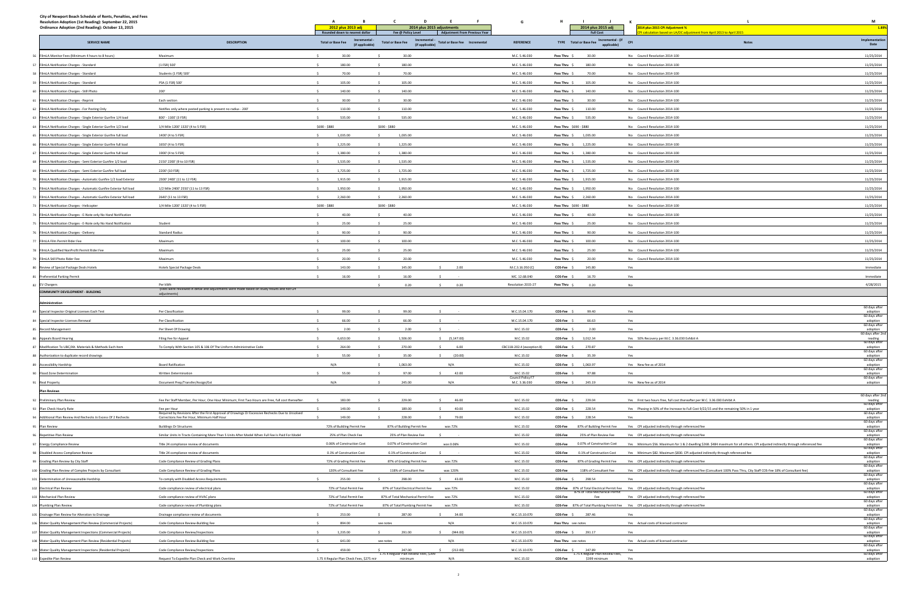| City of Newport Beach Schedule of Rents, Penalties, and Fees<br>Resolution Adoption (1st Reading): September 22, 2015<br>Ordinance Adoption (2nd Reading): October 13, 2015 |                                                                                                                                                 | A<br>2012 plus 2013 adj                       | C<br>D<br>E<br>- F<br>2014 plus 2015 adjustments                                    | G                                         |                         | $\blacksquare$<br>2014 plus 2015 adj              | к.<br>2014 plus 2015 CPI Adjustment %                                                                                            | M<br>1.89%                                     |
|-----------------------------------------------------------------------------------------------------------------------------------------------------------------------------|-------------------------------------------------------------------------------------------------------------------------------------------------|-----------------------------------------------|-------------------------------------------------------------------------------------|-------------------------------------------|-------------------------|---------------------------------------------------|----------------------------------------------------------------------------------------------------------------------------------|------------------------------------------------|
|                                                                                                                                                                             |                                                                                                                                                 | Rounded down to nearest dollar<br>Incremental | <b>Adjustment From Previous Year</b><br>Fee @ Policy Level<br>Incremental           |                                           |                         | <b>Full Cost</b>                                  | calculation based on LA/OC adjustment from April 2013 to April 2015                                                              | Implementation                                 |
| <b>SERVICE NAME</b>                                                                                                                                                         | <b>DESCRIPTION</b>                                                                                                                              | <b>Total or Base Fee</b><br>(if applicable)   | <b>Total or Base Fee Incremental</b><br><b>Total or Base Fee</b><br>(if applicable) | <b>REFERENCE</b>                          | TYPE Total or Base Fee  | Incremental - (if<br>applicable)                  | <b>CPI</b><br>Notes                                                                                                              | Date                                           |
| 56 FilmLA Monitor Fees (Minimum 4 hours to 8 hours)                                                                                                                         | Maximum                                                                                                                                         | 30.00                                         | 30.00                                                                               | M.C. 5.46.030                             | Pass Thru \$            | 30.00                                             | No Council Resolution 2014-100                                                                                                   | 11/25/2014                                     |
| 57 FilmLA Notification Charges - Standard                                                                                                                                   | (1 FSR) 500'                                                                                                                                    | 180.00                                        | 180.00                                                                              | M.C. 5.46.030                             | Pass Thru \$            | 180.00                                            | No Council Resolution 2014-100                                                                                                   | 11/25/2014                                     |
| 58 FilmLA Notification Charges - Standard                                                                                                                                   | Students (1 FSR) 500'                                                                                                                           | 70.00                                         | 70.00                                                                               | M.C. 5.46.030                             | Pass Thru \$            | 70.00                                             | No Council Resolution 2014-100                                                                                                   | 11/25/2014                                     |
| 59 FilmLA Notification Charges - Standard                                                                                                                                   | PSA (1 FSR) 500'                                                                                                                                | 105.00                                        | 105.00                                                                              | M.C. 5.46.030                             | Pass Thru \$            | 105.00                                            | No Council Resolution 2014-100                                                                                                   | 11/25/2014                                     |
| 60 FilmLA Notification Charges - Still Photo                                                                                                                                | 200'                                                                                                                                            | 140.00                                        | 140.00                                                                              | M.C. 5.46.030                             | Pass Thru \$            | 140.00                                            | No Council Resolution 2014-100                                                                                                   | 11/25/2014                                     |
| 61 FilmLA Notification Charges - Reprint                                                                                                                                    | Each section                                                                                                                                    | 30.00                                         | 30.00                                                                               | M.C. 5.46.030                             | Pass Thru               | 30.00                                             | No Council Resolution 2014-100                                                                                                   | 11/25/2014                                     |
| 62 FilmLA Notification Charges - For Posting Only                                                                                                                           | Notifies only where posted parking is present no radius - 200                                                                                   | 110.00                                        | 110.00                                                                              | M.C. 5.46.030                             | Pass Thru \$            | 110.00                                            | No Council Resolution 2014-100                                                                                                   | 11/25/2014                                     |
| 63 FilmLA Notification Charges - Single Exterior Gunfire 1/4 load                                                                                                           | 800' - 1100' (3 FSR)                                                                                                                            | 535.00                                        | 535.00                                                                              | M.C. 5.46.030                             | Pass Thru \$            | 535.00                                            | No Council Resolution 2014-100                                                                                                   | 11/25/2014                                     |
| 64 FilmLA Notification Charges - Single Exterior Gunfire 1/2 load                                                                                                           | 1/4 Mile 1200' 1320' (4 to 5 FSR)                                                                                                               | \$690 - \$880                                 | \$690 - \$880                                                                       | M.C. 5.46.030                             | Pass Thru \$690 - \$880 |                                                   | No Council Resolution 2014-100                                                                                                   | 11/25/2014                                     |
| 65 FilmLA Notification Charges - Single Exterior Gunfire full load                                                                                                          | 1400' (4 to 5 FSR)                                                                                                                              | 1,035.00                                      | 1,035.00                                                                            | M.C. 5.46.030                             | Pass Thru \$            | 1,035.00                                          | No Council Resolution 2014-100                                                                                                   | 11/25/2014                                     |
| 66 FilmLA Notification Charges - Single Exterior Gunfire full load                                                                                                          | 1650' (4 to 5 FSR)                                                                                                                              | 1,225.00                                      | 1,225.00                                                                            | M.C. 5.46.030                             | Pass Thru \$            | 1,225.00                                          | No Council Resolution 2014-100                                                                                                   | 11/25/2014                                     |
| 67 FilmLA Notification Charges - Single Exterior Gunfire full load                                                                                                          | 1900' (4 to 5 FSR)                                                                                                                              | 1,380.00                                      | S.<br>1,380.00                                                                      | M.C. 5.46.030                             | Pass Thru \$ 1,380.00   |                                                   | No Council Resolution 2014-100                                                                                                   | 11/25/2014                                     |
| 68 FilmLA Notification Charges - Semi Exterior Gunfire 1/2 load                                                                                                             | 2150' 2200' (9 to 10 FSR)                                                                                                                       | 1,535.00                                      | 1,535.00                                                                            | M.C. 5.46.030                             | Pass Thru \$ 1,535.00   |                                                   | No Council Resolution 2014-100                                                                                                   | 11/25/2014                                     |
| 69 FilmLA Notification Charges - Semi Exterior Gunfire full load                                                                                                            | 2200' (10 FSR)                                                                                                                                  | 1,725.00                                      | 1,725.00                                                                            | M.C. 5.46.030                             | Pass Thru \$ 1,725.00   |                                                   | No Council Resolution 2014-100                                                                                                   | 11/25/2014                                     |
| 70 FilmLA Notification Charges - Automatic Gunfire 1/2 load Exterior                                                                                                        | 2300' 2400' (11 to 12 FSR)                                                                                                                      | 1,915.00                                      | 1,915.00                                                                            | M.C. 5.46.030                             | Pass Thru \$ 1,915.00   |                                                   | No Council Resolution 2014-100                                                                                                   | 11/25/2014                                     |
| 71 FilmLA Notification Charges - Automatic Gunfire Exterior full load                                                                                                       | 1/2 Mile 2400' 2550' (11 to 13 FSR)                                                                                                             | 1,950.00                                      | 1,950.00                                                                            | M.C. 5.46.030                             | Pass Thru \$ 1,950.00   |                                                   | No Council Resolution 2014-100                                                                                                   | 11/25/2014                                     |
| 72 FilmLA Notification Charges - Automatic Gunfire Exterior full load                                                                                                       | 2640' (11 to 13 FSR)                                                                                                                            | 2,260.00                                      | 2,260.00                                                                            | M.C. 5.46.030                             | Pass Thru \$ 2,260.00   |                                                   | No Council Resolution 2014-100                                                                                                   | 11/25/2014                                     |
| 73 FilmLA Notification Charges - Helicopter                                                                                                                                 | 1/4 Mile 1200' 1320' (4 to 5 FSR)                                                                                                               | \$690 - \$880                                 | \$690 - \$880                                                                       | M.C. 5.46.030                             | Pass Thru \$690 - \$880 |                                                   | No Council Resolution 2014-100                                                                                                   | 11/25/2014                                     |
| 74 FilmLA Notification Charges - E-Note only No Hand Notification                                                                                                           |                                                                                                                                                 | 40.00                                         | 40.00                                                                               | M.C. 5.46.030                             | Pass Thru \$            | 40.00                                             | No Council Resolution 2014-100                                                                                                   | 11/25/2014                                     |
| 75 FilmLA Notification Charges - E-Note only No Hand Notification                                                                                                           | Student                                                                                                                                         | 25.00                                         | 25.00                                                                               | M.C. 5.46.030                             | Pass Thru \$            | 25.00                                             | No Council Resolution 2014-100                                                                                                   | 11/25/2014                                     |
| 76 FilmLA Notification Charges - Delivery                                                                                                                                   | <b>Standard Radius</b>                                                                                                                          | 90.00                                         | 90.00                                                                               | M.C. 5.46.030                             | Pass Thru \$            | 90.00                                             | No Council Resolution 2014-100                                                                                                   | 11/25/2014                                     |
| 77 FilmLA Film Permit Rider Fee                                                                                                                                             | Maximum                                                                                                                                         | 100.00                                        | 100.00                                                                              | M.C. 5.46.030                             | Pass Thru \$            | 100.00                                            | No Council Resolution 2014-100                                                                                                   | 11/25/2014                                     |
| 78 FilmLA Qualified NonProfit Permit Rider Fee                                                                                                                              | Maximum                                                                                                                                         | 25.00                                         | 25.00                                                                               | M.C. 5.46.030                             | Pass Thru \$            | 25.00                                             | No Council Resolution 2014-100                                                                                                   | 11/25/2014                                     |
| 79 FilmLA Still Photo Rider Fee                                                                                                                                             | Maximum                                                                                                                                         | 20.00                                         | 20.00                                                                               | M.C. 5.46.030                             | Pass Thru \$            | 20.00                                             | No Council Resolution 2014-100                                                                                                   | 11/25/2014                                     |
| 80 Review of Special Package Deals Hotels                                                                                                                                   | Hotels Special Package Deals                                                                                                                    | 143.00                                        | 2.00<br>145.00                                                                      | M.C.3.16.050 (C)                          | COS-Fee \$              | 145.80                                            | Yes                                                                                                                              | Immediate                                      |
| 81 Preferential Parking Permit                                                                                                                                              |                                                                                                                                                 | 16.00                                         | 16.00                                                                               | MC. 12.68.040                             | COS-Fee \$              | 16.70                                             | Yes                                                                                                                              | Immediate                                      |
| 82 EV Chargers                                                                                                                                                              | Per kWh                                                                                                                                         |                                               | 0.20<br>0.20                                                                        | Resolution 2015-27                        | Pass Thru \$            | 0.20                                              | No                                                                                                                               | 4/28/2015                                      |
| <b>COMMUNITY DEVELOPMENT - BUILDING</b>                                                                                                                                     | (Fees were reviewed in detail and adjustments were made based on study results and not CPI<br>adiustments                                       |                                               |                                                                                     |                                           |                         |                                                   |                                                                                                                                  |                                                |
| dministration                                                                                                                                                               |                                                                                                                                                 |                                               |                                                                                     |                                           |                         |                                                   |                                                                                                                                  | 60 days after                                  |
| 83 Special Inspector Original Licenses Each Test                                                                                                                            | Per Classification                                                                                                                              | 99.00                                         | 99.00                                                                               | M.C.15.04.170                             | COS-Fee \$              | 99.40                                             | Yes                                                                                                                              | adoption                                       |
| 84 Special Inspector Licenses Renewal                                                                                                                                       | Per Classification                                                                                                                              | 66.00                                         | 66.00                                                                               | M.C.15.04.170                             | COS-Fee \$              | 66.63                                             | Yes                                                                                                                              | 60 days after<br>adoption                      |
| 85 Record Management                                                                                                                                                        | Per Sheet Of Drawing                                                                                                                            | 2.00                                          | 2.00                                                                                | M.C.15.02                                 | <b>COS-Fee</b>          | 2.00                                              | Yes                                                                                                                              | 60 days after<br>adoption<br>60 days after 2nd |
| 86 Appeals Board Hearing                                                                                                                                                    | Filing Fee for Appeal                                                                                                                           | 6,653.00                                      | 1,506.00<br>\$ (5, 147.00)                                                          | M.C.15.02                                 | COS-Fee \$              | 3,012.34                                          | Yes 50% Recovery per M.C. 3.36.030 Exhibit A                                                                                     | reading                                        |
| 87 Modification To UBC/Alt. Materials & Methods Fach Item                                                                                                                   | To Comply With Section 105 & 106 Of The Uniform Administrative                                                                                  | 264.00                                        | 270.00<br>6.00                                                                      | CBC11B-202.4 (exception 8)                | COS-Fee \$              | 270.87                                            | Yes                                                                                                                              | 60 days after<br>adoption                      |
| 88 Authorization to duplicate record drawings                                                                                                                               |                                                                                                                                                 | 55.00                                         | 35.00<br>(20.00)                                                                    | M.C.15.02                                 | COS-Fee \$              | 35.39                                             | Yes                                                                                                                              | 60 days after<br>adoption<br>60 days after     |
| 89 Accessibility Hardship                                                                                                                                                   | <b>Board Ratification</b>                                                                                                                       | N/A                                           | 1,063.00<br>N/A                                                                     | M.C.15.02                                 | COS-Fee \$              | 1,063.97                                          | Yes New fee as of 2014                                                                                                           | adoption                                       |
| 90 Flood Zone Determination                                                                                                                                                 | Written Determination                                                                                                                           | 55.00                                         | 97.00<br>\$ 42.00                                                                   | M.C.15.02                                 | COS-Fee \$              | 97.88                                             | Yes                                                                                                                              | 60 days after<br>adoption<br>60 days after     |
| 91 Real Property                                                                                                                                                            | Document Prep/Transfer/Assign/Ext                                                                                                               | N/A                                           | 245.00<br>N/A                                                                       | <b>Council Policy F7</b><br>M.C. 3.36.030 | COS-Fee \$              | 245.19                                            | Yes New fee as of 2014                                                                                                           | adoption                                       |
| <b>Plan Reviews</b>                                                                                                                                                         |                                                                                                                                                 |                                               |                                                                                     |                                           |                         |                                                   |                                                                                                                                  |                                                |
| 92 Preliminary Plan Review                                                                                                                                                  | Fee Per Staff Member, Per Hour, One Hour Minimum; First Two Hours are Free, full cost thereafter.                                               | 183.00                                        | 229.00<br>46.00<br>$\sim$                                                           | M.C.15.02                                 | COS-Fee \$ 229.04       |                                                   | Yes First two hours free, full cost thereafter per M.C. 3.36.030 Exhibit A                                                       | 60 days after 2nd<br>reading<br>60 days after  |
| 93 Plan Check Hourly Rate                                                                                                                                                   | Fee per Hour                                                                                                                                    | 149.00                                        | 189.00<br>40.00                                                                     | M.C.15.02                                 | COS-Fee \$              | 228.54                                            | Yes Phasing in 50% of the Increase to Full Cost 9/22/15 and the remaining 50% in 1 year                                          | adoption                                       |
| 94 Additional Plan Review And Rechecks In Excess Of 2 Rechecks                                                                                                              | Required by Revisions After the First Approval of Drawings Or Excessive Rechecks Due to Unsolved<br>Corrections Fee Per Hour, Minimum Half Hour | 149.00                                        | 228.00<br>79.00                                                                     | M.C.15.02                                 | COS-Fee \$              | 228.54                                            | Yes                                                                                                                              | 60 days after<br>adoption                      |
| 95 Plan Review                                                                                                                                                              | <b>Buildings Or Structures</b>                                                                                                                  | 72% of Building Permit Fee                    | 87% of Building Permit Fee<br>was 72%                                               | M.C.15.02                                 | COS-Fee                 | 87% of Building Permit Fee                        | Yes CPI adjusted indirectly through referenced fee                                                                               | 60 days after<br>adoption<br>60 days after     |
| 96 Repetitive Plan Review                                                                                                                                                   | Similar Units In Tracts Containing More Than 5 Units After Model When Full Fee Is Paid For Model                                                | 25% of Plan Check Fee                         | 25% of Plan Review Fee                                                              | M.C.15.02                                 | COS-Fee                 | 25% of Plan Review Fee                            | Yes CPI adjusted indirectly through referenced fee                                                                               |                                                |
| 97 Energy Compliance Review                                                                                                                                                 | Title 24 compliance review of documents                                                                                                         | 0.06% of Construction Cost                    | was 0.06%<br>0.07% of Construction Cost                                             | M.C.15.02                                 | COS-Fee                 | 0.07% of Construction Cost                        | Yes Minimum \$56. Maximum for 1 & 2 dwelling \$268. \$484 maximum for all others. CPI adjusted indirectly through referenced fee | adoption<br>60 days after<br>adoption          |
| 98 Disabled Access Compliance Review                                                                                                                                        | Title 24 compliance review of documents                                                                                                         | 0.1% of Construction Cost                     | 0.1% of Construction Cost                                                           | M.C.15.02                                 | COS-Fee                 | 0.1% of Construction Cost                         | Yes Minimum \$82. Maximum \$830. CPI adjusted indirectly through referenced fee                                                  | 60 days after                                  |
| 99 Grading Plan Review by City Staff                                                                                                                                        | Code Compliance Review of Grading Plans                                                                                                         | 72% of Grading Permit Fee                     | 87% of Grading Permit Fee<br>was 72%                                                | M.C.15.02                                 | COS-Fee                 | 87% of Grading Permit Fee                         | Yes CPI adjusted indirectly through referenced fee                                                                               | adoption<br>60 days after                      |
| 100 Grading Plan Review of Complex Projects by Consultant                                                                                                                   | Code Compliance Review of Grading Plans                                                                                                         | 120% of Consultant Fee                        | was 120%<br>118% of Consultant Fee                                                  | M.C.15.02                                 | COS-Fee                 | 118% of Consultant Fee                            | Yes CPI adjusted indirectly through referenced fee (Consultant 100% Pass Thru, City Staff COS-Fee 18% of Consultant fee)         | adoption<br>60 days after<br>adoption          |
| 101 Determination of Unreasonable Hardship                                                                                                                                  | To comply with Disabled Access Requirements                                                                                                     | 255.00                                        | 298.00<br>43.00                                                                     | M.C.15.02                                 | COS-Fee \$              | 298.54                                            | Yes                                                                                                                              | 60 days after                                  |
| 102 Electrical Plan Review                                                                                                                                                  | Code compliance review of electrical plans                                                                                                      | 72% of Total Permit Fee                       | 87% of Total Electrical Permit Fee<br>was 72%                                       | M.C.15.02                                 |                         |                                                   | COS-Fee 87% of Total Electrical Permit Fee Yes CPI adjusted indirectly through referenced fee                                    | adoption<br>60 days after                      |
| 103 Mechanical Plan Review                                                                                                                                                  | Code compliance review of HVAC plans                                                                                                            | 72% of Total Permit Fee                       | 87% of Total Mechanical Permit Fee<br>was 72%                                       | M.C.15.02                                 | COS-Fee                 | 87% of Total Mechanical Permit<br>Fee             | Yes CPI adjusted indirectly through referenced fee                                                                               | adoption<br>60 days after<br>adoption          |
| 104 Plumbing Plan Review                                                                                                                                                    | Code compliance review of Plumbing plans                                                                                                        | 72% of Total Permit Fee                       | 87% of Total Plumbing Permit Fee<br>was 72%                                         | M.C.15.02                                 |                         |                                                   | COS-Fee 87% of Total Plumbing Permit Fee Yes CPI adjusted indirectly through referenced fee                                      | 60 days after<br>adoption                      |
| 105 Drainage Plan Review for Alteration to Drainage                                                                                                                         | Drainage compliance review of documents                                                                                                         | 253.00                                        | 34.00<br>287.00                                                                     | M.C.15.10.070                             | COS-Fee \$ 287.46       |                                                   | Yes                                                                                                                              | 60 days after<br>adoption                      |
| 106 Water Quality Management Plan Review (Commercial Projects)                                                                                                              | Code Compliance Review-Building Fee                                                                                                             | 894.00                                        | N/A<br>see notes                                                                    | M.C.15.10.070                             | Pass Thru see notes     |                                                   | Yes Actual costs of licensed contractor                                                                                          | 60 days after<br>adoption                      |
| 107 Water Quality Management Inspections (Commercial Projects)                                                                                                              | Code Compliance Review/Inspections                                                                                                              | 1,235.00                                      | 291.00<br>(944.00)                                                                  | M.C.15.10.071                             | COS-Fee \$              | 291.17                                            | Yes                                                                                                                              | 60 days after<br>adoption                      |
| 108 Water Quality Management Plan Review (Residential Projects)                                                                                                             | Code Compliance Review-Building Fee                                                                                                             | 641.00                                        | N/A<br>see notes                                                                    | M.C.15.10.070                             | Pass Thru see notes     |                                                   | Yes Actual costs of licensed contractor                                                                                          | 60 days after<br>adoption                      |
| 109 Water Quality Management Inspections (Residential Projects)                                                                                                             | Code Compliance Review/Inspections                                                                                                              | 459.00                                        | 247.00<br>(212.00)                                                                  | M.C.15.10.070                             | COS-Fee \$              | 247.89                                            | Yes                                                                                                                              | 60 days after                                  |
| 110 Expedite Plan Review                                                                                                                                                    |                                                                                                                                                 |                                               | 1.75 X Regular Plan Review Fees, \$399<br>minimum                                   |                                           | COS-Fee                 | 1.75 X Regular Plan Review Fees,<br>\$399 minimum |                                                                                                                                  | adoption<br>60 days after                      |
|                                                                                                                                                                             | Request To Expedite Plan Check and Work Overtime                                                                                                | 1.75 X Regular Plan Check Fees, \$275 mir     | N/A                                                                                 | M.C.15.02                                 |                         |                                                   | Yes                                                                                                                              | adoption                                       |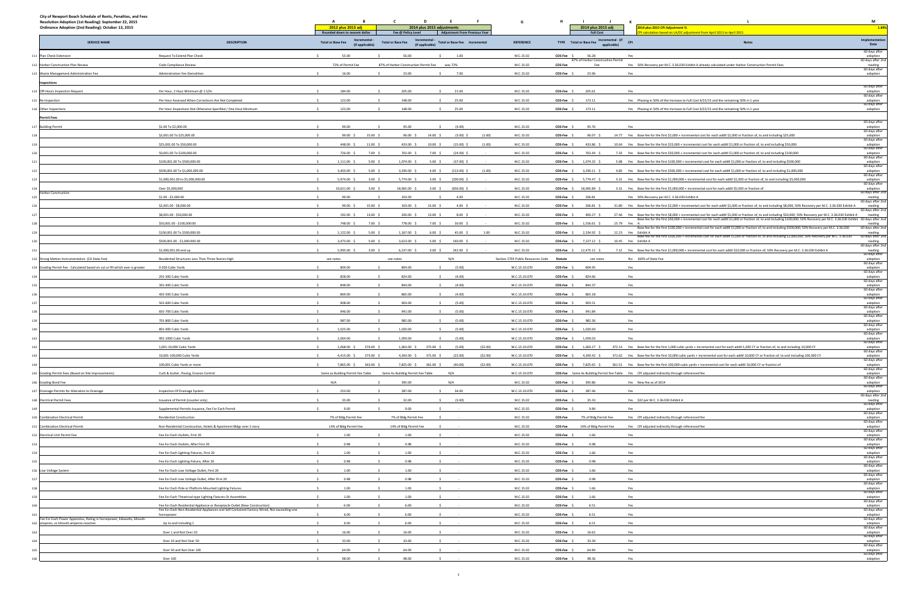| City of Newport Beach Schedule of Rents, Penalties, and Fees<br>Resolution Adoption (1st Reading): September 22, 2015<br>Ordinance Adoption (2nd Reading): October 13, 2015 |                                                                                                           | A<br>в<br>2012 plus 2013 adj<br>Rounded down to nearest dollar |                    | Fee @ Policy Level                    | - F<br>2014 plus 2015 adjustments<br><b>Adjustment From Previous Year</b> |         |                                    | н<br>2014 plus 2015 adj<br><b>Full Cost</b>         | -к                                             | 2014 plus 2015 CPI Adjustment %<br>I calculation based on LA/OC adjustment from April 2013 to April 2015                                                                                                                                                                                                                                                 | M<br>1.89%                                    |
|-----------------------------------------------------------------------------------------------------------------------------------------------------------------------------|-----------------------------------------------------------------------------------------------------------|----------------------------------------------------------------|--------------------|---------------------------------------|---------------------------------------------------------------------------|---------|------------------------------------|-----------------------------------------------------|------------------------------------------------|----------------------------------------------------------------------------------------------------------------------------------------------------------------------------------------------------------------------------------------------------------------------------------------------------------------------------------------------------------|-----------------------------------------------|
| <b>SERVICE NAME</b>                                                                                                                                                         | <b>DESCRIPTION</b>                                                                                        | <b>Total or Base Fee</b><br>(if applicable)                    |                    | <b>Total or Base Fee</b>              | Incrementa<br><b>Total or Base Fee Incremental</b><br>(if applicable)     |         | <b>REFERENCE</b>                   | TYPE Total or Base Fee                              | Incremental - (if<br><b>CPI</b><br>applicable) | <b>Notes</b>                                                                                                                                                                                                                                                                                                                                             | Implementation<br>Date                        |
| 111 Plan Check Extension                                                                                                                                                    | Request To Extend Plan Check                                                                              | 55.00<br>$\sim$                                                |                    | 56.00                                 | 1.00                                                                      |         | M.C.15.02                          | 56.28<br>COS-Fee \$                                 |                                                | Yes                                                                                                                                                                                                                                                                                                                                                      | 60 days after<br>adoption                     |
| 112 Harbor Construction Plan Review                                                                                                                                         | Code Compliance Review                                                                                    | 72% of Permit Fee                                              |                    | 87% of Harbor Construction Permit Fee | was 72%                                                                   |         | M.C.15.02                          | 87% of Harbor Construction Permit<br>COS-Fee<br>Fee |                                                | Yes 50% Recovery per M.C. 3.36.030 Exhibit A already calculated under Harbor Construction Permit Fees                                                                                                                                                                                                                                                    | 60 days after 2nd                             |
| 113 Waste Management Administration Fee                                                                                                                                     | Administration Fee Demolition                                                                             | 16.00                                                          |                    | 23.00                                 | 7.00                                                                      |         | M.C.15.02                          | COS-Fee \$<br>23.96                                 |                                                | Yes                                                                                                                                                                                                                                                                                                                                                      | reading<br>60 days after<br>adoption          |
| Inspections                                                                                                                                                                 |                                                                                                           |                                                                |                    |                                       |                                                                           |         |                                    |                                                     |                                                |                                                                                                                                                                                                                                                                                                                                                          |                                               |
| 114 Off-Hours Inspection Request                                                                                                                                            | Per Hour, 2 Hour Minimum @ 1.5/hr                                                                         | 184.00                                                         |                    | 205.00                                | 21.00                                                                     |         | M.C.15.02                          | COS-Fee \$<br>205.61                                |                                                | Yes                                                                                                                                                                                                                                                                                                                                                      | 60 days after<br>adoption                     |
| 115 Re-Inspection                                                                                                                                                           | Per Hour Assessed When Corrections Are Not Completed                                                      | 123.00                                                         |                    | 148.00                                | 25.00                                                                     |         | M.C.15.02                          | 173.11<br>COS-Fee \$                                |                                                | Yes Phasing in 50% of the Increase to Full Cost 9/22/15 and the remaining 50% in 1 year                                                                                                                                                                                                                                                                  | 60 days after<br>adoption                     |
|                                                                                                                                                                             | Per Hour Inspections Not Otherwise Specified / One Hour Minimum                                           | 123.00                                                         |                    | 148.00                                | 25.00                                                                     |         | M.C.15.02                          | 173.11<br>COS-Fee \$                                |                                                | Yes Phasing in 50% of the Increase to Full Cost 9/22/15 and the remaining 50% in 1 year                                                                                                                                                                                                                                                                  | 60 days after                                 |
| 116 Other Inspections                                                                                                                                                       |                                                                                                           |                                                                |                    |                                       |                                                                           |         |                                    |                                                     |                                                |                                                                                                                                                                                                                                                                                                                                                          | adoption                                      |
| <b>Permit Fees</b>                                                                                                                                                          | \$1.00 To \$2,000.00                                                                                      | 99.00<br>-Ś.                                                   | $\sim$             | 95.00                                 | $\sim$<br>(4.00)                                                          |         | M.C.15.02                          | COS-Fee \$<br>95.76                                 |                                                | Yes                                                                                                                                                                                                                                                                                                                                                      | 60 days after<br>adoption                     |
| 117 Building Permit                                                                                                                                                         |                                                                                                           |                                                                |                    |                                       |                                                                           |         |                                    |                                                     |                                                |                                                                                                                                                                                                                                                                                                                                                          | 60 days after                                 |
| 118                                                                                                                                                                         | \$2,001.00 To \$25,000.00                                                                                 | 99.00 \$                                                       | 15.00 \$           | $96.00\frac{1}{5}$                    | 14.00 \$<br>$(3.00)$ \$                                                   | (1.00)  | M.C.15.02                          | COS-Fee \$<br>$96.07$ \$                            |                                                | 14.77 Yes Base fee for the first \$2,000 + incremental cost for each addtl \$1,000 or fraction of, to and including \$25,000                                                                                                                                                                                                                             | adoption<br>60 days after                     |
| 119                                                                                                                                                                         | \$25,001.00 To \$50,000.00                                                                                | 448.00 \$                                                      | $11.00\frac{2}{3}$ | 433.00 \$                             | $10.00\frac{5}{5}$<br>$(15.00)$ \$                                        | (1.00)  | M.C.15.02                          | COS-Fee \$<br>433.86 \$                             |                                                | 10.64 Yes Base fee for the first \$25,000 + incremental cost for each addtl \$1,000 or fraction of, to and including \$50,000                                                                                                                                                                                                                            | adoption<br>60 days after                     |
| 120                                                                                                                                                                         | 50,001.00 To \$100,000.00                                                                                 | 726.00 \$                                                      | $7.00\frac{2}{3}$  | 702.00 \$                             | $7.00\frac{2}{3}$<br>$(24.00)$ \$                                         |         | M.C.15.02                          | COS-Fee \$<br>702.44 \$                             |                                                | 7.33 Yes Base fee for the first \$50,000 + incremental cost for each addtl \$1,000 or fraction of, to and including \$100,000                                                                                                                                                                                                                            | adoption<br>60 days after                     |
| 121                                                                                                                                                                         | \$100,001.00 To \$500,000.00                                                                              | $1,111.00$ \$                                                  | $5.00\frac{2}{3}$  | 1,074.00 \$                           | $5.00\frac{2}{3}$<br>$(37.00)$ \$                                         |         | M.C.15.02                          | COS-Fee \$<br>1,074.32 \$                           |                                                | 5.68 Yes Base fee for the first \$100,000 + incremental cost for each addtl \$1,000 or fraction of, to and including \$500,000                                                                                                                                                                                                                           | adoption<br>60 days after                     |
| 122                                                                                                                                                                         | \$500,001.00 To \$1,000,000.00                                                                            | 3,403.00 \$                                                    | $5.00\frac{2}{3}$  | 3,290.00 \$                           | 4.00 \$<br>$(113.00)$ \$                                                  | (1.00)  | M.C.15.02                          | $COS-Fee$ \$ 3,290.11 \$                            |                                                | 4.83 Yes Base fee for the first \$500,000 + incremental cost for each addtl \$1,000 or fraction of, to and including \$1,000,000                                                                                                                                                                                                                         | adoption<br>60 days after                     |
| 12 <sup>2</sup>                                                                                                                                                             | \$1,000,001.00 to \$5,000,000.00                                                                          | 5,974.00 \$                                                    | $3.00\frac{2}{3}$  | 5,774.00 \$                           | $3.00\frac{5}{7}$<br>$(200.00)$ \$                                        |         | M.C.15.02                          | COS-Fee \$<br>5,774.47 \$                           |                                                | 3.31 Yes Base fee for the first \$1,000,000 + incremental cost for each addtl \$1,000 or fraction of, to and including \$5,000,000                                                                                                                                                                                                                       | adoption<br>60 days after                     |
| Harbor Construction                                                                                                                                                         | Over \$5,000,000                                                                                          | 19,621.00 \$                                                   | $3.00\frac{2}{3}$  | 18,965.00 \$                          | $3.00\frac{2}{3}$<br>$(656.00)$ \$                                        |         | M.C.15.02                          | COS-Fee \$<br>18,965.89 \$                          |                                                | 3.31 Yes Base fee for the first \$5,000,000 + incremental cost for each addtl \$5,000 or fraction of                                                                                                                                                                                                                                                     | adoption<br>60 days after 2nd                 |
|                                                                                                                                                                             | \$1.00 - \$2,000.00                                                                                       | 99.00                                                          |                    | 103.00                                | 4.00                                                                      |         | M.C.15.02                          | COS-Fee \$<br>206.81                                |                                                | Yes 50% Recovery per M.C. 3.36.030 Exhibit A                                                                                                                                                                                                                                                                                                             | reading<br>60 days after 2nd                  |
|                                                                                                                                                                             | \$2,001.00 - \$8,000.00                                                                                   | 99.00 \$                                                       | 15.00 \$           | 103.00%                               | $4.00\frac{5}{5}$<br>15.00 \$                                             |         | M.C.15.02                          | COS-Fee \$<br>206.81 \$                             |                                                | 31.80 Yes Base fee for the first \$2,000 + incremental cost for each addtl \$1,000 or fraction of, to and including \$8,000; 50% Recovery per M.C. 3.36.030 Exhibit A                                                                                                                                                                                    | reading<br>60 days after 2nd                  |
| 127                                                                                                                                                                         | \$8,001.00 - \$50,000.00                                                                                  | 192.00 \$                                                      | 13.00 \$           | 200.00 \$                             | $8.00\frac{2}{3}$<br>13.00%                                               |         | M.C.15.02                          | COS-Fee \$<br>400.27                                |                                                | 27.46 Yes Base fee for the first \$8,000 + incremental cost for each addtl \$1,000 or fraction of, to and including \$50,000; 50% Recovery per M.C. 3.36.030 Exhibit A<br>Base fee for the first \$50,000 + incremental cost for each addtl \$1,000 or fraction of, to and including \$100,000; 50% Recovery per M.C. 3.36.030 Exhibit 60 days after 2nd | reading                                       |
| 128                                                                                                                                                                         | \$50,001.00 - \$100,000.00                                                                                | 748.00 \$                                                      | 7.00%              | 778.00 \$                             | $7.00\frac{2}{3}$<br>30.00 S                                              |         | M.C.15.02                          | 1,556.61 \$<br>COS-Fee \$                           | 15.79 Yes A                                    | Base fee for the first \$100,000 + incremental cost for each addtl \$1,000 or fraction of, to and including \$500,000; 50% Recovery per M.C. 3.36.030                                                                                                                                                                                                    | reading<br>60 days after 2nd                  |
| 129                                                                                                                                                                         | \$100,001.00 To \$500,000.00                                                                              | 1,122.00 \$                                                    | 5.00%              | 1,167.00 \$                           | $6.00\frac{5}{5}$<br>45.00 \$                                             | 1.00    | M.C.15.02                          | COS-Fee \$<br>2,334.92 \$                           |                                                | 12.23 Yes Exhibit A                                                                                                                                                                                                                                                                                                                                      | reading<br>60 days after 2nd                  |
| 130                                                                                                                                                                         | \$500,001.00 - \$1,000.000.00                                                                             | 3,473.00 \$                                                    | 5.00%              | 3,613.00 \$                           | $5.00\frac{2}{3}$<br>140.00 \$                                            |         | M.C.15.02                          | 7,227.12 \$<br>COS-Fee \$                           |                                                | Base fee for the first \$500,000 + incremental cost for each addtl \$1,000 or fraction of, to and including \$1,000,000; 50% Recovery per M.C. 3.36.030<br>10.45 Yes Exhibit A                                                                                                                                                                           | reading                                       |
|                                                                                                                                                                             | \$1,000,001.00 and up                                                                                     | 5,995.00 \$                                                    | $3.00\frac{2}{3}$  | $6,237.00$ \$                         | $3.00\frac{5}{7}$<br>242.00 \$                                            |         | M.C.15.02                          | COS-Fee \$ 12,475.12 \$                             |                                                | 7.12 Yes Base fee for the first \$1,000,000 + incremental cost for each addtl \$10,000 or fraction of; 50% Recovery per M.C. 3.36.030 Exhibit A                                                                                                                                                                                                          | 60 days after 2nd<br>reading<br>60 days after |
| 132 Strong Motion Instrumentation (CA State Fee)                                                                                                                            | Residential Structures Less Than Three Stories High                                                       | see notes                                                      |                    | see notes                             | N/A                                                                       |         | Section 2705 Public Resources Code | <b>Statute</b><br>see notes                         |                                                | No 100% of State Fee                                                                                                                                                                                                                                                                                                                                     | adoption<br>60 days after                     |
| 133 Grading Permit Fee - Calculated based on cut or fill which ever is greater                                                                                              | 0-200 Cubic Yards                                                                                         | 809.00                                                         |                    | 804.00                                | (5.00)                                                                    |         | M.C.15.10.070                      | COS-Fee \$<br>804.95                                |                                                | Yes                                                                                                                                                                                                                                                                                                                                                      | adoption                                      |
|                                                                                                                                                                             | 201-300 Cubic Yards                                                                                       | 828.00<br>$\sim$                                               | $\sim$             | 824.00                                | (4.00)<br>$\sim$                                                          |         | M.C.15.10.070                      | COS-Fee \$<br>824.66                                |                                                | Yes                                                                                                                                                                                                                                                                                                                                                      | 60 days after<br>adoption                     |
|                                                                                                                                                                             | 301-400 Cubic Yards                                                                                       | 848.00                                                         |                    | 844.00                                | (4.00)                                                                    |         | M.C.15.10.070                      | $COS-Fee$ $$$<br>844.37                             |                                                | Yes                                                                                                                                                                                                                                                                                                                                                      | 60 days after<br>adoption                     |
|                                                                                                                                                                             | 401-500 Cubic Yards                                                                                       | 869.00                                                         |                    | 865.00                                | (4.00)                                                                    |         | M.C.15.10.070                      | COS-Fee \$ 865.18                                   |                                                | Yes                                                                                                                                                                                                                                                                                                                                                      | 60 days after<br>adoption                     |
|                                                                                                                                                                             | 501-600 Cubic Yards                                                                                       | 908.00                                                         |                    | 903.00                                | (5.00)                                                                    |         | M.C.15.10.070                      | COS-Fee \$<br>903.51                                |                                                | Yes                                                                                                                                                                                                                                                                                                                                                      | 60 days after<br>adoption                     |
|                                                                                                                                                                             | 601-700 Cubic Yards                                                                                       | 946.00                                                         |                    | 941.00                                | (5.00)                                                                    |         | M.C.15.10.070                      | COS-Fee \$<br>941.84                                |                                                | Yes                                                                                                                                                                                                                                                                                                                                                      | 60 days after<br>adoption                     |
| 139                                                                                                                                                                         | 701-800 Cubic Yards                                                                                       | 987.00                                                         |                    | 982.00                                | (5.00)                                                                    |         | M.C.15.10.070                      | COS-Fee \$<br>982.36                                |                                                | Yes                                                                                                                                                                                                                                                                                                                                                      | 60 days after<br>adoption                     |
| 140                                                                                                                                                                         | 801-900 Cubic Yards                                                                                       | 1,025.00                                                       |                    | 1,020.00                              | (5.00)                                                                    |         | M.C.15.10.070                      | 1,020.69<br>COS-Fee \$                              |                                                | Yes                                                                                                                                                                                                                                                                                                                                                      | 60 days after<br>adoption                     |
| 141                                                                                                                                                                         | 901-1000 Cubic Yards                                                                                      | 1,064.00                                                       |                    | 1,059.00                              | (5.00)                                                                    |         | M.C.15.10.070                      | 1,059.03<br>COS-Fee \$                              |                                                | Yes                                                                                                                                                                                                                                                                                                                                                      | 60 days after                                 |
|                                                                                                                                                                             | 1.001-10.000 Cubic Yards                                                                                  | 1.068.00 \$                                                    | 374.00             | 1.063.00 \$                           | 372.00 \$<br>(5.00)                                                       |         | M.C.15.10.070                      | COS-Fee S<br>1.063.27 \$                            |                                                | 372.14 Yes Base fee for the first 1.000 cubic vards + incremental cost for each addtl 1.000 CY or fraction of, to and including 10.000 CY                                                                                                                                                                                                                | adoption<br>60 days after<br>adontion         |
|                                                                                                                                                                             |                                                                                                           |                                                                |                    |                                       |                                                                           |         |                                    |                                                     |                                                |                                                                                                                                                                                                                                                                                                                                                          | 60 days after                                 |
| 143                                                                                                                                                                         | 10,001-100,000 Cubic Yards                                                                                | 4,415.00 \$                                                    | 373.00 \$          | 4,393.00 \$                           | 371.00 \$<br>(22.00)                                                      | (52.00) | M.C.15.10.070                      | COS-Fee \$<br>4,393.42 \$                           |                                                | 371.62 Yes Base fee for the first 10,000 cubic yards + incremental cost for each addtl 10,000 CY or fraction of, to and including 100,000 CY                                                                                                                                                                                                             | adoption<br>60 days after                     |
|                                                                                                                                                                             | 100,001 Cubic Yards or more                                                                               | 7,865.00 \$                                                    | 363.00 \$          | 7,825.00 \$                           | 361.00 \$<br>(40.00)                                                      | (52.00) | M.C.15.10.070                      | COS-Fee \$<br>7,825.65 \$                           |                                                | 361.51 Yes Base fee for the first 100,000 cubic yards + incremental cost for each addtl 10,000 CY or fraction of                                                                                                                                                                                                                                         | adoption<br>60 days after                     |
| 145 Grading Permit Fees (Based on Site Improvements)                                                                                                                        | Curb & Gutter, Paving, Erosion Control                                                                    | Same as Building Permit Fee Table                              |                    | Same As Building Permit Fee Table     | N/A                                                                       |         | M.C.15.10.070                      |                                                     |                                                | COS-Fee Same As Building Permit Fee Table Yes CPI adjusted indirectly through referenced fee                                                                                                                                                                                                                                                             | adoption<br>60 days after                     |
| 146 Grading Bond Fee                                                                                                                                                        |                                                                                                           | N/A                                                            |                    | 395.00                                | N/A                                                                       |         | M.C.15.02                          | COS-Fee \$<br>395.86                                |                                                | Yes New fee as of 2014                                                                                                                                                                                                                                                                                                                                   | adoption<br>60 days after                     |
| 147 Drainage Permits for Alteration to Drainage                                                                                                                             | Inspection Of Drainage System                                                                             | 253.00                                                         |                    | 287.00                                | 34.00                                                                     |         | M.C.15.10.070                      | $COS-Fee$ \$<br>287.46                              |                                                | Yes                                                                                                                                                                                                                                                                                                                                                      | adoption<br>60 days after 2nd                 |
| 148 Electrical Permit Fees                                                                                                                                                  | Issuance of Permit (counter only)                                                                         | 35.00                                                          |                    | 32.00                                 | (3.00)                                                                    |         | M.C.15.02                          | COS-Fee \$<br>35.33                                 |                                                | Yes \$32 per M.C. 3.36.030 Exhibit A                                                                                                                                                                                                                                                                                                                     | reading<br>60 days after                      |
|                                                                                                                                                                             | Supplemental Permits Issuance, Fee For Each Permit                                                        | 9.00                                                           |                    | 9.00                                  |                                                                           |         | M.C.15.02                          | 9.84<br>COS-Fee \$                                  |                                                | Yes                                                                                                                                                                                                                                                                                                                                                      | adoption<br>60 days after                     |
| 150 Combination Electrical Permit                                                                                                                                           | <b>Residential Construction</b>                                                                           | 7% of Bldg Permit Fee                                          |                    | 7% of Bldg Permit Fee                 |                                                                           |         | M.C.15.02                          | <b>COS-Fee</b><br>7% of Bldg Permit Fee             |                                                | Yes CPI adjusted indirectly through referenced fee                                                                                                                                                                                                                                                                                                       | adoption<br>60 days after                     |
| 151 Combination Electrical Permit                                                                                                                                           | Non-Residential Construction, Hotels & Apartment Bldgs over 2 story                                       | 14% of Bldg Permit Fee                                         |                    | 14% of Bldg Permit Fee                |                                                                           |         | M.C.15.02                          | COS-Fee<br>14% of Bldg Permit Fee                   |                                                | Yes CPI adjusted indirectly through referenced fee                                                                                                                                                                                                                                                                                                       | adoption<br>60 days after                     |
| 152 Electrical Unit Permit Fee                                                                                                                                              | Fee For Each Outlets, First 20                                                                            | 1.00                                                           |                    | 1.00                                  |                                                                           |         | M.C.15.02                          | COS-Fee \$<br>1.66                                  |                                                | Yes                                                                                                                                                                                                                                                                                                                                                      | adoption<br>60 days after                     |
|                                                                                                                                                                             | Fee For Each Outlets, After First 20                                                                      | 0.98                                                           |                    | 0.98                                  |                                                                           |         | M.C.15.02                          | 0.98<br>COS-Fee \$                                  |                                                | Yes                                                                                                                                                                                                                                                                                                                                                      | adoption<br>60 days after                     |
| 154                                                                                                                                                                         | Fee For Each Lighting Fixtures, First 20                                                                  | 1.00                                                           |                    | 1.00                                  |                                                                           |         | M.C.15.02                          | 1.66<br>COS-Fee \$                                  |                                                | Yes                                                                                                                                                                                                                                                                                                                                                      | adoption                                      |
|                                                                                                                                                                             | Fee For Each Lighting Fixture, After 20                                                                   | 0.98                                                           |                    | 0.98                                  |                                                                           |         | M.C.15.02                          | 0.98<br>COS-Fee \$                                  |                                                | Yes                                                                                                                                                                                                                                                                                                                                                      | 60 days after<br>adoption                     |
| 156 Low Voltage System                                                                                                                                                      | Fee For Each Low Voltage Outlet, First 20                                                                 | 1.00                                                           |                    | 1.00                                  |                                                                           |         | M.C.15.02                          | COS-Fee \$<br>1.66                                  |                                                | Yes                                                                                                                                                                                                                                                                                                                                                      | 60 days after<br>adoption                     |
|                                                                                                                                                                             | Fee For Each Low Voltage Outlet, After First 20                                                           | 0.98                                                           |                    | 0.98                                  |                                                                           |         | M.C.15.02                          | COS-Fee \$<br>0.98                                  |                                                | Yes                                                                                                                                                                                                                                                                                                                                                      | 60 days after<br>adoption                     |
|                                                                                                                                                                             | Fee For Each Pole or Platform-Mounted Lighting Fixtures                                                   | 1.00                                                           |                    | 1.00                                  |                                                                           |         | M.C.15.02                          | 1.66<br>COS-Fee \$                                  |                                                | Yes                                                                                                                                                                                                                                                                                                                                                      | 60 days after<br>adoption                     |
|                                                                                                                                                                             | Fee For Each Theatrical-type Lighting Fixtures Or Assemblies                                              | 1.00                                                           |                    | 1.00                                  |                                                                           |         | M.C.15.02                          | 1.66<br>COS-Fee \$                                  |                                                | Yes                                                                                                                                                                                                                                                                                                                                                      | 60 days after<br>adoption                     |
|                                                                                                                                                                             | Fee For Each Residential Appliance or Receptacle Outlet (New Construction)                                | 6.00                                                           |                    | 6.00                                  |                                                                           |         | M.C.15.02                          | 6.51<br>COS-Fee \$                                  |                                                | Yes                                                                                                                                                                                                                                                                                                                                                      | 60 days after<br>adoption                     |
|                                                                                                                                                                             | Fee For Each Non-Residential Appliances and Self-Contained Factory-Wired, Not exceeding one<br>horsepower | 6.00                                                           |                    | 6.00                                  |                                                                           |         | M.C.15.02                          | 6.51<br>COS-Fee \$                                  |                                                | Yes                                                                                                                                                                                                                                                                                                                                                      | 60 days after<br>adoption                     |
| ee For Each Power Apparatus, Rating in horsepower, kilowatts, kilovolt-<br>amperes, or kilovolt-amperes-reactive:                                                           | Up to and including 1                                                                                     | 6.00                                                           |                    | 6.00                                  |                                                                           |         | M.C.15.02                          | 6.51<br>COS-Fee \$                                  |                                                | Yes                                                                                                                                                                                                                                                                                                                                                      | 60 days after<br>adoption                     |
|                                                                                                                                                                             | Over 1 and Not Over 10                                                                                    | 16.00                                                          |                    | 16.00                                 |                                                                           |         | M.C.15.02                          | 16.62<br>COS-Fee \$                                 |                                                | Yes                                                                                                                                                                                                                                                                                                                                                      | 60 days after<br>adoption                     |
|                                                                                                                                                                             | Over 10 and Not Over 50                                                                                   | 33.00                                                          |                    | 33.00                                 |                                                                           |         | M.C.15.02                          | COS-Fee \$<br>33.39                                 |                                                | Yes                                                                                                                                                                                                                                                                                                                                                      | 60 days after<br>adoption                     |
|                                                                                                                                                                             | Over 50 and Not Over 100                                                                                  | 64.00                                                          |                    | 64.00                                 |                                                                           |         | M.C.15.02                          | COS-Fee \$<br>64.84                                 |                                                | Yes                                                                                                                                                                                                                                                                                                                                                      | 60 days after                                 |
|                                                                                                                                                                             | Over 100                                                                                                  | 98.00                                                          |                    | 98.00                                 |                                                                           |         | M.C.15.02                          | COS-Fee \$<br>98.36                                 |                                                | Yes                                                                                                                                                                                                                                                                                                                                                      | adoption<br>60 days after<br>adoption         |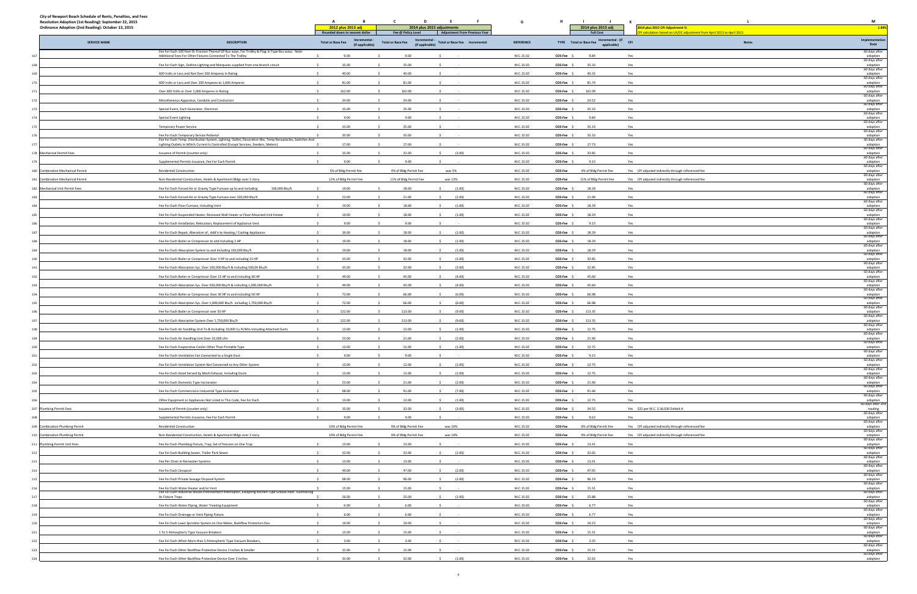| Resolution Adoption (1st Reading): September 22, 2015<br>Ordinance Adoption (2nd Reading): October 13, 2015 |                                                                                                                                                                                                 | A<br>в<br>2012 plus 2013 adj                               | - C<br>D                                                   | - F<br>2014 plus 2015 adjustments    | G                | н              | $\blacksquare$<br>2014 plus 2015 adj                       | к<br>2014 plus 2015 CPI Adjustment %                                  | M<br>1.89%                            |  |
|-------------------------------------------------------------------------------------------------------------|-------------------------------------------------------------------------------------------------------------------------------------------------------------------------------------------------|------------------------------------------------------------|------------------------------------------------------------|--------------------------------------|------------------|----------------|------------------------------------------------------------|-----------------------------------------------------------------------|---------------------------------------|--|
|                                                                                                             |                                                                                                                                                                                                 | Rounded down to nearest dollar                             | Fee @ Policy Level                                         | <b>Adjustment From Previous Year</b> |                  |                | <b>Full Cost</b>                                           | I calculation based on LA/OC adjustment from April 2013 to April 2015 |                                       |  |
| <b>SERVICE NAME</b>                                                                                         | <b>DESCRIPTION</b>                                                                                                                                                                              | Incremental<br><b>Total or Base Fee</b><br>(if applicable) | Incremental<br><b>Total or Base Fee</b><br>(if applicable) | <b>Total or Base Fee Incremental</b> | <b>REFERENCE</b> |                | Incremental - (if<br>TYPE Total or Base Fee<br>applicable) | <b>CPI</b><br><b>Notes</b>                                            | Implementation<br>Date                |  |
|                                                                                                             | Fee For Each 100 Feet Or Fraction Thereof Of Bus ways, For Trolley & Plug-in Type Bus ways. Note:<br>Additional Fees For Other Fixtures Connected To The Trolley                                | 9.00                                                       | 9.00                                                       |                                      | M.C.15.02        | COS-Fee \$     | 9.84                                                       | Yes                                                                   | 60 days after<br>adoption             |  |
|                                                                                                             | Fee For Each Sign, Outline Lighting and Marquees supplied from one branch circuit                                                                                                               | 35.00                                                      | 35.00                                                      |                                      | M.C.15.02        | COS-Fee \$     | 35.33                                                      | Yes                                                                   | 60 days after<br>adoption             |  |
|                                                                                                             | 600 Volts or Less and Not Over 200 Amperes in Rating                                                                                                                                            | 40.00                                                      | 40.00                                                      |                                      | M.C.15.02        | COS-Fee \$     | 40.32                                                      | Yes                                                                   | 60 days after<br>adoption             |  |
|                                                                                                             | 600 Volts or Less and Over 200 Amperes to 1,000 Amperes                                                                                                                                         | 81.00                                                      | 81.00                                                      |                                      | M.C.15.02        | COS-Fee \$     | 81.74                                                      | Yes                                                                   | 60 days after<br>adoption             |  |
|                                                                                                             | Over 600 Volts or Over 1,000 Amperes in Rating                                                                                                                                                  | 162.00                                                     | 162.00                                                     |                                      | M.C.15.02        | COS-Fee \$     | 162.09                                                     | Yes                                                                   | 60 days after<br>adoption             |  |
|                                                                                                             | Miscellaneous Apparatus, Conduits and Conductors                                                                                                                                                | 24.00                                                      | 24.00                                                      |                                      | M.C.15.02        | COS-Fee \$     | 24.52                                                      | Yes                                                                   | 60 days after<br>adoption             |  |
|                                                                                                             | Special Event, Each Generator, Electrical                                                                                                                                                       | 35.00                                                      | 35.00                                                      |                                      | M.C.15.02        | COS-Fee \$     | 35.33                                                      | Yes                                                                   | 60 days after                         |  |
|                                                                                                             | Special Event Lighting                                                                                                                                                                          | 9.00                                                       | 9.00                                                       |                                      | M.C.15.02        | COS-Fee \$     | 9.84                                                       | Yes                                                                   | adoption<br>60 days after<br>adoption |  |
|                                                                                                             | <b>Temporary Power Service</b>                                                                                                                                                                  | 35.00                                                      | 35.00                                                      |                                      | M.C.15.02        | COS-Fee \$     | 35.33                                                      | Yes                                                                   | 60 days after<br>adoption             |  |
|                                                                                                             | Fee For Each Temporary Service Pedestal                                                                                                                                                         | 35.00                                                      | 35.00                                                      |                                      | M.C.15.02        | COS-Fee \$     | 35.33                                                      | Yes                                                                   | 60 days after                         |  |
|                                                                                                             | Fee For Each Temp. Distribution System, Lighting, Outlet, Decorative Site, Temp Receptacles, Switches And<br>Lighting Outlets In Which Current Is Controlled (Except Services, Feeders, Meters) | 17.00                                                      | 17.00                                                      |                                      | M.C.15.02        | COS-Fee \$     | 17.73                                                      | Yes                                                                   | adoption<br>60 days after<br>adoption |  |
| 178 Mechanical Permit Fees                                                                                  | Issuance of Permit (counter only)                                                                                                                                                               | 35.00                                                      | 32.00                                                      | (3.00)<br>s.                         | M.C.15.02        | COS-Fee \$     | 32.85                                                      | Yes                                                                   | 60 days after<br>adoption             |  |
|                                                                                                             |                                                                                                                                                                                                 | 9.00                                                       | 9.00                                                       |                                      | M.C.15.02        |                | 9.15                                                       |                                                                       | 60 days after                         |  |
| 180 Combination Mechanical Permit                                                                           | Supplemental Permits Issuance, Fee For Each Permit                                                                                                                                              |                                                            |                                                            |                                      |                  | COS-Fee \$     |                                                            | Yes                                                                   | adoption<br>60 days after             |  |
|                                                                                                             | <b>Residential Construction</b>                                                                                                                                                                 | 5% of Bldg Permit Fee                                      | 4% of Bldg Permit Fee                                      | was 5%                               | M.C.15.02        | COS-Fee        | 4% of Bldg Permit Fee                                      | Yes CPI adjusted indirectly through referenced fee                    | adoption<br>60 days after             |  |
| 181 Combination Mechanical Permit                                                                           | Non-Residential Construction, Hotels & Apartment Bldgs over 2 story                                                                                                                             | 12% of Bldg Permit Fee                                     | 11% of Bldg Permit Fee                                     | was 12%                              | M.C.15.02        | <b>COS-Fee</b> | 11% of Bldg Permit Fee                                     | Yes CPI adjusted indirectly through referenced fee                    | adoption<br>60 days after             |  |
| 182 Mechanical Unit Permit Fees                                                                             | Fee For Each Forced Air or Gravity Type Furnace up to and including<br>100,000 Btu/h                                                                                                            | 19.00                                                      | 18.00                                                      | (1.00)                               | M.C.15.02        | COS-Fee \$     | 18.29                                                      | Yes                                                                   | adoption<br>60 days after             |  |
|                                                                                                             | Fee For Each Forced Air or Gravity Type Furnace over 100,000 Btu/h                                                                                                                              | 23.00                                                      | 21.00                                                      | (2.00)                               | M.C.15.02        | COS-Fee \$     | 21.90                                                      | Yes                                                                   | adoption<br>60 days after             |  |
|                                                                                                             | Fee For Each Floor Furnace, Including Vent                                                                                                                                                      | 19.00                                                      | 18.00                                                      | (1.00)                               | M.C.15.02        | COS-Fee \$     | 18.29                                                      | Yes                                                                   | adoption<br>60 days after             |  |
|                                                                                                             | Fee For Each Suspended Heater, Recessed Wall Heater or Floor-Mounted Unit Heate                                                                                                                 | 19.00                                                      | 18.00                                                      | (1.00)                               | M.C.15.02        | $COS-Fee$ \$   | 18.29                                                      | Yes                                                                   | adoption<br>60 days after             |  |
|                                                                                                             | Fee For Each Installation, Relocation, Replacement of Appliance Vent                                                                                                                            | 9.00                                                       | 9.00                                                       |                                      | M.C.15.02        | COS-Fee \$     | 9.15                                                       | Yes                                                                   | adoption<br>60 days after             |  |
|                                                                                                             | Fee For Each Repair, Alteration of, Add'n to Heating / Cooling Appliances                                                                                                                       | 19.00                                                      | 18.00                                                      | (1.00)                               | M.C.15.02        | COS-Fee \$     | 18.29                                                      | Yes                                                                   | adoption<br>60 days after             |  |
|                                                                                                             | Fee For Each Boiler or Compressor to and Including 3 HP                                                                                                                                         | 19.00                                                      | 18.00                                                      | (1.00)                               | M.C.15.02        | COS-Fee \$     | 18.29                                                      | Yes                                                                   | adoption<br>60 days after             |  |
|                                                                                                             | Fee For Each Absorption System to and Including 100,000 Btu/h                                                                                                                                   | 19.00                                                      | 18.00                                                      | (1.00)<br>S.                         | M.C.15.02        | COS-Fee \$     | 18.29                                                      | Yes                                                                   | adoption<br>60 days after             |  |
|                                                                                                             | Fee For Each Boiler or Compressor Over 3 HP to and including 15 HP                                                                                                                              | 35.00                                                      | 32.00                                                      | (3.00)                               | M.C.15.02        | COS-Fee \$     | 32.85                                                      | Yes                                                                   | adoption<br>60 days after             |  |
|                                                                                                             | Fee For Each Absorption Sys. Over 100,000 Btu/h & including 500,00 Btu/h                                                                                                                        | 35.00                                                      | 32.00                                                      | (3.00)                               | M.C.15.02        | COS-Fee \$     | 32.85                                                      | Yes                                                                   | adoption<br>60 days after             |  |
|                                                                                                             | Fee For Each Boiler or Compressor Over 15 HP to and including 30 HP                                                                                                                             | 49.00<br>-S                                                | 45.00                                                      | (4.00)<br>-S                         | M.C.15.02        | COS-Fee \$     | 45.60                                                      | Yes                                                                   | adoption<br>60 days after             |  |
|                                                                                                             | Fee For Each Absorption Sys. Over 500,000 Btu/h & including 1,000,000 Btu/h                                                                                                                     | 49.00                                                      | 45.00                                                      | (4.00)                               | M.C.15.02        | COS-Fee \$     | 45.60                                                      | Yes                                                                   | adoption<br>60 days after             |  |
|                                                                                                             | Fee For Each Boiler or Compressor Over 30 HP to and including 50 HP                                                                                                                             | 72.00                                                      | 66.00                                                      | (6.00)                               | M.C.15.02        | COS-Fee \$     | 66.98                                                      | Yes                                                                   | adoption<br>60 days after             |  |
|                                                                                                             | Fee For Each Absorption Sys. Over 1,000,000 Btu/h including 1,750,000 Btu/h                                                                                                                     | 72.00                                                      | 66.00                                                      | (6.00)                               | M.C.15.02        | COS-Fee \$     | 66.98                                                      | Yes                                                                   | adoption<br>60 days after             |  |
|                                                                                                             | Fee For Each Boiler or Compressor over 50 HP                                                                                                                                                    | 122.00                                                     | 113.00                                                     | (9.00)                               | M.C.15.02        | COS-Fee \$     | 113.35                                                     | Yes                                                                   | adoption<br>60 days after             |  |
|                                                                                                             | Fee For Each Absorption System Over 1,750,000 Btu/h                                                                                                                                             | 122.00                                                     | 113.00                                                     | (9.00)                               | M.C.15.02        | $COS-Fee$ \$   | 113.35                                                     | Yes                                                                   | adoption<br>60 days after             |  |
|                                                                                                             | Fee For Each Air handling Unit To & Including 10,000 Cu Ft/Min Including Attached Ducts                                                                                                         | 13.00                                                      | 12.00                                                      | (1.00)                               | M.C.15.02        | COS-Fee \$     | 12.75                                                      | Yes                                                                   | adoption<br>60 days after             |  |
|                                                                                                             | Fee For Each Air Handling Unit Over 10,000 cfm                                                                                                                                                  | 23.00                                                      | 21.00                                                      | (2.00)                               | M.C.15.02        | COS-Fee \$     | 21.90                                                      | Yes                                                                   | adoption                              |  |
|                                                                                                             | Fee For Each Evanorative Cooler Other Than Portable Type                                                                                                                                        | 13.00                                                      | 12.00                                                      | (1.00)                               | M.C.15.02        | COS-Fee S      | 12.75                                                      | Yes                                                                   | 60 days after<br>adontion             |  |
|                                                                                                             | Fee For Each Ventilation Fan Connected to a Single Duct                                                                                                                                         | 9.00                                                       | 9.00                                                       |                                      | M.C.15.02        | COS-Fee \$     | 9.15                                                       | Yes                                                                   | 60 days after<br>adoption             |  |
|                                                                                                             | Fee For Each Ventilation System Not Connected to Any Other System                                                                                                                               | 13.00                                                      | 12.00                                                      | (1.00)                               | M.C.15.02        | COS-Fee \$     | 12.75                                                      | Yes                                                                   | 60 days after<br>adoption             |  |
|                                                                                                             | Fee For Each Hood Served by Mech Exhaust, Including Ducts                                                                                                                                       | 13.00<br>$\sim$                                            | 12.00<br>$\sim$                                            | $\mathsf{S}$<br>(1.00)               | M.C.15.02        | COS-Fee \$     | 12.75                                                      | Yes                                                                   | 60 days after<br>adoption             |  |
|                                                                                                             | Fee For Each Domestic Type Incinerator                                                                                                                                                          | 23.00                                                      | 21.00                                                      | (2.00)                               | M.C.15.02        | COS-Fee \$     | 21.90                                                      | Yes                                                                   | 60 days after<br>adoption             |  |
|                                                                                                             | Fee For Each Commercial or Industrial Type Incinerator                                                                                                                                          | 98.00                                                      | 91.00                                                      | (7.00)                               | M.C.15.02        | COS-Fee \$     | 91.46                                                      | Yes                                                                   | 60 days after<br>adoption             |  |
|                                                                                                             | Other Equipment or Appliances Not Listed in This Code, Fee For Each                                                                                                                             | 13.00                                                      | 12.00                                                      | (1.00)                               | M.C.15.02        | COS-Fee \$     | 12.75                                                      | Yes                                                                   | 60 days after<br>adoption             |  |
| Plumbing Permit Fees                                                                                        | Issuance of Permit (counter only)                                                                                                                                                               | 35.00                                                      | 32.00                                                      | (3.00)                               | M.C.15.02        | COS-Fee \$     | 34.55                                                      | Yes \$32 per M.C. 3.36.030 Exhibit A                                  | 50 days after 2nd<br>reading          |  |
|                                                                                                             | Supplemental Permits Issuance, Fee For Each Permit                                                                                                                                              | 9.00                                                       | 9.00                                                       |                                      | M.C.15.02        | COS-Fee \$     | 9.62                                                       | Yes                                                                   | 60 days after<br>adoption             |  |
| 209 Combination Plumbing Permit                                                                             | <b>Residential Construction</b>                                                                                                                                                                 | 10% of Bldg Permit Fee                                     | 9% of Bldg Permit Fee                                      | was 10%                              | M.C.15.02        | COS-Fee        | 9% of Bldg Permit Fee                                      | Yes CPI adjusted indirectly through referenced fee                    | 60 days after                         |  |
| 210 Combination Plumbing Permit                                                                             | Non-Residential Construction, Hotels & Apartment Bldgs over 2 story                                                                                                                             | 10% of Bldg Permit Fee                                     | 9% of Bldg Permit Fee                                      | was 10%                              | M.C.15.02        | COS-Fee        | 9% of Bldg Permit Fee                                      | Yes CPI adjusted indirectly through referenced fee                    | adoption<br>60 days after<br>adoption |  |
| 211 Plumbing Permit Unit Fees                                                                               | Fee For Each Plumbing Fixture, Trap, Set of Fixtures on One Trap                                                                                                                                | 13.00                                                      | 13.00                                                      |                                      | M.C.15.02        | COS-Fee \$     | 13.41                                                      | Yes                                                                   | 60 days after<br>adoption             |  |
|                                                                                                             | Fee For Each Building Sewer, Trailer Park Sewer                                                                                                                                                 | 33.00                                                      | 32.00                                                      | (1.00)                               | M.C.15.02        | COS-Fee \$     | 32.65                                                      | Yes                                                                   | 60 days after                         |  |
|                                                                                                             | Fee Per Drain In Rainwater Systems                                                                                                                                                              | 13.00                                                      | 13.00                                                      |                                      | M.C.15.02        | COS-Fee \$     | 13.41                                                      | Yes                                                                   | adoption<br>60 days after<br>adoption |  |
|                                                                                                             | Fee For Each Cesspool                                                                                                                                                                           | 49.00                                                      | 47.00                                                      | (2.00)<br>$\sim$                     | M.C.15.02        | COS-Fee \$     | 47.95                                                      | Yes                                                                   | 60 days after<br>adoption             |  |
|                                                                                                             | Fee For Each Private Sewage Disposal System                                                                                                                                                     | 98.00                                                      | 96.00                                                      | (2.00)                               | M.C.15.02        | COS-Fee \$     | 96.19                                                      | Yes                                                                   | 60 days after                         |  |
|                                                                                                             | Fee For Each Water Heater and/or Vent                                                                                                                                                           | 15.00                                                      | 15.00                                                      |                                      | M.C.15.02        | COS-Fee \$     | 15.31                                                      | Yes                                                                   | adoption<br>60 days after<br>adoption |  |
|                                                                                                             | Fee For Each Industrial Waste Pretreatment Interceptor, Excepting Kitchen Type Grease Inter. Functioning<br>As Fixture Traps                                                                    | 26.00                                                      | 25.00                                                      | (1.00)<br>$\sim$                     | M.C.15.02        | $COS-Fee$ $$$  | 25.88                                                      | Yes                                                                   | 60 days after<br>adoption             |  |
|                                                                                                             |                                                                                                                                                                                                 |                                                            |                                                            |                                      |                  |                |                                                            |                                                                       | 60 days after                         |  |
|                                                                                                             | Fee For Each Water Piping, Water Treating Equipment                                                                                                                                             | 6.00                                                       | 6.00                                                       |                                      | M.C.15.02        | COS-Fee \$     | 6.77                                                       | Yes                                                                   | adoption<br>60 days after             |  |
|                                                                                                             | Fee For Each Drainage or Vent Piping Fixture                                                                                                                                                    | 6.00                                                       | 6.00                                                       |                                      | M.C.15.02        | COS-Fee \$     | 6.77                                                       | Yes                                                                   | adoption<br>60 days after             |  |
|                                                                                                             | Fee For Each Lawn Sprinkler System on One Meter, Backflow Protection Dev.                                                                                                                       | 19.00                                                      | 19.00                                                      |                                      | M.C.15.02        | COS-Fee \$     | 19.23                                                      | Yes                                                                   | adoption<br>60 days after             |  |
|                                                                                                             | 1 To 5 Atmospheric Type Vacuum Breakers                                                                                                                                                         | 15.00                                                      | 15.00                                                      |                                      | M.C.15.02        | COS-Fee \$     | 15.31                                                      | Yes                                                                   | adoption<br>60 days after             |  |
|                                                                                                             | Fee For Each When More than 5 Atmospheric Type Vacuum Breakers,                                                                                                                                 | 3.00                                                       | 3.00                                                       |                                      | M.C.15.02        | COS-Fee \$     | 3.25                                                       | Yes                                                                   | adoption<br>60 days after             |  |
|                                                                                                             | Fee For Each Other Backflow Protective Device 2 Inches & Smaller                                                                                                                                | 15.00                                                      | 15.00                                                      |                                      | M.C.15.02        | COS-Fee \$     | 15.31                                                      | Yes                                                                   | adoption<br>60 days after             |  |
|                                                                                                             | Fee For Each Other Backflow Protective Device Over 2 Inches                                                                                                                                     | 33.00                                                      | 32.00                                                      | (1.00)                               | M.C.15.02        | COS-Fee \$     | 32.65                                                      | Yes                                                                   | adoption                              |  |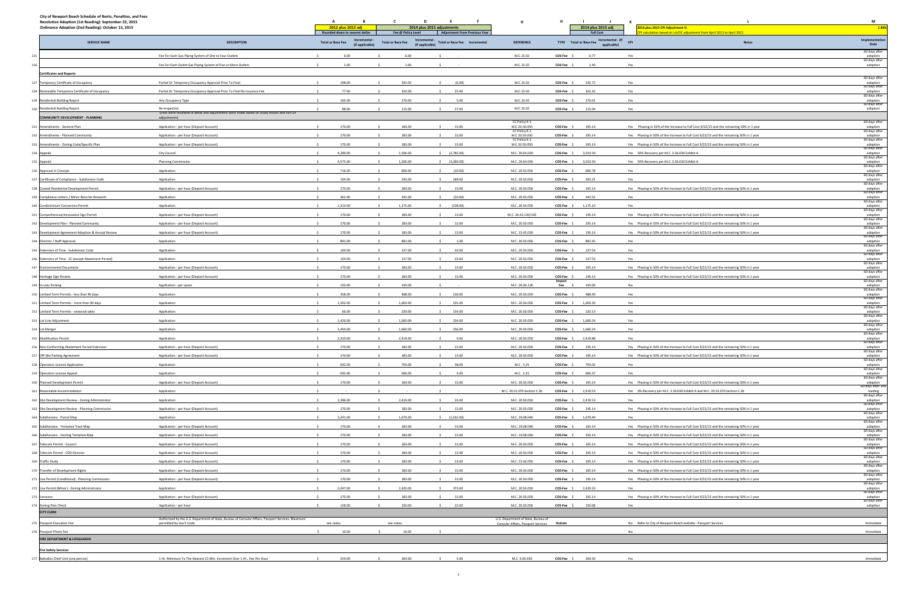| 2012 plus 2013 adj<br>2014 plus 2015 adjustments<br>2014 plus 2015 adj<br>Ordinance Adoption (2nd Reading): October 13, 2015<br>2014 plus 2015 CPI Adjustment %<br>1.89%<br><b>Full Cost</b><br>PI calculation based on LA/OC adjustment from April 2013 to April 2015<br>Rounded down to nearest dollar<br>Fee @ Policy Level<br><b>Adjustment From Previous Year</b><br>Implementation<br>TYPE Total or Base Fee Incremental - (if CPI<br>Incremental<br><b>Incremental</b><br><b>DESCRIPTION</b><br><b>SERVICE NAME</b><br><b>Total or Base Fee</b><br><b>Total or Base Fee</b><br><b>Total or Base Fee Incremental</b><br><b>REFERENCE</b><br><b>Notes</b><br>(if applicable)<br>(if applicable)<br>applicable)<br>Date<br>60 days after<br>6.00<br>6.00<br>M.C.15.02<br>6.77<br>Fee For Each Gas Piping System of One to Four Outlets<br>$\sim$<br>COS-Fee \$<br>Yes<br>adoption<br>60 days after<br>M.C.15.02<br>1.49<br>Fee For Each Outlet Gas Piping System of Five or More Outlets<br>1.00<br>1.00<br>COS-Fee \$<br>Yes<br>adoption<br><b>Certificates and Reports</b><br>60 days after<br>192.00<br>M.C.15.02<br>Partial Or Temporary Occupancy Approval Prior To Final<br>198.00<br>(6.00)<br>COS-Fee \$<br>192.72<br>Yes<br>adoption<br>60 days after<br>Partial Or Temporary Occupancy Approval Prior To Final Re-issuance Fee<br>77.00<br>102.00<br>25.00<br>M.C.15.02<br>COS-Fee \$<br>102.42<br>Yes<br>adoption<br>60 days after<br>170.00<br>165.00<br>5.00<br>M.C.15.02<br>COS-Fee \$<br>170.01<br>Yes<br>Any Occupancy Type<br>adoption<br>60 days after<br>Re-Inspection<br>115.00<br>M.C.15.02<br>adoption<br>88.00<br>27.00<br>$COS-Fee$ $$$<br>115.04<br>Yes<br>(Fees were reviewed in detail and adjustments were made based on study results and not CPI<br><b>COMMUNITY DEVELOPMENT - PLANNING</b><br>adjustments)<br>60 days after<br>CC Policy K-1<br>170.00<br>183.00<br>M.C 20.50.050<br>Application - per hour (Deposit Account)<br>S.<br>$\sim$<br>13.00<br>$COS-Fee$ $\frac{1}{2}$<br>195.14<br>Yes Phasing in 50% of the Increase to Full Cost 9/22/15 and the remaining 50% in 1 year<br>adoption<br>60 days after<br>CC Policy K-1<br>170.00<br>183.00<br>M.C 20.50.050<br>Application - per hour (Deposit Account)<br>13.00<br>COS-Fee \$<br>195.14<br>Yes Phasing in 50% of the Increase to Full Cost 9/22/15 and the remaining 50% in 1 year<br>adoption<br>60 days after<br>CC Policy K-1<br>183.00<br>Application - per hour (Deposit Account)<br>170.00<br>13.00<br>M.C 20.50.050<br>COS-Fee \$<br>195.14<br>Yes Phasing in 50% of the Increase to Full Cost 9/22/15 and the remaining 50% in 1 year<br>adoption<br>60 days after<br>4,289.00<br>1,506.00<br>\$ (2,783.00)<br>M.C. 20.64.030<br>3,013.59<br>Yes 50% Recovery per M.C. 3.36.030 Exhibit A<br>City Council<br>COS-Fee \$<br>adoption<br>60 days after<br>4,575.00<br>1,506.00<br>$$$ (3,069.00)<br>M.C. 20.64.030<br>3,013.59<br>Yes 50% Recovery per M.C. 3.36.030 Exhibit A<br><b>Planning Commission</b><br>COS-Fee \$<br>adoption<br>60 days after<br>716.00<br>696.00<br>M.C. 20.50.050<br>696.78<br>Application<br>(20.00)<br>COS-Fee \$<br>Yes<br>adoption<br>60 days after<br>104.00<br>293.00<br>189.00<br>293.21<br>M.C. 20.50.050<br>COS-Fee \$<br>Yes<br>Application<br>adoption<br>60 days after<br>170.00<br>183.00<br>Yes Phasing in 50% of the Increase to Full Cost 9/22/15 and the remaining 50% in 1 year<br>Application - per hour (Deposit Account)<br>13.00<br>M.C. 20.50.050<br>COS-Fee \$<br>195.14<br>adoption<br>60 days after<br>342.00<br>Application<br>362.00<br>(20.00)<br>M.C. 20.50.050<br>COS-Fee \$<br>342.52<br>Yes<br>adoption<br>60 days after<br>1,313.00<br>1,175.00<br>Application<br>(138.00)<br>M.C. 20.50.050<br>COS-Fee \$<br>1,175.10<br>Yes<br>adoption<br>60 days after<br>170.00<br>183.00<br>13.00<br>M.C. 20.42.120/130<br>COS-Fee \$<br>195.14<br>Yes Phasing in 50% of the Increase to Full Cost 9/22/15 and the remaining 50% in 1 year<br>Application - per hour (Deposit Account)<br>adoption<br>60 days after<br>170.00<br>183.00<br>13.00<br>M.C. 20.50.050<br>195.14<br>COS-Fee \$<br>Yes Phasing in 50% of the Increase to Full Cost 9/22/15 and the remaining 50% in 1 year<br>Application - per hour (Deposit Account)<br>adoption<br>60 days after<br>170.00<br>183.00<br>13.00<br>M.C. 15.45.030<br>$COS-Fee$ $$$<br>195.14<br>Yes Phasing in 50% of the Increase to Full Cost 9/22/15 and the remaining 50% in 1 year<br>Application - per hour (Deposit Account)<br>adoption<br>60 days after<br>891.00<br>892.00<br>1.00<br>M.C. 20.50.050<br>COS-Fee \$<br>892.45<br>Yes<br>adoption<br>Application<br>60 days after<br>$\ddot{\phantom{1}}$<br>137.00<br>Application<br>104.00<br>$\sim$<br>33.00<br>M.C. 20.50.050<br>COS-Fee \$<br>137.54<br>Yes<br>adoption<br>60 days after<br>104.00<br>137.00<br>M.C. 20.50.050<br>33.00<br>COS-Fee \$<br>137.54<br>Yes<br>Application<br>adoption<br>60 days after<br>170.00<br>183.00<br>M.C. 20.50.050<br>13.00<br>COS-Fee \$<br>195.14<br>Yes Phasing in 50% of the Increase to Full Cost 9/22/15 and the remaining 50% in 1 year<br>adoption<br>Application - per hour (Deposit Account)<br>60 days after<br>170.00<br>183.00<br>M.C. 20.50.050<br>$\ddot{\phantom{1}}$<br>13.00<br>COS-Fee \$<br>195.14<br>Yes Phasing in 50% of the Increase to Full Cost 9/22/15 and the remaining 50% in 1 year<br>adoption<br>Application - per hour (Deposit Account)<br>$\leq$<br>60 days after<br>Impact<br>150.00<br>150.00<br>M.C. 20.40.130<br>150.00<br>No<br>adoption<br>Application - per space<br>Fee \$<br>60 days after<br>358.00<br>488.00<br>Application<br>130.00<br>M.C. 20.50.050<br>COS-Fee \$<br>488.49<br>Yes<br>adoption<br>60 days after<br>1,502.00<br>1,603.00<br>M.C. 20.50.050<br>1,603.30<br>Application<br>101.00<br>COS-Fee \$<br>Yes<br>adoption<br>60 days after<br>220.00<br>Application<br>66.00<br>154.00<br>M.C. 20.50.050<br>COS-Fee \$<br>220.13<br>Yes<br>adoption<br>60 days after<br>1,660.00<br>Application<br>1,426.00<br>234.00<br>M.C. 20.50.050<br>1,660.24<br>Yes<br>$COS-Fee$ \$<br>adoption<br>60 days after<br>1,404.00<br>1,660.00<br>Application<br>\$256.00<br>M.C. 20.50.050<br>COS-Fee \$ 1,660.24<br>Yes<br>254 Lot Merger<br>adoption<br>60 days after<br>2,410.00<br>2,419.00<br>COS-Fee \$ 2,419.88<br>255 Modification Permit<br>9.00<br>M.C. 20.50.050<br>Yes<br>Application<br>adoption<br>60 days after<br>256 Non-Conforming Abatement Period Extension<br>170.00<br>183.00<br>13.00<br>M.C. 20.50.050<br>COS-Fee \$<br>195.14<br>Yes Phasing in 50% of the Increase to Full Cost 9/22/15 and the remaining 50% in 1 year<br>Application - per hour (Deposit Account)<br>\$<br>$\sim$<br>adoption<br>60 days after<br>257 Off-Site Parking Agreement<br>170.00<br>183.00<br>13.00<br>M.C. 20.50.050<br>COS-Fee \$ 195.14<br>Yes Phasing in 50% of the Increase to Full Cost 9/22/15 and the remaining 50% in 1 year<br>Application - per hour (Deposit Account)<br>adoption<br>60 days after<br>692.00<br>750.00<br>258 Operators License Application<br>58.00<br>M.C. 5.25<br>COS-Fee \$<br>750.02<br>Yes<br>Application<br>adoption<br>60 days after<br>696.00<br>692.00<br>4.00<br>696.37<br>Application<br>$\sim$<br>M.C. 5.25<br>COS-Fee \$<br>Yes<br>adoption<br>259 Operators License Appeal<br>60 days after<br>170.00<br>183.00<br>M.C. 20.50.050<br>Yes Phasing in 50% of the Increase to Full Cost 9/22/15 and the remaining 50% in 1 year<br>260 Planned Development Permit<br>Application - per hour (Deposit Account)<br>13.00<br>$COS-Fee$ $S$<br>195.14<br>-S.<br>adoption<br>60 days after 2n<br>M.C. 20.52.070 Section C 2b<br>COS-Fee \$ 2,419.53<br>Yes 0% Recovery per M.C. 3.36.030 Exhibit A and M.C. 20.52.070 Section C 2b<br>261 Reasonable Accommodation<br>reading<br>60 days after<br>Application<br>2,386.00<br>2,419.00<br>33.00<br>M.C. 20.50.050<br>COS-Fee \$ 2,419.53<br>262 Site Development Review - Zoning Administrator<br>Application<br>adoption<br>60 days after<br>Yes<br>Application - per hour (Deposit Account)<br>170.00<br>183.00<br>13.00<br>M.C. 20.50.050<br>195.14<br>Yes Phasing in 50% of the Increase to Full Cost 9/22/15 and the remaining 50% in 1 year<br>263 Site Development Review - Planning Commission<br>COS-Fee \$<br>adoption<br>60 days after<br>3,241.00<br>1,679.00<br>264 Subdivisions - Parcel Map<br>Application<br>\$(1,562.00)<br>M.C. 19.08.040<br>COS-Fee \$ 1,679.49<br>Yes<br>adoption<br>60 days after<br>183.00<br>265 Subdivisions - Tentative Tract Map<br>Application - per hour (Deposit Account)<br>170.00<br>13.00<br>M.C. 19.08.040<br>COS-Fee \$<br>195.14<br>Yes Phasing in 50% of the Increase to Full Cost 9/22/15 and the remaining 50% in 1 year<br>adoption<br>60 days after<br>170.00<br>183.00<br>M.C. 19.08.040<br>195.14<br>13.00<br>COS-Fee \$<br>Yes Phasing in 50% of the Increase to Full Cost 9/22/15 and the remaining 50% in 1 year<br>266 Subdivisions - Vesting Tentative Map<br>Application - per hour (Deposit Account)<br>$\leq$<br>adoption<br>60 days after<br>170.00<br>183.00<br>13.00<br>M.C. 20.50.050<br>195.14<br>267 Telecom Permit - Council<br>Application - per hour (Deposit Account)<br>$COS-Fee$ $$$<br>Yes Phasing in 50% of the Increase to Full Cost 9/22/15 and the remaining 50% in 1 year<br>- S<br>s.<br>adoption<br>60 days after<br>268 Telecom Permit - CDD Director<br>170.00<br>183.00<br>13.00<br>M.C. 20.50.050<br>195.14<br>Yes Phasing in 50% of the Increase to Full Cost 9/22/15 and the remaining 50% in 1 year<br>Application - per hour (Deposit Account)<br>$COS-Fee$ $$$<br>adoption<br>60 days after<br>170.00<br>183.00<br>13.00<br>M.C. 15.40.050<br>195.14<br>Yes Phasing in 50% of the Increase to Full Cost 9/22/15 and the remaining 50% in 1 year<br>Application - per hour (Deposit Account)<br>$COS-Fee$ $$$<br>adoption<br>60 days after<br>Application - per hour (Deposit Account)<br>170.00<br>183.00<br>13.00<br>M.C. 20.50.050<br>COS-Fee \$<br>195.14<br>Yes Phasing in 50% of the Increase to Full Cost 9/22/15 and the remaining 50% in 1 year<br>adoption<br>60 days after<br>170.00<br>183.00<br>M.C. 20.50.050<br>Application - per hour (Deposit Account)<br>13.00<br>COS-Fee \$<br>195.14<br>Yes Phasing in 50% of the Increase to Full Cost 9/22/15 and the remaining 50% in 1 year<br>adoption<br>60 days after<br>2,047.00<br>2,420.00<br>M.C. 20.50.050<br>2,420.33<br>Application<br>373.00<br>COS-Fee \$<br>Yes<br>adoption<br>60 days after<br>170.00<br>183.00<br>M.C. 20.50.050<br>Yes Phasing in 50% of the Increase to Full Cost 9/22/15 and the remaining 50% in 1 year<br>Application - per hour (Deposit Account)<br>$\sim$<br>13.00<br>COS-Fee \$<br>195.14<br>-S.<br>adoption<br>60 days after<br>Application - per hour<br>128.00<br>150.00<br>M.C. 20.50.050<br>22.00<br>COS-Fee \$<br>150.68<br>adoption<br>Yes<br><b>CITY CLERK</b><br>Authorized by the U.S. Department of State, Bureau of Consular Affairs, Passport Services. Maximum<br>U.S. Department of State, Bureau of<br>permitted by Gov't Code.<br>see notes<br>see notes<br>No Refer to City of Newport Beach website - Passport Services<br>Immediate<br>Consular Affairs, Passport Services Statute<br>Immediate<br>10.00<br>10.00<br>No<br>FIRE DEPARTMENT & LIFEGUARDS<br><b>Fire Safety Services</b><br>1 Hr. Minimum To The Nearest 15 Min. Increment Over 1 Hr., Fee Per Hour<br>259.00<br>264.00<br>5.00<br>M.C. 9.04.030<br>COS-Fee \$ 264.50<br>Yes<br>Immediate<br>Battalion Chief Unit (one person) | City of Newport Beach Schedule of Rents, Penalties, and Fees |    |          |   |  |   |
|-------------------------------------------------------------------------------------------------------------------------------------------------------------------------------------------------------------------------------------------------------------------------------------------------------------------------------------------------------------------------------------------------------------------------------------------------------------------------------------------------------------------------------------------------------------------------------------------------------------------------------------------------------------------------------------------------------------------------------------------------------------------------------------------------------------------------------------------------------------------------------------------------------------------------------------------------------------------------------------------------------------------------------------------------------------------------------------------------------------------------------------------------------------------------------------------------------------------------------------------------------------------------------------------------------------------------------------------------------------------------------------------------------------------------------------------------------------------------------------------------------------------------------------------------------------------------------------------------------------------------------------------------------------------------------------------------------------------------------------------------------------------------------------------------------------------------------------------------------------------------------------------------------------------------------------------------------------------------------------------------------------------------------------------------------------------------------------------------------------------------------------------------------------------------------------------------------------------------------------------------------------------------------------------------------------------------------------------------------------------------------------------------------------------------------------------------------------------------------------------------------------------------------------------------------------------------------------------------------------------------------------------------------------------------------------------------------------------------------------------------------------------------------------------------------------------------------------------------------------------------------------------------------------------------------------------------------------------------------------------------------------------------------------------------------------------------------------------------------------------------------------------------------------------------------------------------------------------------------------------------------------------------------------------------------------------------------------------------------------------------------------------------------------------------------------------------------------------------------------------------------------------------------------------------------------------------------------------------------------------------------------------------------------------------------------------------------------------------------------------------------------------------------------------------------------------------------------------------------------------------------------------------------------------------------------------------------------------------------------------------------------------------------------------------------------------------------------------------------------------------------------------------------------------------------------------------------------------------------------------------------------------------------------------------------------------------------------------------------------------------------------------------------------------------------------------------------------------------------------------------------------------------------------------------------------------------------------------------------------------------------------------------------------------------------------------------------------------------------------------------------------------------------------------------------------------------------------------------------------------------------------------------------------------------------------------------------------------------------------------------------------------------------------------------------------------------------------------------------------------------------------------------------------------------------------------------------------------------------------------------------------------------------------------------------------------------------------------------------------------------------------------------------------------------------------------------------------------------------------------------------------------------------------------------------------------------------------------------------------------------------------------------------------------------------------------------------------------------------------------------------------------------------------------------------------------------------------------------------------------------------------------------------------------------------------------------------------------------------------------------------------------------------------------------------------------------------------------------------------------------------------------------------------------------------------------------------------------------------------------------------------------------------------------------------------------------------------------------------------------------------------------------------------------------------------------------------------------------------------------------------------------------------------------------------------------------------------------------------------------------------------------------------------------------------------------------------------------------------------------------------------------------------------------------------------------------------------------------------------------------------------------------------------------------------------------------------------------------------------------------------------------------------------------------------------------------------------------------------------------------------------------------------------------------------------------------------------------------------------------------------------------------------------------------------------------------------------------------------------------------------------------------------------------------------------------------------------------------------------------------------------------------------------------------------------------------------------------------------------------------------------------------------------------------------------------------------------------------------------------------------------------------------------------------------------------------------------------------------------------------------------------------------------------------------------------------------------------------------------------------------------------------------------------------------------------------------------------------------------------------------------------------------------------------------------------------------------------------------------------------------------------------------------------------------------------------------------------------------------------------------------------------------------------------------------------------------------------------------------------------------------------------------------------------------------------------------------------------------------------------------------------------------------------------------------------------------------------------------------------------------------------------------------------------------------------------------------------------------------------------------------------------------------------------------------------------------------------------------------------------------------------------------------------------------------------------------------------------------------------------------------------------------------------------------------------------------------------------------------------------------------------------------------------------------------------------------------------------------------------------------------------------------------------------------------------------------------------------------------------------------------------------------------------------------------------------------------------------------------------------------------------------------------------------------------------------------------------------------------------------------------------------------------------------------------------------------------------------------------------------------------------------------------------------------------------------------------------------------------------------------------------------------------------------------------------------------------------------------------------------------------------------------------------------------------------------------------------------------------------------------------------------------------------------------------------------------------------------------------------------------------------------------------------------------------------------------------------------------------------------------------------------------------------------------------------------------------------------------------------------------------------------------------------------------------------------------------------------------------------------------------------------------------------------------------------------------------------------------------------------------------------------------------------------------------------------------------------------------------------------------------------------------------------------------------------------------------------------------------------------------------------------------------------------------------------------------------------------------------------------------------------------------------------------------------------------------------------------------------------------------------------------------------------------------------------------------------------------------------------------------------------------------------------------------------------------------------------------------------------------------------------------------------|--------------------------------------------------------------|----|----------|---|--|---|
|                                                                                                                                                                                                                                                                                                                                                                                                                                                                                                                                                                                                                                                                                                                                                                                                                                                                                                                                                                                                                                                                                                                                                                                                                                                                                                                                                                                                                                                                                                                                                                                                                                                                                                                                                                                                                                                                                                                                                                                                                                                                                                                                                                                                                                                                                                                                                                                                                                                                                                                                                                                                                                                                                                                                                                                                                                                                                                                                                                                                                                                                                                                                                                                                                                                                                                                                                                                                                                                                                                                                                                                                                                                                                                                                                                                                                                                                                                                                                                                                                                                                                                                                                                                                                                                                                                                                                                                                                                                                                                                                                                                                                                                                                                                                                                                                                                                                                                                                                                                                                                                                                                                                                                                                                                                                                                                                                                                                                                                                                                                                                                                                                                                                                                                                                                                                                                                                                                                                                                                                                                                                                                                                                                                                                                                                                                                                                                                                                                                                                                                                                                                                                                                                                                                                                                                                                                                                                                                                                                                                                                                                                                                                                                                                                                                                                                                                                                                                                                                                                                                                                                                                                                                                                                                                                                                                                                                                                                                                                                                                                                                                                                                                                                                                                                                                                                                                                                                                                                                                                                                                                                                                                                                                                                                                                                                                                                                                                                                                                                                                                                                                                                                                                                                                                                                                                                                                                                                                                                                                                                                                                                                                                                                                                                                                                                                                                                                                                                                                                                                                                                                                                                                                                                                                                                                                                                                                                                                                                                                                                                                                                                                                                                                                                                                                                                                                                                                                                                                                                                                                                                                                                                                                                                                                                                                                                                                                                                                                                                                                                                                                                                                                                                                             | Resolution Adoption (1st Reading): September 22, 2015        | в. | D<br>- F | G |  | M |
|                                                                                                                                                                                                                                                                                                                                                                                                                                                                                                                                                                                                                                                                                                                                                                                                                                                                                                                                                                                                                                                                                                                                                                                                                                                                                                                                                                                                                                                                                                                                                                                                                                                                                                                                                                                                                                                                                                                                                                                                                                                                                                                                                                                                                                                                                                                                                                                                                                                                                                                                                                                                                                                                                                                                                                                                                                                                                                                                                                                                                                                                                                                                                                                                                                                                                                                                                                                                                                                                                                                                                                                                                                                                                                                                                                                                                                                                                                                                                                                                                                                                                                                                                                                                                                                                                                                                                                                                                                                                                                                                                                                                                                                                                                                                                                                                                                                                                                                                                                                                                                                                                                                                                                                                                                                                                                                                                                                                                                                                                                                                                                                                                                                                                                                                                                                                                                                                                                                                                                                                                                                                                                                                                                                                                                                                                                                                                                                                                                                                                                                                                                                                                                                                                                                                                                                                                                                                                                                                                                                                                                                                                                                                                                                                                                                                                                                                                                                                                                                                                                                                                                                                                                                                                                                                                                                                                                                                                                                                                                                                                                                                                                                                                                                                                                                                                                                                                                                                                                                                                                                                                                                                                                                                                                                                                                                                                                                                                                                                                                                                                                                                                                                                                                                                                                                                                                                                                                                                                                                                                                                                                                                                                                                                                                                                                                                                                                                                                                                                                                                                                                                                                                                                                                                                                                                                                                                                                                                                                                                                                                                                                                                                                                                                                                                                                                                                                                                                                                                                                                                                                                                                                                                                                                                                                                                                                                                                                                                                                                                                                                                                                                                                                                                             |                                                              |    |          |   |  |   |
|                                                                                                                                                                                                                                                                                                                                                                                                                                                                                                                                                                                                                                                                                                                                                                                                                                                                                                                                                                                                                                                                                                                                                                                                                                                                                                                                                                                                                                                                                                                                                                                                                                                                                                                                                                                                                                                                                                                                                                                                                                                                                                                                                                                                                                                                                                                                                                                                                                                                                                                                                                                                                                                                                                                                                                                                                                                                                                                                                                                                                                                                                                                                                                                                                                                                                                                                                                                                                                                                                                                                                                                                                                                                                                                                                                                                                                                                                                                                                                                                                                                                                                                                                                                                                                                                                                                                                                                                                                                                                                                                                                                                                                                                                                                                                                                                                                                                                                                                                                                                                                                                                                                                                                                                                                                                                                                                                                                                                                                                                                                                                                                                                                                                                                                                                                                                                                                                                                                                                                                                                                                                                                                                                                                                                                                                                                                                                                                                                                                                                                                                                                                                                                                                                                                                                                                                                                                                                                                                                                                                                                                                                                                                                                                                                                                                                                                                                                                                                                                                                                                                                                                                                                                                                                                                                                                                                                                                                                                                                                                                                                                                                                                                                                                                                                                                                                                                                                                                                                                                                                                                                                                                                                                                                                                                                                                                                                                                                                                                                                                                                                                                                                                                                                                                                                                                                                                                                                                                                                                                                                                                                                                                                                                                                                                                                                                                                                                                                                                                                                                                                                                                                                                                                                                                                                                                                                                                                                                                                                                                                                                                                                                                                                                                                                                                                                                                                                                                                                                                                                                                                                                                                                                                                                                                                                                                                                                                                                                                                                                                                                                                                                                                                                                             |                                                              |    |          |   |  |   |
|                                                                                                                                                                                                                                                                                                                                                                                                                                                                                                                                                                                                                                                                                                                                                                                                                                                                                                                                                                                                                                                                                                                                                                                                                                                                                                                                                                                                                                                                                                                                                                                                                                                                                                                                                                                                                                                                                                                                                                                                                                                                                                                                                                                                                                                                                                                                                                                                                                                                                                                                                                                                                                                                                                                                                                                                                                                                                                                                                                                                                                                                                                                                                                                                                                                                                                                                                                                                                                                                                                                                                                                                                                                                                                                                                                                                                                                                                                                                                                                                                                                                                                                                                                                                                                                                                                                                                                                                                                                                                                                                                                                                                                                                                                                                                                                                                                                                                                                                                                                                                                                                                                                                                                                                                                                                                                                                                                                                                                                                                                                                                                                                                                                                                                                                                                                                                                                                                                                                                                                                                                                                                                                                                                                                                                                                                                                                                                                                                                                                                                                                                                                                                                                                                                                                                                                                                                                                                                                                                                                                                                                                                                                                                                                                                                                                                                                                                                                                                                                                                                                                                                                                                                                                                                                                                                                                                                                                                                                                                                                                                                                                                                                                                                                                                                                                                                                                                                                                                                                                                                                                                                                                                                                                                                                                                                                                                                                                                                                                                                                                                                                                                                                                                                                                                                                                                                                                                                                                                                                                                                                                                                                                                                                                                                                                                                                                                                                                                                                                                                                                                                                                                                                                                                                                                                                                                                                                                                                                                                                                                                                                                                                                                                                                                                                                                                                                                                                                                                                                                                                                                                                                                                                                                                                                                                                                                                                                                                                                                                                                                                                                                                                                                                                             | 225                                                          |    |          |   |  |   |
|                                                                                                                                                                                                                                                                                                                                                                                                                                                                                                                                                                                                                                                                                                                                                                                                                                                                                                                                                                                                                                                                                                                                                                                                                                                                                                                                                                                                                                                                                                                                                                                                                                                                                                                                                                                                                                                                                                                                                                                                                                                                                                                                                                                                                                                                                                                                                                                                                                                                                                                                                                                                                                                                                                                                                                                                                                                                                                                                                                                                                                                                                                                                                                                                                                                                                                                                                                                                                                                                                                                                                                                                                                                                                                                                                                                                                                                                                                                                                                                                                                                                                                                                                                                                                                                                                                                                                                                                                                                                                                                                                                                                                                                                                                                                                                                                                                                                                                                                                                                                                                                                                                                                                                                                                                                                                                                                                                                                                                                                                                                                                                                                                                                                                                                                                                                                                                                                                                                                                                                                                                                                                                                                                                                                                                                                                                                                                                                                                                                                                                                                                                                                                                                                                                                                                                                                                                                                                                                                                                                                                                                                                                                                                                                                                                                                                                                                                                                                                                                                                                                                                                                                                                                                                                                                                                                                                                                                                                                                                                                                                                                                                                                                                                                                                                                                                                                                                                                                                                                                                                                                                                                                                                                                                                                                                                                                                                                                                                                                                                                                                                                                                                                                                                                                                                                                                                                                                                                                                                                                                                                                                                                                                                                                                                                                                                                                                                                                                                                                                                                                                                                                                                                                                                                                                                                                                                                                                                                                                                                                                                                                                                                                                                                                                                                                                                                                                                                                                                                                                                                                                                                                                                                                                                                                                                                                                                                                                                                                                                                                                                                                                                                                                                                             | 226                                                          |    |          |   |  |   |
|                                                                                                                                                                                                                                                                                                                                                                                                                                                                                                                                                                                                                                                                                                                                                                                                                                                                                                                                                                                                                                                                                                                                                                                                                                                                                                                                                                                                                                                                                                                                                                                                                                                                                                                                                                                                                                                                                                                                                                                                                                                                                                                                                                                                                                                                                                                                                                                                                                                                                                                                                                                                                                                                                                                                                                                                                                                                                                                                                                                                                                                                                                                                                                                                                                                                                                                                                                                                                                                                                                                                                                                                                                                                                                                                                                                                                                                                                                                                                                                                                                                                                                                                                                                                                                                                                                                                                                                                                                                                                                                                                                                                                                                                                                                                                                                                                                                                                                                                                                                                                                                                                                                                                                                                                                                                                                                                                                                                                                                                                                                                                                                                                                                                                                                                                                                                                                                                                                                                                                                                                                                                                                                                                                                                                                                                                                                                                                                                                                                                                                                                                                                                                                                                                                                                                                                                                                                                                                                                                                                                                                                                                                                                                                                                                                                                                                                                                                                                                                                                                                                                                                                                                                                                                                                                                                                                                                                                                                                                                                                                                                                                                                                                                                                                                                                                                                                                                                                                                                                                                                                                                                                                                                                                                                                                                                                                                                                                                                                                                                                                                                                                                                                                                                                                                                                                                                                                                                                                                                                                                                                                                                                                                                                                                                                                                                                                                                                                                                                                                                                                                                                                                                                                                                                                                                                                                                                                                                                                                                                                                                                                                                                                                                                                                                                                                                                                                                                                                                                                                                                                                                                                                                                                                                                                                                                                                                                                                                                                                                                                                                                                                                                                                                                             |                                                              |    |          |   |  |   |
|                                                                                                                                                                                                                                                                                                                                                                                                                                                                                                                                                                                                                                                                                                                                                                                                                                                                                                                                                                                                                                                                                                                                                                                                                                                                                                                                                                                                                                                                                                                                                                                                                                                                                                                                                                                                                                                                                                                                                                                                                                                                                                                                                                                                                                                                                                                                                                                                                                                                                                                                                                                                                                                                                                                                                                                                                                                                                                                                                                                                                                                                                                                                                                                                                                                                                                                                                                                                                                                                                                                                                                                                                                                                                                                                                                                                                                                                                                                                                                                                                                                                                                                                                                                                                                                                                                                                                                                                                                                                                                                                                                                                                                                                                                                                                                                                                                                                                                                                                                                                                                                                                                                                                                                                                                                                                                                                                                                                                                                                                                                                                                                                                                                                                                                                                                                                                                                                                                                                                                                                                                                                                                                                                                                                                                                                                                                                                                                                                                                                                                                                                                                                                                                                                                                                                                                                                                                                                                                                                                                                                                                                                                                                                                                                                                                                                                                                                                                                                                                                                                                                                                                                                                                                                                                                                                                                                                                                                                                                                                                                                                                                                                                                                                                                                                                                                                                                                                                                                                                                                                                                                                                                                                                                                                                                                                                                                                                                                                                                                                                                                                                                                                                                                                                                                                                                                                                                                                                                                                                                                                                                                                                                                                                                                                                                                                                                                                                                                                                                                                                                                                                                                                                                                                                                                                                                                                                                                                                                                                                                                                                                                                                                                                                                                                                                                                                                                                                                                                                                                                                                                                                                                                                                                                                                                                                                                                                                                                                                                                                                                                                                                                                                                                                             | 227 Temporary Certificate of Occupancy                       |    |          |   |  |   |
|                                                                                                                                                                                                                                                                                                                                                                                                                                                                                                                                                                                                                                                                                                                                                                                                                                                                                                                                                                                                                                                                                                                                                                                                                                                                                                                                                                                                                                                                                                                                                                                                                                                                                                                                                                                                                                                                                                                                                                                                                                                                                                                                                                                                                                                                                                                                                                                                                                                                                                                                                                                                                                                                                                                                                                                                                                                                                                                                                                                                                                                                                                                                                                                                                                                                                                                                                                                                                                                                                                                                                                                                                                                                                                                                                                                                                                                                                                                                                                                                                                                                                                                                                                                                                                                                                                                                                                                                                                                                                                                                                                                                                                                                                                                                                                                                                                                                                                                                                                                                                                                                                                                                                                                                                                                                                                                                                                                                                                                                                                                                                                                                                                                                                                                                                                                                                                                                                                                                                                                                                                                                                                                                                                                                                                                                                                                                                                                                                                                                                                                                                                                                                                                                                                                                                                                                                                                                                                                                                                                                                                                                                                                                                                                                                                                                                                                                                                                                                                                                                                                                                                                                                                                                                                                                                                                                                                                                                                                                                                                                                                                                                                                                                                                                                                                                                                                                                                                                                                                                                                                                                                                                                                                                                                                                                                                                                                                                                                                                                                                                                                                                                                                                                                                                                                                                                                                                                                                                                                                                                                                                                                                                                                                                                                                                                                                                                                                                                                                                                                                                                                                                                                                                                                                                                                                                                                                                                                                                                                                                                                                                                                                                                                                                                                                                                                                                                                                                                                                                                                                                                                                                                                                                                                                                                                                                                                                                                                                                                                                                                                                                                                                                                                                             | 228 Renewable Temporary Certificate of Occupancy             |    |          |   |  |   |
|                                                                                                                                                                                                                                                                                                                                                                                                                                                                                                                                                                                                                                                                                                                                                                                                                                                                                                                                                                                                                                                                                                                                                                                                                                                                                                                                                                                                                                                                                                                                                                                                                                                                                                                                                                                                                                                                                                                                                                                                                                                                                                                                                                                                                                                                                                                                                                                                                                                                                                                                                                                                                                                                                                                                                                                                                                                                                                                                                                                                                                                                                                                                                                                                                                                                                                                                                                                                                                                                                                                                                                                                                                                                                                                                                                                                                                                                                                                                                                                                                                                                                                                                                                                                                                                                                                                                                                                                                                                                                                                                                                                                                                                                                                                                                                                                                                                                                                                                                                                                                                                                                                                                                                                                                                                                                                                                                                                                                                                                                                                                                                                                                                                                                                                                                                                                                                                                                                                                                                                                                                                                                                                                                                                                                                                                                                                                                                                                                                                                                                                                                                                                                                                                                                                                                                                                                                                                                                                                                                                                                                                                                                                                                                                                                                                                                                                                                                                                                                                                                                                                                                                                                                                                                                                                                                                                                                                                                                                                                                                                                                                                                                                                                                                                                                                                                                                                                                                                                                                                                                                                                                                                                                                                                                                                                                                                                                                                                                                                                                                                                                                                                                                                                                                                                                                                                                                                                                                                                                                                                                                                                                                                                                                                                                                                                                                                                                                                                                                                                                                                                                                                                                                                                                                                                                                                                                                                                                                                                                                                                                                                                                                                                                                                                                                                                                                                                                                                                                                                                                                                                                                                                                                                                                                                                                                                                                                                                                                                                                                                                                                                                                                                                                                             | 229 Residential Building Report                              |    |          |   |  |   |
|                                                                                                                                                                                                                                                                                                                                                                                                                                                                                                                                                                                                                                                                                                                                                                                                                                                                                                                                                                                                                                                                                                                                                                                                                                                                                                                                                                                                                                                                                                                                                                                                                                                                                                                                                                                                                                                                                                                                                                                                                                                                                                                                                                                                                                                                                                                                                                                                                                                                                                                                                                                                                                                                                                                                                                                                                                                                                                                                                                                                                                                                                                                                                                                                                                                                                                                                                                                                                                                                                                                                                                                                                                                                                                                                                                                                                                                                                                                                                                                                                                                                                                                                                                                                                                                                                                                                                                                                                                                                                                                                                                                                                                                                                                                                                                                                                                                                                                                                                                                                                                                                                                                                                                                                                                                                                                                                                                                                                                                                                                                                                                                                                                                                                                                                                                                                                                                                                                                                                                                                                                                                                                                                                                                                                                                                                                                                                                                                                                                                                                                                                                                                                                                                                                                                                                                                                                                                                                                                                                                                                                                                                                                                                                                                                                                                                                                                                                                                                                                                                                                                                                                                                                                                                                                                                                                                                                                                                                                                                                                                                                                                                                                                                                                                                                                                                                                                                                                                                                                                                                                                                                                                                                                                                                                                                                                                                                                                                                                                                                                                                                                                                                                                                                                                                                                                                                                                                                                                                                                                                                                                                                                                                                                                                                                                                                                                                                                                                                                                                                                                                                                                                                                                                                                                                                                                                                                                                                                                                                                                                                                                                                                                                                                                                                                                                                                                                                                                                                                                                                                                                                                                                                                                                                                                                                                                                                                                                                                                                                                                                                                                                                                                                                                             | 230 Residential Building Report                              |    |          |   |  |   |
|                                                                                                                                                                                                                                                                                                                                                                                                                                                                                                                                                                                                                                                                                                                                                                                                                                                                                                                                                                                                                                                                                                                                                                                                                                                                                                                                                                                                                                                                                                                                                                                                                                                                                                                                                                                                                                                                                                                                                                                                                                                                                                                                                                                                                                                                                                                                                                                                                                                                                                                                                                                                                                                                                                                                                                                                                                                                                                                                                                                                                                                                                                                                                                                                                                                                                                                                                                                                                                                                                                                                                                                                                                                                                                                                                                                                                                                                                                                                                                                                                                                                                                                                                                                                                                                                                                                                                                                                                                                                                                                                                                                                                                                                                                                                                                                                                                                                                                                                                                                                                                                                                                                                                                                                                                                                                                                                                                                                                                                                                                                                                                                                                                                                                                                                                                                                                                                                                                                                                                                                                                                                                                                                                                                                                                                                                                                                                                                                                                                                                                                                                                                                                                                                                                                                                                                                                                                                                                                                                                                                                                                                                                                                                                                                                                                                                                                                                                                                                                                                                                                                                                                                                                                                                                                                                                                                                                                                                                                                                                                                                                                                                                                                                                                                                                                                                                                                                                                                                                                                                                                                                                                                                                                                                                                                                                                                                                                                                                                                                                                                                                                                                                                                                                                                                                                                                                                                                                                                                                                                                                                                                                                                                                                                                                                                                                                                                                                                                                                                                                                                                                                                                                                                                                                                                                                                                                                                                                                                                                                                                                                                                                                                                                                                                                                                                                                                                                                                                                                                                                                                                                                                                                                                                                                                                                                                                                                                                                                                                                                                                                                                                                                                                                                             |                                                              |    |          |   |  |   |
|                                                                                                                                                                                                                                                                                                                                                                                                                                                                                                                                                                                                                                                                                                                                                                                                                                                                                                                                                                                                                                                                                                                                                                                                                                                                                                                                                                                                                                                                                                                                                                                                                                                                                                                                                                                                                                                                                                                                                                                                                                                                                                                                                                                                                                                                                                                                                                                                                                                                                                                                                                                                                                                                                                                                                                                                                                                                                                                                                                                                                                                                                                                                                                                                                                                                                                                                                                                                                                                                                                                                                                                                                                                                                                                                                                                                                                                                                                                                                                                                                                                                                                                                                                                                                                                                                                                                                                                                                                                                                                                                                                                                                                                                                                                                                                                                                                                                                                                                                                                                                                                                                                                                                                                                                                                                                                                                                                                                                                                                                                                                                                                                                                                                                                                                                                                                                                                                                                                                                                                                                                                                                                                                                                                                                                                                                                                                                                                                                                                                                                                                                                                                                                                                                                                                                                                                                                                                                                                                                                                                                                                                                                                                                                                                                                                                                                                                                                                                                                                                                                                                                                                                                                                                                                                                                                                                                                                                                                                                                                                                                                                                                                                                                                                                                                                                                                                                                                                                                                                                                                                                                                                                                                                                                                                                                                                                                                                                                                                                                                                                                                                                                                                                                                                                                                                                                                                                                                                                                                                                                                                                                                                                                                                                                                                                                                                                                                                                                                                                                                                                                                                                                                                                                                                                                                                                                                                                                                                                                                                                                                                                                                                                                                                                                                                                                                                                                                                                                                                                                                                                                                                                                                                                                                                                                                                                                                                                                                                                                                                                                                                                                                                                                                                             | 231 Amendments - General Plan                                |    |          |   |  |   |
|                                                                                                                                                                                                                                                                                                                                                                                                                                                                                                                                                                                                                                                                                                                                                                                                                                                                                                                                                                                                                                                                                                                                                                                                                                                                                                                                                                                                                                                                                                                                                                                                                                                                                                                                                                                                                                                                                                                                                                                                                                                                                                                                                                                                                                                                                                                                                                                                                                                                                                                                                                                                                                                                                                                                                                                                                                                                                                                                                                                                                                                                                                                                                                                                                                                                                                                                                                                                                                                                                                                                                                                                                                                                                                                                                                                                                                                                                                                                                                                                                                                                                                                                                                                                                                                                                                                                                                                                                                                                                                                                                                                                                                                                                                                                                                                                                                                                                                                                                                                                                                                                                                                                                                                                                                                                                                                                                                                                                                                                                                                                                                                                                                                                                                                                                                                                                                                                                                                                                                                                                                                                                                                                                                                                                                                                                                                                                                                                                                                                                                                                                                                                                                                                                                                                                                                                                                                                                                                                                                                                                                                                                                                                                                                                                                                                                                                                                                                                                                                                                                                                                                                                                                                                                                                                                                                                                                                                                                                                                                                                                                                                                                                                                                                                                                                                                                                                                                                                                                                                                                                                                                                                                                                                                                                                                                                                                                                                                                                                                                                                                                                                                                                                                                                                                                                                                                                                                                                                                                                                                                                                                                                                                                                                                                                                                                                                                                                                                                                                                                                                                                                                                                                                                                                                                                                                                                                                                                                                                                                                                                                                                                                                                                                                                                                                                                                                                                                                                                                                                                                                                                                                                                                                                                                                                                                                                                                                                                                                                                                                                                                                                                                                                                                             | 232 Amendments - Planned Community                           |    |          |   |  |   |
|                                                                                                                                                                                                                                                                                                                                                                                                                                                                                                                                                                                                                                                                                                                                                                                                                                                                                                                                                                                                                                                                                                                                                                                                                                                                                                                                                                                                                                                                                                                                                                                                                                                                                                                                                                                                                                                                                                                                                                                                                                                                                                                                                                                                                                                                                                                                                                                                                                                                                                                                                                                                                                                                                                                                                                                                                                                                                                                                                                                                                                                                                                                                                                                                                                                                                                                                                                                                                                                                                                                                                                                                                                                                                                                                                                                                                                                                                                                                                                                                                                                                                                                                                                                                                                                                                                                                                                                                                                                                                                                                                                                                                                                                                                                                                                                                                                                                                                                                                                                                                                                                                                                                                                                                                                                                                                                                                                                                                                                                                                                                                                                                                                                                                                                                                                                                                                                                                                                                                                                                                                                                                                                                                                                                                                                                                                                                                                                                                                                                                                                                                                                                                                                                                                                                                                                                                                                                                                                                                                                                                                                                                                                                                                                                                                                                                                                                                                                                                                                                                                                                                                                                                                                                                                                                                                                                                                                                                                                                                                                                                                                                                                                                                                                                                                                                                                                                                                                                                                                                                                                                                                                                                                                                                                                                                                                                                                                                                                                                                                                                                                                                                                                                                                                                                                                                                                                                                                                                                                                                                                                                                                                                                                                                                                                                                                                                                                                                                                                                                                                                                                                                                                                                                                                                                                                                                                                                                                                                                                                                                                                                                                                                                                                                                                                                                                                                                                                                                                                                                                                                                                                                                                                                                                                                                                                                                                                                                                                                                                                                                                                                                                                                                                                             | 233 Amendments - Zoning Code/Specific Plan                   |    |          |   |  |   |
|                                                                                                                                                                                                                                                                                                                                                                                                                                                                                                                                                                                                                                                                                                                                                                                                                                                                                                                                                                                                                                                                                                                                                                                                                                                                                                                                                                                                                                                                                                                                                                                                                                                                                                                                                                                                                                                                                                                                                                                                                                                                                                                                                                                                                                                                                                                                                                                                                                                                                                                                                                                                                                                                                                                                                                                                                                                                                                                                                                                                                                                                                                                                                                                                                                                                                                                                                                                                                                                                                                                                                                                                                                                                                                                                                                                                                                                                                                                                                                                                                                                                                                                                                                                                                                                                                                                                                                                                                                                                                                                                                                                                                                                                                                                                                                                                                                                                                                                                                                                                                                                                                                                                                                                                                                                                                                                                                                                                                                                                                                                                                                                                                                                                                                                                                                                                                                                                                                                                                                                                                                                                                                                                                                                                                                                                                                                                                                                                                                                                                                                                                                                                                                                                                                                                                                                                                                                                                                                                                                                                                                                                                                                                                                                                                                                                                                                                                                                                                                                                                                                                                                                                                                                                                                                                                                                                                                                                                                                                                                                                                                                                                                                                                                                                                                                                                                                                                                                                                                                                                                                                                                                                                                                                                                                                                                                                                                                                                                                                                                                                                                                                                                                                                                                                                                                                                                                                                                                                                                                                                                                                                                                                                                                                                                                                                                                                                                                                                                                                                                                                                                                                                                                                                                                                                                                                                                                                                                                                                                                                                                                                                                                                                                                                                                                                                                                                                                                                                                                                                                                                                                                                                                                                                                                                                                                                                                                                                                                                                                                                                                                                                                                                                                                             | 234 Appeals                                                  |    |          |   |  |   |
|                                                                                                                                                                                                                                                                                                                                                                                                                                                                                                                                                                                                                                                                                                                                                                                                                                                                                                                                                                                                                                                                                                                                                                                                                                                                                                                                                                                                                                                                                                                                                                                                                                                                                                                                                                                                                                                                                                                                                                                                                                                                                                                                                                                                                                                                                                                                                                                                                                                                                                                                                                                                                                                                                                                                                                                                                                                                                                                                                                                                                                                                                                                                                                                                                                                                                                                                                                                                                                                                                                                                                                                                                                                                                                                                                                                                                                                                                                                                                                                                                                                                                                                                                                                                                                                                                                                                                                                                                                                                                                                                                                                                                                                                                                                                                                                                                                                                                                                                                                                                                                                                                                                                                                                                                                                                                                                                                                                                                                                                                                                                                                                                                                                                                                                                                                                                                                                                                                                                                                                                                                                                                                                                                                                                                                                                                                                                                                                                                                                                                                                                                                                                                                                                                                                                                                                                                                                                                                                                                                                                                                                                                                                                                                                                                                                                                                                                                                                                                                                                                                                                                                                                                                                                                                                                                                                                                                                                                                                                                                                                                                                                                                                                                                                                                                                                                                                                                                                                                                                                                                                                                                                                                                                                                                                                                                                                                                                                                                                                                                                                                                                                                                                                                                                                                                                                                                                                                                                                                                                                                                                                                                                                                                                                                                                                                                                                                                                                                                                                                                                                                                                                                                                                                                                                                                                                                                                                                                                                                                                                                                                                                                                                                                                                                                                                                                                                                                                                                                                                                                                                                                                                                                                                                                                                                                                                                                                                                                                                                                                                                                                                                                                                                                                             | 235 Appeals                                                  |    |          |   |  |   |
|                                                                                                                                                                                                                                                                                                                                                                                                                                                                                                                                                                                                                                                                                                                                                                                                                                                                                                                                                                                                                                                                                                                                                                                                                                                                                                                                                                                                                                                                                                                                                                                                                                                                                                                                                                                                                                                                                                                                                                                                                                                                                                                                                                                                                                                                                                                                                                                                                                                                                                                                                                                                                                                                                                                                                                                                                                                                                                                                                                                                                                                                                                                                                                                                                                                                                                                                                                                                                                                                                                                                                                                                                                                                                                                                                                                                                                                                                                                                                                                                                                                                                                                                                                                                                                                                                                                                                                                                                                                                                                                                                                                                                                                                                                                                                                                                                                                                                                                                                                                                                                                                                                                                                                                                                                                                                                                                                                                                                                                                                                                                                                                                                                                                                                                                                                                                                                                                                                                                                                                                                                                                                                                                                                                                                                                                                                                                                                                                                                                                                                                                                                                                                                                                                                                                                                                                                                                                                                                                                                                                                                                                                                                                                                                                                                                                                                                                                                                                                                                                                                                                                                                                                                                                                                                                                                                                                                                                                                                                                                                                                                                                                                                                                                                                                                                                                                                                                                                                                                                                                                                                                                                                                                                                                                                                                                                                                                                                                                                                                                                                                                                                                                                                                                                                                                                                                                                                                                                                                                                                                                                                                                                                                                                                                                                                                                                                                                                                                                                                                                                                                                                                                                                                                                                                                                                                                                                                                                                                                                                                                                                                                                                                                                                                                                                                                                                                                                                                                                                                                                                                                                                                                                                                                                                                                                                                                                                                                                                                                                                                                                                                                                                                                                                             | 236 Approval in Concept                                      |    |          |   |  |   |
|                                                                                                                                                                                                                                                                                                                                                                                                                                                                                                                                                                                                                                                                                                                                                                                                                                                                                                                                                                                                                                                                                                                                                                                                                                                                                                                                                                                                                                                                                                                                                                                                                                                                                                                                                                                                                                                                                                                                                                                                                                                                                                                                                                                                                                                                                                                                                                                                                                                                                                                                                                                                                                                                                                                                                                                                                                                                                                                                                                                                                                                                                                                                                                                                                                                                                                                                                                                                                                                                                                                                                                                                                                                                                                                                                                                                                                                                                                                                                                                                                                                                                                                                                                                                                                                                                                                                                                                                                                                                                                                                                                                                                                                                                                                                                                                                                                                                                                                                                                                                                                                                                                                                                                                                                                                                                                                                                                                                                                                                                                                                                                                                                                                                                                                                                                                                                                                                                                                                                                                                                                                                                                                                                                                                                                                                                                                                                                                                                                                                                                                                                                                                                                                                                                                                                                                                                                                                                                                                                                                                                                                                                                                                                                                                                                                                                                                                                                                                                                                                                                                                                                                                                                                                                                                                                                                                                                                                                                                                                                                                                                                                                                                                                                                                                                                                                                                                                                                                                                                                                                                                                                                                                                                                                                                                                                                                                                                                                                                                                                                                                                                                                                                                                                                                                                                                                                                                                                                                                                                                                                                                                                                                                                                                                                                                                                                                                                                                                                                                                                                                                                                                                                                                                                                                                                                                                                                                                                                                                                                                                                                                                                                                                                                                                                                                                                                                                                                                                                                                                                                                                                                                                                                                                                                                                                                                                                                                                                                                                                                                                                                                                                                                                                                             | 237 Certificate of Compliance - Subdivision Code             |    |          |   |  |   |
|                                                                                                                                                                                                                                                                                                                                                                                                                                                                                                                                                                                                                                                                                                                                                                                                                                                                                                                                                                                                                                                                                                                                                                                                                                                                                                                                                                                                                                                                                                                                                                                                                                                                                                                                                                                                                                                                                                                                                                                                                                                                                                                                                                                                                                                                                                                                                                                                                                                                                                                                                                                                                                                                                                                                                                                                                                                                                                                                                                                                                                                                                                                                                                                                                                                                                                                                                                                                                                                                                                                                                                                                                                                                                                                                                                                                                                                                                                                                                                                                                                                                                                                                                                                                                                                                                                                                                                                                                                                                                                                                                                                                                                                                                                                                                                                                                                                                                                                                                                                                                                                                                                                                                                                                                                                                                                                                                                                                                                                                                                                                                                                                                                                                                                                                                                                                                                                                                                                                                                                                                                                                                                                                                                                                                                                                                                                                                                                                                                                                                                                                                                                                                                                                                                                                                                                                                                                                                                                                                                                                                                                                                                                                                                                                                                                                                                                                                                                                                                                                                                                                                                                                                                                                                                                                                                                                                                                                                                                                                                                                                                                                                                                                                                                                                                                                                                                                                                                                                                                                                                                                                                                                                                                                                                                                                                                                                                                                                                                                                                                                                                                                                                                                                                                                                                                                                                                                                                                                                                                                                                                                                                                                                                                                                                                                                                                                                                                                                                                                                                                                                                                                                                                                                                                                                                                                                                                                                                                                                                                                                                                                                                                                                                                                                                                                                                                                                                                                                                                                                                                                                                                                                                                                                                                                                                                                                                                                                                                                                                                                                                                                                                                                                                                             | 238 Coastal Residential Development Permit                   |    |          |   |  |   |
|                                                                                                                                                                                                                                                                                                                                                                                                                                                                                                                                                                                                                                                                                                                                                                                                                                                                                                                                                                                                                                                                                                                                                                                                                                                                                                                                                                                                                                                                                                                                                                                                                                                                                                                                                                                                                                                                                                                                                                                                                                                                                                                                                                                                                                                                                                                                                                                                                                                                                                                                                                                                                                                                                                                                                                                                                                                                                                                                                                                                                                                                                                                                                                                                                                                                                                                                                                                                                                                                                                                                                                                                                                                                                                                                                                                                                                                                                                                                                                                                                                                                                                                                                                                                                                                                                                                                                                                                                                                                                                                                                                                                                                                                                                                                                                                                                                                                                                                                                                                                                                                                                                                                                                                                                                                                                                                                                                                                                                                                                                                                                                                                                                                                                                                                                                                                                                                                                                                                                                                                                                                                                                                                                                                                                                                                                                                                                                                                                                                                                                                                                                                                                                                                                                                                                                                                                                                                                                                                                                                                                                                                                                                                                                                                                                                                                                                                                                                                                                                                                                                                                                                                                                                                                                                                                                                                                                                                                                                                                                                                                                                                                                                                                                                                                                                                                                                                                                                                                                                                                                                                                                                                                                                                                                                                                                                                                                                                                                                                                                                                                                                                                                                                                                                                                                                                                                                                                                                                                                                                                                                                                                                                                                                                                                                                                                                                                                                                                                                                                                                                                                                                                                                                                                                                                                                                                                                                                                                                                                                                                                                                                                                                                                                                                                                                                                                                                                                                                                                                                                                                                                                                                                                                                                                                                                                                                                                                                                                                                                                                                                                                                                                                                                                             | 239 Compliance Letters / Minor Records Research              |    |          |   |  |   |
|                                                                                                                                                                                                                                                                                                                                                                                                                                                                                                                                                                                                                                                                                                                                                                                                                                                                                                                                                                                                                                                                                                                                                                                                                                                                                                                                                                                                                                                                                                                                                                                                                                                                                                                                                                                                                                                                                                                                                                                                                                                                                                                                                                                                                                                                                                                                                                                                                                                                                                                                                                                                                                                                                                                                                                                                                                                                                                                                                                                                                                                                                                                                                                                                                                                                                                                                                                                                                                                                                                                                                                                                                                                                                                                                                                                                                                                                                                                                                                                                                                                                                                                                                                                                                                                                                                                                                                                                                                                                                                                                                                                                                                                                                                                                                                                                                                                                                                                                                                                                                                                                                                                                                                                                                                                                                                                                                                                                                                                                                                                                                                                                                                                                                                                                                                                                                                                                                                                                                                                                                                                                                                                                                                                                                                                                                                                                                                                                                                                                                                                                                                                                                                                                                                                                                                                                                                                                                                                                                                                                                                                                                                                                                                                                                                                                                                                                                                                                                                                                                                                                                                                                                                                                                                                                                                                                                                                                                                                                                                                                                                                                                                                                                                                                                                                                                                                                                                                                                                                                                                                                                                                                                                                                                                                                                                                                                                                                                                                                                                                                                                                                                                                                                                                                                                                                                                                                                                                                                                                                                                                                                                                                                                                                                                                                                                                                                                                                                                                                                                                                                                                                                                                                                                                                                                                                                                                                                                                                                                                                                                                                                                                                                                                                                                                                                                                                                                                                                                                                                                                                                                                                                                                                                                                                                                                                                                                                                                                                                                                                                                                                                                                                                                                             | 240 Condominium Conversion Permit                            |    |          |   |  |   |
|                                                                                                                                                                                                                                                                                                                                                                                                                                                                                                                                                                                                                                                                                                                                                                                                                                                                                                                                                                                                                                                                                                                                                                                                                                                                                                                                                                                                                                                                                                                                                                                                                                                                                                                                                                                                                                                                                                                                                                                                                                                                                                                                                                                                                                                                                                                                                                                                                                                                                                                                                                                                                                                                                                                                                                                                                                                                                                                                                                                                                                                                                                                                                                                                                                                                                                                                                                                                                                                                                                                                                                                                                                                                                                                                                                                                                                                                                                                                                                                                                                                                                                                                                                                                                                                                                                                                                                                                                                                                                                                                                                                                                                                                                                                                                                                                                                                                                                                                                                                                                                                                                                                                                                                                                                                                                                                                                                                                                                                                                                                                                                                                                                                                                                                                                                                                                                                                                                                                                                                                                                                                                                                                                                                                                                                                                                                                                                                                                                                                                                                                                                                                                                                                                                                                                                                                                                                                                                                                                                                                                                                                                                                                                                                                                                                                                                                                                                                                                                                                                                                                                                                                                                                                                                                                                                                                                                                                                                                                                                                                                                                                                                                                                                                                                                                                                                                                                                                                                                                                                                                                                                                                                                                                                                                                                                                                                                                                                                                                                                                                                                                                                                                                                                                                                                                                                                                                                                                                                                                                                                                                                                                                                                                                                                                                                                                                                                                                                                                                                                                                                                                                                                                                                                                                                                                                                                                                                                                                                                                                                                                                                                                                                                                                                                                                                                                                                                                                                                                                                                                                                                                                                                                                                                                                                                                                                                                                                                                                                                                                                                                                                                                                                                                             | 241 Comprehensive/Innovative Sign Permit                     |    |          |   |  |   |
|                                                                                                                                                                                                                                                                                                                                                                                                                                                                                                                                                                                                                                                                                                                                                                                                                                                                                                                                                                                                                                                                                                                                                                                                                                                                                                                                                                                                                                                                                                                                                                                                                                                                                                                                                                                                                                                                                                                                                                                                                                                                                                                                                                                                                                                                                                                                                                                                                                                                                                                                                                                                                                                                                                                                                                                                                                                                                                                                                                                                                                                                                                                                                                                                                                                                                                                                                                                                                                                                                                                                                                                                                                                                                                                                                                                                                                                                                                                                                                                                                                                                                                                                                                                                                                                                                                                                                                                                                                                                                                                                                                                                                                                                                                                                                                                                                                                                                                                                                                                                                                                                                                                                                                                                                                                                                                                                                                                                                                                                                                                                                                                                                                                                                                                                                                                                                                                                                                                                                                                                                                                                                                                                                                                                                                                                                                                                                                                                                                                                                                                                                                                                                                                                                                                                                                                                                                                                                                                                                                                                                                                                                                                                                                                                                                                                                                                                                                                                                                                                                                                                                                                                                                                                                                                                                                                                                                                                                                                                                                                                                                                                                                                                                                                                                                                                                                                                                                                                                                                                                                                                                                                                                                                                                                                                                                                                                                                                                                                                                                                                                                                                                                                                                                                                                                                                                                                                                                                                                                                                                                                                                                                                                                                                                                                                                                                                                                                                                                                                                                                                                                                                                                                                                                                                                                                                                                                                                                                                                                                                                                                                                                                                                                                                                                                                                                                                                                                                                                                                                                                                                                                                                                                                                                                                                                                                                                                                                                                                                                                                                                                                                                                                                                                             | 242 Development Plan - Planned Community                     |    |          |   |  |   |
|                                                                                                                                                                                                                                                                                                                                                                                                                                                                                                                                                                                                                                                                                                                                                                                                                                                                                                                                                                                                                                                                                                                                                                                                                                                                                                                                                                                                                                                                                                                                                                                                                                                                                                                                                                                                                                                                                                                                                                                                                                                                                                                                                                                                                                                                                                                                                                                                                                                                                                                                                                                                                                                                                                                                                                                                                                                                                                                                                                                                                                                                                                                                                                                                                                                                                                                                                                                                                                                                                                                                                                                                                                                                                                                                                                                                                                                                                                                                                                                                                                                                                                                                                                                                                                                                                                                                                                                                                                                                                                                                                                                                                                                                                                                                                                                                                                                                                                                                                                                                                                                                                                                                                                                                                                                                                                                                                                                                                                                                                                                                                                                                                                                                                                                                                                                                                                                                                                                                                                                                                                                                                                                                                                                                                                                                                                                                                                                                                                                                                                                                                                                                                                                                                                                                                                                                                                                                                                                                                                                                                                                                                                                                                                                                                                                                                                                                                                                                                                                                                                                                                                                                                                                                                                                                                                                                                                                                                                                                                                                                                                                                                                                                                                                                                                                                                                                                                                                                                                                                                                                                                                                                                                                                                                                                                                                                                                                                                                                                                                                                                                                                                                                                                                                                                                                                                                                                                                                                                                                                                                                                                                                                                                                                                                                                                                                                                                                                                                                                                                                                                                                                                                                                                                                                                                                                                                                                                                                                                                                                                                                                                                                                                                                                                                                                                                                                                                                                                                                                                                                                                                                                                                                                                                                                                                                                                                                                                                                                                                                                                                                                                                                                                                                             | 243 Development Agreement Adoption & Annual Review           |    |          |   |  |   |
|                                                                                                                                                                                                                                                                                                                                                                                                                                                                                                                                                                                                                                                                                                                                                                                                                                                                                                                                                                                                                                                                                                                                                                                                                                                                                                                                                                                                                                                                                                                                                                                                                                                                                                                                                                                                                                                                                                                                                                                                                                                                                                                                                                                                                                                                                                                                                                                                                                                                                                                                                                                                                                                                                                                                                                                                                                                                                                                                                                                                                                                                                                                                                                                                                                                                                                                                                                                                                                                                                                                                                                                                                                                                                                                                                                                                                                                                                                                                                                                                                                                                                                                                                                                                                                                                                                                                                                                                                                                                                                                                                                                                                                                                                                                                                                                                                                                                                                                                                                                                                                                                                                                                                                                                                                                                                                                                                                                                                                                                                                                                                                                                                                                                                                                                                                                                                                                                                                                                                                                                                                                                                                                                                                                                                                                                                                                                                                                                                                                                                                                                                                                                                                                                                                                                                                                                                                                                                                                                                                                                                                                                                                                                                                                                                                                                                                                                                                                                                                                                                                                                                                                                                                                                                                                                                                                                                                                                                                                                                                                                                                                                                                                                                                                                                                                                                                                                                                                                                                                                                                                                                                                                                                                                                                                                                                                                                                                                                                                                                                                                                                                                                                                                                                                                                                                                                                                                                                                                                                                                                                                                                                                                                                                                                                                                                                                                                                                                                                                                                                                                                                                                                                                                                                                                                                                                                                                                                                                                                                                                                                                                                                                                                                                                                                                                                                                                                                                                                                                                                                                                                                                                                                                                                                                                                                                                                                                                                                                                                                                                                                                                                                                                                                                             | 244 Director / Staff Approval                                |    |          |   |  |   |
|                                                                                                                                                                                                                                                                                                                                                                                                                                                                                                                                                                                                                                                                                                                                                                                                                                                                                                                                                                                                                                                                                                                                                                                                                                                                                                                                                                                                                                                                                                                                                                                                                                                                                                                                                                                                                                                                                                                                                                                                                                                                                                                                                                                                                                                                                                                                                                                                                                                                                                                                                                                                                                                                                                                                                                                                                                                                                                                                                                                                                                                                                                                                                                                                                                                                                                                                                                                                                                                                                                                                                                                                                                                                                                                                                                                                                                                                                                                                                                                                                                                                                                                                                                                                                                                                                                                                                                                                                                                                                                                                                                                                                                                                                                                                                                                                                                                                                                                                                                                                                                                                                                                                                                                                                                                                                                                                                                                                                                                                                                                                                                                                                                                                                                                                                                                                                                                                                                                                                                                                                                                                                                                                                                                                                                                                                                                                                                                                                                                                                                                                                                                                                                                                                                                                                                                                                                                                                                                                                                                                                                                                                                                                                                                                                                                                                                                                                                                                                                                                                                                                                                                                                                                                                                                                                                                                                                                                                                                                                                                                                                                                                                                                                                                                                                                                                                                                                                                                                                                                                                                                                                                                                                                                                                                                                                                                                                                                                                                                                                                                                                                                                                                                                                                                                                                                                                                                                                                                                                                                                                                                                                                                                                                                                                                                                                                                                                                                                                                                                                                                                                                                                                                                                                                                                                                                                                                                                                                                                                                                                                                                                                                                                                                                                                                                                                                                                                                                                                                                                                                                                                                                                                                                                                                                                                                                                                                                                                                                                                                                                                                                                                                                                                                             | 245 Extension of Time - Subdivision Code                     |    |          |   |  |   |
|                                                                                                                                                                                                                                                                                                                                                                                                                                                                                                                                                                                                                                                                                                                                                                                                                                                                                                                                                                                                                                                                                                                                                                                                                                                                                                                                                                                                                                                                                                                                                                                                                                                                                                                                                                                                                                                                                                                                                                                                                                                                                                                                                                                                                                                                                                                                                                                                                                                                                                                                                                                                                                                                                                                                                                                                                                                                                                                                                                                                                                                                                                                                                                                                                                                                                                                                                                                                                                                                                                                                                                                                                                                                                                                                                                                                                                                                                                                                                                                                                                                                                                                                                                                                                                                                                                                                                                                                                                                                                                                                                                                                                                                                                                                                                                                                                                                                                                                                                                                                                                                                                                                                                                                                                                                                                                                                                                                                                                                                                                                                                                                                                                                                                                                                                                                                                                                                                                                                                                                                                                                                                                                                                                                                                                                                                                                                                                                                                                                                                                                                                                                                                                                                                                                                                                                                                                                                                                                                                                                                                                                                                                                                                                                                                                                                                                                                                                                                                                                                                                                                                                                                                                                                                                                                                                                                                                                                                                                                                                                                                                                                                                                                                                                                                                                                                                                                                                                                                                                                                                                                                                                                                                                                                                                                                                                                                                                                                                                                                                                                                                                                                                                                                                                                                                                                                                                                                                                                                                                                                                                                                                                                                                                                                                                                                                                                                                                                                                                                                                                                                                                                                                                                                                                                                                                                                                                                                                                                                                                                                                                                                                                                                                                                                                                                                                                                                                                                                                                                                                                                                                                                                                                                                                                                                                                                                                                                                                                                                                                                                                                                                                                                                                                             | 246 Extension of Time - ZC (except Abatement Period          |    |          |   |  |   |
|                                                                                                                                                                                                                                                                                                                                                                                                                                                                                                                                                                                                                                                                                                                                                                                                                                                                                                                                                                                                                                                                                                                                                                                                                                                                                                                                                                                                                                                                                                                                                                                                                                                                                                                                                                                                                                                                                                                                                                                                                                                                                                                                                                                                                                                                                                                                                                                                                                                                                                                                                                                                                                                                                                                                                                                                                                                                                                                                                                                                                                                                                                                                                                                                                                                                                                                                                                                                                                                                                                                                                                                                                                                                                                                                                                                                                                                                                                                                                                                                                                                                                                                                                                                                                                                                                                                                                                                                                                                                                                                                                                                                                                                                                                                                                                                                                                                                                                                                                                                                                                                                                                                                                                                                                                                                                                                                                                                                                                                                                                                                                                                                                                                                                                                                                                                                                                                                                                                                                                                                                                                                                                                                                                                                                                                                                                                                                                                                                                                                                                                                                                                                                                                                                                                                                                                                                                                                                                                                                                                                                                                                                                                                                                                                                                                                                                                                                                                                                                                                                                                                                                                                                                                                                                                                                                                                                                                                                                                                                                                                                                                                                                                                                                                                                                                                                                                                                                                                                                                                                                                                                                                                                                                                                                                                                                                                                                                                                                                                                                                                                                                                                                                                                                                                                                                                                                                                                                                                                                                                                                                                                                                                                                                                                                                                                                                                                                                                                                                                                                                                                                                                                                                                                                                                                                                                                                                                                                                                                                                                                                                                                                                                                                                                                                                                                                                                                                                                                                                                                                                                                                                                                                                                                                                                                                                                                                                                                                                                                                                                                                                                                                                                                                                             | 247 Environmental Documents                                  |    |          |   |  |   |
|                                                                                                                                                                                                                                                                                                                                                                                                                                                                                                                                                                                                                                                                                                                                                                                                                                                                                                                                                                                                                                                                                                                                                                                                                                                                                                                                                                                                                                                                                                                                                                                                                                                                                                                                                                                                                                                                                                                                                                                                                                                                                                                                                                                                                                                                                                                                                                                                                                                                                                                                                                                                                                                                                                                                                                                                                                                                                                                                                                                                                                                                                                                                                                                                                                                                                                                                                                                                                                                                                                                                                                                                                                                                                                                                                                                                                                                                                                                                                                                                                                                                                                                                                                                                                                                                                                                                                                                                                                                                                                                                                                                                                                                                                                                                                                                                                                                                                                                                                                                                                                                                                                                                                                                                                                                                                                                                                                                                                                                                                                                                                                                                                                                                                                                                                                                                                                                                                                                                                                                                                                                                                                                                                                                                                                                                                                                                                                                                                                                                                                                                                                                                                                                                                                                                                                                                                                                                                                                                                                                                                                                                                                                                                                                                                                                                                                                                                                                                                                                                                                                                                                                                                                                                                                                                                                                                                                                                                                                                                                                                                                                                                                                                                                                                                                                                                                                                                                                                                                                                                                                                                                                                                                                                                                                                                                                                                                                                                                                                                                                                                                                                                                                                                                                                                                                                                                                                                                                                                                                                                                                                                                                                                                                                                                                                                                                                                                                                                                                                                                                                                                                                                                                                                                                                                                                                                                                                                                                                                                                                                                                                                                                                                                                                                                                                                                                                                                                                                                                                                                                                                                                                                                                                                                                                                                                                                                                                                                                                                                                                                                                                                                                                                                                             | 248 Heritage Sign Review                                     |    |          |   |  |   |
|                                                                                                                                                                                                                                                                                                                                                                                                                                                                                                                                                                                                                                                                                                                                                                                                                                                                                                                                                                                                                                                                                                                                                                                                                                                                                                                                                                                                                                                                                                                                                                                                                                                                                                                                                                                                                                                                                                                                                                                                                                                                                                                                                                                                                                                                                                                                                                                                                                                                                                                                                                                                                                                                                                                                                                                                                                                                                                                                                                                                                                                                                                                                                                                                                                                                                                                                                                                                                                                                                                                                                                                                                                                                                                                                                                                                                                                                                                                                                                                                                                                                                                                                                                                                                                                                                                                                                                                                                                                                                                                                                                                                                                                                                                                                                                                                                                                                                                                                                                                                                                                                                                                                                                                                                                                                                                                                                                                                                                                                                                                                                                                                                                                                                                                                                                                                                                                                                                                                                                                                                                                                                                                                                                                                                                                                                                                                                                                                                                                                                                                                                                                                                                                                                                                                                                                                                                                                                                                                                                                                                                                                                                                                                                                                                                                                                                                                                                                                                                                                                                                                                                                                                                                                                                                                                                                                                                                                                                                                                                                                                                                                                                                                                                                                                                                                                                                                                                                                                                                                                                                                                                                                                                                                                                                                                                                                                                                                                                                                                                                                                                                                                                                                                                                                                                                                                                                                                                                                                                                                                                                                                                                                                                                                                                                                                                                                                                                                                                                                                                                                                                                                                                                                                                                                                                                                                                                                                                                                                                                                                                                                                                                                                                                                                                                                                                                                                                                                                                                                                                                                                                                                                                                                                                                                                                                                                                                                                                                                                                                                                                                                                                                                                                                             | 249 In-Lieu Parking                                          |    |          |   |  |   |
|                                                                                                                                                                                                                                                                                                                                                                                                                                                                                                                                                                                                                                                                                                                                                                                                                                                                                                                                                                                                                                                                                                                                                                                                                                                                                                                                                                                                                                                                                                                                                                                                                                                                                                                                                                                                                                                                                                                                                                                                                                                                                                                                                                                                                                                                                                                                                                                                                                                                                                                                                                                                                                                                                                                                                                                                                                                                                                                                                                                                                                                                                                                                                                                                                                                                                                                                                                                                                                                                                                                                                                                                                                                                                                                                                                                                                                                                                                                                                                                                                                                                                                                                                                                                                                                                                                                                                                                                                                                                                                                                                                                                                                                                                                                                                                                                                                                                                                                                                                                                                                                                                                                                                                                                                                                                                                                                                                                                                                                                                                                                                                                                                                                                                                                                                                                                                                                                                                                                                                                                                                                                                                                                                                                                                                                                                                                                                                                                                                                                                                                                                                                                                                                                                                                                                                                                                                                                                                                                                                                                                                                                                                                                                                                                                                                                                                                                                                                                                                                                                                                                                                                                                                                                                                                                                                                                                                                                                                                                                                                                                                                                                                                                                                                                                                                                                                                                                                                                                                                                                                                                                                                                                                                                                                                                                                                                                                                                                                                                                                                                                                                                                                                                                                                                                                                                                                                                                                                                                                                                                                                                                                                                                                                                                                                                                                                                                                                                                                                                                                                                                                                                                                                                                                                                                                                                                                                                                                                                                                                                                                                                                                                                                                                                                                                                                                                                                                                                                                                                                                                                                                                                                                                                                                                                                                                                                                                                                                                                                                                                                                                                                                                                                                                             | 250 Limited Term Permits - less than 90 days                 |    |          |   |  |   |
|                                                                                                                                                                                                                                                                                                                                                                                                                                                                                                                                                                                                                                                                                                                                                                                                                                                                                                                                                                                                                                                                                                                                                                                                                                                                                                                                                                                                                                                                                                                                                                                                                                                                                                                                                                                                                                                                                                                                                                                                                                                                                                                                                                                                                                                                                                                                                                                                                                                                                                                                                                                                                                                                                                                                                                                                                                                                                                                                                                                                                                                                                                                                                                                                                                                                                                                                                                                                                                                                                                                                                                                                                                                                                                                                                                                                                                                                                                                                                                                                                                                                                                                                                                                                                                                                                                                                                                                                                                                                                                                                                                                                                                                                                                                                                                                                                                                                                                                                                                                                                                                                                                                                                                                                                                                                                                                                                                                                                                                                                                                                                                                                                                                                                                                                                                                                                                                                                                                                                                                                                                                                                                                                                                                                                                                                                                                                                                                                                                                                                                                                                                                                                                                                                                                                                                                                                                                                                                                                                                                                                                                                                                                                                                                                                                                                                                                                                                                                                                                                                                                                                                                                                                                                                                                                                                                                                                                                                                                                                                                                                                                                                                                                                                                                                                                                                                                                                                                                                                                                                                                                                                                                                                                                                                                                                                                                                                                                                                                                                                                                                                                                                                                                                                                                                                                                                                                                                                                                                                                                                                                                                                                                                                                                                                                                                                                                                                                                                                                                                                                                                                                                                                                                                                                                                                                                                                                                                                                                                                                                                                                                                                                                                                                                                                                                                                                                                                                                                                                                                                                                                                                                                                                                                                                                                                                                                                                                                                                                                                                                                                                                                                                                                                                             | 251 Limited Term Permits - more than 90 days                 |    |          |   |  |   |
|                                                                                                                                                                                                                                                                                                                                                                                                                                                                                                                                                                                                                                                                                                                                                                                                                                                                                                                                                                                                                                                                                                                                                                                                                                                                                                                                                                                                                                                                                                                                                                                                                                                                                                                                                                                                                                                                                                                                                                                                                                                                                                                                                                                                                                                                                                                                                                                                                                                                                                                                                                                                                                                                                                                                                                                                                                                                                                                                                                                                                                                                                                                                                                                                                                                                                                                                                                                                                                                                                                                                                                                                                                                                                                                                                                                                                                                                                                                                                                                                                                                                                                                                                                                                                                                                                                                                                                                                                                                                                                                                                                                                                                                                                                                                                                                                                                                                                                                                                                                                                                                                                                                                                                                                                                                                                                                                                                                                                                                                                                                                                                                                                                                                                                                                                                                                                                                                                                                                                                                                                                                                                                                                                                                                                                                                                                                                                                                                                                                                                                                                                                                                                                                                                                                                                                                                                                                                                                                                                                                                                                                                                                                                                                                                                                                                                                                                                                                                                                                                                                                                                                                                                                                                                                                                                                                                                                                                                                                                                                                                                                                                                                                                                                                                                                                                                                                                                                                                                                                                                                                                                                                                                                                                                                                                                                                                                                                                                                                                                                                                                                                                                                                                                                                                                                                                                                                                                                                                                                                                                                                                                                                                                                                                                                                                                                                                                                                                                                                                                                                                                                                                                                                                                                                                                                                                                                                                                                                                                                                                                                                                                                                                                                                                                                                                                                                                                                                                                                                                                                                                                                                                                                                                                                                                                                                                                                                                                                                                                                                                                                                                                                                                                                                             | 252 Limited Term Permits - seasonal sales                    |    |          |   |  |   |
|                                                                                                                                                                                                                                                                                                                                                                                                                                                                                                                                                                                                                                                                                                                                                                                                                                                                                                                                                                                                                                                                                                                                                                                                                                                                                                                                                                                                                                                                                                                                                                                                                                                                                                                                                                                                                                                                                                                                                                                                                                                                                                                                                                                                                                                                                                                                                                                                                                                                                                                                                                                                                                                                                                                                                                                                                                                                                                                                                                                                                                                                                                                                                                                                                                                                                                                                                                                                                                                                                                                                                                                                                                                                                                                                                                                                                                                                                                                                                                                                                                                                                                                                                                                                                                                                                                                                                                                                                                                                                                                                                                                                                                                                                                                                                                                                                                                                                                                                                                                                                                                                                                                                                                                                                                                                                                                                                                                                                                                                                                                                                                                                                                                                                                                                                                                                                                                                                                                                                                                                                                                                                                                                                                                                                                                                                                                                                                                                                                                                                                                                                                                                                                                                                                                                                                                                                                                                                                                                                                                                                                                                                                                                                                                                                                                                                                                                                                                                                                                                                                                                                                                                                                                                                                                                                                                                                                                                                                                                                                                                                                                                                                                                                                                                                                                                                                                                                                                                                                                                                                                                                                                                                                                                                                                                                                                                                                                                                                                                                                                                                                                                                                                                                                                                                                                                                                                                                                                                                                                                                                                                                                                                                                                                                                                                                                                                                                                                                                                                                                                                                                                                                                                                                                                                                                                                                                                                                                                                                                                                                                                                                                                                                                                                                                                                                                                                                                                                                                                                                                                                                                                                                                                                                                                                                                                                                                                                                                                                                                                                                                                                                                                                                                                             | 253 Lot Line Adjustment                                      |    |          |   |  |   |
|                                                                                                                                                                                                                                                                                                                                                                                                                                                                                                                                                                                                                                                                                                                                                                                                                                                                                                                                                                                                                                                                                                                                                                                                                                                                                                                                                                                                                                                                                                                                                                                                                                                                                                                                                                                                                                                                                                                                                                                                                                                                                                                                                                                                                                                                                                                                                                                                                                                                                                                                                                                                                                                                                                                                                                                                                                                                                                                                                                                                                                                                                                                                                                                                                                                                                                                                                                                                                                                                                                                                                                                                                                                                                                                                                                                                                                                                                                                                                                                                                                                                                                                                                                                                                                                                                                                                                                                                                                                                                                                                                                                                                                                                                                                                                                                                                                                                                                                                                                                                                                                                                                                                                                                                                                                                                                                                                                                                                                                                                                                                                                                                                                                                                                                                                                                                                                                                                                                                                                                                                                                                                                                                                                                                                                                                                                                                                                                                                                                                                                                                                                                                                                                                                                                                                                                                                                                                                                                                                                                                                                                                                                                                                                                                                                                                                                                                                                                                                                                                                                                                                                                                                                                                                                                                                                                                                                                                                                                                                                                                                                                                                                                                                                                                                                                                                                                                                                                                                                                                                                                                                                                                                                                                                                                                                                                                                                                                                                                                                                                                                                                                                                                                                                                                                                                                                                                                                                                                                                                                                                                                                                                                                                                                                                                                                                                                                                                                                                                                                                                                                                                                                                                                                                                                                                                                                                                                                                                                                                                                                                                                                                                                                                                                                                                                                                                                                                                                                                                                                                                                                                                                                                                                                                                                                                                                                                                                                                                                                                                                                                                                                                                                                                                             |                                                              |    |          |   |  |   |
|                                                                                                                                                                                                                                                                                                                                                                                                                                                                                                                                                                                                                                                                                                                                                                                                                                                                                                                                                                                                                                                                                                                                                                                                                                                                                                                                                                                                                                                                                                                                                                                                                                                                                                                                                                                                                                                                                                                                                                                                                                                                                                                                                                                                                                                                                                                                                                                                                                                                                                                                                                                                                                                                                                                                                                                                                                                                                                                                                                                                                                                                                                                                                                                                                                                                                                                                                                                                                                                                                                                                                                                                                                                                                                                                                                                                                                                                                                                                                                                                                                                                                                                                                                                                                                                                                                                                                                                                                                                                                                                                                                                                                                                                                                                                                                                                                                                                                                                                                                                                                                                                                                                                                                                                                                                                                                                                                                                                                                                                                                                                                                                                                                                                                                                                                                                                                                                                                                                                                                                                                                                                                                                                                                                                                                                                                                                                                                                                                                                                                                                                                                                                                                                                                                                                                                                                                                                                                                                                                                                                                                                                                                                                                                                                                                                                                                                                                                                                                                                                                                                                                                                                                                                                                                                                                                                                                                                                                                                                                                                                                                                                                                                                                                                                                                                                                                                                                                                                                                                                                                                                                                                                                                                                                                                                                                                                                                                                                                                                                                                                                                                                                                                                                                                                                                                                                                                                                                                                                                                                                                                                                                                                                                                                                                                                                                                                                                                                                                                                                                                                                                                                                                                                                                                                                                                                                                                                                                                                                                                                                                                                                                                                                                                                                                                                                                                                                                                                                                                                                                                                                                                                                                                                                                                                                                                                                                                                                                                                                                                                                                                                                                                                                                                             |                                                              |    |          |   |  |   |
|                                                                                                                                                                                                                                                                                                                                                                                                                                                                                                                                                                                                                                                                                                                                                                                                                                                                                                                                                                                                                                                                                                                                                                                                                                                                                                                                                                                                                                                                                                                                                                                                                                                                                                                                                                                                                                                                                                                                                                                                                                                                                                                                                                                                                                                                                                                                                                                                                                                                                                                                                                                                                                                                                                                                                                                                                                                                                                                                                                                                                                                                                                                                                                                                                                                                                                                                                                                                                                                                                                                                                                                                                                                                                                                                                                                                                                                                                                                                                                                                                                                                                                                                                                                                                                                                                                                                                                                                                                                                                                                                                                                                                                                                                                                                                                                                                                                                                                                                                                                                                                                                                                                                                                                                                                                                                                                                                                                                                                                                                                                                                                                                                                                                                                                                                                                                                                                                                                                                                                                                                                                                                                                                                                                                                                                                                                                                                                                                                                                                                                                                                                                                                                                                                                                                                                                                                                                                                                                                                                                                                                                                                                                                                                                                                                                                                                                                                                                                                                                                                                                                                                                                                                                                                                                                                                                                                                                                                                                                                                                                                                                                                                                                                                                                                                                                                                                                                                                                                                                                                                                                                                                                                                                                                                                                                                                                                                                                                                                                                                                                                                                                                                                                                                                                                                                                                                                                                                                                                                                                                                                                                                                                                                                                                                                                                                                                                                                                                                                                                                                                                                                                                                                                                                                                                                                                                                                                                                                                                                                                                                                                                                                                                                                                                                                                                                                                                                                                                                                                                                                                                                                                                                                                                                                                                                                                                                                                                                                                                                                                                                                                                                                                                                                             |                                                              |    |          |   |  |   |
|                                                                                                                                                                                                                                                                                                                                                                                                                                                                                                                                                                                                                                                                                                                                                                                                                                                                                                                                                                                                                                                                                                                                                                                                                                                                                                                                                                                                                                                                                                                                                                                                                                                                                                                                                                                                                                                                                                                                                                                                                                                                                                                                                                                                                                                                                                                                                                                                                                                                                                                                                                                                                                                                                                                                                                                                                                                                                                                                                                                                                                                                                                                                                                                                                                                                                                                                                                                                                                                                                                                                                                                                                                                                                                                                                                                                                                                                                                                                                                                                                                                                                                                                                                                                                                                                                                                                                                                                                                                                                                                                                                                                                                                                                                                                                                                                                                                                                                                                                                                                                                                                                                                                                                                                                                                                                                                                                                                                                                                                                                                                                                                                                                                                                                                                                                                                                                                                                                                                                                                                                                                                                                                                                                                                                                                                                                                                                                                                                                                                                                                                                                                                                                                                                                                                                                                                                                                                                                                                                                                                                                                                                                                                                                                                                                                                                                                                                                                                                                                                                                                                                                                                                                                                                                                                                                                                                                                                                                                                                                                                                                                                                                                                                                                                                                                                                                                                                                                                                                                                                                                                                                                                                                                                                                                                                                                                                                                                                                                                                                                                                                                                                                                                                                                                                                                                                                                                                                                                                                                                                                                                                                                                                                                                                                                                                                                                                                                                                                                                                                                                                                                                                                                                                                                                                                                                                                                                                                                                                                                                                                                                                                                                                                                                                                                                                                                                                                                                                                                                                                                                                                                                                                                                                                                                                                                                                                                                                                                                                                                                                                                                                                                                                                                             |                                                              |    |          |   |  |   |
|                                                                                                                                                                                                                                                                                                                                                                                                                                                                                                                                                                                                                                                                                                                                                                                                                                                                                                                                                                                                                                                                                                                                                                                                                                                                                                                                                                                                                                                                                                                                                                                                                                                                                                                                                                                                                                                                                                                                                                                                                                                                                                                                                                                                                                                                                                                                                                                                                                                                                                                                                                                                                                                                                                                                                                                                                                                                                                                                                                                                                                                                                                                                                                                                                                                                                                                                                                                                                                                                                                                                                                                                                                                                                                                                                                                                                                                                                                                                                                                                                                                                                                                                                                                                                                                                                                                                                                                                                                                                                                                                                                                                                                                                                                                                                                                                                                                                                                                                                                                                                                                                                                                                                                                                                                                                                                                                                                                                                                                                                                                                                                                                                                                                                                                                                                                                                                                                                                                                                                                                                                                                                                                                                                                                                                                                                                                                                                                                                                                                                                                                                                                                                                                                                                                                                                                                                                                                                                                                                                                                                                                                                                                                                                                                                                                                                                                                                                                                                                                                                                                                                                                                                                                                                                                                                                                                                                                                                                                                                                                                                                                                                                                                                                                                                                                                                                                                                                                                                                                                                                                                                                                                                                                                                                                                                                                                                                                                                                                                                                                                                                                                                                                                                                                                                                                                                                                                                                                                                                                                                                                                                                                                                                                                                                                                                                                                                                                                                                                                                                                                                                                                                                                                                                                                                                                                                                                                                                                                                                                                                                                                                                                                                                                                                                                                                                                                                                                                                                                                                                                                                                                                                                                                                                                                                                                                                                                                                                                                                                                                                                                                                                                                                                                             |                                                              |    |          |   |  |   |
|                                                                                                                                                                                                                                                                                                                                                                                                                                                                                                                                                                                                                                                                                                                                                                                                                                                                                                                                                                                                                                                                                                                                                                                                                                                                                                                                                                                                                                                                                                                                                                                                                                                                                                                                                                                                                                                                                                                                                                                                                                                                                                                                                                                                                                                                                                                                                                                                                                                                                                                                                                                                                                                                                                                                                                                                                                                                                                                                                                                                                                                                                                                                                                                                                                                                                                                                                                                                                                                                                                                                                                                                                                                                                                                                                                                                                                                                                                                                                                                                                                                                                                                                                                                                                                                                                                                                                                                                                                                                                                                                                                                                                                                                                                                                                                                                                                                                                                                                                                                                                                                                                                                                                                                                                                                                                                                                                                                                                                                                                                                                                                                                                                                                                                                                                                                                                                                                                                                                                                                                                                                                                                                                                                                                                                                                                                                                                                                                                                                                                                                                                                                                                                                                                                                                                                                                                                                                                                                                                                                                                                                                                                                                                                                                                                                                                                                                                                                                                                                                                                                                                                                                                                                                                                                                                                                                                                                                                                                                                                                                                                                                                                                                                                                                                                                                                                                                                                                                                                                                                                                                                                                                                                                                                                                                                                                                                                                                                                                                                                                                                                                                                                                                                                                                                                                                                                                                                                                                                                                                                                                                                                                                                                                                                                                                                                                                                                                                                                                                                                                                                                                                                                                                                                                                                                                                                                                                                                                                                                                                                                                                                                                                                                                                                                                                                                                                                                                                                                                                                                                                                                                                                                                                                                                                                                                                                                                                                                                                                                                                                                                                                                                                                                                             |                                                              |    |          |   |  |   |
|                                                                                                                                                                                                                                                                                                                                                                                                                                                                                                                                                                                                                                                                                                                                                                                                                                                                                                                                                                                                                                                                                                                                                                                                                                                                                                                                                                                                                                                                                                                                                                                                                                                                                                                                                                                                                                                                                                                                                                                                                                                                                                                                                                                                                                                                                                                                                                                                                                                                                                                                                                                                                                                                                                                                                                                                                                                                                                                                                                                                                                                                                                                                                                                                                                                                                                                                                                                                                                                                                                                                                                                                                                                                                                                                                                                                                                                                                                                                                                                                                                                                                                                                                                                                                                                                                                                                                                                                                                                                                                                                                                                                                                                                                                                                                                                                                                                                                                                                                                                                                                                                                                                                                                                                                                                                                                                                                                                                                                                                                                                                                                                                                                                                                                                                                                                                                                                                                                                                                                                                                                                                                                                                                                                                                                                                                                                                                                                                                                                                                                                                                                                                                                                                                                                                                                                                                                                                                                                                                                                                                                                                                                                                                                                                                                                                                                                                                                                                                                                                                                                                                                                                                                                                                                                                                                                                                                                                                                                                                                                                                                                                                                                                                                                                                                                                                                                                                                                                                                                                                                                                                                                                                                                                                                                                                                                                                                                                                                                                                                                                                                                                                                                                                                                                                                                                                                                                                                                                                                                                                                                                                                                                                                                                                                                                                                                                                                                                                                                                                                                                                                                                                                                                                                                                                                                                                                                                                                                                                                                                                                                                                                                                                                                                                                                                                                                                                                                                                                                                                                                                                                                                                                                                                                                                                                                                                                                                                                                                                                                                                                                                                                                                                                                             |                                                              |    |          |   |  |   |
|                                                                                                                                                                                                                                                                                                                                                                                                                                                                                                                                                                                                                                                                                                                                                                                                                                                                                                                                                                                                                                                                                                                                                                                                                                                                                                                                                                                                                                                                                                                                                                                                                                                                                                                                                                                                                                                                                                                                                                                                                                                                                                                                                                                                                                                                                                                                                                                                                                                                                                                                                                                                                                                                                                                                                                                                                                                                                                                                                                                                                                                                                                                                                                                                                                                                                                                                                                                                                                                                                                                                                                                                                                                                                                                                                                                                                                                                                                                                                                                                                                                                                                                                                                                                                                                                                                                                                                                                                                                                                                                                                                                                                                                                                                                                                                                                                                                                                                                                                                                                                                                                                                                                                                                                                                                                                                                                                                                                                                                                                                                                                                                                                                                                                                                                                                                                                                                                                                                                                                                                                                                                                                                                                                                                                                                                                                                                                                                                                                                                                                                                                                                                                                                                                                                                                                                                                                                                                                                                                                                                                                                                                                                                                                                                                                                                                                                                                                                                                                                                                                                                                                                                                                                                                                                                                                                                                                                                                                                                                                                                                                                                                                                                                                                                                                                                                                                                                                                                                                                                                                                                                                                                                                                                                                                                                                                                                                                                                                                                                                                                                                                                                                                                                                                                                                                                                                                                                                                                                                                                                                                                                                                                                                                                                                                                                                                                                                                                                                                                                                                                                                                                                                                                                                                                                                                                                                                                                                                                                                                                                                                                                                                                                                                                                                                                                                                                                                                                                                                                                                                                                                                                                                                                                                                                                                                                                                                                                                                                                                                                                                                                                                                                                                                             |                                                              |    |          |   |  |   |
|                                                                                                                                                                                                                                                                                                                                                                                                                                                                                                                                                                                                                                                                                                                                                                                                                                                                                                                                                                                                                                                                                                                                                                                                                                                                                                                                                                                                                                                                                                                                                                                                                                                                                                                                                                                                                                                                                                                                                                                                                                                                                                                                                                                                                                                                                                                                                                                                                                                                                                                                                                                                                                                                                                                                                                                                                                                                                                                                                                                                                                                                                                                                                                                                                                                                                                                                                                                                                                                                                                                                                                                                                                                                                                                                                                                                                                                                                                                                                                                                                                                                                                                                                                                                                                                                                                                                                                                                                                                                                                                                                                                                                                                                                                                                                                                                                                                                                                                                                                                                                                                                                                                                                                                                                                                                                                                                                                                                                                                                                                                                                                                                                                                                                                                                                                                                                                                                                                                                                                                                                                                                                                                                                                                                                                                                                                                                                                                                                                                                                                                                                                                                                                                                                                                                                                                                                                                                                                                                                                                                                                                                                                                                                                                                                                                                                                                                                                                                                                                                                                                                                                                                                                                                                                                                                                                                                                                                                                                                                                                                                                                                                                                                                                                                                                                                                                                                                                                                                                                                                                                                                                                                                                                                                                                                                                                                                                                                                                                                                                                                                                                                                                                                                                                                                                                                                                                                                                                                                                                                                                                                                                                                                                                                                                                                                                                                                                                                                                                                                                                                                                                                                                                                                                                                                                                                                                                                                                                                                                                                                                                                                                                                                                                                                                                                                                                                                                                                                                                                                                                                                                                                                                                                                                                                                                                                                                                                                                                                                                                                                                                                                                                                                                                             |                                                              |    |          |   |  |   |
|                                                                                                                                                                                                                                                                                                                                                                                                                                                                                                                                                                                                                                                                                                                                                                                                                                                                                                                                                                                                                                                                                                                                                                                                                                                                                                                                                                                                                                                                                                                                                                                                                                                                                                                                                                                                                                                                                                                                                                                                                                                                                                                                                                                                                                                                                                                                                                                                                                                                                                                                                                                                                                                                                                                                                                                                                                                                                                                                                                                                                                                                                                                                                                                                                                                                                                                                                                                                                                                                                                                                                                                                                                                                                                                                                                                                                                                                                                                                                                                                                                                                                                                                                                                                                                                                                                                                                                                                                                                                                                                                                                                                                                                                                                                                                                                                                                                                                                                                                                                                                                                                                                                                                                                                                                                                                                                                                                                                                                                                                                                                                                                                                                                                                                                                                                                                                                                                                                                                                                                                                                                                                                                                                                                                                                                                                                                                                                                                                                                                                                                                                                                                                                                                                                                                                                                                                                                                                                                                                                                                                                                                                                                                                                                                                                                                                                                                                                                                                                                                                                                                                                                                                                                                                                                                                                                                                                                                                                                                                                                                                                                                                                                                                                                                                                                                                                                                                                                                                                                                                                                                                                                                                                                                                                                                                                                                                                                                                                                                                                                                                                                                                                                                                                                                                                                                                                                                                                                                                                                                                                                                                                                                                                                                                                                                                                                                                                                                                                                                                                                                                                                                                                                                                                                                                                                                                                                                                                                                                                                                                                                                                                                                                                                                                                                                                                                                                                                                                                                                                                                                                                                                                                                                                                                                                                                                                                                                                                                                                                                                                                                                                                                                                                                             |                                                              |    |          |   |  |   |
|                                                                                                                                                                                                                                                                                                                                                                                                                                                                                                                                                                                                                                                                                                                                                                                                                                                                                                                                                                                                                                                                                                                                                                                                                                                                                                                                                                                                                                                                                                                                                                                                                                                                                                                                                                                                                                                                                                                                                                                                                                                                                                                                                                                                                                                                                                                                                                                                                                                                                                                                                                                                                                                                                                                                                                                                                                                                                                                                                                                                                                                                                                                                                                                                                                                                                                                                                                                                                                                                                                                                                                                                                                                                                                                                                                                                                                                                                                                                                                                                                                                                                                                                                                                                                                                                                                                                                                                                                                                                                                                                                                                                                                                                                                                                                                                                                                                                                                                                                                                                                                                                                                                                                                                                                                                                                                                                                                                                                                                                                                                                                                                                                                                                                                                                                                                                                                                                                                                                                                                                                                                                                                                                                                                                                                                                                                                                                                                                                                                                                                                                                                                                                                                                                                                                                                                                                                                                                                                                                                                                                                                                                                                                                                                                                                                                                                                                                                                                                                                                                                                                                                                                                                                                                                                                                                                                                                                                                                                                                                                                                                                                                                                                                                                                                                                                                                                                                                                                                                                                                                                                                                                                                                                                                                                                                                                                                                                                                                                                                                                                                                                                                                                                                                                                                                                                                                                                                                                                                                                                                                                                                                                                                                                                                                                                                                                                                                                                                                                                                                                                                                                                                                                                                                                                                                                                                                                                                                                                                                                                                                                                                                                                                                                                                                                                                                                                                                                                                                                                                                                                                                                                                                                                                                                                                                                                                                                                                                                                                                                                                                                                                                                                                                                             |                                                              |    |          |   |  |   |
|                                                                                                                                                                                                                                                                                                                                                                                                                                                                                                                                                                                                                                                                                                                                                                                                                                                                                                                                                                                                                                                                                                                                                                                                                                                                                                                                                                                                                                                                                                                                                                                                                                                                                                                                                                                                                                                                                                                                                                                                                                                                                                                                                                                                                                                                                                                                                                                                                                                                                                                                                                                                                                                                                                                                                                                                                                                                                                                                                                                                                                                                                                                                                                                                                                                                                                                                                                                                                                                                                                                                                                                                                                                                                                                                                                                                                                                                                                                                                                                                                                                                                                                                                                                                                                                                                                                                                                                                                                                                                                                                                                                                                                                                                                                                                                                                                                                                                                                                                                                                                                                                                                                                                                                                                                                                                                                                                                                                                                                                                                                                                                                                                                                                                                                                                                                                                                                                                                                                                                                                                                                                                                                                                                                                                                                                                                                                                                                                                                                                                                                                                                                                                                                                                                                                                                                                                                                                                                                                                                                                                                                                                                                                                                                                                                                                                                                                                                                                                                                                                                                                                                                                                                                                                                                                                                                                                                                                                                                                                                                                                                                                                                                                                                                                                                                                                                                                                                                                                                                                                                                                                                                                                                                                                                                                                                                                                                                                                                                                                                                                                                                                                                                                                                                                                                                                                                                                                                                                                                                                                                                                                                                                                                                                                                                                                                                                                                                                                                                                                                                                                                                                                                                                                                                                                                                                                                                                                                                                                                                                                                                                                                                                                                                                                                                                                                                                                                                                                                                                                                                                                                                                                                                                                                                                                                                                                                                                                                                                                                                                                                                                                                                                                                                             |                                                              |    |          |   |  |   |
|                                                                                                                                                                                                                                                                                                                                                                                                                                                                                                                                                                                                                                                                                                                                                                                                                                                                                                                                                                                                                                                                                                                                                                                                                                                                                                                                                                                                                                                                                                                                                                                                                                                                                                                                                                                                                                                                                                                                                                                                                                                                                                                                                                                                                                                                                                                                                                                                                                                                                                                                                                                                                                                                                                                                                                                                                                                                                                                                                                                                                                                                                                                                                                                                                                                                                                                                                                                                                                                                                                                                                                                                                                                                                                                                                                                                                                                                                                                                                                                                                                                                                                                                                                                                                                                                                                                                                                                                                                                                                                                                                                                                                                                                                                                                                                                                                                                                                                                                                                                                                                                                                                                                                                                                                                                                                                                                                                                                                                                                                                                                                                                                                                                                                                                                                                                                                                                                                                                                                                                                                                                                                                                                                                                                                                                                                                                                                                                                                                                                                                                                                                                                                                                                                                                                                                                                                                                                                                                                                                                                                                                                                                                                                                                                                                                                                                                                                                                                                                                                                                                                                                                                                                                                                                                                                                                                                                                                                                                                                                                                                                                                                                                                                                                                                                                                                                                                                                                                                                                                                                                                                                                                                                                                                                                                                                                                                                                                                                                                                                                                                                                                                                                                                                                                                                                                                                                                                                                                                                                                                                                                                                                                                                                                                                                                                                                                                                                                                                                                                                                                                                                                                                                                                                                                                                                                                                                                                                                                                                                                                                                                                                                                                                                                                                                                                                                                                                                                                                                                                                                                                                                                                                                                                                                                                                                                                                                                                                                                                                                                                                                                                                                                                                                             |                                                              |    |          |   |  |   |
|                                                                                                                                                                                                                                                                                                                                                                                                                                                                                                                                                                                                                                                                                                                                                                                                                                                                                                                                                                                                                                                                                                                                                                                                                                                                                                                                                                                                                                                                                                                                                                                                                                                                                                                                                                                                                                                                                                                                                                                                                                                                                                                                                                                                                                                                                                                                                                                                                                                                                                                                                                                                                                                                                                                                                                                                                                                                                                                                                                                                                                                                                                                                                                                                                                                                                                                                                                                                                                                                                                                                                                                                                                                                                                                                                                                                                                                                                                                                                                                                                                                                                                                                                                                                                                                                                                                                                                                                                                                                                                                                                                                                                                                                                                                                                                                                                                                                                                                                                                                                                                                                                                                                                                                                                                                                                                                                                                                                                                                                                                                                                                                                                                                                                                                                                                                                                                                                                                                                                                                                                                                                                                                                                                                                                                                                                                                                                                                                                                                                                                                                                                                                                                                                                                                                                                                                                                                                                                                                                                                                                                                                                                                                                                                                                                                                                                                                                                                                                                                                                                                                                                                                                                                                                                                                                                                                                                                                                                                                                                                                                                                                                                                                                                                                                                                                                                                                                                                                                                                                                                                                                                                                                                                                                                                                                                                                                                                                                                                                                                                                                                                                                                                                                                                                                                                                                                                                                                                                                                                                                                                                                                                                                                                                                                                                                                                                                                                                                                                                                                                                                                                                                                                                                                                                                                                                                                                                                                                                                                                                                                                                                                                                                                                                                                                                                                                                                                                                                                                                                                                                                                                                                                                                                                                                                                                                                                                                                                                                                                                                                                                                                                                                                                                             |                                                              |    |          |   |  |   |
|                                                                                                                                                                                                                                                                                                                                                                                                                                                                                                                                                                                                                                                                                                                                                                                                                                                                                                                                                                                                                                                                                                                                                                                                                                                                                                                                                                                                                                                                                                                                                                                                                                                                                                                                                                                                                                                                                                                                                                                                                                                                                                                                                                                                                                                                                                                                                                                                                                                                                                                                                                                                                                                                                                                                                                                                                                                                                                                                                                                                                                                                                                                                                                                                                                                                                                                                                                                                                                                                                                                                                                                                                                                                                                                                                                                                                                                                                                                                                                                                                                                                                                                                                                                                                                                                                                                                                                                                                                                                                                                                                                                                                                                                                                                                                                                                                                                                                                                                                                                                                                                                                                                                                                                                                                                                                                                                                                                                                                                                                                                                                                                                                                                                                                                                                                                                                                                                                                                                                                                                                                                                                                                                                                                                                                                                                                                                                                                                                                                                                                                                                                                                                                                                                                                                                                                                                                                                                                                                                                                                                                                                                                                                                                                                                                                                                                                                                                                                                                                                                                                                                                                                                                                                                                                                                                                                                                                                                                                                                                                                                                                                                                                                                                                                                                                                                                                                                                                                                                                                                                                                                                                                                                                                                                                                                                                                                                                                                                                                                                                                                                                                                                                                                                                                                                                                                                                                                                                                                                                                                                                                                                                                                                                                                                                                                                                                                                                                                                                                                                                                                                                                                                                                                                                                                                                                                                                                                                                                                                                                                                                                                                                                                                                                                                                                                                                                                                                                                                                                                                                                                                                                                                                                                                                                                                                                                                                                                                                                                                                                                                                                                                                                                                                             | 269 Traffic Study                                            |    |          |   |  |   |
|                                                                                                                                                                                                                                                                                                                                                                                                                                                                                                                                                                                                                                                                                                                                                                                                                                                                                                                                                                                                                                                                                                                                                                                                                                                                                                                                                                                                                                                                                                                                                                                                                                                                                                                                                                                                                                                                                                                                                                                                                                                                                                                                                                                                                                                                                                                                                                                                                                                                                                                                                                                                                                                                                                                                                                                                                                                                                                                                                                                                                                                                                                                                                                                                                                                                                                                                                                                                                                                                                                                                                                                                                                                                                                                                                                                                                                                                                                                                                                                                                                                                                                                                                                                                                                                                                                                                                                                                                                                                                                                                                                                                                                                                                                                                                                                                                                                                                                                                                                                                                                                                                                                                                                                                                                                                                                                                                                                                                                                                                                                                                                                                                                                                                                                                                                                                                                                                                                                                                                                                                                                                                                                                                                                                                                                                                                                                                                                                                                                                                                                                                                                                                                                                                                                                                                                                                                                                                                                                                                                                                                                                                                                                                                                                                                                                                                                                                                                                                                                                                                                                                                                                                                                                                                                                                                                                                                                                                                                                                                                                                                                                                                                                                                                                                                                                                                                                                                                                                                                                                                                                                                                                                                                                                                                                                                                                                                                                                                                                                                                                                                                                                                                                                                                                                                                                                                                                                                                                                                                                                                                                                                                                                                                                                                                                                                                                                                                                                                                                                                                                                                                                                                                                                                                                                                                                                                                                                                                                                                                                                                                                                                                                                                                                                                                                                                                                                                                                                                                                                                                                                                                                                                                                                                                                                                                                                                                                                                                                                                                                                                                                                                                                                                                             | 270 Transfer of Development Rights                           |    |          |   |  |   |
|                                                                                                                                                                                                                                                                                                                                                                                                                                                                                                                                                                                                                                                                                                                                                                                                                                                                                                                                                                                                                                                                                                                                                                                                                                                                                                                                                                                                                                                                                                                                                                                                                                                                                                                                                                                                                                                                                                                                                                                                                                                                                                                                                                                                                                                                                                                                                                                                                                                                                                                                                                                                                                                                                                                                                                                                                                                                                                                                                                                                                                                                                                                                                                                                                                                                                                                                                                                                                                                                                                                                                                                                                                                                                                                                                                                                                                                                                                                                                                                                                                                                                                                                                                                                                                                                                                                                                                                                                                                                                                                                                                                                                                                                                                                                                                                                                                                                                                                                                                                                                                                                                                                                                                                                                                                                                                                                                                                                                                                                                                                                                                                                                                                                                                                                                                                                                                                                                                                                                                                                                                                                                                                                                                                                                                                                                                                                                                                                                                                                                                                                                                                                                                                                                                                                                                                                                                                                                                                                                                                                                                                                                                                                                                                                                                                                                                                                                                                                                                                                                                                                                                                                                                                                                                                                                                                                                                                                                                                                                                                                                                                                                                                                                                                                                                                                                                                                                                                                                                                                                                                                                                                                                                                                                                                                                                                                                                                                                                                                                                                                                                                                                                                                                                                                                                                                                                                                                                                                                                                                                                                                                                                                                                                                                                                                                                                                                                                                                                                                                                                                                                                                                                                                                                                                                                                                                                                                                                                                                                                                                                                                                                                                                                                                                                                                                                                                                                                                                                                                                                                                                                                                                                                                                                                                                                                                                                                                                                                                                                                                                                                                                                                                                                                             | 271 Use Permit (Conditional) - Planning Commission           |    |          |   |  |   |
|                                                                                                                                                                                                                                                                                                                                                                                                                                                                                                                                                                                                                                                                                                                                                                                                                                                                                                                                                                                                                                                                                                                                                                                                                                                                                                                                                                                                                                                                                                                                                                                                                                                                                                                                                                                                                                                                                                                                                                                                                                                                                                                                                                                                                                                                                                                                                                                                                                                                                                                                                                                                                                                                                                                                                                                                                                                                                                                                                                                                                                                                                                                                                                                                                                                                                                                                                                                                                                                                                                                                                                                                                                                                                                                                                                                                                                                                                                                                                                                                                                                                                                                                                                                                                                                                                                                                                                                                                                                                                                                                                                                                                                                                                                                                                                                                                                                                                                                                                                                                                                                                                                                                                                                                                                                                                                                                                                                                                                                                                                                                                                                                                                                                                                                                                                                                                                                                                                                                                                                                                                                                                                                                                                                                                                                                                                                                                                                                                                                                                                                                                                                                                                                                                                                                                                                                                                                                                                                                                                                                                                                                                                                                                                                                                                                                                                                                                                                                                                                                                                                                                                                                                                                                                                                                                                                                                                                                                                                                                                                                                                                                                                                                                                                                                                                                                                                                                                                                                                                                                                                                                                                                                                                                                                                                                                                                                                                                                                                                                                                                                                                                                                                                                                                                                                                                                                                                                                                                                                                                                                                                                                                                                                                                                                                                                                                                                                                                                                                                                                                                                                                                                                                                                                                                                                                                                                                                                                                                                                                                                                                                                                                                                                                                                                                                                                                                                                                                                                                                                                                                                                                                                                                                                                                                                                                                                                                                                                                                                                                                                                                                                                                                                                                             | 272 Use Permit (Minor) - Zoning Administrator                |    |          |   |  |   |
|                                                                                                                                                                                                                                                                                                                                                                                                                                                                                                                                                                                                                                                                                                                                                                                                                                                                                                                                                                                                                                                                                                                                                                                                                                                                                                                                                                                                                                                                                                                                                                                                                                                                                                                                                                                                                                                                                                                                                                                                                                                                                                                                                                                                                                                                                                                                                                                                                                                                                                                                                                                                                                                                                                                                                                                                                                                                                                                                                                                                                                                                                                                                                                                                                                                                                                                                                                                                                                                                                                                                                                                                                                                                                                                                                                                                                                                                                                                                                                                                                                                                                                                                                                                                                                                                                                                                                                                                                                                                                                                                                                                                                                                                                                                                                                                                                                                                                                                                                                                                                                                                                                                                                                                                                                                                                                                                                                                                                                                                                                                                                                                                                                                                                                                                                                                                                                                                                                                                                                                                                                                                                                                                                                                                                                                                                                                                                                                                                                                                                                                                                                                                                                                                                                                                                                                                                                                                                                                                                                                                                                                                                                                                                                                                                                                                                                                                                                                                                                                                                                                                                                                                                                                                                                                                                                                                                                                                                                                                                                                                                                                                                                                                                                                                                                                                                                                                                                                                                                                                                                                                                                                                                                                                                                                                                                                                                                                                                                                                                                                                                                                                                                                                                                                                                                                                                                                                                                                                                                                                                                                                                                                                                                                                                                                                                                                                                                                                                                                                                                                                                                                                                                                                                                                                                                                                                                                                                                                                                                                                                                                                                                                                                                                                                                                                                                                                                                                                                                                                                                                                                                                                                                                                                                                                                                                                                                                                                                                                                                                                                                                                                                                                                                                             | 273 Variance                                                 |    |          |   |  |   |
|                                                                                                                                                                                                                                                                                                                                                                                                                                                                                                                                                                                                                                                                                                                                                                                                                                                                                                                                                                                                                                                                                                                                                                                                                                                                                                                                                                                                                                                                                                                                                                                                                                                                                                                                                                                                                                                                                                                                                                                                                                                                                                                                                                                                                                                                                                                                                                                                                                                                                                                                                                                                                                                                                                                                                                                                                                                                                                                                                                                                                                                                                                                                                                                                                                                                                                                                                                                                                                                                                                                                                                                                                                                                                                                                                                                                                                                                                                                                                                                                                                                                                                                                                                                                                                                                                                                                                                                                                                                                                                                                                                                                                                                                                                                                                                                                                                                                                                                                                                                                                                                                                                                                                                                                                                                                                                                                                                                                                                                                                                                                                                                                                                                                                                                                                                                                                                                                                                                                                                                                                                                                                                                                                                                                                                                                                                                                                                                                                                                                                                                                                                                                                                                                                                                                                                                                                                                                                                                                                                                                                                                                                                                                                                                                                                                                                                                                                                                                                                                                                                                                                                                                                                                                                                                                                                                                                                                                                                                                                                                                                                                                                                                                                                                                                                                                                                                                                                                                                                                                                                                                                                                                                                                                                                                                                                                                                                                                                                                                                                                                                                                                                                                                                                                                                                                                                                                                                                                                                                                                                                                                                                                                                                                                                                                                                                                                                                                                                                                                                                                                                                                                                                                                                                                                                                                                                                                                                                                                                                                                                                                                                                                                                                                                                                                                                                                                                                                                                                                                                                                                                                                                                                                                                                                                                                                                                                                                                                                                                                                                                                                                                                                                                                                             | 274 Zoning Plan Check                                        |    |          |   |  |   |
|                                                                                                                                                                                                                                                                                                                                                                                                                                                                                                                                                                                                                                                                                                                                                                                                                                                                                                                                                                                                                                                                                                                                                                                                                                                                                                                                                                                                                                                                                                                                                                                                                                                                                                                                                                                                                                                                                                                                                                                                                                                                                                                                                                                                                                                                                                                                                                                                                                                                                                                                                                                                                                                                                                                                                                                                                                                                                                                                                                                                                                                                                                                                                                                                                                                                                                                                                                                                                                                                                                                                                                                                                                                                                                                                                                                                                                                                                                                                                                                                                                                                                                                                                                                                                                                                                                                                                                                                                                                                                                                                                                                                                                                                                                                                                                                                                                                                                                                                                                                                                                                                                                                                                                                                                                                                                                                                                                                                                                                                                                                                                                                                                                                                                                                                                                                                                                                                                                                                                                                                                                                                                                                                                                                                                                                                                                                                                                                                                                                                                                                                                                                                                                                                                                                                                                                                                                                                                                                                                                                                                                                                                                                                                                                                                                                                                                                                                                                                                                                                                                                                                                                                                                                                                                                                                                                                                                                                                                                                                                                                                                                                                                                                                                                                                                                                                                                                                                                                                                                                                                                                                                                                                                                                                                                                                                                                                                                                                                                                                                                                                                                                                                                                                                                                                                                                                                                                                                                                                                                                                                                                                                                                                                                                                                                                                                                                                                                                                                                                                                                                                                                                                                                                                                                                                                                                                                                                                                                                                                                                                                                                                                                                                                                                                                                                                                                                                                                                                                                                                                                                                                                                                                                                                                                                                                                                                                                                                                                                                                                                                                                                                                                                                                                             |                                                              |    |          |   |  |   |
|                                                                                                                                                                                                                                                                                                                                                                                                                                                                                                                                                                                                                                                                                                                                                                                                                                                                                                                                                                                                                                                                                                                                                                                                                                                                                                                                                                                                                                                                                                                                                                                                                                                                                                                                                                                                                                                                                                                                                                                                                                                                                                                                                                                                                                                                                                                                                                                                                                                                                                                                                                                                                                                                                                                                                                                                                                                                                                                                                                                                                                                                                                                                                                                                                                                                                                                                                                                                                                                                                                                                                                                                                                                                                                                                                                                                                                                                                                                                                                                                                                                                                                                                                                                                                                                                                                                                                                                                                                                                                                                                                                                                                                                                                                                                                                                                                                                                                                                                                                                                                                                                                                                                                                                                                                                                                                                                                                                                                                                                                                                                                                                                                                                                                                                                                                                                                                                                                                                                                                                                                                                                                                                                                                                                                                                                                                                                                                                                                                                                                                                                                                                                                                                                                                                                                                                                                                                                                                                                                                                                                                                                                                                                                                                                                                                                                                                                                                                                                                                                                                                                                                                                                                                                                                                                                                                                                                                                                                                                                                                                                                                                                                                                                                                                                                                                                                                                                                                                                                                                                                                                                                                                                                                                                                                                                                                                                                                                                                                                                                                                                                                                                                                                                                                                                                                                                                                                                                                                                                                                                                                                                                                                                                                                                                                                                                                                                                                                                                                                                                                                                                                                                                                                                                                                                                                                                                                                                                                                                                                                                                                                                                                                                                                                                                                                                                                                                                                                                                                                                                                                                                                                                                                                                                                                                                                                                                                                                                                                                                                                                                                                                                                                                                                             | 275 Passport Execution Fee                                   |    |          |   |  |   |
|                                                                                                                                                                                                                                                                                                                                                                                                                                                                                                                                                                                                                                                                                                                                                                                                                                                                                                                                                                                                                                                                                                                                                                                                                                                                                                                                                                                                                                                                                                                                                                                                                                                                                                                                                                                                                                                                                                                                                                                                                                                                                                                                                                                                                                                                                                                                                                                                                                                                                                                                                                                                                                                                                                                                                                                                                                                                                                                                                                                                                                                                                                                                                                                                                                                                                                                                                                                                                                                                                                                                                                                                                                                                                                                                                                                                                                                                                                                                                                                                                                                                                                                                                                                                                                                                                                                                                                                                                                                                                                                                                                                                                                                                                                                                                                                                                                                                                                                                                                                                                                                                                                                                                                                                                                                                                                                                                                                                                                                                                                                                                                                                                                                                                                                                                                                                                                                                                                                                                                                                                                                                                                                                                                                                                                                                                                                                                                                                                                                                                                                                                                                                                                                                                                                                                                                                                                                                                                                                                                                                                                                                                                                                                                                                                                                                                                                                                                                                                                                                                                                                                                                                                                                                                                                                                                                                                                                                                                                                                                                                                                                                                                                                                                                                                                                                                                                                                                                                                                                                                                                                                                                                                                                                                                                                                                                                                                                                                                                                                                                                                                                                                                                                                                                                                                                                                                                                                                                                                                                                                                                                                                                                                                                                                                                                                                                                                                                                                                                                                                                                                                                                                                                                                                                                                                                                                                                                                                                                                                                                                                                                                                                                                                                                                                                                                                                                                                                                                                                                                                                                                                                                                                                                                                                                                                                                                                                                                                                                                                                                                                                                                                                                                                                             | 276 Passport Photo Fee                                       |    |          |   |  |   |
|                                                                                                                                                                                                                                                                                                                                                                                                                                                                                                                                                                                                                                                                                                                                                                                                                                                                                                                                                                                                                                                                                                                                                                                                                                                                                                                                                                                                                                                                                                                                                                                                                                                                                                                                                                                                                                                                                                                                                                                                                                                                                                                                                                                                                                                                                                                                                                                                                                                                                                                                                                                                                                                                                                                                                                                                                                                                                                                                                                                                                                                                                                                                                                                                                                                                                                                                                                                                                                                                                                                                                                                                                                                                                                                                                                                                                                                                                                                                                                                                                                                                                                                                                                                                                                                                                                                                                                                                                                                                                                                                                                                                                                                                                                                                                                                                                                                                                                                                                                                                                                                                                                                                                                                                                                                                                                                                                                                                                                                                                                                                                                                                                                                                                                                                                                                                                                                                                                                                                                                                                                                                                                                                                                                                                                                                                                                                                                                                                                                                                                                                                                                                                                                                                                                                                                                                                                                                                                                                                                                                                                                                                                                                                                                                                                                                                                                                                                                                                                                                                                                                                                                                                                                                                                                                                                                                                                                                                                                                                                                                                                                                                                                                                                                                                                                                                                                                                                                                                                                                                                                                                                                                                                                                                                                                                                                                                                                                                                                                                                                                                                                                                                                                                                                                                                                                                                                                                                                                                                                                                                                                                                                                                                                                                                                                                                                                                                                                                                                                                                                                                                                                                                                                                                                                                                                                                                                                                                                                                                                                                                                                                                                                                                                                                                                                                                                                                                                                                                                                                                                                                                                                                                                                                                                                                                                                                                                                                                                                                                                                                                                                                                                                                                                             |                                                              |    |          |   |  |   |
|                                                                                                                                                                                                                                                                                                                                                                                                                                                                                                                                                                                                                                                                                                                                                                                                                                                                                                                                                                                                                                                                                                                                                                                                                                                                                                                                                                                                                                                                                                                                                                                                                                                                                                                                                                                                                                                                                                                                                                                                                                                                                                                                                                                                                                                                                                                                                                                                                                                                                                                                                                                                                                                                                                                                                                                                                                                                                                                                                                                                                                                                                                                                                                                                                                                                                                                                                                                                                                                                                                                                                                                                                                                                                                                                                                                                                                                                                                                                                                                                                                                                                                                                                                                                                                                                                                                                                                                                                                                                                                                                                                                                                                                                                                                                                                                                                                                                                                                                                                                                                                                                                                                                                                                                                                                                                                                                                                                                                                                                                                                                                                                                                                                                                                                                                                                                                                                                                                                                                                                                                                                                                                                                                                                                                                                                                                                                                                                                                                                                                                                                                                                                                                                                                                                                                                                                                                                                                                                                                                                                                                                                                                                                                                                                                                                                                                                                                                                                                                                                                                                                                                                                                                                                                                                                                                                                                                                                                                                                                                                                                                                                                                                                                                                                                                                                                                                                                                                                                                                                                                                                                                                                                                                                                                                                                                                                                                                                                                                                                                                                                                                                                                                                                                                                                                                                                                                                                                                                                                                                                                                                                                                                                                                                                                                                                                                                                                                                                                                                                                                                                                                                                                                                                                                                                                                                                                                                                                                                                                                                                                                                                                                                                                                                                                                                                                                                                                                                                                                                                                                                                                                                                                                                                                                                                                                                                                                                                                                                                                                                                                                                                                                                                                                             |                                                              |    |          |   |  |   |
|                                                                                                                                                                                                                                                                                                                                                                                                                                                                                                                                                                                                                                                                                                                                                                                                                                                                                                                                                                                                                                                                                                                                                                                                                                                                                                                                                                                                                                                                                                                                                                                                                                                                                                                                                                                                                                                                                                                                                                                                                                                                                                                                                                                                                                                                                                                                                                                                                                                                                                                                                                                                                                                                                                                                                                                                                                                                                                                                                                                                                                                                                                                                                                                                                                                                                                                                                                                                                                                                                                                                                                                                                                                                                                                                                                                                                                                                                                                                                                                                                                                                                                                                                                                                                                                                                                                                                                                                                                                                                                                                                                                                                                                                                                                                                                                                                                                                                                                                                                                                                                                                                                                                                                                                                                                                                                                                                                                                                                                                                                                                                                                                                                                                                                                                                                                                                                                                                                                                                                                                                                                                                                                                                                                                                                                                                                                                                                                                                                                                                                                                                                                                                                                                                                                                                                                                                                                                                                                                                                                                                                                                                                                                                                                                                                                                                                                                                                                                                                                                                                                                                                                                                                                                                                                                                                                                                                                                                                                                                                                                                                                                                                                                                                                                                                                                                                                                                                                                                                                                                                                                                                                                                                                                                                                                                                                                                                                                                                                                                                                                                                                                                                                                                                                                                                                                                                                                                                                                                                                                                                                                                                                                                                                                                                                                                                                                                                                                                                                                                                                                                                                                                                                                                                                                                                                                                                                                                                                                                                                                                                                                                                                                                                                                                                                                                                                                                                                                                                                                                                                                                                                                                                                                                                                                                                                                                                                                                                                                                                                                                                                                                                                                                                                             |                                                              |    |          |   |  |   |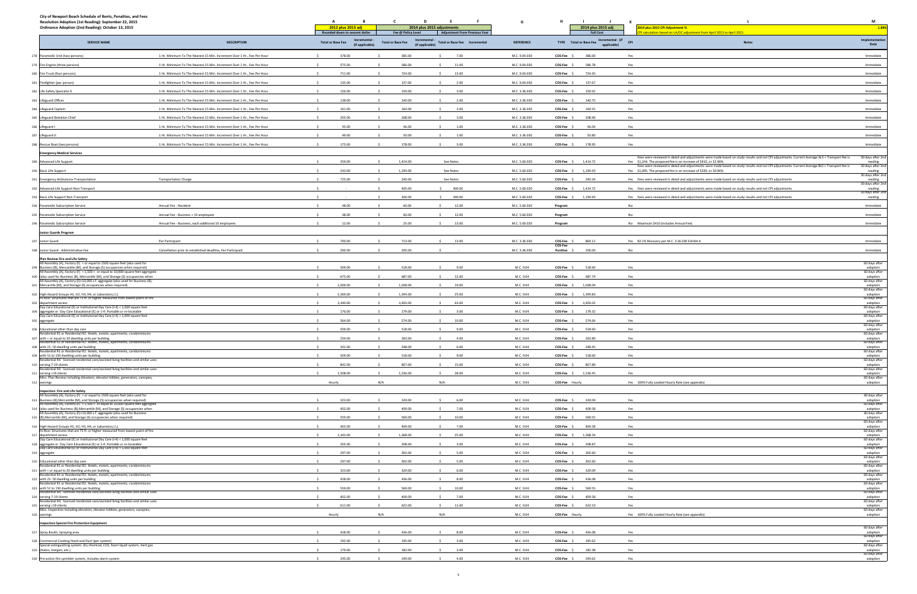| City of Newport Beach Schedule of Rents, Penalties, and Fees<br>Resolution Adoption (1st Reading): September 22, 2015<br>Ordinance Adoption (2nd Reading): October 13, 2015 |                                                                         | A<br>в.<br>2012 plus 2013 adj<br>Rounded down to nearest dollar | $\mathsf{c}$<br>$\mathbf{D}$<br>Fee @ Policy Level        | E<br>$-$ F $-$<br>2014 plus 2015 adjustments<br><b>Adjustment From Previous Year</b> | G                | $\mathbf{I}$<br>- 1 -<br>2014 plus 2015 adj<br><b>Full Cost</b> | к.<br><b>L</b><br>2014 plus 2015 CPI Adjustment %<br>calculation based on LA/OC adjustment from April 2013 to April 2015                                                                                           | M<br>1.89%                              |
|-----------------------------------------------------------------------------------------------------------------------------------------------------------------------------|-------------------------------------------------------------------------|-----------------------------------------------------------------|-----------------------------------------------------------|--------------------------------------------------------------------------------------|------------------|-----------------------------------------------------------------|--------------------------------------------------------------------------------------------------------------------------------------------------------------------------------------------------------------------|-----------------------------------------|
| <b>SERVICE NAME</b>                                                                                                                                                         | <b>DESCRIPTION</b>                                                      | Incrementa<br><b>Total or Base Fee</b><br>(if applicable)       | Incrementa<br><b>Total or Base Fee</b><br>(if applicable) | Total or Base Fee  Incremental                                                       | <b>REFERENCE</b> | TYPE Total or Base Fee Incremental - (if CPI<br>applicable)     | Notes                                                                                                                                                                                                              | Implementation<br>Date                  |
| 278 Paramedic Unit (two persons)                                                                                                                                            | 1 Hr. Minimum To The Nearest 15 Min. Increment Over 1 Hr., Fee Per Hour | 378.00<br>-S.                                                   | 385.00                                                    | 7.00<br>-S                                                                           | M.C. 9.04.030    | COS-Fee \$<br>386.00                                            | Yes                                                                                                                                                                                                                | Immediate                               |
| 279 Fire Engine (three persons)                                                                                                                                             | 1 Hr. Minimum To The Nearest 15 Min. Increment Over 1 Hr., Fee Per Hour | 575.00                                                          | 586.00                                                    | 11.00                                                                                | M.C. 9.04.030    | COS-Fee \$<br>586.78                                            | Yes                                                                                                                                                                                                                | Immediate                               |
| 280 Fire Truck (four persons)                                                                                                                                               | 1 Hr. Minimum To The Nearest 15 Min. Increment Over 1 Hr., Fee Per Hour | 711.00                                                          | 724.00                                                    | 13.00                                                                                | M.C. 9.04.030    | COS-Fee \$<br>724.45                                            | Yes                                                                                                                                                                                                                | Immediate                               |
| 281 Firefighter (per person)                                                                                                                                                | 1 Hr. Minimum To The Nearest 15 Min. Increment Over 1 Hr., Fee Per Hour | 135.00                                                          | 137.00                                                    | 2.00                                                                                 | M.C. 9.04.030    | COS-Fee \$<br>137.67                                            | Yes                                                                                                                                                                                                                | Immediate                               |
| 282 Life Safety Specialist II                                                                                                                                               | 1 Hr. Minimum To The Nearest 15 Min. Increment Over 1 Hr., Fee Per Hour | 156.00                                                          | 159.00                                                    | 3.00                                                                                 | M.C. 3.36.030    | 159.92<br>COS-Fee \$                                            | Yes                                                                                                                                                                                                                | Immediate                               |
| 283 Lifeguard Officer                                                                                                                                                       | 1 Hr. Minimum To The Nearest 15 Min. Increment Over 1 Hr., Fee Per Hour | 138.00                                                          | 140.00                                                    | 2.00                                                                                 | M.C. 3.36.030    | $COS-Fee$ $$$<br>140.75                                         | Yes                                                                                                                                                                                                                | Immediate                               |
| 284 Lifeguard Captain                                                                                                                                                       | 1 Hr. Minimum To The Nearest 15 Min. Increment Over 1 Hr., Fee Per Hour | 161.00                                                          | 164.00                                                    | 3.00                                                                                 | M.C. 3.36.030    | COS-Fee \$<br>164.55                                            | Yes                                                                                                                                                                                                                | Immediate                               |
| 285 Lifeguard Battalion Chief                                                                                                                                               | 1 Hr. Minimum To The Nearest 15 Min. Increment Over 1 Hr., Fee Per Hour | 205.00                                                          | 208.00                                                    | 3.00                                                                                 | M.C. 3.36.030    | COS-Fee \$<br>208.90                                            | Yes                                                                                                                                                                                                                | Immediate                               |
| 286 Lifeguard I                                                                                                                                                             | 1 Hr. Minimum To The Nearest 15 Min. Increment Over 1 Hr., Fee Per Hour | 45.00<br>$\ddot{\phantom{1}}$                                   | 46.00                                                     | 1.00<br>-S                                                                           | M.C. 3.36.030    | 46.04<br>COS-Fee \$                                             | Yes                                                                                                                                                                                                                | Immediate                               |
| 287 Lifeguard II                                                                                                                                                            | 1 Hr. Minimum To The Nearest 15 Min. Increment Over 1 Hr., Fee Per Hour | 49.00                                                           | 50.00                                                     | 1.00                                                                                 | M.C. 3.36.030    | 50.80<br>COS-Fee \$                                             | Yes                                                                                                                                                                                                                | Immediate                               |
| 288 Rescue Boat (two persons)                                                                                                                                               | 1 Hr. Minimum To The Nearest 15 Min. Increment Over 1 Hr., Fee Per Hour | 175.00                                                          | 178.00                                                    | 3.00                                                                                 | M.C. 3.36.030    | 178.95<br>COS-Fee \$                                            | Yes                                                                                                                                                                                                                | Immediate                               |
| <b>Emergency Medical Services</b>                                                                                                                                           |                                                                         |                                                                 |                                                           |                                                                                      |                  |                                                                 |                                                                                                                                                                                                                    |                                         |
| 289 Advanced Life Support                                                                                                                                                   |                                                                         | 359.00                                                          | 1,414.00                                                  | See Notes                                                                            | M.C. 5.60.020    | 1,414.72<br>COS-Fee \$                                          | Fees were reviewed in detail and adjustments were made based on study results and not CPI adjustments. Current Average ALS + Transport fee is<br>Yes \$1,244. The proposed fee is an increase of \$410, or 32.96%. | 30 days after 2nd<br>reading            |
| 290 Basic Life Support                                                                                                                                                      |                                                                         | 243.00                                                          | 1,194.00                                                  | See Notes                                                                            | M.C. 5.60.020    | COS-Fee \$<br>1,194.93                                          | Fees were reviewed in detail and adjustments were made based on study results and not CPI adjustments. Current Average BLS + Transport fee is<br>Yes \$1,095. The proposed fee is an increase of \$339, or 30.96%. | 30 days after 2nd<br>reading            |
| 291 Emergency Ambulance Transportation                                                                                                                                      | <b>Transportation Charge</b>                                            | 725.00                                                          | 240.00                                                    | See Notes                                                                            | M.C. 5.60.020    | COS-Fee \$<br>240.34                                            | Yes Fees were reviewed in detail and adjustments were made based on study results and not CPI adjustments                                                                                                          | 30 days after 2nd                       |
| 292 Advanced Life Support Non-Transport                                                                                                                                     |                                                                         |                                                                 | 400.00                                                    | 400.00                                                                               | M.C. 5.60.020    | COS-Fee \$<br>1,414.72                                          | Yes Fees were reviewed in detail and adjustments were made based on study results and not CPI adjustments.                                                                                                         | reading<br>30 days after 2nd<br>reading |
| 293 Basic Life Support Non-Transport                                                                                                                                        |                                                                         |                                                                 | 300.00                                                    | 300.00                                                                               | M.C. 5.60.020    | COS-Fee \$ 1,194.93                                             | Yes Fees were reviewed in detail and adjustments were made based on study results and not CPI adjustments.                                                                                                         | 30 days after 2nd<br>reading            |
| 294 Paramedic Subscription Service                                                                                                                                          | Annual Fee - Resident                                                   | 48.00                                                           | 60.00                                                     | 12.00                                                                                | M.C. 5.60.020    | Program                                                         | No                                                                                                                                                                                                                 | Immediate                               |
| 295 Paramedic Subscription Service                                                                                                                                          | Annual Fee - Business + 10 employees                                    | 48.00                                                           | 60.00                                                     | 12.00                                                                                | M.C. 5.60.020    | Program                                                         | No                                                                                                                                                                                                                 | Immediate                               |
| 296 Paramedic Subscription Service                                                                                                                                          | Annual Fee - Business, each additional 10 employees                     | 12.00                                                           | 25.00                                                     | 13.00                                                                                | M.C. 5.60.020    | Program                                                         | No Maximum \$410 (includes Annual Fee)                                                                                                                                                                             | Immediate                               |
| Junior Guards Program                                                                                                                                                       |                                                                         |                                                                 |                                                           |                                                                                      |                  |                                                                 |                                                                                                                                                                                                                    |                                         |
| Junior Guard                                                                                                                                                                | Per Participant                                                         | 700.00                                                          | 713.00                                                    | 13.00                                                                                | M.C. 3.36.030    | 869.12<br>COS-Fee \$                                            | Yes 82.1% Recovery per M.C. 3.36.030 Exhibit A                                                                                                                                                                     | Immediate                               |
| Junior Guard - Administrative Fee                                                                                                                                           | Cancellation prior to established deadline, Per Participant             | 200.00                                                          | 200.00                                                    |                                                                                      | M.C. 3.36.030    | COS-Fee<br>200.00<br>Punitive \$                                | No                                                                                                                                                                                                                 | Immediate                               |
| Plan Review Fire and Life Safety                                                                                                                                            |                                                                         |                                                                 |                                                           |                                                                                      |                  |                                                                 |                                                                                                                                                                                                                    |                                         |
| All Assembly (A), Factory (F) < or equal to 1500 square feet (also used for<br>299 Business (B), Mercantile (M), and Storage (S) occupancies when required)                 |                                                                         | 509.00                                                          | 518.00                                                    | 9.00                                                                                 | M.C. 9.04        | 518.60<br>COS-Fee \$                                            | Yes                                                                                                                                                                                                                | 60 days after<br>adoption               |
| All Assembly (A), Factory (F) > 1,500 < or equal to 10,000 square feet aggregate<br>300 (also used for Business (B), Mercantile (M), and Storage (S) occupancies when       |                                                                         | 675.00                                                          | 687.00                                                    | $\sim$<br>12.00                                                                      | M.C. 9.04        | COS-Fee \$<br>687.74                                            | Yes                                                                                                                                                                                                                | 60 days after<br>adoption               |
| All Assembly (A), Factory (F)>10,000 s.f. aggregate (also used for Business (B),                                                                                            |                                                                         | 1,009.00                                                        | 1,028.00                                                  |                                                                                      |                  |                                                                 |                                                                                                                                                                                                                    | 60 days after                           |
| 301 Mercantile (M), and Storage (S) occupancies when required)                                                                                                              |                                                                         | 1,369.00                                                        | 1,394.00                                                  | 19.00                                                                                | M.C. 9.04        | COS-Fee \$<br>1,028.04<br>COS-Fee \$                            | Yes<br>Yes                                                                                                                                                                                                         | adoption<br>60 days after               |
| 302 High-Hazard Groups H1, H2, H3, H4, or Laboratory (L)<br>Hi-Rise: Structures that are 75 ft. or higher measured from lowest point of fire                                |                                                                         |                                                                 |                                                           | 25.00                                                                                | M.C. 9.04        | 1,394.83                                                        |                                                                                                                                                                                                                    | adoption<br>60 days after               |
| department access<br>Day Care Educational (E) or Institutional Day Care (I-4) < 1,000 square feet                                                                           |                                                                         | 3,340.00                                                        | 3,403.00                                                  | 63.00                                                                                | M.C. 9.04        | COS-Fee \$ 3,403.02                                             | Yes                                                                                                                                                                                                                | adoption<br>60 days after               |
| 304 aggregate or Day Care Educational (E) or 1-4: Portable or re-locatable<br>Day Care Educational (E) or Institutional Day Care (I-4) > 1,000 square feet                  |                                                                         | 176.00                                                          | 179.00                                                    | 3.00                                                                                 | M.C. 9.04        | COS-Fee \$<br>179.32                                            | Yes                                                                                                                                                                                                                | adoption<br>60 days after               |
| aggregate                                                                                                                                                                   |                                                                         | 564.00                                                          | 574.00                                                    | 10.00                                                                                | M.C. 9.04        | COS-Fee \$<br>574.64                                            | Yes                                                                                                                                                                                                                | adoption<br>60 days after               |
| 306 Educational other than day care<br>esidential R1 or Residential R2: Hotels, motels, apartments, condominiums                                                            |                                                                         | 509.00                                                          | 518.00                                                    | 9.00                                                                                 | M.C. 9.04        | COS-Fee \$<br>518.60                                            | Yes                                                                                                                                                                                                                | adoption<br>60 days after               |
| with < or equal to 20 dwelling units per building<br>307<br>Residential R1 or Residential R2: Hotels, motels, apartments, condominiums                                      |                                                                         | 259.00<br>342.00<br>$\sim$                                      | 263.00                                                    | 4.00<br>$\ddot{\phantom{1}}$                                                         | M.C. 9.04        | COS-Fee \$<br>263.89                                            | Yes                                                                                                                                                                                                                | adoption<br>60 days after               |
| 308 with 21-50 dwelling units per building<br>dential R1 or Residential R2: Hotels, mo                                                                                      |                                                                         |                                                                 | 348.00                                                    | 6.00                                                                                 | M.C. 9.04        | 348.45<br>COS-Fee \$                                            | Yes                                                                                                                                                                                                                | adoption<br>60 days after               |
| 309 with 51 to 150 dwelling units per building<br>Residential R4: licensed residential care/assisted living facilities and similar uses                                     |                                                                         | 509.00                                                          | 518.00                                                    | 9.00                                                                                 | M.C. 9.04        | $\overline{\text{COS-Fee}}$ \$<br>518.60                        | Yes                                                                                                                                                                                                                | adoption<br>60 days after               |
| 310 serving 7-19 clients<br>Residential R4: licensed residential care/assisted living facilities and similar uses                                                           |                                                                         | 842.00                                                          | 857.00                                                    | 15.00                                                                                | M.C. 9.04        | 857.89<br>COS-Fee \$                                            | Yes                                                                                                                                                                                                                | adoption<br>60 days after               |
| 311 serving >19 clients<br>Misc. Plan Review including elevators, elevator lobbies, generators, canopies,                                                                   |                                                                         | 1,508.00                                                        | 1,536.00<br>$\sim$                                        | 28.00<br>$\sim$                                                                      | M.C. 9.04        | COS-Fee \$<br>1,536.45                                          | Yes                                                                                                                                                                                                                | adoption<br>60 days after               |
| 312 awnings                                                                                                                                                                 |                                                                         | Hourly                                                          | N/A                                                       | N/A                                                                                  | M.C. 9.04        | COS-Fee Hourly                                                  | Yes 100% Fully Loaded Hourly Rate (see appendix)                                                                                                                                                                   | adoption                                |
| <b>Inspection Fire and Life Safety</b><br>All Assembly (A), Factory (F) < or equal to 1500 square feet (also used for                                                       |                                                                         |                                                                 |                                                           |                                                                                      |                  |                                                                 |                                                                                                                                                                                                                    | 60 days after                           |
| 313 Business (B), Mercantile (M), and Storage (S) occupancies when required)<br>All Assembly (A), Factory (F) > 1,500 < or equal to 10,000 square feet aggregate            |                                                                         | 323.00                                                          | 329.00                                                    | $\sim$<br>6.00                                                                       | M.C. 9.04        | COS-Fee \$<br>329.09                                            | Yes                                                                                                                                                                                                                | adoption<br>60 days after               |
| 314 (also used for Business (B), Mercantile (M), and Storage (S) occupancies when<br>All Assembly (A), Factory (F)>10,000 s.f. aggregate (also used for Business            |                                                                         | 402.00                                                          | 409.00                                                    | 7.00<br>$\sim$                                                                       | M.C. 9.04        | COS-Fee \$<br>409.58                                            | Yes                                                                                                                                                                                                                | adoption<br>60 days after               |
| 315 (B), Mercantile (M), and Storage (S) occupancies when required)                                                                                                         |                                                                         | 559.00                                                          | 569.00                                                    | 10.00<br>$\sim$                                                                      | M.C. 9.04        | COS-Fee \$<br>569.55                                            | Yes                                                                                                                                                                                                                | adoption<br>60 days after               |
| 316 High-Hazard Groups H1, H2, H3, H4, or Laboratory (L)<br>Hi-Rise: Structures that are 75 ft. or higher measured from lowest point of fire                                |                                                                         | 402.00                                                          | 409.00                                                    | 7.00<br>$\sim$                                                                       | M.C. 9.04        | 409.58<br>COS-Fee \$                                            | Yes                                                                                                                                                                                                                | adoption<br>60 days after               |
| 317 department access<br>Day Care Educational (E) or Institutional Day Care (I-4) < 1,000 square feet                                                                       |                                                                         | 1,343.00                                                        | 1,368.00                                                  | 25.00<br>$\sim$                                                                      | M.C. 9.04        | COS-Fee \$ 1,368.34                                             | Yes                                                                                                                                                                                                                | adoption<br>60 days after               |
| 318 aggregate or Day Care Educational (E) or 1-4: Portable or re-locatable<br>Day Care Educational (E) or Institutional Day Care (I-4) > 1,000 square feet                  |                                                                         | 205.00                                                          | 208.00                                                    | $\mathsf{S}$<br>3.00                                                                 | M.C. 9.04        | COS-Fee \$<br>208.87                                            | Yes                                                                                                                                                                                                                | adoption<br>60 days after               |
| 319 aggregate                                                                                                                                                               |                                                                         | 297.00                                                          | 302.00                                                    | 5.00                                                                                 | M.C. 9.04        | COS-Fee \$<br>302.60                                            | Yes                                                                                                                                                                                                                | adoption<br>60 days after               |
| 320 Educational other than day care<br>Residential R1 or Residential R2: Hotels, motels, apartments, condominiums                                                           |                                                                         | 297.00                                                          | 302.00                                                    | 5.00                                                                                 | M.C. 9.04        | COS-Fee \$<br>302.60                                            | Yes                                                                                                                                                                                                                | adoption<br>60 days after               |
| 321 with < or equal to 20 dwelling units per building<br>Residential R1 or Residential R2: Hotels, motels, apartments, condominiums                                         |                                                                         | 323.00                                                          | 329.00                                                    | 6.00<br>$\sim$                                                                       | M.C. 9.04        | 329.09<br>COS-Fee \$                                            | Yes                                                                                                                                                                                                                | adoption<br>60 days after               |
| 322 with 21-50 dwelling units per building<br>Residential R1 or Residential R2: Hotels, motels, apartments, condominiums                                                    |                                                                         | 428.00                                                          | 436.00                                                    | 8.00                                                                                 | M.C. 9.04        | 436.08<br>COS-Fee \$                                            | Yes                                                                                                                                                                                                                | adoption<br>60 days after               |
| 323 with 51 to 150 dwelling units per building<br>Residential R4: licensed residential care/assisted living facilities and similar uses                                     |                                                                         | 559.00                                                          | 569.00                                                    | 10.00                                                                                | M.C. 9.04        | 569.55<br>COS-Fee \$                                            | Yes                                                                                                                                                                                                                | adoption<br>60 days after               |
| 324 serving 7-19 clients<br>Residential R4: licensed residential care/assisted living facilities and similar uses                                                           |                                                                         | 402.00                                                          | 409.00                                                    | 7.00<br>-S                                                                           | M.C. 9.04        | COS-Fee \$<br>409.58                                            | Yes                                                                                                                                                                                                                | adoption<br>60 days after               |
| 325 serving >19 clients<br>Misc. Inspection including elevators, elevator lobbies, generators, canopies,                                                                    |                                                                         | 611.00                                                          | 622.00                                                    | 11.00                                                                                | M.C. 9.04        | COS-Fee \$<br>622.53                                            | Yes                                                                                                                                                                                                                | adoption<br>60 days after               |
| 326 awnings                                                                                                                                                                 |                                                                         | Hourly                                                          | N/A                                                       | N/A                                                                                  | M.C. 9.04        | COS-Fee Hourly                                                  | Yes 100% Fully Loaded Hourly Rate (see appendix)                                                                                                                                                                   | adoption                                |
| <b>Inspection Special Fire Protection Equipment</b>                                                                                                                         |                                                                         |                                                                 |                                                           |                                                                                      |                  |                                                                 |                                                                                                                                                                                                                    | 60 days after                           |
| 327 Spray Booth, Spraying area                                                                                                                                              |                                                                         | 428.00                                                          | 436.00                                                    | 8.00                                                                                 | M.C. 9.04        | 436.08<br>COS-Fee \$                                            | Yes                                                                                                                                                                                                                | adoption<br>60 days after               |
| 328 Commercial Cooking Hood and Duct (per system)<br>Special extinguishing system: dry chemical, CO2, foam liquid system, inert gas                                         |                                                                         | 192.00                                                          | 195.00                                                    | 3.00                                                                                 | M.C. 9.04        | COS-Fee \$<br>195.62                                            | Yes                                                                                                                                                                                                                | adoption<br>60 days after               |
| 329 (Halon, Inergen, etc.)                                                                                                                                                  |                                                                         | 179.00                                                          | 182.00                                                    | 3.00                                                                                 | M.C. 9.04        | COS-Fee \$<br>182.38                                            | Yes                                                                                                                                                                                                                | adoption<br>60 days after               |
| 330 Pre-action fire sprinkler system, includes alarm system                                                                                                                 |                                                                         | 245.00                                                          | 249.00                                                    | 4.00                                                                                 | M.C. 9.04        | COS-Fee \$<br>249.62                                            | Yes                                                                                                                                                                                                                | adoption                                |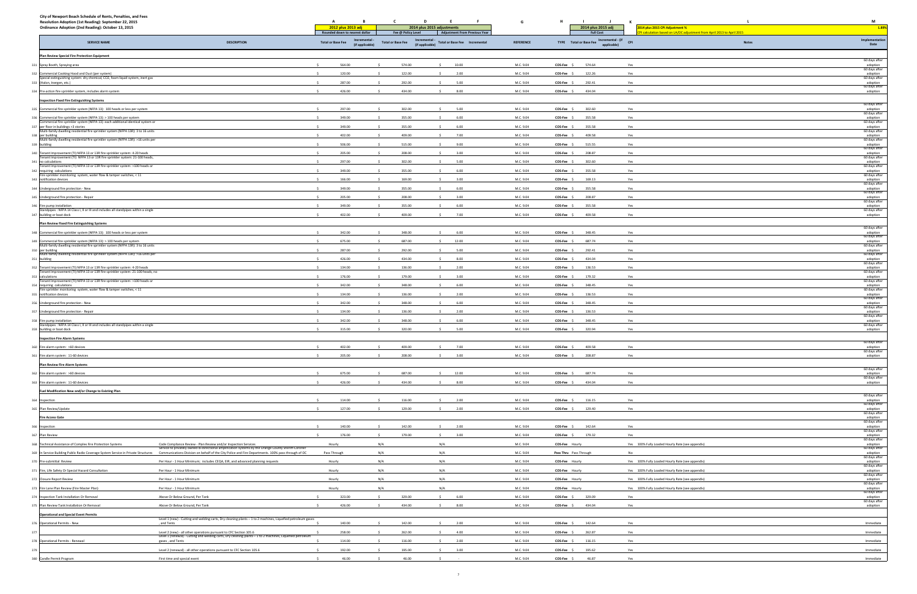| City of Newport Beach Schedule of Rents, Penalties, and Fees<br>Resolution Adoption (1st Reading): September 22, 2015                                                              |                                                                                                                                                                                                                                                                                               | A<br>B                                                      | D<br>C                   | E<br>- F                                                                                     | G                      | $\blacksquare$<br>- 1                                       | к.                                                                                                        | M                                          |
|------------------------------------------------------------------------------------------------------------------------------------------------------------------------------------|-----------------------------------------------------------------------------------------------------------------------------------------------------------------------------------------------------------------------------------------------------------------------------------------------|-------------------------------------------------------------|--------------------------|----------------------------------------------------------------------------------------------|------------------------|-------------------------------------------------------------|-----------------------------------------------------------------------------------------------------------|--------------------------------------------|
| Ordinance Adoption (2nd Reading): October 13, 2015                                                                                                                                 |                                                                                                                                                                                                                                                                                               | <b>2012 plus 2013 adj</b><br>Rounded down to nearest dollar | Fee @ Policy Level       | 2014 plus 2015 adjustments<br><b>Adjustment From Previous Year</b>                           |                        | 2014 plus 2015 adj<br><b>Full Cost</b>                      | 2014 plus 2015 CPI Adjustment %<br>PI calculation based on LA/OC adjustment from April 2013 to April 2015 | 1.89%                                      |
| <b>SERVICE NAME</b>                                                                                                                                                                | <b>DESCRIPTION</b>                                                                                                                                                                                                                                                                            | Incremental<br><b>Total or Base Fee</b><br>(if applicable)  | <b>Total or Base Fee</b> | Incremental - Total or Base Fee Incremental<br>(if applicable) Total or Base Fee Incremental | <b>REFERENCE</b>       | TYPE Total or Base Fee Incremental - (if CPI<br>applicable) | <b>Notes</b>                                                                                              | Implementation<br>Date                     |
| Plan Review Special Fire Protection Equipment                                                                                                                                      |                                                                                                                                                                                                                                                                                               |                                                             |                          |                                                                                              |                        |                                                             |                                                                                                           |                                            |
| 331 Spray Booth, Spraying area                                                                                                                                                     |                                                                                                                                                                                                                                                                                               | 564.00                                                      | 574.00                   | 10.00<br>-S.                                                                                 | M.C. 9.04              | COS-Fee \$<br>574.64                                        | Yes                                                                                                       | 60 days after<br>adoption                  |
| 332 Commercial Cooking Hood and Duct (per system)                                                                                                                                  |                                                                                                                                                                                                                                                                                               | 120.00                                                      | 122.00                   | 2.00                                                                                         | M.C. 9.04              | COS-Fee \$<br>122.26                                        | Yes                                                                                                       | 60 days after<br>adoption                  |
| Special extinguishing system: dry chemical, CO2, foam liquid system, inert gas<br>333 (Halon, Inergen, etc.)                                                                       |                                                                                                                                                                                                                                                                                               | 287.00                                                      | 292.00                   | 5.00                                                                                         | M.C. 9.04              | COS-Fee \$<br>292.41                                        | Yes                                                                                                       | 60 days after<br>adoption                  |
| 334 Pre-action fire sprinkler system, includes alarm system                                                                                                                        |                                                                                                                                                                                                                                                                                               | 426.00                                                      | 434.00                   | 8.00                                                                                         | M.C. 9.04              | COS-Fee \$<br>434.04                                        | Yes                                                                                                       | 60 days after<br>adoption                  |
| <b>Inspection Fixed Fire Extinguishing Systems</b>                                                                                                                                 |                                                                                                                                                                                                                                                                                               |                                                             |                          |                                                                                              |                        |                                                             |                                                                                                           |                                            |
| 335 Commercial fire sprinkler system (NFPA 13): 100 heads or less per system                                                                                                       |                                                                                                                                                                                                                                                                                               | 297.00                                                      | 302.00                   | 5.00<br>s.                                                                                   | M.C. 9.04              | COS-Fee \$<br>302.60                                        | Yes                                                                                                       | 60 days after<br>adoption                  |
| 336 Commercial fire sprinkler system (NFPA 13): > 100 heads per system                                                                                                             |                                                                                                                                                                                                                                                                                               | 349.00                                                      | 355.00                   | 6.00<br>-S.                                                                                  | M.C. 9.04              | 355.58<br>COS-Fee \$                                        | Yes                                                                                                       | 60 days after<br>adoption                  |
| Commercial fire sprinkler system (NFPA 13): each additional identical system or<br>337 per floor in buildings >3 stories                                                           |                                                                                                                                                                                                                                                                                               | 349.00                                                      | 355.00                   | 6.00<br>s.                                                                                   | M.C. 9.04              | COS-Fee \$<br>355.58                                        | Yes                                                                                                       | 60 days after<br>adoption                  |
| Multi-family dwelling residential fire sprinkler system (NFPA 13R): 3 to 16 units<br>338 per building                                                                              |                                                                                                                                                                                                                                                                                               | 402.00                                                      | 409.00                   | 7.00                                                                                         | M.C. 9.04              | COS-Fee \$<br>409.58                                        | Yes                                                                                                       | 60 days after<br>adoption<br>60 days after |
| Multi-family dwelling residential fire sprinkler system (NFPA 13R): >16 units per<br>339 building                                                                                  |                                                                                                                                                                                                                                                                                               | 506.00                                                      | 515.00                   | 9.00                                                                                         | M.C. 9.04              | COS-Fee \$<br>515.55                                        | Yes                                                                                                       | adoption                                   |
| 340 Tenant Improvement (TI) NFPA 13 or 13R fire sprinkler system: 4-20 heads<br>Tenant Improvement (TI) NFPA 13 or 13R fire sprinkler system: 21-100 heads,                        |                                                                                                                                                                                                                                                                                               | 205.00                                                      | 208.00                   | 3.00<br>-S.                                                                                  | M.C. 9.04              | 208.87<br>$COS-Fee$ \$                                      | Yes                                                                                                       | 60 days after<br>adoption<br>60 days after |
| 341 no calculations<br>Tenant Improvement (TI) NFPA 13 or 13R fire sprinkler system: >100 heads or                                                                                 |                                                                                                                                                                                                                                                                                               | 297.00                                                      | 302.00                   | 5.00                                                                                         | M.C. 9.04              | 302.60<br>$COS-Fee$ \$                                      | Yes                                                                                                       | adoption<br>60 days after                  |
| 342 requiring calculations<br>Fire sprinkler monitoring system, water flow & tamper switches, < 11                                                                                 |                                                                                                                                                                                                                                                                                               | 349.00                                                      | 355.00                   | 6.00                                                                                         | M.C. 9.04              | 355.58<br>COS-Fee \$                                        | Yes                                                                                                       | adoption<br>60 days after                  |
| 343 notification devices                                                                                                                                                           |                                                                                                                                                                                                                                                                                               | 166.00                                                      | 169.00                   | 3.00                                                                                         | M.C. 9.04              | 169.13<br>COS-Fee \$                                        | Yes                                                                                                       | adoption<br>60 days after                  |
| 344 Underground fire protection - New                                                                                                                                              |                                                                                                                                                                                                                                                                                               | 349.00                                                      | 355.00                   | 6.00                                                                                         | M.C. 9.04              | COS-Fee \$<br>355.58                                        | Yes                                                                                                       | adoption<br>60 days after                  |
| 345 Underground fire protection - Repair                                                                                                                                           |                                                                                                                                                                                                                                                                                               | 205.00                                                      | 208.00                   | 3.00                                                                                         | M.C. 9.04              | COS-Fee \$<br>208.87                                        | Yes                                                                                                       | adoption<br>60 days after                  |
| 346 Fire pump installation<br>Standpipes : NFPA 14 Class I, II or III and includes all standpipes within a single                                                                  |                                                                                                                                                                                                                                                                                               | 349.00                                                      | 355.00                   | 6.00                                                                                         | M.C. 9.04              | COS-Fee \$<br>355.58                                        | Yes                                                                                                       | adoption<br>60 days after                  |
| 347 building or boat dock                                                                                                                                                          |                                                                                                                                                                                                                                                                                               | 402.00                                                      | 409.00                   | 7.00                                                                                         | M.C. 9.04              | COS-Fee \$<br>409.58                                        | Yes                                                                                                       | adoption                                   |
| <b>Plan Review Fixed Fire Extinguishing Systems</b>                                                                                                                                |                                                                                                                                                                                                                                                                                               |                                                             |                          |                                                                                              |                        |                                                             |                                                                                                           | 60 days after                              |
| 348 Commercial fire sprinkler system (NFPA 13): 100 heads or less per system                                                                                                       |                                                                                                                                                                                                                                                                                               | 342.00                                                      | 348.00                   | 6.00                                                                                         | M.C. 9.04              | COS-Fee \$<br>348.45                                        | Yes                                                                                                       | adoption<br>60 days after                  |
| 349 Commercial fire sprinkler system (NFPA 13): > 100 heads per system<br>Multi-family dwelling residential fire sprinkler system (NFPA 13R): 3 to 16 units                        |                                                                                                                                                                                                                                                                                               | 675.00                                                      | 687.00                   | 12.00                                                                                        | M.C. 9.04              | COS-Fee \$<br>687.74                                        | Yes                                                                                                       | adoption<br>60 days after                  |
| 350 per building<br>Multi-family dwelling residential fire sprinkler system (NFPA 13R): >16 units per                                                                              |                                                                                                                                                                                                                                                                                               | 287.00                                                      | 292.00                   | s.<br>5.00                                                                                   | M.C. 9.04              | COS-Fee \$<br>292.41                                        | Yes                                                                                                       | adoption<br>60 days after                  |
| 351 building                                                                                                                                                                       |                                                                                                                                                                                                                                                                                               | 426.00                                                      | 434.00                   | 8.00                                                                                         | M.C. 9.04              | COS-Fee \$<br>434.04                                        | Yes                                                                                                       | adoption<br>60 days after                  |
| 352 Tenant Improvement (TI) NFPA 13 or 13R fire sprinkler system: 4-20 heads<br>Tenant Improvement (TI) NFPA 13 or 13R fire sprinkler system: 21-100 heads, no<br>353 calculations |                                                                                                                                                                                                                                                                                               | 134.00<br>176.00                                            | 136.00<br>179.00         | 2.00<br>3.00<br>$\sim$                                                                       | M.C. 9.04<br>M.C. 9.04 | 136.53<br>$COS-Fee$ \$<br>179.32<br>COS-Fee \$              | Yes<br>Yes                                                                                                | adoption<br>60 days after<br>adoption      |
| Tenant Improvement (TI) NFPA 13 or 13R fire sprinkler system: >100 heads or<br>354 requiring calculations                                                                          |                                                                                                                                                                                                                                                                                               | 342.00                                                      | 348.00                   | 6.00                                                                                         | M.C. 9.04              | COS-Fee \$<br>348.45                                        | Yes                                                                                                       | 60 days after<br>adoption                  |
| Fire sprinkler monitoring system, water flow & tamper switches, < 11<br>355 notification devices                                                                                   |                                                                                                                                                                                                                                                                                               | 134.00                                                      | 136.00                   | 2.00                                                                                         | M.C. 9.04              | COS-Fee \$<br>136.53                                        | Yes                                                                                                       | 60 days after<br>adoption                  |
| 356 Underground fire protection - New                                                                                                                                              |                                                                                                                                                                                                                                                                                               | 342.00                                                      | 348.00                   | 6.00                                                                                         | M.C. 9.04              | COS-Fee \$<br>348.45                                        | Yes                                                                                                       | 60 days after                              |
| 357 Underground fire protection - Repair                                                                                                                                           |                                                                                                                                                                                                                                                                                               | 134.00                                                      | 136.00                   | 2.00                                                                                         | M.C. 9.04              | COS-Fee \$<br>136.53                                        | Yes                                                                                                       | adoption<br>60 days after<br>adoption      |
| 358 Fire pump installation                                                                                                                                                         |                                                                                                                                                                                                                                                                                               | 342.00                                                      | 348.00                   | 6.00                                                                                         | M.C. 9.04              | COS-Fee \$<br>348.45                                        | Yes                                                                                                       | 60 days after<br>adoption                  |
| Standpipes : NFPA 14 Class I, II or III and includes all standpipes within a single<br>359 building or boat dock                                                                   |                                                                                                                                                                                                                                                                                               | 315.00                                                      | 320.00                   | 5.00<br>s.                                                                                   | M.C. 9.04              | COS-Fee \$<br>320.94                                        | Yes                                                                                                       | 60 days after<br>adoption                  |
| <b>Inspection Fire Alarm Systems</b>                                                                                                                                               |                                                                                                                                                                                                                                                                                               |                                                             |                          |                                                                                              |                        |                                                             |                                                                                                           | 60 days after                              |
| 360 Fire alarm system: >60 devices                                                                                                                                                 |                                                                                                                                                                                                                                                                                               | 402.00<br>$\mathsf{S}$                                      | 409.00<br>$\sim$         | 7.00<br>$\mathsf{S}$                                                                         | M.C. 9.04              | COS-Fee \$<br>409.58                                        | Yes                                                                                                       | adoption<br>60 days after                  |
| 361 Fire alarm system: 11-60 devices                                                                                                                                               |                                                                                                                                                                                                                                                                                               | 205.00                                                      | 208.00                   | 3.00                                                                                         | M.C. 9.04              | COS-Fee \$ 208.87                                           | Yes                                                                                                       | adoption                                   |
| <b>Plan Review Fire Alarm Systems</b>                                                                                                                                              |                                                                                                                                                                                                                                                                                               |                                                             |                          |                                                                                              |                        |                                                             |                                                                                                           | 60 days after                              |
| 362 Fire alarm system: >60 devices                                                                                                                                                 |                                                                                                                                                                                                                                                                                               | 675.00<br>$\ddot{\phantom{1}}$                              | 687.00                   | $\sim$<br>12.00                                                                              | M.C. 9.04              | 687.74<br>COS-Fee \$                                        | Yes                                                                                                       | adoption<br>60 days after                  |
| 363 Fire alarm system: 11-60 devices                                                                                                                                               |                                                                                                                                                                                                                                                                                               | 426.00                                                      | 434.00                   | 8.00                                                                                         | M.C. 9.04              | 434.04<br>COS-Fee \$                                        | Yes                                                                                                       | adoption                                   |
| Fuel Modification New and/or Change to Existing Plan                                                                                                                               |                                                                                                                                                                                                                                                                                               |                                                             |                          |                                                                                              |                        |                                                             |                                                                                                           | 60 days after                              |
| 364 Inspection                                                                                                                                                                     |                                                                                                                                                                                                                                                                                               | 114.00                                                      | 116.00                   | 2.00<br>$\sim$                                                                               | M.C. 9.04              | 116.15<br>COS-Fee \$                                        | Yes                                                                                                       | adoption<br>60 days after                  |
| 365 Plan Review/Update                                                                                                                                                             |                                                                                                                                                                                                                                                                                               | 127.00                                                      | 129.00                   | 2.00                                                                                         | M.C. 9.04              | COS-Fee \$ 129.40                                           | Yes                                                                                                       | adoption<br>60 days after                  |
| <b>Fire Access Gate</b>                                                                                                                                                            |                                                                                                                                                                                                                                                                                               |                                                             |                          |                                                                                              |                        |                                                             |                                                                                                           | adoption<br>60 days after                  |
| 366 Inspection<br>367 Plan Review                                                                                                                                                  |                                                                                                                                                                                                                                                                                               | 140.00<br>176.00                                            | 142.00<br>179.00         | 2.00<br>3.00<br>$\sim$                                                                       | M.C. 9.04<br>M.C. 9.04 | COS-Fee \$<br>142.64<br>179.32                              | Yes<br>Yes                                                                                                | adoption<br>60 days after                  |
| 368 Technical Assistance of Complex Fire Protection Systems                                                                                                                        | Code Compliance Review - Plan Review and/or Inspection Services                                                                                                                                                                                                                               | Hourly                                                      | N/A                      | N/A                                                                                          | M.C. 9.04              | COS-Fee \$<br>COS-Fee Hourly                                | Yes 100% Fully Loaded Hourly Rate (see appendix)                                                          | adoption<br>60 days after<br>adoption      |
|                                                                                                                                                                                    | Service to privately owned bi-directional amplification systems by the Orange County Sheriff-Coroner<br>369 In Service Building Public Radio Coverage System Service in Private Structures Communications Division on behalf of the City Police and Fire Departments. 100% pass through of OC | Pass Through                                                | N/A                      | N/A                                                                                          | M.C. 9.04              | Pass Thru Pass Through                                      | No                                                                                                        | 60 days after<br>adoption                  |
| 370 Pre-submittal Review                                                                                                                                                           | Per Hour - 1 Hour Minimum; includes CEQA, EIR, and advanced planning requests                                                                                                                                                                                                                 | Hourly                                                      | N/A                      | N/A                                                                                          | M.C. 9.04              | COS-Fee Hourly                                              | Yes 100% Fully Loaded Hourly Rate (see appendix)                                                          | 60 days after<br>adoption                  |
| 371 Fire, Life Safety Or Special Hazard Consultation                                                                                                                               | Per Hour - 1 Hour Minimum                                                                                                                                                                                                                                                                     | Hourly                                                      | N/A                      | N/A                                                                                          | M.C. 9.04              | COS-Fee Hourly                                              | Yes 100% Fully Loaded Hourly Rate (see appendix)                                                          | 60 days after<br>adoption                  |
| 372 Closure Report Review                                                                                                                                                          | Per Hour - 1 Hour Minimum                                                                                                                                                                                                                                                                     | Hourly                                                      | N/A                      | N/A                                                                                          | M.C. 9.04              | COS-Fee Hourly                                              | Yes 100% Fully Loaded Hourly Rate (see appendix)                                                          | 60 days after<br>adoption                  |
| 373 Fire Lane Plan Review (Fire Master Plan)                                                                                                                                       | Per Hour - 1 Hour Minimum                                                                                                                                                                                                                                                                     | Hourly                                                      | N/A                      | N/A                                                                                          | M.C. 9.04              | COS-Fee Hourly                                              | Yes 100% Fully Loaded Hourly Rate (see appendix)                                                          | 60 days after<br>adoption                  |
| 374 Inspection Tank Installation Or Removal                                                                                                                                        | Above Or Below Ground, Per Tank                                                                                                                                                                                                                                                               | 323.00                                                      | 329.00                   | 6.00<br>$\sim$                                                                               | M.C. 9.04              | COS-Fee \$<br>329.09                                        | Yes                                                                                                       | 60 days after<br>adoption                  |
| 375 Plan Review Tank Installation Or Remova                                                                                                                                        | Above Or Below Ground, Per Tank                                                                                                                                                                                                                                                               | 426.00                                                      | 434.00                   | 8.00<br>$\sim$ 5                                                                             | M.C. 9.04              | 434.04<br>COS-Fee \$                                        | Yes                                                                                                       | 60 days after<br>adoption                  |
| <b>Operational and Special Event Permits</b>                                                                                                                                       | Level 1 (new) - Cutting and welding carts, Dry cleaning plants - 1 to 2 machines, Liquefied petroleum gases                                                                                                                                                                                   |                                                             |                          |                                                                                              |                        |                                                             |                                                                                                           |                                            |
| 376 Operational Permits - New                                                                                                                                                      | , and Tents                                                                                                                                                                                                                                                                                   | 140.00                                                      | 142.00                   | 2.00                                                                                         | M.C. 9.04              | COS-Fee \$<br>142.64                                        | Yes                                                                                                       | Immediate                                  |
| 377                                                                                                                                                                                | Level 2 (new) - all other operations pursuant to CFC Section 105.6<br>Level 1 (renewal) - Cutting and welding carts, Dry cleaning plants - 1 to 2 machines, Liquefied petroleum                                                                                                               | 258.00                                                      | 262.00                   | $\sim$<br>4.00                                                                               | M.C. 9.04              | COS-Fee \$<br>262.87                                        | Yes                                                                                                       | Immediate                                  |
| 378 Operational Permits - Renewal                                                                                                                                                  | gases, and Tents                                                                                                                                                                                                                                                                              | 114.00                                                      | 116.00                   | 2.00<br>-S.                                                                                  | M.C. 9.04              | COS-Fee \$<br>116.15                                        | Yes                                                                                                       | Immediate                                  |
| 379                                                                                                                                                                                | Level 2 (renewal) - all other operations pursuant to CFC Section 105.6                                                                                                                                                                                                                        | 192.00                                                      | 195.00                   | 3.00<br>s.                                                                                   | M.C. 9.04              | 195.62<br>COS-Fee \$                                        | Yes                                                                                                       | Immediate                                  |
| 380 Candle Permit Program                                                                                                                                                          | First time and special event                                                                                                                                                                                                                                                                  | 46.00                                                       | 46.00                    |                                                                                              | M.C. 9.04              | COS-Fee \$ 46.87                                            | Yes                                                                                                       | Immediate                                  |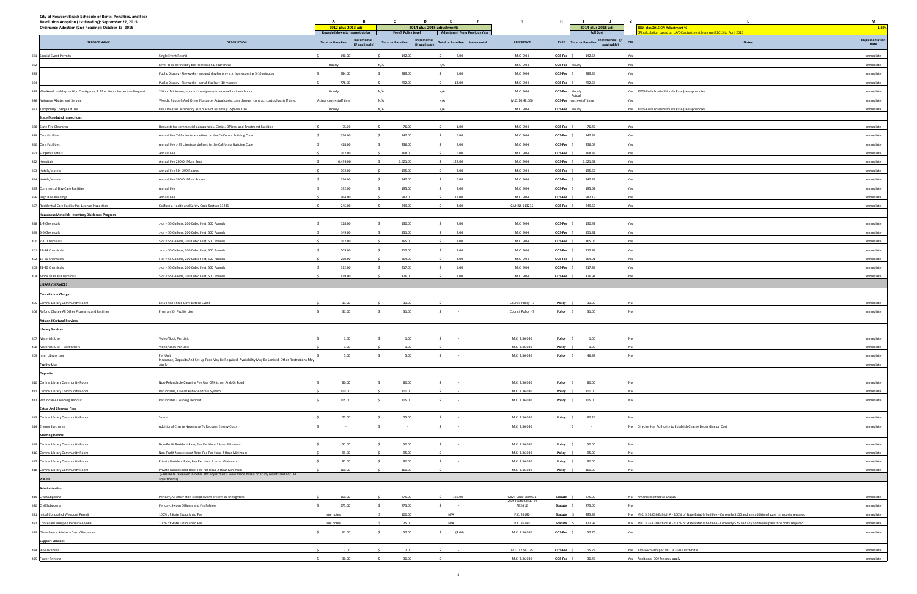|                                    |                          |                      |          | applicable) |                                                                                                                          | Date      |
|------------------------------------|--------------------------|----------------------|----------|-------------|--------------------------------------------------------------------------------------------------------------------------|-----------|
| 04                                 | COS-Fee \$               |                      | 142.64   | Yes         |                                                                                                                          | Immediate |
| 34                                 | COS-Fee Hourly           |                      |          | Yes         |                                                                                                                          | Immediate |
| $^{14}$                            | COS-Fee \$               |                      | 289.36   | Yes         |                                                                                                                          | Immediate |
|                                    |                          |                      |          |             |                                                                                                                          |           |
| $^{14}$                            | COS-Fee \$               |                      | 792.68   | Yes         |                                                                                                                          | Immediate |
| $\overline{a}$                     | COS-Fee Hourly           | Actual               |          |             | Yes 100% Fully Loaded Hourly Rate (see appendix)                                                                         | Immediate |
| 3.060                              | COS-Fee costs+staff time |                      |          | Yes         |                                                                                                                          | Immediate |
| 34                                 | COS-Fee Hourly           |                      |          |             | Yes 100% Fully Loaded Hourly Rate (see appendix)                                                                         | Immediate |
|                                    |                          |                      |          |             |                                                                                                                          |           |
| $^{14}$                            | COS-Fee \$               |                      | 76.42    | Yes         |                                                                                                                          | Immediate |
| 34                                 | COS-Fee \$               |                      | 342.34   | Yes         |                                                                                                                          | Immediate |
| $\overline{a}$                     | COS-Fee \$               |                      | 436.08   | Yes         |                                                                                                                          | Immediate |
| $\overline{a}$                     | COS-Fee \$               |                      | 368.83   | Yes         |                                                                                                                          | Immediate |
| 34                                 | COS-Fee \$               |                      | 6,621.62 | Yes         |                                                                                                                          | Immediate |
| 34                                 | $COS-Fee$ \$             |                      | 195.62   | Yes         |                                                                                                                          | Immediate |
| $\overline{a}$                     | $COS-Fee$ \$             |                      | 342.34   | Yes         |                                                                                                                          | Immediate |
| $_{14}$                            | $COS-Fee$ \$             |                      | 195.62   | Yes         |                                                                                                                          | Immediate |
| $\overline{a}$                     | COS-Fee \$               |                      | 982.19   | Yes         |                                                                                                                          | Immediate |
| 3235                               | COS-Fee \$               |                      | 249.62   | Yes         |                                                                                                                          | Immediate |
|                                    |                          |                      |          |             |                                                                                                                          |           |
|                                    | COS-Fee \$               |                      | 130.42   | Yes         |                                                                                                                          | Immediate |
| $^{14}$                            |                          |                      |          |             |                                                                                                                          |           |
| $\overline{a}$                     | $COS-Fee$ \$             |                      | 151.81   | Yes         |                                                                                                                          | Immediate |
| $^{14}$                            | COS-Fee \$               |                      | 165.06   | Yes         |                                                                                                                          | Immediate |
| $^{14}$                            | COS-Fee \$               |                      | 212.94   | Yes         |                                                                                                                          | Immediate |
| $^{14}$                            | COS-Fee \$               |                      | 264.91   | Yes         |                                                                                                                          | Immediate |
| 34                                 | $COS-Fee$ \$             |                      | 317.89   | Yes         |                                                                                                                          | Immediate |
| 04                                 | COS-Fee \$               |                      | 426.91   | Yes         |                                                                                                                          | Immediate |
|                                    |                          |                      |          |             |                                                                                                                          |           |
|                                    |                          |                      |          |             |                                                                                                                          |           |
| icy I-7                            | Policy                   | \$                   | 31.00    | No          |                                                                                                                          | Immediate |
| icy I-7                            | Policy                   | \$                   | 31.00    | No          |                                                                                                                          | Immediate |
|                                    |                          |                      |          |             |                                                                                                                          |           |
|                                    |                          |                      |          |             |                                                                                                                          |           |
| .030                               | Policy                   | $\sqrt{5}$           | $1.00\,$ | No          |                                                                                                                          | Immediate |
| .030                               | Policy                   | $\mathsf{S}$         | $1.00\,$ | No          |                                                                                                                          | Immediate |
| .030                               | Policy \$                |                      | 46.87    | No          |                                                                                                                          | Immediate |
|                                    |                          |                      |          |             |                                                                                                                          | Immediate |
|                                    |                          |                      |          |             |                                                                                                                          |           |
| .030                               | Policy                   | $\mathsf{\$}$        | 80.00    | No          |                                                                                                                          | Immediate |
| .030                               | Policy \$                |                      | 100.00   | No          |                                                                                                                          | Immediate |
| .030                               | Policy \$                |                      | 105.00   | No          |                                                                                                                          | Immediate |
|                                    |                          |                      |          |             |                                                                                                                          |           |
|                                    |                          |                      |          |             |                                                                                                                          |           |
| .030                               | Policy                   | $\ddot{\phantom{1}}$ | 92.25    | No          |                                                                                                                          | Immediate |
| .030                               |                          | \$                   | $\sim$   |             | No Director Has Authority to Establish Charge Depending on Cost                                                          | Immediate |
|                                    |                          |                      |          |             |                                                                                                                          |           |
| .030                               | Policy \$                |                      | 50.00    | No          |                                                                                                                          | Immediate |
| .030                               | Policy \$                |                      | 95.00    | No          |                                                                                                                          | Immediate |
| .030                               | Policy                   | \$                   | 80.00    | No          |                                                                                                                          | Immediate |
| .030                               | Policy                   | \$                   | 160.00   | No          |                                                                                                                          | Immediate |
|                                    |                          |                      |          |             |                                                                                                                          |           |
|                                    |                          |                      |          |             |                                                                                                                          |           |
| 8096.1                             | Statute \$               |                      | 275.00   | No          | Amended effective 1/1/15                                                                                                 | Immediate |
| 8097.2B<br>$\overline{\mathbf{c}}$ | Statute                  | $\sim$               | 275.00   | No          |                                                                                                                          | Immediate |
| 90                                 | Statute                  | $\sim$               | 495.83   |             | No M.C. 3.36.030 Exhibit A - 100% of State Established Fee - Currently \$100 and any additional pass thru costs required | Immediate |
| 90                                 | Statute                  | - \$                 | 472.97   | No          | M.C. 3.36.030 Exhibit A - 100% of State Established Fee - Currently \$25 and any additional pass thru costs required     | Immediate |
| .030                               | COS-Fee \$               |                      | 57.75    | Yes         |                                                                                                                          | Immediate |
|                                    |                          |                      |          |             |                                                                                                                          |           |
| .025                               | COS-Fee \$               |                      | 15.23    |             | Yes 17% Recovery per M.C. 3.36.030 Exhibit A                                                                             | Immediate |
|                                    |                          |                      |          |             |                                                                                                                          |           |
| .030                               | COS-Fee \$               |                      | 30.47    |             | Yes Additional DOJ fee may apply                                                                                         | Immediate |

| City of Newport Beach Schedule of Rents, Penalties, and Fees<br>Resolution Adoption (1st Reading): September 22, 2015<br>Ordinance Adoption (2nd Reading): October 13, 2015 |                                                                                                                   | $\mathbf{A}$<br>B<br>2012 plus 2013 adj                    | $\mathbf{C}$<br>$\mathbf{D}$ | E<br>$-$ F $-$<br>2014 plus 2015 adjustments                   | G                                        | H                                                   | and the company<br>$\mathbf{J}$<br>2014 plus 2015 adj | $\mathbf{K}$<br>2014 plus 2015 CPI Adjustment %                                                                          | M<br>1.89%             |
|-----------------------------------------------------------------------------------------------------------------------------------------------------------------------------|-------------------------------------------------------------------------------------------------------------------|------------------------------------------------------------|------------------------------|----------------------------------------------------------------|------------------------------------------|-----------------------------------------------------|-------------------------------------------------------|--------------------------------------------------------------------------------------------------------------------------|------------------------|
|                                                                                                                                                                             |                                                                                                                   | Rounded down to nearest dollar                             | Fee @ Policy Level           | <b>Adjustment From Previous Year</b>                           |                                          |                                                     | <b>Full Cost</b>                                      | calculation based on LA/OC adjustment from April 2013 to April 2015                                                      |                        |
| <b>SERVICE NAME</b>                                                                                                                                                         | <b>DESCRIPTION</b>                                                                                                | Incremental<br><b>Total or Base Fee</b><br>(if applicable) | <b>Total or Base Fee</b>     | Incremental -<br>(if applicable) Total or Base Fee Incremental | <b>REFERENCE</b>                         |                                                     | TYPE Total or Base Fee Incremental - (if CPI          | <b>Notes</b>                                                                                                             | Implementation<br>Date |
| 381 Special Event Permits                                                                                                                                                   | Single Event Permit                                                                                               | 140.00<br>$\sim$                                           | 142.00                       | 2.00<br>s.                                                     | M.C. 9.04                                | COS-Fee \$                                          | 142.64                                                | Yes                                                                                                                      | Immediate              |
|                                                                                                                                                                             | Level III as defined by the Recreation Department                                                                 | Hourly                                                     | N/A                          | N/A                                                            | M.C. 9.04                                | COS-Fee Hourly                                      |                                                       | Yes                                                                                                                      | Immediate              |
| 383                                                                                                                                                                         | Public Display - Fireworks - ground display only e.g. homecoming 5-10 minutes                                     | 284.00                                                     | 289.00                       | 5.00                                                           | M.C. 9.04                                |                                                     | COS-Fee \$ 289.36                                     | Yes                                                                                                                      | Immediate              |
|                                                                                                                                                                             | Public Display - Fireworks - aerial display > 10 minutes                                                          | 778.00                                                     | 792.00                       | 14.00                                                          | M.C. 9.04                                |                                                     | COS-Fee \$ 792.68                                     | Yes                                                                                                                      | Immediate              |
| 385 Weekend, Holiday, or Non Contiguous & After Hours Inspection Request                                                                                                    | 2 Hour Minimum; hourly if contiguous to normal business hours.                                                    | Hourly                                                     | N/A                          | N/A                                                            | M.C. 9.04                                | COS-Fee Hourly                                      | Actua                                                 | Yes 100% Fully Loaded Hourly Rate (see appendix)                                                                         | Immediate              |
| 386 Nuisance Abatement Service                                                                                                                                              | Weeds, Rubbish And Other Nuisance. Actual costs: pass through contract costs plus staff time.                     | Actual costs+staff time                                    | N/A                          | N/A                                                            | M.C. 10.48.060                           |                                                     | COS-Fee costs+staff time                              | Yes                                                                                                                      | Immediate              |
| 387 Temporary Change Of Use                                                                                                                                                 | Use Of Retail Occupancy as a place of assembly - Special Use                                                      | Hourly                                                     | N/A                          | N/A                                                            | M.C. 9.04                                | COS-Fee Hourly                                      |                                                       | Yes 100% Fully Loaded Hourly Rate (see appendix)                                                                         | Immediate              |
| <b>State Mandated Inspections</b>                                                                                                                                           |                                                                                                                   |                                                            |                              |                                                                |                                          |                                                     |                                                       |                                                                                                                          |                        |
| 388 State Fire Clearance                                                                                                                                                    | Requests for commercial occupancies, Clinics, Offices, and Treatment Facilities                                   | 75.00<br>$\sim$                                            | 76.00                        | $\mathsf{S}$<br>1.00                                           | M.C. 9.04                                | COS-Fee \$                                          | 76.42                                                 | Yes                                                                                                                      | Immediate              |
| 389 Care Facilities                                                                                                                                                         | Annual Fee 7-99 clients as defined in the California Building Code                                                | $\sim$<br>336.00                                           | 342.00                       | 6.00<br>$\sim$                                                 | M.C. 9.04                                | COS-Fee \$                                          | 342.34                                                | Yes                                                                                                                      | Immediate              |
| 390 Care Facilities                                                                                                                                                         | Annual Fee > 99 clients as defined in the California Building Code                                                | 428.00<br>$\leq$                                           | 436.00                       | 8.00<br>$\sim$                                                 | M.C. 9.04                                | COS-Fee \$                                          | 436.08                                                | Yes                                                                                                                      | Immediate              |
| 391 Surgery Centers                                                                                                                                                         | Annual Fee                                                                                                        | 362.00<br>$\sim$                                           | 368.00<br>$\leq$             | $\sim$<br>6.00                                                 | M.C. 9.04                                | COS-Fee \$                                          | 368.83                                                | Yes                                                                                                                      | Immediate              |
| 392 Hospitals                                                                                                                                                               | Annual Fee 200 Or More Beds                                                                                       | 6,499.00<br>$\sim$                                         | 6,621.00                     | \$ 122.00                                                      | M.C. 9.04                                | COS-Fee \$                                          | 6,621.62                                              | Yes                                                                                                                      | Immediate              |
| 393 Hotels/Motels                                                                                                                                                           | Annual Fee 50 - 299 Rooms                                                                                         | 192.00                                                     | 195.00                       | 3.00<br>$\sim$                                                 | M.C. 9.04                                | COS-Fee \$                                          | 195.62                                                | Yes                                                                                                                      | Immediate              |
| 394 Hotels/Motels                                                                                                                                                           | Annual Fee 300 Or More Rooms                                                                                      | 336.00<br>$\leq$                                           | 342.00                       | 6.00<br>$\sim$                                                 | M.C. 9.04                                | COS-Fee \$                                          | 342.34                                                | Yes                                                                                                                      | Immediate              |
| 395 Commercial Day Care Facilities                                                                                                                                          | Annual Fee                                                                                                        | 192.00<br>$\sim$                                           | 195.00                       | 3.00<br>$\sim$                                                 | M.C. 9.04                                | COS-Fee \$                                          | 195.62                                                | Yes                                                                                                                      | Immediate              |
| 396 High Rise Buildings                                                                                                                                                     | Annual Fee                                                                                                        | 964.00                                                     | 982.00                       | 18.00                                                          | M.C. 9.04                                | COS-Fee \$                                          | 982.19                                                | Yes                                                                                                                      | Immediate              |
| 397 Residential Care Facility Pre-License Inspection                                                                                                                        | California Health and Safety Code Section 13235                                                                   | 245.00                                                     | 249.00                       | 4.00<br>$\sim$                                                 | CA H&S §13235                            |                                                     | COS-Fee \$ 249.62                                     | Yes                                                                                                                      | Immediate              |
| <b>Hazardous Materials Inventory Disclosure Program</b>                                                                                                                     |                                                                                                                   |                                                            |                              |                                                                |                                          |                                                     |                                                       |                                                                                                                          |                        |
| 398 1-4 Chemicals                                                                                                                                                           | > or = 55 Gallons, 200 Cubic Feet, 500 Pounds                                                                     | 128.00                                                     | 130.00                       | 2.00<br>$\leq$                                                 | M.C. 9.04                                | COS-Fee \$                                          | 130.42                                                | Yes                                                                                                                      | Immediate              |
| 399 5-6 Chemicals                                                                                                                                                           | > or = 55 Gallons, 200 Cubic Feet, 500 Pounds                                                                     | 149.00                                                     | 151.00                       | 2.00<br>$\sim$                                                 | M.C. 9.04                                | COS-Fee \$                                          | 151.81                                                | Yes                                                                                                                      | Immediate              |
| 400 7-10 Chemicals                                                                                                                                                          | > or = 55 Gallons, 200 Cubic Feet, 500 Pounds                                                                     | 162.00                                                     | 165.00                       | 3.00<br>$\ddot{\phantom{1}}$                                   | M.C. 9.04                                | COS-Fee \$                                          | 165.06                                                | Yes                                                                                                                      | Immediate              |
| 401 11-14 Chemicals                                                                                                                                                         | > or = 55 Gallons, 200 Cubic Feet, 500 Pounds                                                                     | 209.00<br>$\sim$                                           | 212.00                       | 3.00<br>$\sim$                                                 | M.C. 9.04                                | COS-Fee \$                                          | 212.94                                                | Yes                                                                                                                      | Immediate              |
| 402 15-20 Chemicals                                                                                                                                                         | > or = 55 Gallons, 200 Cubic Feet, 500 Pounds                                                                     | 260.00                                                     | 264.00                       | 4.00<br>$\sim$                                                 | M.C. 9.04                                | COS-Fee \$                                          | 264.91                                                | Yes                                                                                                                      | Immediate              |
| 403 21-40 Chemicals<br>404 More Than 40 Chemicals                                                                                                                           | > or = 55 Gallons, 200 Cubic Feet, 500 Pounds<br>> or = 55 Gallons, 200 Cubic Feet, 500 Pounds                    | 312.00<br>419.00                                           | 317.00                       | 5.00<br>$\leq$<br>$\sim$                                       | M.C. 9.04<br>M.C. 9.04                   | COS-Fee \$                                          | 317.89                                                | Yes                                                                                                                      | Immediate<br>Immediate |
| <b>LIBRARY SERVICES</b>                                                                                                                                                     |                                                                                                                   |                                                            | 426.00                       | 7.00                                                           |                                          | COS-Fee \$                                          | 426.91                                                | Yes                                                                                                                      |                        |
|                                                                                                                                                                             |                                                                                                                   |                                                            |                              |                                                                |                                          |                                                     |                                                       |                                                                                                                          |                        |
| <b>Cancellation Charge</b>                                                                                                                                                  |                                                                                                                   | 31.00                                                      | 31.00                        |                                                                |                                          |                                                     |                                                       | No                                                                                                                       | Immediate              |
| 405 Central Library Community Room<br>406 Refund Charge All Other Programs and Facilities                                                                                   | Less Than Three Days Before Event                                                                                 | 31.00                                                      | 31.00                        |                                                                | Council Policy I-7<br>Council Policy I-7 | Policy \$                                           | 31.00<br>31.00                                        | No                                                                                                                       | Immediate              |
| <b>Arts and Cultural Services</b>                                                                                                                                           | Program Or Facility Use                                                                                           |                                                            |                              |                                                                |                                          | Policy \$                                           |                                                       |                                                                                                                          |                        |
| <b>Library Services</b>                                                                                                                                                     |                                                                                                                   |                                                            |                              |                                                                |                                          |                                                     |                                                       |                                                                                                                          |                        |
| 407 Materials Use                                                                                                                                                           | Video/Book Per Unit                                                                                               | 1.00                                                       | 1.00                         |                                                                | M.C. 3.36.030                            | Policy \$                                           | 1.00                                                  | No                                                                                                                       | Immediate              |
| 408 Materials Use - Best Sellers                                                                                                                                            | Video/Book Per Unit                                                                                               | $\sim$<br>1.00                                             | 1.00<br>$\leq$               | S                                                              | M.C. 3.36.030                            | Policy \$                                           | 1.00                                                  | No                                                                                                                       | Immediate              |
| 409 Inter Library Loan                                                                                                                                                      | Per Unit                                                                                                          | 5.00                                                       | 5.00<br>$\sim$ $\sim$        | $\sim$ 5                                                       | M.C. 3.36.030                            | Policy \$                                           | 46.87                                                 | No                                                                                                                       | Immediate              |
| <b>Facility Use</b>                                                                                                                                                         | Insurance, Deposits And Set-up Fees May Be Required, Availability May Be Limited, Other Restrictions May<br>Apply |                                                            |                              |                                                                |                                          |                                                     |                                                       |                                                                                                                          | Immediate              |
| <b>Deposits</b>                                                                                                                                                             |                                                                                                                   |                                                            |                              |                                                                |                                          |                                                     |                                                       |                                                                                                                          |                        |
| 410 Central Library Community Room                                                                                                                                          | Non-Refundable Cleaning Fee Use Of Kitchen And/Or Food                                                            | 80.00                                                      | 80.00                        |                                                                | M.C. 3.36.030                            | Policy \$                                           | 80.00                                                 | No                                                                                                                       | Immediate              |
| 411 Central Library Community Room                                                                                                                                          | Refundable, Use Of Public Address System                                                                          | 100.00                                                     | 100.00                       |                                                                | M.C. 3.36.030                            | Policy \$                                           | 100.00                                                | No                                                                                                                       | Immediate              |
| 412 Refundable Cleaning Deposit                                                                                                                                             | Refundable Cleaning Deposit                                                                                       | 105.00                                                     | 105.00                       |                                                                | M.C. 3.36.030                            |                                                     | Policy \$ 105.00                                      | No                                                                                                                       | Immediate              |
| <b>Setup And Cleanup Fees</b>                                                                                                                                               |                                                                                                                   |                                                            |                              |                                                                |                                          |                                                     |                                                       |                                                                                                                          |                        |
| 413 Central Library Community Room                                                                                                                                          | Setup                                                                                                             | 75.00                                                      | 75.00                        |                                                                | M.C. 3.36.030                            |                                                     | Policy \$ 92.25                                       | No                                                                                                                       | Immediate              |
| 414 Energy Surcharge                                                                                                                                                        | Additional Charge Necessary To Recover Energy Costs                                                               |                                                            |                              |                                                                | M.C. 3.36.030                            |                                                     |                                                       | No Director Has Authority to Establish Charge Depending on Cost                                                          | Immediate              |
| <b>Meeting Rooms</b>                                                                                                                                                        |                                                                                                                   |                                                            |                              |                                                                |                                          |                                                     |                                                       |                                                                                                                          |                        |
| 415 Central Library Community Room                                                                                                                                          | Non-Profit Resident Rate, Fee Per Hour 2 Hour Minimum                                                             | 50.00                                                      | 50.00                        | $\ddot{\phantom{1}}$                                           | M.C. 3.36.030                            | Policy \$                                           | 50.00                                                 | No                                                                                                                       | Immediate              |
| 416 Central Library Community Room                                                                                                                                          | Non-Profit Nonresident Rate, Fee Per Hour 2 Hour Minimum                                                          | 95.00                                                      | 95.00                        |                                                                | M.C. 3.36.030                            | Policy \$                                           | 95.00                                                 | No                                                                                                                       | Immediate              |
| 417 Central Library Community Room                                                                                                                                          | Private Resident Rate, Fee Per Hour 2 Hour Minimum                                                                | 80.00                                                      | 80.00                        |                                                                | M.C. 3.36.030                            | Policy \$                                           | 80.00                                                 | No                                                                                                                       | Immediate              |
| 418 Central Library Community Room                                                                                                                                          | Private Nonresident Rate, Fee Per Hour 2 Hour Minimum                                                             | 160.00                                                     | 160.00                       |                                                                | M.C. 3.36.030                            |                                                     | Policy \$ 160.00                                      | No                                                                                                                       | Immediate              |
| <b>POLICE</b>                                                                                                                                                               | (Fees were reviewed in detail and adjustments were made based on study results and not CPI<br>adjustments)        |                                                            |                              |                                                                |                                          |                                                     |                                                       |                                                                                                                          |                        |
| Administration                                                                                                                                                              |                                                                                                                   |                                                            |                              |                                                                |                                          |                                                     |                                                       |                                                                                                                          |                        |
| 419 Civil Subpoena                                                                                                                                                          | Per day, All other staff except sworn officers or firefighters                                                    | 150.00                                                     | 275.00                       | \$125.00                                                       | Govt. Code 68096.1                       |                                                     | <b>Statute</b> \$ 275.00                              | No Amended effective 1/1/15                                                                                              | Immediate              |
| 420 Civil Subpoena                                                                                                                                                          | Per day, Sworn Officers and Firefighters                                                                          | 275.00                                                     | 275.00                       |                                                                | Govt. Code 68097.2B<br>AB2612            | Statute \$                                          | 275.00                                                | No                                                                                                                       | Immediate              |
| 421 Initial Concealed Weapons Permit                                                                                                                                        | 100% of State Established Fee                                                                                     | see notes                                                  | 100.00                       | N/A                                                            | P.C. 26190                               |                                                     | <b>Statute</b> \$ 495.83                              | No M.C. 3.36.030 Exhibit A - 100% of State Established Fee - Currently \$100 and any additional pass thru costs required | Immediate              |
| 422 Concealed Weapon Permit Renewal                                                                                                                                         | 100% of State Established Fee                                                                                     | see notes                                                  | 25.00                        | N/A                                                            | P.C. 26190                               |                                                     | <b>Statute</b> \$ 472.97                              | No M.C. 3.36.030 Exhibit A - 100% of State Established Fee - Currently \$25 and any additional pass thru costs required  | Immediate              |
| 423 Disturbance Advisory Card / Response                                                                                                                                    |                                                                                                                   | 61.00                                                      | 57.00                        | (4.00)                                                         | M.C. 3.36.030                            | $\mathsf{COS}\text{-}\mathsf{Fee} \quad \mathsf{S}$ | 57.75                                                 | Yes                                                                                                                      | Immediate              |
| <b>Support Services</b>                                                                                                                                                     |                                                                                                                   |                                                            |                              |                                                                |                                          |                                                     |                                                       |                                                                                                                          |                        |
| 424 Bike Licenses                                                                                                                                                           |                                                                                                                   | 2.00                                                       | 2.00                         |                                                                | M.C. 12.56.025                           | COS-Fee \$                                          | 15.23                                                 | Yes 17% Recovery per M.C. 3.36.030 Exhibit A                                                                             | Immediate              |
| 425 Finger Printing                                                                                                                                                         |                                                                                                                   | 30.00<br>$\sim$                                            | 30.00                        | $\sim$                                                         | M.C. 3.36.030                            | COS-Fee \$                                          | 30.47                                                 | Yes Additional DOJ fee may apply                                                                                         | Immediate              |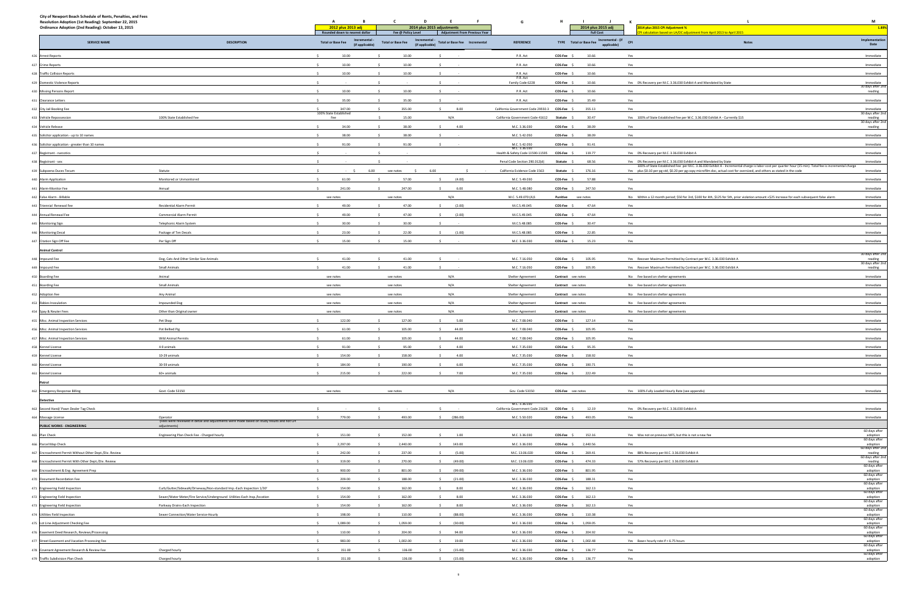| City of Newport Beach Schedule of Rents, Penalties, and Fees<br>Resolution Adoption (1st Reading): September 22, 2015<br>Ordinance Adoption (2nd Reading): October 13, 2015 |                                                                                                            | A<br>в.<br>2012 plus 2013 adj<br>Rounded down to nearest dollar | C<br>Fee @ Policy Level  | D<br>E<br>$-$ F $-$<br>2014 plus 2015 adjustments<br><b>Adjustment From Previous Year</b> | G                                                            | H                        | <b>Contract Contract</b><br>$\mathbf{J}$ and $\mathbf{J}$ and $\mathbf{J}$<br>2014 plus 2015 adj<br><b>Full Cost</b> | K<br>2014 plus 2015 CPI Adjustment %<br>calculation based on LA/OC adjustment from April 2013 to April 2015                                                                                                                                                                          | M<br>1.89%                                        |
|-----------------------------------------------------------------------------------------------------------------------------------------------------------------------------|------------------------------------------------------------------------------------------------------------|-----------------------------------------------------------------|--------------------------|-------------------------------------------------------------------------------------------|--------------------------------------------------------------|--------------------------|----------------------------------------------------------------------------------------------------------------------|--------------------------------------------------------------------------------------------------------------------------------------------------------------------------------------------------------------------------------------------------------------------------------------|---------------------------------------------------|
| <b>SERVICE NAME</b>                                                                                                                                                         | <b>DESCRIPTION</b>                                                                                         | Incremental<br><b>Total or Base Fee</b><br>(if applicable)      | <b>Total or Base Fee</b> | Incremental ·<br>Total or Base Fee Incremental<br>(if applicable)                         | <b>REFERENCE</b>                                             |                          | Incremental - (if<br>TYPE Total or Base Fee<br>applicable)                                                           | <b>CPI</b><br><b>Notes</b>                                                                                                                                                                                                                                                           | Implementation<br>Date                            |
| 426 Arrest Reports                                                                                                                                                          |                                                                                                            | 10.00<br>$\ddot{\phantom{1}}$                                   | 10.00                    |                                                                                           | P.R. Act                                                     | COS-Fee \$               | 10.66                                                                                                                | Yes                                                                                                                                                                                                                                                                                  | Immediate                                         |
| 427 Crime Reports                                                                                                                                                           |                                                                                                            | 10.00                                                           | 10.00                    |                                                                                           | P.R. Act                                                     | COS-Fee \$               | 10.66                                                                                                                | Yes                                                                                                                                                                                                                                                                                  | Immediate                                         |
| 428 Traffic Collision Reports                                                                                                                                               |                                                                                                            | 10.00                                                           | 10.00                    |                                                                                           | P.R. Act                                                     | COS-Fee \$               | 10.66                                                                                                                | Yes                                                                                                                                                                                                                                                                                  | Immediate                                         |
| 429 Domestic Violence Reports                                                                                                                                               |                                                                                                            |                                                                 |                          |                                                                                           | P.R. Act<br>Family Code 6228                                 | COS-Fee \$               | 10.66                                                                                                                | Yes 0% Recovery per M.C. 3.36.030 Exhibit A and Mandated by State                                                                                                                                                                                                                    | Immediate                                         |
| 430 Missing Persons Report                                                                                                                                                  |                                                                                                            | 10.00                                                           | 10.00                    |                                                                                           | P.R. Act                                                     | COS-Fee \$               | 10.66                                                                                                                | Yes                                                                                                                                                                                                                                                                                  | 30 days after 2nd<br>reading                      |
| 431 Clearance Letters                                                                                                                                                       |                                                                                                            | 35.00                                                           | 35.00                    |                                                                                           | P.R. Act                                                     | COS-Fee \$               | 35.49                                                                                                                | Yes                                                                                                                                                                                                                                                                                  | Immediate                                         |
| 432 City Jail Booking Fee                                                                                                                                                   |                                                                                                            | 347.00                                                          | 355.00                   | 8.00                                                                                      | California Government Code 29550.3                           | COS-Fee \$               | 355.13                                                                                                               | Yes                                                                                                                                                                                                                                                                                  | Immediate                                         |
| 433 Vehicle Repossession                                                                                                                                                    | 100% State Established Fee                                                                                 | 100% State Established<br>Fee                                   | 15.00                    | N/A                                                                                       | California Government Code 41612                             | Statute                  | 30.47                                                                                                                | Yes 100% of State Established Fee per M.C. 3.36.030 Exhibit A - Currently \$15                                                                                                                                                                                                       | 30 days after 2nd<br>reading                      |
| 434 Vehicle Release                                                                                                                                                         |                                                                                                            | $\sim$<br>34.00                                                 | 38.00                    | 4.00<br>$\ddot{\phantom{1}}$                                                              | M.C. 3.36.030                                                | COS-Fee \$               | 38.09                                                                                                                | Yes                                                                                                                                                                                                                                                                                  | 30 days after 2nd<br>reading                      |
| 435 Solicitor application - up to 10 names                                                                                                                                  |                                                                                                            | 38.00                                                           | 38.00                    |                                                                                           | M.C. 5.42.050                                                | COS-Fee \$               | 38.09                                                                                                                | Yes                                                                                                                                                                                                                                                                                  | Immediate                                         |
| 436 Solicitor application - greater than 10 names                                                                                                                           |                                                                                                            | 91.00                                                           | 91.00                    |                                                                                           | M.C. 5.42.050                                                | COS-Fee \$               | 91.41                                                                                                                | Yes                                                                                                                                                                                                                                                                                  | Immediate                                         |
| 437 Registrant - narcotics                                                                                                                                                  |                                                                                                            | - S                                                             |                          |                                                                                           | M.C. 3.36.030<br>Health & Safety Code 11590-11595            | COS-Fee \$               | 119.77                                                                                                               | Yes 0% Recovery per M.C. 3.36.030 Exhibit A                                                                                                                                                                                                                                          | Immediate                                         |
| 438 Registrant - sex                                                                                                                                                        |                                                                                                            |                                                                 |                          |                                                                                           | Penal Code Section 290.012(d)                                | Statute \$               | 68.56                                                                                                                | Yes 0% Recovery per M.C. 3.36.030 Exhibit A and Mandated by State                                                                                                                                                                                                                    | Immediate                                         |
| 439 Subpoena Duces Tecum                                                                                                                                                    | Statute                                                                                                    | 6.00                                                            | see notes                | 6.00                                                                                      | California Evidence Code 1563                                | Statute \$               | 176.16                                                                                                               | 100% of State Established Fee per M.C. 3.36.030 Exhibit A - Incremental charge is labor cost per quarter hour (15 min). Total fee is incremental charge<br>Yes plus \$0.10 per pg std, \$0.20 per pg copy microfilm doc, actual cost for oversized, and others as stated in the code | Immediate                                         |
| 440 Alarm Application                                                                                                                                                       | Monitored or Unmonitored                                                                                   | 61.00                                                           | 57.00                    | (4.00)                                                                                    | M.C. 5.49.030                                                | COS-Fee \$               | 57.88                                                                                                                | Yes                                                                                                                                                                                                                                                                                  | Immediate                                         |
| 441 Alarm-Monitor Fee                                                                                                                                                       | Annual                                                                                                     | 241.00                                                          | 247.00                   | 6.00                                                                                      | M.C. 5.48.080                                                | COS-Fee \$               | 247.50                                                                                                               | Yes                                                                                                                                                                                                                                                                                  | Immediate                                         |
| 442 False Alarm - Billable                                                                                                                                                  |                                                                                                            | see notes                                                       | see notes                | N/A                                                                                       | M.C. 5.49.070 (A)1                                           |                          | Punitive see notes                                                                                                   | No Within a 12 month period; \$50 for 3rd, \$100 for 4th, \$125 for 5th, prior violation amount +\$25 increase for each subsequent false alarm                                                                                                                                       | Immediate                                         |
| 443 Triennial Renewal Fee                                                                                                                                                   | <b>Residential Alarm Permit</b>                                                                            | 49.00                                                           | 47.00                    | (2.00)                                                                                    | M.C.5.49.045                                                 | COS-Fee \$               | 47.64                                                                                                                | Yes                                                                                                                                                                                                                                                                                  | Immediate                                         |
| 444 Annual Renewal Fee                                                                                                                                                      | <b>Commercial Alarm Permit</b>                                                                             | 49.00                                                           | 47.00                    | (2.00)                                                                                    | M.C.5.49.045                                                 | COS-Fee \$               | 47.64                                                                                                                | Yes                                                                                                                                                                                                                                                                                  | Immediate                                         |
| 445 Monitoring Sign                                                                                                                                                         | Telephonic Alarm System                                                                                    | 30.00                                                           | 30.00                    |                                                                                           | M.C.5.48.085                                                 | COS-Fee \$               | 30.47                                                                                                                | Yes                                                                                                                                                                                                                                                                                  | Immediate                                         |
| 446 Monitoring Decal                                                                                                                                                        | Package of Ten Decals                                                                                      | 23.00                                                           | 22.00                    | (1.00)                                                                                    | M.C.5.48.085                                                 | COS-Fee \$               | 22.85                                                                                                                | Yes                                                                                                                                                                                                                                                                                  | Immediate                                         |
| 447 Citation Sign Off Fee                                                                                                                                                   | Per Sign Off                                                                                               | 15.00                                                           | 15.00                    |                                                                                           | M.C. 3.36.030                                                | COS-Fee \$               | 15.23                                                                                                                | Yes                                                                                                                                                                                                                                                                                  | Immediate                                         |
| Animal Control                                                                                                                                                              |                                                                                                            |                                                                 |                          |                                                                                           |                                                              |                          |                                                                                                                      |                                                                                                                                                                                                                                                                                      | 30 days after 2nd                                 |
| 448 Impound Fee                                                                                                                                                             | Dog, Cats And Other Similar Size Animals                                                                   | 41.00                                                           | 41.00                    |                                                                                           | M.C. 7.16.050                                                | COS-Fee \$               | 105.95                                                                                                               | Yes Recover Maximum Permitted by Contract per M.C. 3.36.030 Exhibit A                                                                                                                                                                                                                | reading<br>30 days after 2nd                      |
| 449 Impound Fee                                                                                                                                                             | <b>Small Animals</b>                                                                                       | 41.00                                                           | 41.00                    |                                                                                           | M.C. 7.16.050                                                | COS-Fee \$               | 105.95                                                                                                               | Yes Recover Maximum Permitted by Contract per M.C. 3.36.030 Exhibit A                                                                                                                                                                                                                | reading                                           |
| 450 Boarding Fee                                                                                                                                                            | Animal                                                                                                     | see notes                                                       | see notes                | N/A                                                                                       | Shelter Agreement                                            | Contract see notes       |                                                                                                                      | No Fee based on shelter agreements                                                                                                                                                                                                                                                   | Immediate                                         |
| 451 Boarding Fee                                                                                                                                                            | Small Animals                                                                                              | see notes                                                       | see notes                | N/A                                                                                       | Shelter Agreement                                            | Contract see notes       |                                                                                                                      | No Fee based on shelter agreement:                                                                                                                                                                                                                                                   | Immediate                                         |
| 452 Adoption Fee                                                                                                                                                            | Any Animal                                                                                                 | see notes                                                       | see notes                | N/A                                                                                       | Shelter Agreement                                            | Contract see notes       |                                                                                                                      | No Fee based on shelter agreements                                                                                                                                                                                                                                                   | Immediate                                         |
| 453 Rabies Inoculation                                                                                                                                                      | <b>Impounded Dog</b>                                                                                       | see notes                                                       | see notes                | N/A                                                                                       | Shelter Agreement                                            | Contract see notes       |                                                                                                                      | No Fee based on shelter agreement:                                                                                                                                                                                                                                                   | Immediate                                         |
| 454 Spay & Neuter Fees                                                                                                                                                      | Other than Original owner                                                                                  | see notes                                                       | see notes                | N/A                                                                                       | Shelter Agreement                                            | Contract see notes       |                                                                                                                      | No Fee based on shelter agreements                                                                                                                                                                                                                                                   | Immediate                                         |
| 455 Misc. Animal Inspection Services                                                                                                                                        | Pet Shop                                                                                                   | 122.00                                                          | 127.00                   | 5.00                                                                                      | M.C. 7.08.040                                                | COS-Fee \$               | 127.14                                                                                                               | Yes                                                                                                                                                                                                                                                                                  | Immediate                                         |
| 456 Misc. Animal Inspection Services                                                                                                                                        | Pot Bellied Pig                                                                                            | 61.00<br>61.00                                                  | 105.00<br>105.00         | 44.00                                                                                     | M.C. 7.08.040<br>M.C. 7.08.040                               | COS-Fee \$               | 105.95                                                                                                               | Yes<br>Yes                                                                                                                                                                                                                                                                           | Immediate                                         |
| 457 Misc. Animal Inspection Services                                                                                                                                        | Wild Animal Permit:<br>4-9 animals                                                                         | $\sim$<br>91.00                                                 | 95.00                    | 44.00<br>4.00<br>$\sim$                                                                   | M.C. 7.35.030                                                | COS-Fee \$<br>COS-Fee \$ | 105.95<br>95.35                                                                                                      | Yes                                                                                                                                                                                                                                                                                  | Immediate                                         |
| 458 Kennel License                                                                                                                                                          |                                                                                                            |                                                                 |                          |                                                                                           | M.C. 7.35.030                                                |                          |                                                                                                                      | Yes                                                                                                                                                                                                                                                                                  | Immediate                                         |
| 459 Kennel License<br>460 Kennel License                                                                                                                                    | 10-29 animals<br>30-59 animals                                                                             | 154.00<br>184.00                                                | 158.00<br>190.00         | 4.00<br>6.00                                                                              | M.C. 7.35.030                                                | COS-Fee \$<br>COS-Fee \$ | 158.92<br>190.71                                                                                                     | Yes                                                                                                                                                                                                                                                                                  | Immediate<br>Immediate                            |
| 461 Kennel License                                                                                                                                                          | 60+ animals                                                                                                | $\sim$<br>215.00                                                | 222.00<br>$\sim$ 5       | $\sim$<br>7.00                                                                            | M.C. 7.35.030                                                | COS-Fee \$               | 222.49                                                                                                               | Yes                                                                                                                                                                                                                                                                                  | Immediate                                         |
| Patrol                                                                                                                                                                      |                                                                                                            |                                                                 |                          |                                                                                           |                                                              |                          |                                                                                                                      |                                                                                                                                                                                                                                                                                      |                                                   |
| 462 Emergency Response Billing                                                                                                                                              | Govt. Code 53150                                                                                           | see notes                                                       | see notes                | N/A                                                                                       | Gov. Code 53150                                              |                          | COS-Fee see notes                                                                                                    | Yes 100% Fully Loaded Hourly Rate (see appendix)                                                                                                                                                                                                                                     | Immediate                                         |
| <b>Detective</b>                                                                                                                                                            |                                                                                                            |                                                                 |                          |                                                                                           |                                                              |                          |                                                                                                                      |                                                                                                                                                                                                                                                                                      |                                                   |
| 463 Second Hand/ Pawn Dealer Tag Check                                                                                                                                      |                                                                                                            |                                                                 |                          |                                                                                           | M.C. 3.36.030<br>California Government Code 21628 COS-Fee \$ |                          | 12.19                                                                                                                | Yes 0% Recovery per M.C. 3.36.030 Exhibit A                                                                                                                                                                                                                                          | Immediate                                         |
| 464 Massage License                                                                                                                                                         | Operator                                                                                                   | S.<br>779.00                                                    | 493.00                   | \$ (286.00)                                                                               | M.C. 5.50.020                                                |                          | COS-Fee \$ 493.05                                                                                                    | Yes                                                                                                                                                                                                                                                                                  | Immediate                                         |
| PUBLIC WORKS - ENGINEERING                                                                                                                                                  | (Fees were reviewed in detail and adjustments were made based on study results and not CPI<br>adjustments) |                                                                 |                          |                                                                                           |                                                              |                          |                                                                                                                      |                                                                                                                                                                                                                                                                                      |                                                   |
| 465 Plan Check                                                                                                                                                              | Engineering Plan Check Fee - Charged hourly                                                                | 151.00                                                          | 152.00                   | 1.00                                                                                      | M.C. 3.36.030                                                | COS-Fee \$               | 152.16                                                                                                               | Yes Was not on previous MFS, but this is not a new fee                                                                                                                                                                                                                               | 60 days after<br>adoption                         |
| 466 Parcel Map Check                                                                                                                                                        |                                                                                                            | 2,297.00<br>$\zeta$                                             | 2,440.00                 | \$143.00                                                                                  | M.C. 3.36.030                                                |                          | COS-Fee \$ 2,440.56                                                                                                  | Yes                                                                                                                                                                                                                                                                                  | 60 days after<br>adoption                         |
| 467 Encroachment Permit Without Other Dept./Div. Review                                                                                                                     |                                                                                                            | 242.00                                                          | 237.00                   | (5.00)                                                                                    | M.C. 13.06.020                                               | COS-Fee \$               | 269.41                                                                                                               | Yes 88% Recovery per M.C. 3.36.030 Exhibit A                                                                                                                                                                                                                                         | 60 days after 2nd<br>reading<br>60 days after 2nd |
| 468 Encroachment Permit With Other Dept./Div. Review                                                                                                                        |                                                                                                            | 319.00                                                          | 270.00                   | (49.00)                                                                                   | M.C. 13.06.020                                               | COS-Fee \$               | 474.33                                                                                                               | Yes 57% Recovery per M.C. 3.36.030 Exhibit A                                                                                                                                                                                                                                         | reading<br>60 days after                          |
| 469 Encroachment & Eng. Agreement Prep                                                                                                                                      |                                                                                                            | 900.00                                                          | 801.00                   | $$$ (99.00)                                                                               | M.C. 3.36.030                                                | COS-Fee \$               | 801.95                                                                                                               | Yes                                                                                                                                                                                                                                                                                  | adoption                                          |
| 470 Document Recordation Fee                                                                                                                                                |                                                                                                            | 209.00                                                          | 188.00                   | \$ (21.00)                                                                                | M.C. 3.36.030                                                | COS-Fee \$               | 188.31                                                                                                               | Yes                                                                                                                                                                                                                                                                                  | 60 days after<br>adoption<br>60 days after        |
| 471 Engineering Field Inspection                                                                                                                                            | Curb/Gutter/Sidewalk/Driveway/Non-standard Imp.-Each Inspection 1/30'                                      | 154.00                                                          | 162.00                   | 8.00                                                                                      | M.C. 3.36.030                                                |                          | COS-Fee \$ 162.13                                                                                                    | Yes                                                                                                                                                                                                                                                                                  | adoption<br>60 days after                         |
| 472 Engineering Field Inspection                                                                                                                                            | Sewer/Water Meter/Fire Service/Underground Utilities-Each Insp./location                                   | 154.00<br>$\sim$                                                | 162.00<br>- S            | s.<br>8.00                                                                                | M.C. 3.36.030                                                | COS-Fee \$               | 162.13                                                                                                               | Yes                                                                                                                                                                                                                                                                                  | adoption                                          |
| 473 Engineering Field Inspection                                                                                                                                            | Parkway Drains-Each Inspection                                                                             | 154.00                                                          | 162.00                   | 8.00<br>$\sim$                                                                            | M.C. 3.36.030                                                |                          | $COS-Fee$ \$ 162.13                                                                                                  | Yes                                                                                                                                                                                                                                                                                  | 60 days after<br>adoption                         |
| 474 Utilities Field Inspection                                                                                                                                              | Sewer Connection/Water Service-Hourly                                                                      | 198.00                                                          | 110.00                   | (88.00)                                                                                   | M.C. 3.36.030                                                |                          | COS-Fee \$ 110.38                                                                                                    | Yes                                                                                                                                                                                                                                                                                  | 60 days after<br>adoption                         |
| 475 Lot Line Adjustment Checking Fee                                                                                                                                        |                                                                                                            | 1,089.00                                                        | 1,059.00                 | (30.00)                                                                                   | M.C. 3.36.030                                                |                          | COS-Fee \$ 1,059.05                                                                                                  | Yes                                                                                                                                                                                                                                                                                  | 60 days after<br>adoption<br>60 days after        |
| 476 Easement Deed Research, Reviews/Processing                                                                                                                              |                                                                                                            | 110.00                                                          | 204.00                   | 94.00                                                                                     | M.C. 3.36.030                                                |                          | COS-Fee \$ 204.92                                                                                                    | Yes                                                                                                                                                                                                                                                                                  | adoption<br>60 days after                         |
| 477 Street Easement and Vacation Processing Fee                                                                                                                             |                                                                                                            | 983.00                                                          | 1,002.00                 | 19.00                                                                                     | M.C. 3.36.030                                                |                          | COS-Fee \$ 1,002.48                                                                                                  | Yes Base+ hourly rate if > 6.75 hours                                                                                                                                                                                                                                                | adoption<br>60 days after                         |
| 478 Covenant Agreement Research & Review Fee                                                                                                                                | Charged hourly                                                                                             | 151.00                                                          | 136.00                   | (15.00)                                                                                   | M.C. 3.36.030                                                | COS-Fee \$               | 136.77                                                                                                               | Yes                                                                                                                                                                                                                                                                                  | adoption<br>60 days after                         |
| 479 Traffic Subdivision Plan Check                                                                                                                                          | Charged hourly                                                                                             | 151.00<br>$\sim$                                                | 136.00                   | (15.00)                                                                                   | M.C. 3.36.030                                                | COS-Fee \$               | 136.77                                                                                                               | Yes                                                                                                                                                                                                                                                                                  | adoption                                          |

9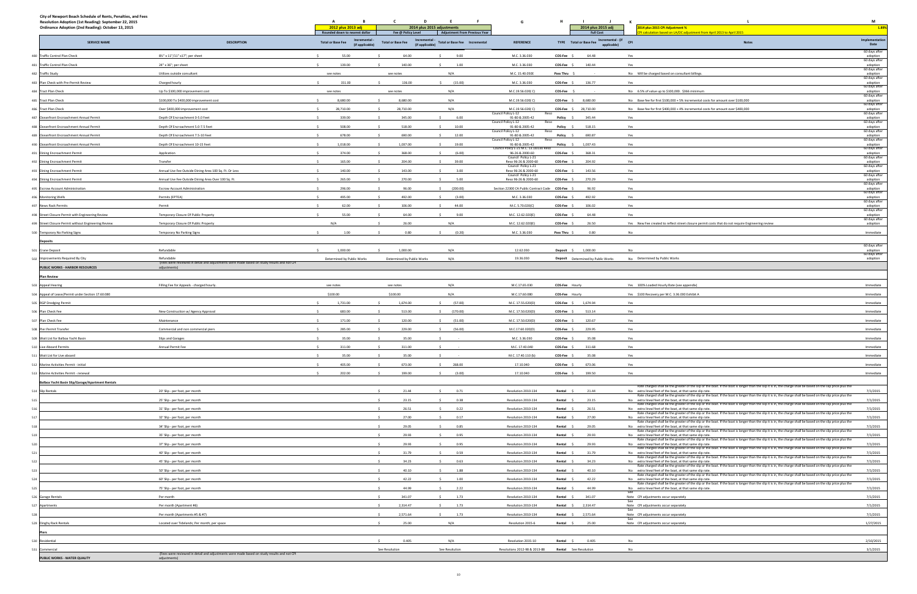| City of Newport Beach Schedule of Rents, Penalties, and Fees<br>Resolution Adoption (1st Reading): September 22, 2015<br>Ordinance Adoption (2nd Reading): October 13, 2015 |                                                                                                            | A<br>2012 plus 2013 adj<br>Rounded down to nearest dollar  | $\mathbf{c}$<br>D<br>Fee @ Policy Level                    | E<br>$-$ F $-$<br>2014 plus 2015 adjustments<br><b>Adjustment From Previous Year</b> | G                                                          | н.                | <b>Contract</b><br>$\mathbf{J}$<br>2014 plus 2015 adj<br><b>Full Cost</b> | K<br>2014 plus 2015 CPI Adjustment %<br>calculation based on LA/OC adjustment from April 2013 to April 2015                                                                                                                | M<br>1.89%                                 |
|-----------------------------------------------------------------------------------------------------------------------------------------------------------------------------|------------------------------------------------------------------------------------------------------------|------------------------------------------------------------|------------------------------------------------------------|--------------------------------------------------------------------------------------|------------------------------------------------------------|-------------------|---------------------------------------------------------------------------|----------------------------------------------------------------------------------------------------------------------------------------------------------------------------------------------------------------------------|--------------------------------------------|
| <b>SERVICE NAME</b>                                                                                                                                                         | <b>DESCRIPTION</b>                                                                                         | Incremental<br><b>Total or Base Fee</b><br>(if applicable) | Incremental<br><b>Total or Base Fee</b><br>(if applicable) | Total or Base Fee  Incremental                                                       | <b>REFERENCE</b>                                           |                   | TYPE Total or Base Fee Incremental - (if CPI<br>applicable)               | Notes                                                                                                                                                                                                                      | Implementation<br>Date                     |
| 480 Traffic Control Plan Check                                                                                                                                              | 81/2" x 11"/11" x17"; per sheet                                                                            | 55.00<br>$\sim$                                            | 64.00                                                      | 9.00<br>$\sim$                                                                       | M.C. 3.36.030                                              | COS-Fee \$        | 64.48                                                                     | Yes                                                                                                                                                                                                                        | 60 days after<br>adoption<br>60 days after |
| 481 Traffic Control Plan Check                                                                                                                                              | 24" x 36"; per sheet                                                                                       | 139.00                                                     | 140.00                                                     | 1.00                                                                                 | M.C. 3.36.030                                              | COS-Fee \$        | 140.44                                                                    | Yes                                                                                                                                                                                                                        | adoption<br>60 days after                  |
| 482 Traffic Study                                                                                                                                                           | Utilizes outside consultant                                                                                | see notes                                                  | see notes                                                  | N/A                                                                                  | M.C. 15.40.050E                                            | <b>Pass Thru</b>  |                                                                           | No Will be charged based on consultant billings.                                                                                                                                                                           | adoption<br>60 days after                  |
| 483 Plan Check with Pre-Permit Review                                                                                                                                       | Charged hourly                                                                                             | 151.00                                                     | 136.00                                                     | (15.00)                                                                              | M.C. 3.36.030                                              | COS-Fee \$        | 136.77                                                                    | Yes                                                                                                                                                                                                                        | adoption<br>60 days after                  |
| 484 Tract Plan Check                                                                                                                                                        | Up To \$100,000 improvement cost                                                                           | see notes                                                  | see notes                                                  | N/A                                                                                  | M.C.19.56.020(C)                                           | COS-Fee :         |                                                                           | No 6.5% of value up to \$100,000. \$366 minimum                                                                                                                                                                            | adoption                                   |
| 485 Tract Plan Check                                                                                                                                                        | \$100,000 To \$400,000 improvement cost                                                                    | 8,680.00                                                   | 8,680.00                                                   | N/A                                                                                  | M.C.19.56.020(C)                                           |                   | COS-Fee \$ 8,680.00                                                       | No Base fee for first \$100,000 + 5% incremental costs for amount over \$100,000                                                                                                                                           | 60 days after<br>adoption                  |
| 486 Tract Plan Check                                                                                                                                                        | Over \$400,000 improvement cost                                                                            | 28,710.00                                                  | 28,710.00                                                  | N/A                                                                                  | M.C.19.56.020(C)                                           |                   | COS-Fee \$ 28,710.00                                                      | No Base fee for first \$400,000 + 4% incremental costs for amount over \$400,000                                                                                                                                           | 60 days after<br>adoption<br>60 days after |
| 487 Oceanfront Encroachment Annual Permit                                                                                                                                   | Depth Of Encroachment 0-5.0 Feet                                                                           | 339.00                                                     | 345.00                                                     | 6.00                                                                                 | Council Policy L-12<br>91-80 & 2005-42                     | Policy            | 345.44                                                                    | Yes                                                                                                                                                                                                                        | adoption<br>60 days after                  |
| 488 Oceanfront Encroachment Annual Permit                                                                                                                                   | Depth Of Encroachment 5.0-7.5 Feet                                                                         | 508.00                                                     | 518.00                                                     | $\ddot{\phantom{1}}$<br>10.00                                                        | Council Policy L-12<br>91-80 & 2005-42                     | Reso<br>Policy \$ | 518.15                                                                    | Yes                                                                                                                                                                                                                        | adoption<br>60 days after                  |
| 489 Oceanfront Encroachment Annual Permit                                                                                                                                   | Depth Of Encroachment 7.5-10 Feet                                                                          | 678.00                                                     | 690.00                                                     | 12.00                                                                                | Council Policy L-12<br>91-80 & 2005-42                     | Reso<br>Policy    | 690.87                                                                    | Yes                                                                                                                                                                                                                        | adoption<br>60 days after                  |
| 490 Oceanfront Encroachment Annual Permit                                                                                                                                   | Depth Of Encroachment 10-15 Feet                                                                           | 1,018.00                                                   | 1,037.00                                                   | 19.00                                                                                | Council Policy L-12<br>91-80 & 2005-42                     | Reso<br>Policy \$ | 1,037.43                                                                  | Yes                                                                                                                                                                                                                        | adoption                                   |
| 491 Dining Encroachment Permit                                                                                                                                              | Application                                                                                                | 374.00<br>$\ddot{\phantom{1}}$                             | 368.00<br>$\leq$                                           | $\sim$<br>(6.00)                                                                     | Council Policy L-21 M.C. 13.18.030 Reso<br>96-26 & 2000-60 | COS-Fee \$        | 368.31                                                                    | Yes                                                                                                                                                                                                                        | 60 days after<br>adoption<br>60 days after |
| 492 Dining Encroachment Permit                                                                                                                                              | Transfer                                                                                                   | 165.00                                                     | 204.00                                                     | 39.00<br>s.                                                                          | Council Policy L-21<br>Reso 96-26 & 2000-60                | COS-Fee \$        | 204.92                                                                    | Yes                                                                                                                                                                                                                        |                                            |
| 493 Dining Encroachment Permit                                                                                                                                              | Annual Use Fee Outside Dining Area 100 Sq. Ft. Or Less                                                     | 140.00                                                     | 143.00                                                     | 3.00                                                                                 | Council Policy L-21<br>Reso 96-26 & 2000-60                | COS-Fee \$        | 143.56                                                                    | Yes                                                                                                                                                                                                                        | adoption<br>60 days after                  |
| 494 Dining Encroachment Permit                                                                                                                                              | Annual Use Fee Outside Dining Area Over 100 Sq. Ft.                                                        | 265.00                                                     | 270.00                                                     | 5.00<br>$\sim$                                                                       | Council Policy L-21<br>Reso 96-26 & 2000-60                | COS-Fee \$        | 270.29                                                                    | Yes                                                                                                                                                                                                                        | adoption<br>60 days after                  |
| 495 Escrow Account Administration                                                                                                                                           | <b>Escrow Account Administration</b>                                                                       | 296.00                                                     | 96.00                                                      | \$ (200.00)                                                                          | Section 22300 CA Public Contract Code  COS-Fee  \$         |                   | 96.92                                                                     | Yes                                                                                                                                                                                                                        | adoption<br>60 days after                  |
| 496 Monitoring Wells                                                                                                                                                        | Permits (EPTEA)                                                                                            | 495.00                                                     | 492.00                                                     | (3.00)                                                                               | M.C. 3.36.030                                              | COS-Fee \$        | 492.92                                                                    | Yes                                                                                                                                                                                                                        | adoption<br>60 days after<br>adoption      |
| 497 News Rack Permits                                                                                                                                                       | Permit                                                                                                     | 62.00                                                      | 106.00                                                     | 44.00                                                                                | M.C. 5.70.020(C                                            | COS-Fee \$        | 106.02                                                                    | Yes                                                                                                                                                                                                                        | 60 days after                              |
| 498 Street Closure Permit with Engineering Review                                                                                                                           | Temporary Closure Of Public Property                                                                       | 55.00                                                      | 64.00                                                      | 9.00                                                                                 | M.C. 12.62.020(E                                           | COS-Fee \$        | 64.48                                                                     | Yes                                                                                                                                                                                                                        | adoption<br>60 days after                  |
| 499 Street Closure Permit without Engineering Review                                                                                                                        | Temporary Closure Of Public Propert                                                                        | N/A                                                        | 26.00                                                      | N/A                                                                                  | M.C. 12.62.020(E                                           | COS-Fee \$        | 26.50                                                                     | Yes New Fee created to reflect street closure permit costs that do not require Engineering review                                                                                                                          | adoption<br>60 days after                  |
|                                                                                                                                                                             |                                                                                                            | 1.00                                                       | 0.80                                                       | (0.20)                                                                               | M.C. 3.36.030                                              |                   | 0.80                                                                      | No                                                                                                                                                                                                                         | adoption<br>Immediate                      |
| 500 Temporary No Parking Signs                                                                                                                                              | Temporary No Parking Signs                                                                                 |                                                            |                                                            |                                                                                      |                                                            | Pass Thru \$      |                                                                           |                                                                                                                                                                                                                            |                                            |
| <b>Deposits</b>                                                                                                                                                             |                                                                                                            |                                                            |                                                            |                                                                                      |                                                            |                   |                                                                           |                                                                                                                                                                                                                            | 60 days after                              |
| Crane Deposit<br>501                                                                                                                                                        | Refundable<br>Refundable                                                                                   | 1,000.00                                                   | 1,000.00                                                   | N/A                                                                                  | 12.62.030                                                  |                   | Deposit \$ 1,000.00                                                       | No                                                                                                                                                                                                                         | adoption<br>60 days after                  |
| 502 Improvements Required By City                                                                                                                                           | (Fees were reviewed in detail and adjustments were made based on study results and not CPI                 | Determined by Public Works                                 | Determined by Public Works                                 | N/A                                                                                  | 19.36.030                                                  |                   | Deposit Determined by Public Works                                        | No Determined by Public Works                                                                                                                                                                                              | adoption                                   |
| PUBLIC WORKS - HARBOR RESOURCES                                                                                                                                             | adjustments)                                                                                               |                                                            |                                                            |                                                                                      |                                                            |                   |                                                                           |                                                                                                                                                                                                                            |                                            |
| <b>Plan Review</b>                                                                                                                                                          |                                                                                                            |                                                            |                                                            |                                                                                      |                                                            |                   |                                                                           |                                                                                                                                                                                                                            |                                            |
| 503 Appeal Hearing                                                                                                                                                          | Filling Fee for Appeals - charged hourly.                                                                  | see notes                                                  | see notes                                                  | N/A                                                                                  | M.C.17.65.030                                              | COS-Fee Hourly    |                                                                           | Yes 100% Loaded Hourly Rate (see appendix)                                                                                                                                                                                 | Immediate                                  |
| 504 Appeal of Lease/Permit under Section 17.60.080                                                                                                                          |                                                                                                            | \$100.00                                                   | \$100.00                                                   | N/A                                                                                  | M.C.17.60.080                                              | COS-Fee Hourly    |                                                                           | Yes \$100 Recovery per M.C. 3.36.030 Exhibit A                                                                                                                                                                             | Immediate                                  |
| 505 RGP Dredging Permit                                                                                                                                                     |                                                                                                            | 1,731.00                                                   | 1,674.00                                                   | (57.00)                                                                              | M.C. 17.55.020(D)                                          |                   | COS-Fee \$ 1,674.94                                                       | Yes                                                                                                                                                                                                                        | Immediate                                  |
| 506 Plan Check Fee                                                                                                                                                          | New Construction w/ Agency Approval                                                                        | 683.00                                                     | 513.00                                                     | (170.00)                                                                             | M.C. 17.50.020(D)                                          | $COS-Fee$ $$$     | 513.14                                                                    | Yes                                                                                                                                                                                                                        | Immediate                                  |
| 507 Plan Check Fee                                                                                                                                                          | Maintenance                                                                                                | 171.00                                                     | 120.00                                                     | (51.00)                                                                              | M.C. 17.50.020(D                                           | COS-Fee \$        | 120.67                                                                    | Yes                                                                                                                                                                                                                        | Immediate                                  |
| 508 Pier Permit Transfer                                                                                                                                                    | Commercial and non commercial piers                                                                        | 285.00                                                     | 229.00                                                     | (56.00)                                                                              | M.C.17.60.020(D)                                           | COS-Fee \$        | 229.95                                                                    | Yes                                                                                                                                                                                                                        | Immediate                                  |
| 509 Wait List for Balboa Yacht Basin                                                                                                                                        | Slips and Garages                                                                                          | 35.00                                                      | 35.00                                                      |                                                                                      | M.C. 3.36.030                                              | COS-Fee           | 35.08                                                                     | Yes                                                                                                                                                                                                                        | Immediate                                  |
| 510 Live Aboard Permits                                                                                                                                                     | Annual Permit Fee                                                                                          | 311.00<br>$\ddot{\phantom{1}}$                             | 311.00                                                     | $\prec$                                                                              | M.C. 17.40.040                                             | COS-Fee \$        | 311.68                                                                    | Yes                                                                                                                                                                                                                        | Immediate                                  |
| 511 Wait List for Live aboard                                                                                                                                               |                                                                                                            | 35.00                                                      | 35.00                                                      |                                                                                      | M.C. 17.40.110 (b)                                         | COS-Fee \$        | 35.08                                                                     | Yes                                                                                                                                                                                                                        | Immediate                                  |
| 512 Marine Activities Permit - initial                                                                                                                                      |                                                                                                            | 405.00                                                     | 673.00                                                     | \$268.00                                                                             | 17.10.040                                                  | COS-Fee \$        | 673.06                                                                    | Yes                                                                                                                                                                                                                        | Immediate                                  |
| 513 Marine Activities Permit - renewal                                                                                                                                      |                                                                                                            | $\sim$<br>202.00                                           | 199.00                                                     | $\sim$<br>(3.00)                                                                     | 17.10.040                                                  | COS-Fee \$        | 199.50                                                                    | Yes                                                                                                                                                                                                                        | Immediate                                  |
| Balboa Yacht Basin Slip/Garage/Apartment Rentals                                                                                                                            |                                                                                                            |                                                            |                                                            |                                                                                      |                                                            |                   |                                                                           | Rate charged shall be the greater of the slip or the boat. If the boat is longer than the slip it is in, the charge shall be based on the slip price plus the                                                              |                                            |
| 514 Slip Rentals                                                                                                                                                            | 20' Slip - per foot, per month                                                                             |                                                            | 21.44                                                      | 0.71<br>$\sim$                                                                       | Resolution 2010-134                                        | Rental \$         | 21.44                                                                     | No extra lineal feet of the boat, at that same slip rate.<br>Rate charged shall be the greater of the slip or the boat. If the boat is longer than the slip it is in, the charge shall be based on the slip price plus the | 7/1/2015                                   |
| 515                                                                                                                                                                         | 25' Slip - per foot, per month                                                                             |                                                            | 23.15                                                      | 0.38                                                                                 | Resolution 2010-134                                        | Rental \$         | 23.15                                                                     | No extra lineal feet of the boat, at that same slip rate.<br>Rate charged shall be the greater of the slip or the boat. If the boat is longer than the slip it is in, the charge shall be based on the slip price plus the | 7/1/2015                                   |
| 516                                                                                                                                                                         | 31' Slip - per foot, per month                                                                             |                                                            | 26.51                                                      | 0.22                                                                                 | Resolution 2010-134                                        | Rental \$         | 26.51                                                                     | No extra lineal feet of the boat, at that same slip rate.<br>Rate charged shall be the greater of the slip or the boat. If the boat is longer than the slip it is in, the charge shall be based on the slip price plus the | 7/1/2015                                   |
| 517                                                                                                                                                                         | 32' Slip - per foot, per month                                                                             |                                                            | 27.00                                                      | 0.17                                                                                 | Resolution 2010-134                                        | Rental \$         | 27.00                                                                     | No extra lineal feet of the boat, at that same slip rate.<br>Rate charged shall be the greater of the slip or the boat. If the boat is longer than the slip it is in, the charge shall be based on the slip price plus the | 7/1/2015                                   |
| 518                                                                                                                                                                         | 34' Slip - per foot, per month                                                                             |                                                            | 29.05                                                      | 0.85                                                                                 | Resolution 2010-134                                        | Rental \$         | 29.05                                                                     | No extra lineal feet of the boat, at that same slip rate.<br>Rate charged shall be the greater of the slip or the boat. If the boat is longer than the slip it is in, the charge shall be based on the slip price plus the | 7/1/2015                                   |
| 519                                                                                                                                                                         | 35' Slip - per foot, per month                                                                             |                                                            | 29.93                                                      | 0.95                                                                                 | Resolution 2010-134                                        | Rental \$         | 29.93                                                                     | No extra lineal feet of the boat, at that same slip rate.                                                                                                                                                                  | 7/1/2015                                   |
| 520                                                                                                                                                                         | 37' Slip - per foot, per month                                                                             |                                                            | 29.93                                                      | 0.95                                                                                 | Resolution 2010-134                                        | Rental \$         | 29.93                                                                     | Rate charged shall be the greater of the slip or the boat. If the boat is longer than the slip it is in, the charge shall be based on the slip price plus the<br>No extra lineal feet of the boat, at that same slip rate. | 7/1/2015                                   |
| 521                                                                                                                                                                         | 40' Slip - per foot, per month                                                                             |                                                            | 31.79                                                      | 0.59                                                                                 | Resolution 2010-134                                        | Rental \$         | 31.79                                                                     | Rate charged shall be the greater of the slip or the boat. If the boat is longer than the slip it is in, the charge shall be based on the slip price plus the<br>No extra lineal feet of the boat, at that same slip rate. | 7/1/2015                                   |
| 522                                                                                                                                                                         | 45' Slip - per foot, per month                                                                             |                                                            | 34.23                                                      | 0.63                                                                                 | Resolution 2010-134                                        | Rental \$         | 34.23                                                                     | Rate charged shall be the greater of the slip or the boat. If the boat is longer than the slip it is in, the charge shall be based on the slip price plus the<br>No extra lineal feet of the boat, at that same slip rate. | 7/1/2015                                   |
| 523                                                                                                                                                                         | 50' Slip - per foot, per month                                                                             |                                                            | 40.10                                                      | 1.88                                                                                 | Resolution 2010-134                                        | Rental \$         | 40.10                                                                     | Rate charged shall be the greater of the slip or the boat. If the boat is longer than the slip it is in, the charge shall be based on the slip price plus the<br>No extra lineal feet of the boat, at that same slip rate. | 7/1/2015                                   |
| 524                                                                                                                                                                         | 60' Slip - per foot, per month                                                                             |                                                            | 42.22                                                      | 1.00                                                                                 | Resolution 2010-134                                        | Rental \$         | 42.22                                                                     | Rate charged shall be the greater of the slip or the boat. If the boat is longer than the slip it is in, the charge shall be based on the slip price plus the<br>No extra lineal feet of the boat, at that same slip rate. | 7/1/2015                                   |
| 525                                                                                                                                                                         | 75' Slip - per foot, per month                                                                             |                                                            | 44.99                                                      | 2.22                                                                                 | Resolution 2010-134                                        | Rental \$         | 44.99                                                                     | Rate charged shall be the greater of the slip or the boat. If the boat is longer than the slip it is in, the charge shall be based on the slip price plus the<br>No extra lineal feet of the boat, at that same slip rate. | 7/1/2015                                   |
| 526 Garage Rentals                                                                                                                                                          | Per month                                                                                                  |                                                            | 341.07                                                     | 1.73<br>$\sim$                                                                       | Resolution 2010-134                                        | Rental \$         | 341.07                                                                    | See<br>Note CPI adjustments occur separately                                                                                                                                                                               | 7/1/2015                                   |
| 527 Apartments                                                                                                                                                              | Per month (Apartment #6)                                                                                   |                                                            | 2,314.47                                                   | 1.73                                                                                 | Resolution 2010-134                                        |                   | Rental \$ 2,314.47                                                        | See<br>Note CPI adjustments occur separately                                                                                                                                                                               | 7/1/2015                                   |
| 528                                                                                                                                                                         | Per month (Apartments #5 & #7)                                                                             |                                                            | 2,571.64                                                   | 1.73                                                                                 | Resolution 2010-134                                        |                   | Rental \$ 2,571.64                                                        | See<br>Note CPI adjustments occur separately                                                                                                                                                                               | 7/1/2015                                   |
| 529 Dinghy Rack Rentals                                                                                                                                                     | Located over Tidelands; Per month, per space                                                               |                                                            | 25.00                                                      | N/A                                                                                  | Resolution 2015-6                                          | Rental \$         | 25.00                                                                     | See<br>Note CPI adjustments occur separately                                                                                                                                                                               | 1/27/2015                                  |
|                                                                                                                                                                             |                                                                                                            |                                                            |                                                            |                                                                                      |                                                            |                   |                                                                           |                                                                                                                                                                                                                            |                                            |
| 530 Residential                                                                                                                                                             |                                                                                                            |                                                            | 0.405                                                      | N/A                                                                                  | Resolution 2015-10                                         | Rental \$         | 0.405                                                                     | No                                                                                                                                                                                                                         | 2/10/2015                                  |
| 531 Commercial                                                                                                                                                              |                                                                                                            |                                                            | See Resolution                                             | See Resolution                                                                       | Resolutions 2012-98 & 2013-88                              |                   | Rental See Resolution                                                     | No                                                                                                                                                                                                                         | 3/1/2015                                   |
| PUBLIC WORKS - WATER QUALITY                                                                                                                                                | (Fees were reviewed in detail and adjustments were made based on study results and not CPI<br>adjustments) |                                                            |                                                            |                                                                                      |                                                            |                   |                                                                           |                                                                                                                                                                                                                            |                                            |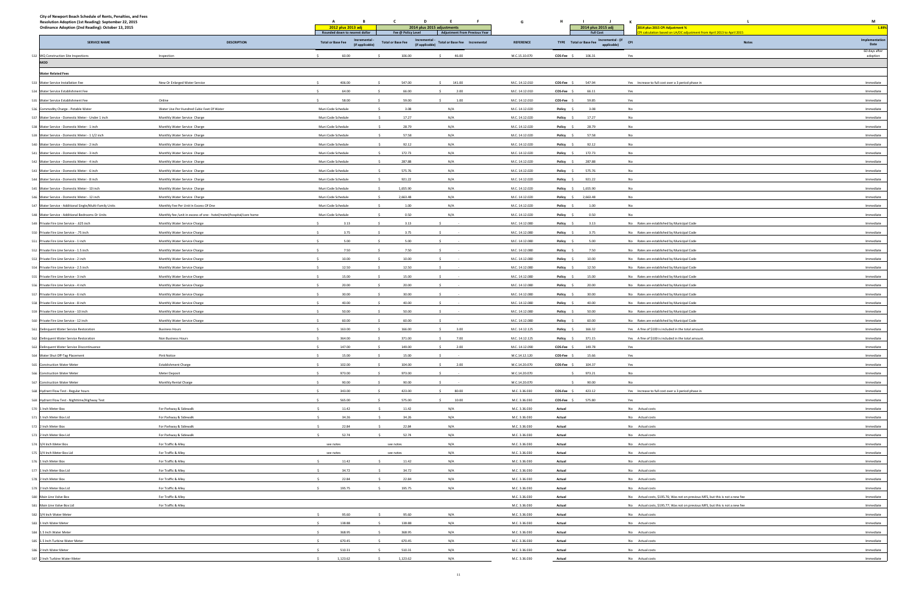| City of Newport Beach Schedule of Rents, Penalties, and Fees<br>Resolution Adoption (1st Reading): September 22, 2015<br>Ordinance Adoption (2nd Reading): October 13, 2015 |                                                                     | A<br>B<br>2012 plus 2013 adj<br>Rounded down to nearest dollar | C<br>Fee @ Policy Level  | F.<br>2014 plus 2015 adjustments<br><b>Adjustment From Previous Year</b> | G                                | H<br>2014 plus 2015 adj<br><b>Full Cost</b>  | к<br>2014 plus 2015 CPI Adjustment %<br>I calculation based on LA/OC adjustment from April 2013 to April 2015 | M<br>1.89%                |
|-----------------------------------------------------------------------------------------------------------------------------------------------------------------------------|---------------------------------------------------------------------|----------------------------------------------------------------|--------------------------|--------------------------------------------------------------------------|----------------------------------|----------------------------------------------|---------------------------------------------------------------------------------------------------------------|---------------------------|
| <b>SERVICE NAME</b>                                                                                                                                                         | <b>DESCRIPTION</b>                                                  | <b>Total or Base Fee</b><br>(if applicable)                    | <b>Total or Base Fee</b> | Incremental<br>Total or Base Fee  Incremental<br>(if applicable)         | <b>REFERENCE</b>                 | TYPE Total or Base Fee Incremental - (if CPI | <b>Notes</b>                                                                                                  | Implementation<br>Date    |
| 532 WQ Construction Site Inspections                                                                                                                                        | Inspection                                                          | 60.00<br>$\sim$                                                | 106.00                   | 46.00                                                                    | M.C.15.10.070                    | COS-Fee \$<br>106.31                         | Yes                                                                                                           | 60 days after<br>adoption |
| <b>MOD</b>                                                                                                                                                                  |                                                                     |                                                                |                          |                                                                          |                                  |                                              |                                                                                                               |                           |
| <b>Water Related Fees</b>                                                                                                                                                   |                                                                     |                                                                |                          |                                                                          |                                  |                                              |                                                                                                               |                           |
| 533 Water Service Installation Fee                                                                                                                                          | New Or Enlarged Water Service                                       | 406.00                                                         | 547.00                   | 141.00                                                                   | M.C. 14.12.010                   | 547.94<br>COS-Fee \$                         | Yes Increase to full cost over a 3 period phase in                                                            | Immediate                 |
| 534 Water Service Establishment Fee                                                                                                                                         |                                                                     | 64.00                                                          | 66.00                    | 2.00                                                                     | M.C. 14.12.010                   | COS-Fee \$<br>66.11                          | Yes                                                                                                           | Immediate                 |
| 535 Water Service Establishment Fee                                                                                                                                         | Online                                                              | 58.00                                                          | 59.00                    | 1.00                                                                     | M.C. 14.12.010                   | COS-Fee \$<br>59.85                          | Yes                                                                                                           | Immediate                 |
| 536 Commodity Charge - Potable Water                                                                                                                                        | Water Use Per Hundred Cubic Feet Of Water                           | Muni Code Schedule                                             | 3.08                     | N/A                                                                      | M.C. 14.12.020                   | 3.08<br>Policy \$                            | No                                                                                                            | Immediate                 |
| 537 Water Service - Domestic Meter - Under 1 inch                                                                                                                           | Monthly Water Service Charge                                        | Muni Code Schedule                                             | 17.27                    | N/A                                                                      | M.C. 14.12.020                   | 17.27<br>Policy \$                           | No                                                                                                            | Immediate                 |
| 538 Water Service - Domestic Meter - 1 inch                                                                                                                                 | Monthly Water Service Charge                                        | Muni Code Schedule                                             | 28.79<br>$\sim$          | N/A                                                                      | M.C. 14.12.020                   | 28.79<br>Policy \$                           | No                                                                                                            | Immediate                 |
| 539 Water Service - Domestic Meter - 1 1/2 inch                                                                                                                             | Monthly Water Service Charge                                        | Muni Code Schedule                                             | 57.58                    | N/A                                                                      | M.C. 14.12.020                   | 57.58<br>Policy \$                           | No                                                                                                            | Immediate                 |
| 540 Water Service - Domestic Meter - 2 inch                                                                                                                                 | Monthly Water Service Charge                                        | Muni Code Schedule                                             | 92.12                    | N/A                                                                      | M.C. 14.12.020                   | Policy \$<br>92.12                           | No                                                                                                            | Immediate                 |
| 541 Water Service - Domestic Meter - 3 inch                                                                                                                                 | Monthly Water Service Charge                                        | Muni Code Schedule                                             | 172.73                   | N/A                                                                      | M.C. 14.12.020                   | 172.73<br>Policy \$                          | No                                                                                                            | Immediate                 |
| 542 Water Service - Domestic Meter - 4 inch                                                                                                                                 | Monthly Water Service Charge                                        | Muni Code Schedule                                             | 287.88                   | N/A                                                                      | M.C. 14.12.020                   | 287.88<br>Policy \$                          | No                                                                                                            | Immediate                 |
| 543 Water Service - Domestic Meter - 6 inch                                                                                                                                 | Monthly Water Service Charge                                        | Muni Code Schedule                                             | 575.76                   | N/A                                                                      | M.C. 14.12.020                   | 575.76<br>Policy \$                          | <b>No</b>                                                                                                     | Immediate                 |
| 544 Water Service - Domestic Meter - 8 inch                                                                                                                                 | Monthly Water Service Charge                                        | Muni Code Schedule                                             | 921.22                   | N/A                                                                      | M.C. 14.12.020                   | 921.22<br>Policy \$                          | No                                                                                                            | Immediate                 |
| 545 Water Service - Domestic Meter - 10 inch                                                                                                                                | Monthly Water Service Charge                                        | Muni Code Schedule                                             | 1,655.90                 | N/A                                                                      | M.C. 14.12.020                   | Policy \$ 1,655.90                           | No                                                                                                            | Immediate                 |
| 546 Water Service - Domestic Meter - 12 inch                                                                                                                                | Monthly Water Service Charge                                        | Muni Code Schedule                                             | 2,663.48                 | N/A                                                                      | M.C. 14.12.020                   | Policy \$ 2,663.48                           | No                                                                                                            | Immediate                 |
| 547 Water Service - Additional Single/Multi-Family Units                                                                                                                    | Monthly Fee Per Unit In Excess Of One                               | Muni Code Schedule                                             | 1.00                     | N/A                                                                      | M.C. 14.12.020                   | Policy \$<br>1.00                            | No                                                                                                            | Immediate                 |
| 548 Water Service - Additional Bedrooms Or Units                                                                                                                            | Monthly fee /unit in excess of one - hotel/motel/hospital/care home | Muni Code Schedule                                             | 0.50                     | N/A                                                                      | M.C. 14.12.020                   | 0.50<br>Policy \$                            | No                                                                                                            | Immediate                 |
| 549 Private Fire Line Service - .625 inch                                                                                                                                   | Monthly Water Service Charge                                        | 3.13                                                           | 3.13                     |                                                                          | M.C. 14.12.080                   | 3.13<br>Policy \$                            | No Rates are established by Municipal Code                                                                    | Immediate                 |
| 550 Private Fire Line Service - .75 inch                                                                                                                                    | Monthly Water Service Charge                                        | 3.75                                                           | 3.75                     |                                                                          | M.C. 14.12.080                   | 3.75<br>Policy \$                            | No Rates are established by Municipal Code                                                                    | Immediate                 |
| 551 Private Fire Line Service - 1 inch                                                                                                                                      | Monthly Water Service Charge                                        | 5.00                                                           | 5.00                     |                                                                          | M.C. 14.12.080                   | 5.00<br>Policy \$                            | No Rates are established by Municipal Code                                                                    | Immediate                 |
| 552 Private Fire Line Service - 1.5 inch                                                                                                                                    | Monthly Water Service Charge                                        | $\sim$<br>7.50                                                 | 7.50                     |                                                                          | M.C. 14.12.080                   | Policy \$<br>7.50                            | No Rates are established by Municipal Code                                                                    | Immediate                 |
| 553 Private Fire Line Service - 2 inch                                                                                                                                      | Monthly Water Service Charge                                        | 10.00                                                          | 10.00                    |                                                                          | M.C. 14.12.080                   | Policy \$<br>10.00                           | No Rates are established by Municipal Code                                                                    | Immediate                 |
| 554 Private Fire Line Service - 2.5 inch                                                                                                                                    | Monthly Water Service Charge                                        | 12.50                                                          | 12.50                    |                                                                          | M.C. 14.12.080                   | 12.50<br>Policy \$                           | No Rates are established by Municipal Code                                                                    | Immediate                 |
| 555 Private Fire Line Service - 3 inch                                                                                                                                      | Monthly Water Service Charge                                        | 15.00<br>$\sim$                                                | 15.00                    |                                                                          | M.C. 14.12.080                   | 15.00<br>Policy \$                           | No Rates are established by Municipal Code                                                                    | Immediate                 |
| 556 Private Fire Line Service - 4 inch                                                                                                                                      | Monthly Water Service Charge                                        | 20.00                                                          | 20.00                    |                                                                          | M.C. 14.12.080                   | 20.00<br>Policy \$                           | No Rates are established by Municipal Code                                                                    | Immediate                 |
| 557 Private Fire Line Service - 6 inch                                                                                                                                      | Monthly Water Service Charge                                        | 30.00                                                          | 30.00                    |                                                                          | M.C. 14.12.080                   | 30.00<br>Policy \$                           | No Rates are established by Municipal Code                                                                    | Immediate                 |
| 558 Private Fire Line Service - 8 inch                                                                                                                                      | Monthly Water Service Charge                                        | 40.00                                                          | 40.00                    |                                                                          | M.C. 14.12.080                   | Policy \$<br>40.00                           | No Rates are established by Municipal Code                                                                    | Immediate                 |
| 559 Private Fire Line Service - 10 inch                                                                                                                                     | Monthly Water Service Charge                                        | 50.00<br>60.00                                                 | 50.00<br>60.00           |                                                                          | M.C. 14.12.080                   | Policy \$<br>50.00                           | No Rates are established by Municipal Code                                                                    | Immediate                 |
| 560 Private Fire Line Service - 12 inch<br>561<br>Delinquent Water Service Restoration                                                                                      | Monthly Water Service Charge<br><b>Business Hours</b>               | 163.00                                                         | 166.00                   | 3.00<br>-S.                                                              | M.C. 14.12.080<br>M.C. 14.12.125 | 60.00<br>Policy \$<br>166.32<br>Policy \$    | No Rates are established by Municipal Code<br>Yes A fine of \$100 is included in the total amount.            | Immediate<br>Immediate    |
| 562 Delinquent Water Service Restoration                                                                                                                                    | Non Business Hours                                                  | 364.00                                                         | 371.00                   | 7.00                                                                     | M.C. 14.12.125                   | 371.15<br>Policy \$                          | Yes A fine of \$100 is included in the total amount.                                                          | Immediate                 |
| 563 Delinquent Water Service Discontinuance                                                                                                                                 |                                                                     | 147.00<br>$\ddot{\phantom{1}}$                                 | 149.00                   | 2.00                                                                     | M.C. 14.12.090                   | COS-Fee \$<br>149.78                         | Yes                                                                                                           | Immediate                 |
| 564 Water Shut Off-Tag Placement                                                                                                                                            | Pink Notice                                                         | 15.00                                                          | 15.00                    |                                                                          | M.C.14.12.120                    | COS-Fee \$ 15.66                             | Yes                                                                                                           | Immediate                 |
| 565 Construction Water Meter                                                                                                                                                | <b>Establishment Charge</b>                                         | 102.00                                                         | 104.00                   | 2.00                                                                     | M.C.14.20.070                    | COS-Fee \$<br>104.37                         | Yes                                                                                                           | Immediate                 |
| 566 Construction Water Meter                                                                                                                                                | <b>Meter Deposit</b>                                                | 973.00<br>$\sim$                                               | 973.00                   | $\sim$<br>$\sim$                                                         | M.C.14.20.070                    | 973.21<br>$\mathsf{S}$                       | No                                                                                                            | Immediate                 |
| 567 Construction Water Meter                                                                                                                                                | Monthly Rental Charge                                               | 90.00                                                          | 90.00                    |                                                                          | M.C.14.20.070                    | 90.00<br>-S.                                 | No                                                                                                            | Immediate                 |
| 568 Hydrant Flow Test - Regular hours                                                                                                                                       |                                                                     | 343.00                                                         | 423.00                   | 80.00                                                                    | M.C. 3.36.030                    | COS-Fee \$<br>423.12                         | Yes Increase to full cost over a 3 period phase in                                                            | Immediate                 |
| 569 Hydrant Flow Test - Nighttime/Highway Test                                                                                                                              |                                                                     | 565.00                                                         | 575.00                   | 10.00                                                                    | M.C. 3.36.030                    | COS-Fee \$<br>575.80                         | Yes                                                                                                           | Immediate                 |
| 570 1 Inch Meter Box                                                                                                                                                        | For Parkway & Sidewalk                                              | 11.42                                                          | 11.42                    | N/A                                                                      | M.C. 3.36.030                    | Actual                                       | No Actual costs                                                                                               | Immediate                 |
| 571 1 Inch Meter Box Lid                                                                                                                                                    | For Parkway & Sidewalk                                              | 34.26                                                          | 34.26                    | N/A                                                                      | M.C. 3.36.030                    | Actual                                       | No Actual costs                                                                                               | Immediate                 |
| 572 2 Inch Meter Box                                                                                                                                                        | For Parkway & Sidewalk                                              | 22.84                                                          | 22.84                    | N/A                                                                      | M.C. 3.36.030                    | Actual                                       | No Actual costs                                                                                               | Immediate                 |
| 573 2 Inch Meter Box Lid                                                                                                                                                    | For Parkway & Sidewalk                                              | 52.74                                                          | 52.74                    | N/A                                                                      | M.C. 3.36.030                    | Actual                                       | No Actual costs                                                                                               | Immediate                 |
| 574 3/4 Inch Meter Box                                                                                                                                                      | For Traffic & Alley                                                 | see notes                                                      | see notes                | N/A                                                                      | M.C. 3.36.030                    | Actual                                       | No Actual costs                                                                                               | Immediate                 |
| 575 3/4 Inch Meter Box Lid                                                                                                                                                  | For Traffic & Alley                                                 | see notes                                                      | see notes                | N/A                                                                      | M.C. 3.36.030                    | Actual                                       | No Actual costs                                                                                               | Immediate                 |
| 576 1 Inch Meter Box                                                                                                                                                        | For Traffic & Alley                                                 | 11.42                                                          | 11.42                    | N/A                                                                      | M.C. 3.36.030                    | Actual                                       | No Actual costs                                                                                               | Immediate                 |
| 577 1 Inch Meter Box Lid                                                                                                                                                    | For Traffic & Alley                                                 | 34.72                                                          | 34.72                    | N/A                                                                      | M.C. 3.36.030                    | Actual                                       | No Actual costs                                                                                               | Immediate                 |
| 578 2 Inch Meter Box                                                                                                                                                        | For Traffic & Alley                                                 | 22.84                                                          | 22.84                    | N/A                                                                      | M.C. 3.36.030                    | Actual                                       | No Actual costs                                                                                               | Immediate                 |
| 579 2 Inch Meter Box Lid                                                                                                                                                    | For Traffic & Alley                                                 | 195.75                                                         | 195.75                   | N/A                                                                      | M.C. 3.36.030                    | Actual                                       | No Actual costs                                                                                               | Immediate                 |
| 580 Main Line Valve Box                                                                                                                                                     | For Traffic & Alley                                                 |                                                                |                          |                                                                          | M.C. 3.36.030                    | Actual                                       | No Actual costs, \$195.76; Was not on previous MFS, but this is not a new fee                                 | Immediate                 |
| 581 Main Line Valve Box Lid                                                                                                                                                 | For Traffic & Alley                                                 |                                                                |                          |                                                                          | M.C. 3.36.030                    | Actual                                       | No Actual costs, \$195.77; Was not on previous MFS, but this is not a new fee                                 | Immediate                 |
| 582 3/4 Inch Water Meter                                                                                                                                                    |                                                                     | 95.60                                                          | 95.60                    | N/A                                                                      | M.C. 3.36.030                    | Actual                                       | No Actual costs                                                                                               | Immediate                 |
| 583 1 Inch Water Meter                                                                                                                                                      |                                                                     | 138.88                                                         | 138.88                   | N/A                                                                      | M.C. 3.36.030                    | Actual                                       | No Actual costs                                                                                               | Immediate                 |
| 584 1.5 Inch Water Meter                                                                                                                                                    |                                                                     | 368.95                                                         | 368.95                   | N/A                                                                      | M.C. 3.36.030                    | Actual                                       | No Actual costs                                                                                               | Immediate                 |
| 585 1.5 Inch Turbine Water Meter                                                                                                                                            |                                                                     | 670.45                                                         | 670.45                   | N/A                                                                      | M.C. 3.36.030                    | Actual                                       | No Actual costs                                                                                               | Immediate                 |
| 586 2 Inch Water Meter                                                                                                                                                      |                                                                     | 510.31                                                         | 510.31                   | N/A                                                                      | M.C. 3.36.030                    | Actual                                       | No Actual costs                                                                                               | Immediate                 |
| 587 2 Inch Turbine Water Meter                                                                                                                                              |                                                                     | 1,123.62<br>$\mathsf{S}$                                       | 1,123.62                 | N/A                                                                      | M.C. 3.36.030                    | Actual                                       | No Actual costs                                                                                               | Immediate                 |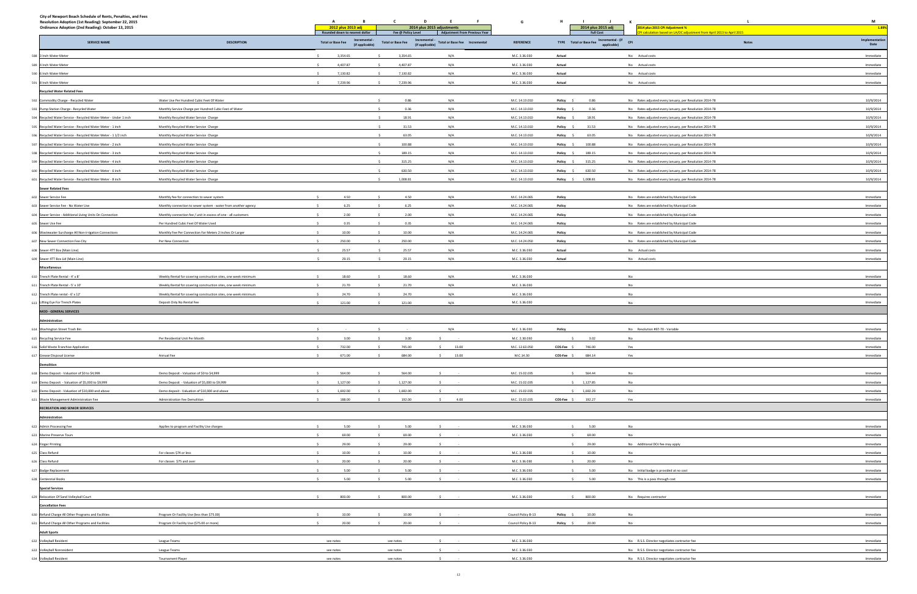| City of Newport Beach Schedule of Rents, Penalties, and Fees                                                |                                                                 |                                               |                                             |                                      |                     |                   |                                              |                                                                     |                        |  |
|-------------------------------------------------------------------------------------------------------------|-----------------------------------------------------------------|-----------------------------------------------|---------------------------------------------|--------------------------------------|---------------------|-------------------|----------------------------------------------|---------------------------------------------------------------------|------------------------|--|
| Resolution Adoption (1st Reading): September 22, 2015<br>Ordinance Adoption (2nd Reading): October 13, 2015 |                                                                 | A<br>в<br>2012 plus 2013 adj                  | D                                           | - F<br>2014 plus 2015 adjustments    | G                   |                   | 2014 plus 2015 adj                           | 014 plus 2015 CPI Adjustment %                                      | M<br>1.89%             |  |
|                                                                                                             |                                                                 | Rounded down to nearest dollar<br>Incremental | Fee @ Policy Level<br>Incremental           | <b>Adjustment From Previous Year</b> |                     |                   | <b>Full Cost</b>                             | calculation based on LA/OC adjustment from April 2013 to April 2015 | Implementation         |  |
| <b>SERVICE NAME</b>                                                                                         | <b>DESCRIPTION</b>                                              | <b>Total or Base Fee</b><br>(if applicable)   | <b>Total or Base Fee</b><br>(if applicable) | Total or Base Fee  Incremental       | <b>REFERENCE</b>    |                   | TYPE Total or Base Fee Incremental - (if CPI | <b>Notes</b>                                                        | Date                   |  |
| 588 3 Inch Water Meter                                                                                      |                                                                 | 3,354.65<br>$\sim$                            | 3,354.65                                    | N/A                                  | M.C. 3.36.030       | Actual            |                                              | No Actual costs                                                     | Immediate              |  |
| 589 4 Inch Water Meter                                                                                      |                                                                 | 4,407.87                                      | 4,407.87                                    | N/A                                  | M.C. 3.36.030       | Actual            |                                              | No Actual costs                                                     | Immediate              |  |
| 590 6 Inch Water Meter                                                                                      |                                                                 | 7,130.82                                      | 7,130.82                                    | N/A                                  | M.C. 3.36.030       | Actual            |                                              | No Actual costs                                                     | Immediate              |  |
| 591 8 Inch Water Meter                                                                                      |                                                                 | 7,239.96                                      | 7,239.96                                    | N/A                                  | M.C. 3.36.030       | Actual            |                                              | No Actual costs                                                     | Immediate              |  |
| <b>Recycled Water Related Fees</b>                                                                          |                                                                 |                                               |                                             |                                      |                     |                   |                                              |                                                                     |                        |  |
| 592 Commodity Charge - Recycled Water                                                                       | Water Use Per Hundred Cubic Feet Of Water                       |                                               | 0.86                                        | N/A                                  | M.C. 14.13.010      | Policy \$         | 0.86                                         | No Rates adjusted every January, per Resolution 2014-78             | 10/9/2014              |  |
| 593 Pump Station Charge - Recycled Water                                                                    | Monthly Service Charge per Hundred Cubic Feet of Water          |                                               | 0.36                                        | N/A                                  | M.C. 14.13.010      | Policy \$         | 0.36                                         | No Rates adjusted every January, per Resolution 2014-78             | 10/9/2014              |  |
| 594 Recycled Water Service - Recycled Water Meter - Under 1 inch                                            | Monthly Recycled Water Service Charge                           |                                               | 18.91                                       | N/A                                  | M.C. 14.13.010      | Policy \$         | 18.91                                        | No Rates adjusted every January, per Resolution 2014-78             | 10/9/2014              |  |
| 595 Recycled Water Service - Recycled Water Meter - 1 inch                                                  | Monthly Recycled Water Service Charge                           |                                               | 31.53<br>- S                                | N/A                                  | M.C. 14.13.010      | Policy \$         | 31.53                                        | No Rates adjusted every January, per Resolution 2014-78             | 10/9/2014              |  |
| 596 Recycled Water Service - Recycled Water Meter - 1 1/2 inch                                              | Monthly Recycled Water Service Charge                           |                                               | 63.05                                       | N/A                                  | M.C. 14.13.010      | Policy \$         | 63.05                                        | No Rates adjusted every January, per Resolution 2014-78             | 10/9/2014              |  |
| 597 Recycled Water Service - Recycled Water Meter - 2 inch                                                  | Monthly Recycled Water Service Charge                           |                                               | 100.88                                      | N/A                                  | M.C. 14.13.010      | Policy \$         | 100.88                                       | No Rates adjusted every January, per Resolution 2014-78             | 10/9/2014              |  |
| 598 Recycled Water Service - Recycled Water Meter - 3 inch                                                  | Monthly Recycled Water Service Charge                           |                                               | 189.15                                      | N/A                                  | M.C. 14.13.010      | Policy \$         | 189.15                                       | No Rates adjusted every January, per Resolution 2014-78             | 10/9/2014              |  |
| 599 Recycled Water Service - Recycled Water Meter - 4 inch                                                  | Monthly Recycled Water Service Charge                           |                                               | 315.25                                      | N/A                                  | M.C. 14.13.010      | Policy \$         | 315.25                                       | No Rates adjusted every January, per Resolution 2014-78             | 10/9/2014              |  |
| 600 Recycled Water Service - Recycled Water Meter - 6 inch                                                  | Monthly Recycled Water Service Charge                           |                                               | 630.50                                      | N/A                                  | M.C. 14.13.010      | Policy \$         | 630.50                                       | No Rates adjusted every January, per Resolution 2014-78             | 10/9/2014              |  |
| 601 Recycled Water Service - Recycled Water Meter - 8 inch                                                  | Monthly Recycled Water Service Charge                           |                                               | 1,008.81                                    | N/A                                  | M.C. 14.13.010      | Policy \$         | 1,008.81                                     | No Rates adjusted every January, per Resolution 2014-78             | 10/9/2014              |  |
| <b>Sewer Related Fees</b>                                                                                   |                                                                 |                                               |                                             |                                      |                     |                   |                                              |                                                                     |                        |  |
| 602 Sewer Service Fee                                                                                       | Monthly fee for connection to sewer system                      | 4.50                                          | 4.50                                        | N/A                                  | M.C. 14.24.065      | Policy            |                                              | No Rates are established by Municipal Code                          | Immediate              |  |
| 603 Sewer Service Fee - No Water Use                                                                        | Monthly connection to sewer system - water from another agency  | 6.25                                          | 6.25                                        | N/A                                  | M.C. 14.24.065      | Policy            |                                              | No Rates are established by Municipal Code                          | Immediate              |  |
| 604 Sewer Service - Additional Living Units On Connection                                                   | Monthly connection fee / unit in excess of one - all customers  | 2.00                                          | 2.00                                        | N/A                                  | M.C. 14.24.065      | Policy            |                                              | No Rates are established by Municipal Code                          | Immediate              |  |
| 605 Sewer Use Fee                                                                                           | Per Hundred Cubic Feet Of Water Used                            | 0.35                                          | 0.35                                        | N/A                                  | M.C. 14.24.065      | Policy            |                                              | No Rates are established by Municipal Code                          | Immediate              |  |
| 606 Wastewater Surcharge All Non-irrigation Connections                                                     | Monthly Fee Per Connection For Meters 2 Inches Or Larger        | 10.00                                         | 10.00                                       | N/A                                  | M.C. 14.24.065      | Policy            |                                              | No Rates are established by Municipal Code                          | Immediate              |  |
| 607 New Sewer Connection Fee-City                                                                           | Per New Connection                                              | 250.00                                        | 250.00                                      | N/A                                  | M.C. 14.24.050      | Policy            |                                              | No Rates are established by Municipal Code                          | Immediate              |  |
| 608 Sewer 4TT Box (Main Line)                                                                               |                                                                 | $\sim$<br>25.57                               | 25.57                                       | N/A                                  | M.C. 3.36.030       | Actual            |                                              | No Actual costs                                                     | Immediate              |  |
| 609 Sewer 4TT Box Lid (Main Line)                                                                           |                                                                 | 29.15                                         | 29.15                                       | N/A                                  | M.C. 3.36.030       | Actual            |                                              | No Actual costs                                                     | Immediate              |  |
| Miscellaneous                                                                                               |                                                                 |                                               |                                             |                                      |                     |                   |                                              |                                                                     |                        |  |
| 610 Trench Plate Rental - 4' x 8'                                                                           | Weekly Rental for covering construction sites, one week minimum | 18.60<br>$\ddot{\phantom{1}}$                 | 18.60                                       | N/A                                  | M.C. 3.36.030       |                   |                                              | No                                                                  | Immediate              |  |
| 611 Trench Plate Rental - 5' x 10'                                                                          | Weekly Rental for covering construction sites, one week minimum | 21.70                                         | 21.70                                       | N/A                                  | M.C. 3.36.030       |                   |                                              | No                                                                  | Immediate              |  |
| 612 Trench Plate rental - 6' x 12'                                                                          | Weekly Rental for covering construction sites, one week minimum | 24.70                                         | 24.70                                       | N/A                                  | M.C. 3.36.030       |                   |                                              | No                                                                  | Immediate              |  |
| 613 Lifting Eye For Trench Plates                                                                           | Deposit Only No Rental Fee                                      | 121.00<br>$\sim$                              | 121.00                                      | N/A                                  | M.C. 3.36.030       |                   |                                              | No                                                                  | Immediate              |  |
| <b>MOD - GENERAL SERVICES</b>                                                                               |                                                                 |                                               |                                             |                                      |                     |                   |                                              |                                                                     |                        |  |
| Administration                                                                                              |                                                                 |                                               |                                             |                                      |                     |                   |                                              |                                                                     |                        |  |
| 614 Washington Street Trash Bin                                                                             |                                                                 |                                               |                                             | N/A                                  | M.C. 3.36.030       | Policy            |                                              | No Resolution #97-70 - Variable                                     | Immediate              |  |
| 615 Recycling Service Fee                                                                                   | Per Residential Unit Per Month                                  | 3.00<br>S.                                    | 3.00                                        |                                      | M.C. 2.30.030       | $\sim$            | 3.02                                         | No                                                                  | Immediate              |  |
| 616 Solid Waste Franchise Application                                                                       |                                                                 | 732.00<br>$\sim$                              | 745.00                                      | 13.00<br>\$                          | M.C. 12.63.050      | COS-Fee \$        | 746.00                                       | Yes                                                                 | Immediate              |  |
| 617 Grease Disposal License                                                                                 | Annual Fee                                                      | 671.00                                        | 684.00                                      | \$ 13.00                             | M.C.14.30           | COS-Fee \$ 684.14 |                                              | Yes                                                                 | Immediate              |  |
| <b>Demolitior</b>                                                                                           |                                                                 |                                               |                                             |                                      |                     |                   |                                              |                                                                     |                        |  |
| 618 Demo Deposit - Valuation of \$0 to \$4,999                                                              | Demo Deposit - Valuation of \$0 to \$4,999                      | $\sim$<br>564.00                              | 564.00<br>S                                 | $\mathsf{S}$<br>$\sim$               | M.C. 15.02.035      |                   | \$ 564.44                                    | No                                                                  | Immediate              |  |
| 619 Demo Deposit - Valuation of \$5,000 to \$9,999                                                          | Demo Deposit - Valuation of \$5,000 to \$9,999                  | 1,127.00                                      | 1,127.00                                    |                                      | M.C. 15.02.035      |                   | \$1,127.85                                   | No                                                                  | Immediate              |  |
| 620 Demo Deposit - Valuation of \$10,000 and above                                                          | Demo deposit - Valuation of \$10,000 and above                  | 1,692.00                                      | 1,692.00                                    |                                      | M.C. 15.02.035      |                   | \$1,692.29                                   | No                                                                  | Immediate              |  |
| 621 Waste Management Administration Fee<br><b>RECREATION AND SENIOR SERVICES</b>                            | Administration Fee Demolition                                   | 188.00                                        | 192.00                                      | 4.00                                 | M.C. 15.02.035      | COS-Fee \$ 192.27 |                                              | Yes                                                                 | Immediate              |  |
|                                                                                                             |                                                                 |                                               |                                             |                                      |                     |                   |                                              |                                                                     |                        |  |
| Administration                                                                                              |                                                                 | 5.00                                          | 5.00                                        |                                      | M.C. 3.36.030       | $\sim$            | 5.00                                         |                                                                     |                        |  |
| 622 Admin Processing Fee                                                                                    | Applies to program and Facility Use charges                     | 69.00                                         | 69.00                                       |                                      | M.C. 3.36.030       | S                 | 69.00                                        | No<br>No                                                            | Immediate<br>Immediate |  |
| 623 Marine Preserve Tours                                                                                   |                                                                 | 29.00                                         | 29.00                                       | $\sim$                               |                     |                   | \$29.00                                      | No Additional DOJ fee may apply                                     | Immediate              |  |
| 624 Finger Printing<br>625 Class Refund                                                                     | For classes \$74 or less                                        | 10.00                                         | 10.00                                       |                                      | M.C. 3.36.030       | S                 | 10.00                                        | No                                                                  | Immediate              |  |
| 626 Class Refund                                                                                            | For classes \$75 and over                                       | 20.00                                         | 20.00                                       |                                      | M.C. 3.36.030       | S                 | 20.00                                        | No                                                                  | Immediate              |  |
| 627 Badge Replacement                                                                                       |                                                                 | $\epsilon$<br>5.00                            | 5.00                                        | $\sim$                               | M.C. 3.36.030       | $\sim$            | 5.00                                         | No Initial badge is provided at no cost                             | Immediate              |  |
| 628 Centennial Books                                                                                        |                                                                 | 5.00                                          | 5.00                                        |                                      | M.C. 3.36.030       | S                 | 5.00                                         | No This is a pass through cost                                      | Immediate              |  |
| <b>Special Services</b>                                                                                     |                                                                 |                                               |                                             |                                      |                     |                   |                                              |                                                                     |                        |  |
| 629 Relocation Of Sand Volleyball Court                                                                     |                                                                 | $\ddot{\phantom{1}}$<br>800.00                | 800.00<br>$\leq$                            | $\sim$                               | M.C. 3.36.030       |                   | \$800.00                                     | No Requires contractor                                              | Immediate              |  |
| <b>Cancellation Fees</b>                                                                                    |                                                                 |                                               |                                             |                                      |                     |                   |                                              |                                                                     |                        |  |
| 630 Refund Charge All Other Programs and Facilities                                                         | Program Or Facility Use (less than \$75.00)                     | 10.00                                         | 10.00                                       |                                      | Council Policy B-13 | Policy \$         | 10.00                                        | No                                                                  | Immediate              |  |
| 631 Refund Charge All Other Programs and Facilities                                                         | Program Or Facility Use (\$75.00 or more)                       | 20.00                                         | 20.00                                       |                                      | Council Policy B-13 | Policy \$         | 20.00                                        | No                                                                  | Immediate              |  |
| <b>Adult Sports</b>                                                                                         |                                                                 |                                               |                                             |                                      |                     |                   |                                              |                                                                     |                        |  |
| 632 Volleyball Resident                                                                                     | <b>League Teams</b>                                             | see notes                                     | see notes                                   |                                      | M.C. 3.36.030       |                   |                                              | No R.S.S. Director negotiates contractor fee                        | Immediate              |  |
| 633 Volleyball Nonresident                                                                                  | <b>League Teams</b>                                             | see notes                                     | see notes                                   |                                      | M.C. 3.36.030       |                   |                                              | No R.S.S. Director negotiates contractor fee                        | Immediate              |  |
| 634 Volleyball Resident                                                                                     | <b>Tournament Player</b>                                        | see notes                                     | see notes                                   |                                      | M.C. 3.36.030       |                   |                                              | No R.S.S. Director negotiates contractor fee                        | Immediate              |  |
|                                                                                                             |                                                                 |                                               |                                             |                                      |                     |                   |                                              |                                                                     |                        |  |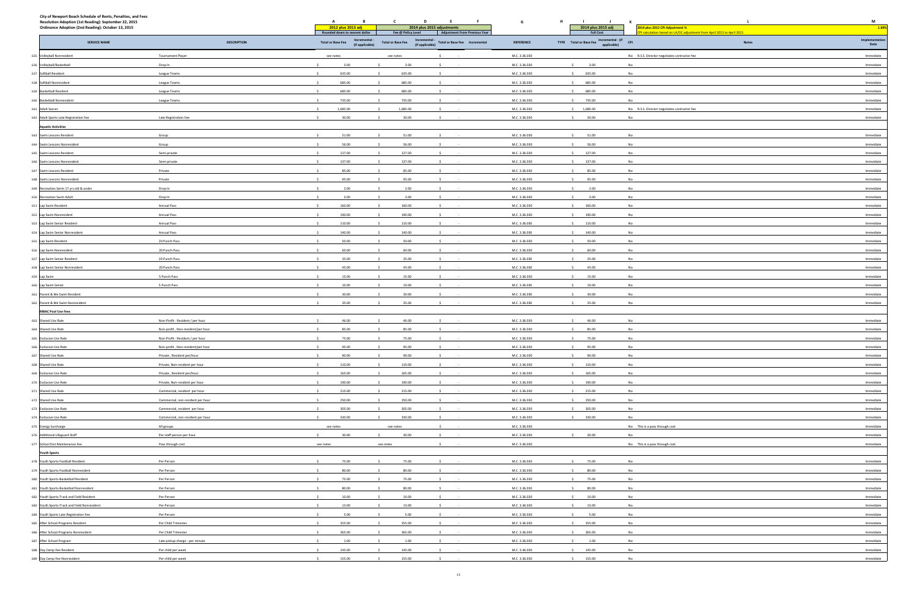| City of Newport Beach Schedule of Rents, Penalties, and Fees<br>Resolution Adoption (1st Reading): September 22, 2015<br>Ordinance Adoption (2nd Reading): October 13, 2015 |                                   | $\overline{A}$<br>B<br>2012 plus 2013 adj       | $\mathsf{C}$<br><b>D</b><br>E<br>F<br>2014 plus 2015 adjustments                           | G                              | H<br>$\blacksquare$<br>2014 plus 2015 adj    | <b>K</b><br>2014 plus 2015 CPI Adjustment %                         |                        |  |
|-----------------------------------------------------------------------------------------------------------------------------------------------------------------------------|-----------------------------------|-------------------------------------------------|--------------------------------------------------------------------------------------------|--------------------------------|----------------------------------------------|---------------------------------------------------------------------|------------------------|--|
|                                                                                                                                                                             |                                   | Rounded down to nearest dollar<br>Incremental - | <b>Adjustment From Previous Year</b><br>Fee @ Policy Level                                 |                                | <b>Full Cost</b>                             | calculation based on LA/OC adjustment from April 2013 to April 2015 | Implementation         |  |
| <b>SERVICE NAME</b>                                                                                                                                                         | <b>DESCRIPTION</b>                | <b>Total or Base Fee</b><br>(if applicable)     | Incremental - Total or Base Fee Incremental<br>(if applicable)<br><b>Total or Base Fee</b> | <b>REFERENCE</b>               | TYPE Total or Base Fee Incremental - (if CPI | <b>Notes</b>                                                        | Date                   |  |
| 635 Volleyball Nonresident                                                                                                                                                  | <b>Tournament Player</b>          | see notes                                       | see notes                                                                                  | M.C. 3.36.030                  |                                              | No R.S.S. Director negotiates contractor fee                        | Immediate              |  |
| 636 Volleyball/Basketball                                                                                                                                                   | Drop In                           | 3.00                                            | 3.00                                                                                       | M.C. 3.36.030                  | 3.00<br>$\sim$                               | No                                                                  | Immediate              |  |
| 637 Softball Resident                                                                                                                                                       | League Teams                      | 635.00                                          | 635.00                                                                                     | M.C. 3.36.030                  | 635.00<br>$\sim$                             | No                                                                  | Immediate              |  |
| 638 Softball Nonresident                                                                                                                                                    | League Teams                      | 685.00                                          | 685.00                                                                                     | M.C. 3.36.030                  | \$ 685.00                                    | No                                                                  | Immediate              |  |
| 639 Basketball Resident                                                                                                                                                     | League Teams                      | 685.00                                          | 685.00                                                                                     | M.C. 3.36.030                  | 685.00                                       | No                                                                  | Immediate              |  |
| 640 Basketball Nonresident                                                                                                                                                  | League Teams                      | 735.00                                          | 735.00                                                                                     | M.C. 3.36.030                  | 735.00                                       | No                                                                  | Immediate              |  |
| 641 Adult Soccer                                                                                                                                                            |                                   | 1,685.00                                        | 1,685.00                                                                                   | M.C. 3.36.030                  | \$1,685.00                                   | No R.S.S. Director negotiates contractor fee                        | Immediate              |  |
| 642 Adult Sports Late Registration Fee                                                                                                                                      | Late Registration Fee             | 30.00                                           | 30.00                                                                                      | M.C. 3.36.030                  | S<br>30.00                                   | No                                                                  | Immediate              |  |
| <b>Aquatic Activities</b>                                                                                                                                                   |                                   | $\ddot{\phantom{1}}$                            |                                                                                            |                                |                                              |                                                                     |                        |  |
| 643 Swim Lessons Resident                                                                                                                                                   | Group                             | 51.00<br>56.00                                  | 51.00<br>56.00                                                                             | M.C. 3.36.030<br>M.C. 3.36.030 | S<br>51.00<br>$\mathsf{S}$                   | No<br>No                                                            | Immediate<br>Immediate |  |
| 644 Swim Lessons Nonresident<br>645 Swim Lessons Resident                                                                                                                   | Group<br>Semi-private             | 127.00<br>$\sim$                                | 127.00<br>$\sim$<br>S.                                                                     | M.C. 3.36.030                  | 56.00<br>\$127.00                            | No                                                                  | Immediate              |  |
| 646 Swim Lessons Nonresident                                                                                                                                                |                                   | 137.00<br>$\ddot{\phantom{1}}$                  | 137.00<br>- S                                                                              | M.C. 3.36.030                  | \$ 137.00                                    | No                                                                  | Immediate              |  |
| 647 Swim Lessons Resident                                                                                                                                                   | Semi-private<br>Private           | 85.00                                           | 85.00                                                                                      | M.C. 3.36.030                  | 85.00<br>S                                   | No                                                                  | Immediate              |  |
| 648 Swim Lessons Nonresident                                                                                                                                                | Private                           | 95.00<br>$\ddot{\phantom{1}}$                   | 95.00                                                                                      | M.C. 3.36.030                  | \$95.00                                      | No                                                                  | Immediate              |  |
| 649 Recreation Swim 17 yrs old & under                                                                                                                                      | Drop In                           | 2.00                                            | 2.00                                                                                       | M.C. 3.36.030                  | 2.00<br>S                                    | No                                                                  | Immediate              |  |
| 650 Recreation Swim Adult                                                                                                                                                   | Drop In                           | 3.00                                            | 3.00                                                                                       | M.C. 3.36.030                  | 3.00<br>$\sim$                               | No                                                                  | Immediate              |  |
| 651 Lap Swim Resident                                                                                                                                                       | <b>Annual Pass</b>                | 160.00                                          | 160.00                                                                                     | M.C. 3.36.030                  | \$160.00                                     | No                                                                  | Immediate              |  |
| 652 Lap Swim Nonresident                                                                                                                                                    | <b>Annual Pass</b>                | 190.00                                          | 190.00                                                                                     | M.C. 3.36.030                  | 190.00<br>$\mathsf{S}$                       | No                                                                  | Immediate              |  |
| 653 Lap Swim Senior Resident                                                                                                                                                | <b>Annual Pass</b>                | 110.00                                          | 110.00                                                                                     | M.C. 3.36.030                  | 110.00<br>$\mathsf{S}$                       | No                                                                  | Immediate              |  |
| 654 Lap Swim Senior Nonresident                                                                                                                                             | <b>Annual Pass</b>                | 140.00                                          | 140.00                                                                                     | M.C. 3.36.030                  | 140.00<br>$\sim$                             | No                                                                  | Immediate              |  |
| 655 Lap Swim Resident                                                                                                                                                       | 20 Punch Pass                     | 50.00                                           | 50.00                                                                                      | M.C. 3.36.030                  | 50.00<br>$\sim$                              | No                                                                  | Immediate              |  |
| 656 Lap Swim Nonresident                                                                                                                                                    | 20 Punch Pass                     | 60.00<br>$\sim$                                 | 60.00<br>s.                                                                                | M.C. 3.36.030                  | $\sim$<br>60.00                              | No                                                                  | Immediate              |  |
| 657 Lap Swim Senior Resident                                                                                                                                                | 20 Punch Pass                     | 35.00                                           | 35.00                                                                                      | M.C. 3.36.030                  | 35.00<br>$\mathsf{S}$                        | No                                                                  | Immediate              |  |
| 658 Lap Swim Senior Nonresident                                                                                                                                             | 20 Punch Pass                     | 45.00                                           | 45.00                                                                                      | M.C. 3.36.030                  | $\mathsf{S}$<br>45.00                        | No                                                                  | Immediate              |  |
| 659 Lap Swim                                                                                                                                                                | 5 Punch Pass                      | 15.00<br>$\ddot{\phantom{1}}$                   | 15.00<br>-S.                                                                               | M.C. 3.36.030                  | $\sim$<br>15.00                              | No                                                                  | Immediate              |  |
| 660 Lap Swim Senior                                                                                                                                                         | 5 Punch Pass                      | 10.00                                           | 10.00                                                                                      | M.C. 3.36.030                  | $\mathsf{S}$<br>10.00                        | No                                                                  | Immediate              |  |
| 661 Parent & Me Swim Resident                                                                                                                                               |                                   | 30.00                                           | 30.00                                                                                      | M.C. 3.36.030                  | 30.00<br>$\mathsf{S}$                        | No                                                                  | Immediate              |  |
| 662 Parent & Me Swim Nonresident                                                                                                                                            |                                   | 35.00                                           | 35.00                                                                                      | M.C. 3.36.030                  | 35.00<br>$\mathsf{S}$                        | No                                                                  | Immediate              |  |
| <b>MBAC Pool Use Fees</b>                                                                                                                                                   |                                   |                                                 |                                                                                            |                                |                                              |                                                                     |                        |  |
| 663 Shared Use Rate                                                                                                                                                         | Non-Profit - Resident / per hour  | 46.00                                           | 46.00                                                                                      | M.C. 3.36.030                  | 46.00                                        | No                                                                  | Immediate              |  |
| 664 Shared Use Rate                                                                                                                                                         | Non-profit, Non-resident/per hour | 85.00                                           | 85.00                                                                                      | M.C. 3.36.030                  | -S.<br>85.00                                 | No                                                                  | Immediate              |  |
| 665 Exclusive Use Rate                                                                                                                                                      | Non-Profit - Resident / per hour  | 75.00                                           | 75.00                                                                                      | M.C. 3.36.030                  | $\sim$<br>75.00                              | No                                                                  | Immediate              |  |
| 666 Exclusive Use Rate                                                                                                                                                      | Non-profit, Non-resident/per hour | $\sim$<br>95.00                                 | 95.00<br>$\leq$<br>$\sim$                                                                  | M.C. 3.36.030                  | S<br>95.00                                   | No                                                                  | Immediate              |  |
| 667 Shared Use Rate                                                                                                                                                         | Private, Resident per/hour        | $\sim$<br>90.00                                 | 90.00<br>$\sim$<br>$\sim$                                                                  | M.C. 3.36.030                  | 90.00<br>S                                   | No                                                                  | Immediate              |  |
| 668 Shared Use Rate                                                                                                                                                         | Private, Non-resident per hour    | 110.00                                          | 110.00                                                                                     | M.C. 3.36.030                  | \$110.00                                     | No                                                                  | Immediate              |  |
| 669 Exclusive Use Rate                                                                                                                                                      | Private, Resident per/hour        | $\sim$<br>165.00                                | 165.00<br>$\sim$<br>S.                                                                     | M.C. 3.36.030                  | \$165.00                                     | No                                                                  | Immediate              |  |
| 670 Exclusive Use Rate                                                                                                                                                      | Private, Non-resident per hour    | 190.00                                          | 190.00<br>$\sim$<br>s.                                                                     | M.C. 3.36.030                  | \$190.00                                     | No                                                                  | Immediate              |  |
| 671 Shared Use Rate                                                                                                                                                         | Commercial, resident per hour     | 215.00<br>$\sim$                                | 215.00<br>$\sim$<br>-S.                                                                    | M.C. 3.36.030                  | \$215.00                                     | No                                                                  | Immediate              |  |
| 672 Shared Use Rate                                                                                                                                                         | Commercial, non-resident per hour | 250.00<br>$\sim$                                | 250.00<br>$\sim$<br>-S.                                                                    | M.C. 3.36.030                  | \$250.00                                     | No                                                                  | Immediate              |  |
| 673 Exclusive Use Rate                                                                                                                                                      | Commercial, resident per hour     | 305.00<br>$\sim$                                | 305.00                                                                                     | M.C. 3.36.030                  | \$305.00                                     | No                                                                  | Immediate              |  |
| 674 Exclusive Use Rate                                                                                                                                                      | Commercial, non-resident per hour | 330.00                                          | 330.00                                                                                     | M.C. 3.36.030                  | \$330.00                                     | No                                                                  | Immediate              |  |
| 675 Energy Surcharge                                                                                                                                                        | All groups                        | see notes                                       | see notes                                                                                  | M.C. 3.36.030                  |                                              | No This is a pass through cost                                      | Immediate              |  |
| 676 Additional Lifeguard Staff<br>677 School Dist Maintenance Fee                                                                                                           | Per staff person per hour         | 30.00<br>see notes                              | 30.00<br>$\ddot{\phantom{1}}$                                                              | M.C. 3.36.030<br>M.C. 3.36.030 | 30.00<br>$\sim$                              | No                                                                  | Immediate<br>Immediate |  |
|                                                                                                                                                                             | Pass through cost                 |                                                 | see notes                                                                                  |                                |                                              | No This is a pass through cost                                      |                        |  |
| <b>Youth Sports</b><br>678 Youth Sports-Football Resident                                                                                                                   | Per Person                        | 75.00                                           | 75.00<br>$\sim$                                                                            | M.C. 3.36.030                  | $5$ 75.00                                    | No                                                                  | Immediate              |  |
| 679 Youth Sports-Football Nonresident                                                                                                                                       | Per Person                        | 80.00                                           | 80.00<br>$\sim$                                                                            | M.C. 3.36.030                  | \$80.00                                      | No                                                                  | Immediate              |  |
| 680 Youth Sports-Basketball Resident                                                                                                                                        | Per Person                        | 75.00                                           | 75.00                                                                                      | M.C. 3.36.030                  | \$75.00                                      | No                                                                  | Immediate              |  |
| 681 Youth Sports-Basketball Nonresident                                                                                                                                     | Per Person                        | 80.00                                           | 80.00                                                                                      | M.C. 3.36.030                  | \$80.00                                      | No                                                                  | Immediate              |  |
| 682 Youth Sports-Track and Field Resident                                                                                                                                   | Per Person                        | 10.00<br>$\ddot{\phantom{1}}$                   | 10.00<br>$\sim$<br>$\sim$                                                                  | M.C. 3.36.030                  | \$10.00                                      | No                                                                  | Immediate              |  |
| 683 Youth Sports-Track and Field Nonresident                                                                                                                                | Per Person                        | 13.00                                           | 13.00                                                                                      | M.C. 3.36.030                  | \$ 13.00                                     | No                                                                  | Immediate              |  |
| 684 Youth Sports Late Registration Fee                                                                                                                                      | Per Person                        | 5.00                                            | 5.00                                                                                       | M.C. 3.36.030                  | 5.00<br>$\mathsf{S}$                         | No                                                                  | Immediate              |  |
| 685 After School Programs Resident                                                                                                                                          | Per Child Trimester               | 355.00                                          | 355.00                                                                                     | M.C. 3.36.030                  | \$355.00                                     | No                                                                  | Immediate              |  |
| 686 After School Programs Nonresident                                                                                                                                       | Per Child Trimester               | 365.00                                          | 365.00                                                                                     | M.C. 3.36.030                  | \$365.00                                     | No                                                                  | Immediate              |  |
| 687 After School Program                                                                                                                                                    | Late pickup charge - per minute   | 1.00                                            | 1.00                                                                                       | M.C. 3.36.030                  | $\mathsf{S}$<br>1.00                         | No                                                                  | Immediate              |  |
| 688 Day Camp Fee Resident                                                                                                                                                   | Per child per week                | 145.00                                          | 145.00                                                                                     | M.C. 3.36.030                  | \$ 145.00                                    | No                                                                  | Immediate              |  |
| 689 Day Camp Fee Nonresident                                                                                                                                                | Per child per week                | 155.00<br>$\sim$                                | 155.00                                                                                     | M.C. 3.36.030                  | \$ 155.00                                    | No                                                                  | Immediate              |  |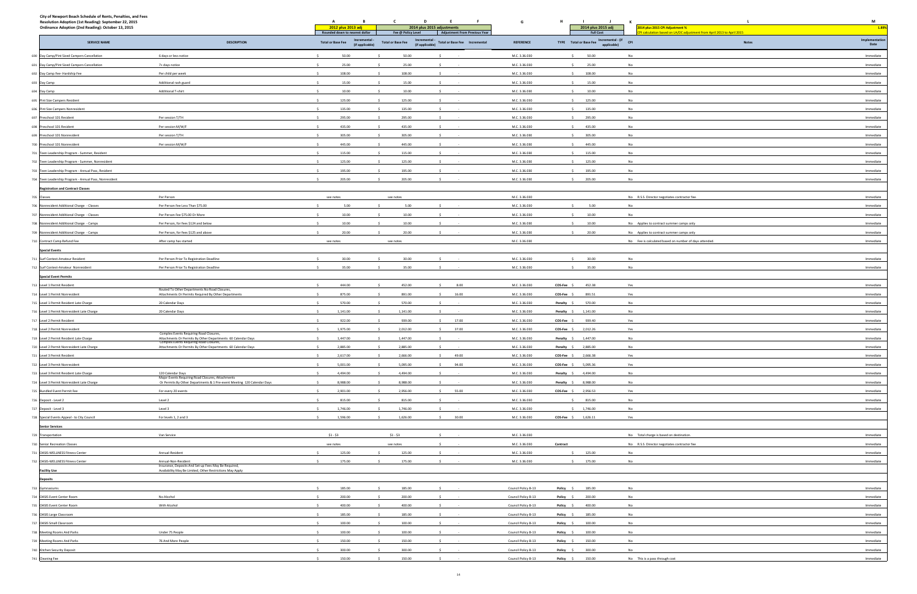| City of Newport Beach Schedule of Rents, Penalties, and Fees<br>Resolution Adoption (1st Reading): September 22, 2015<br>Ordinance Adoption (2nd Reading): October 13, 2015 |                                                                                                         | A<br>2012 plus 2013 adj<br>Rounded down to nearest dollar    | $\mathbf{c}$<br>$\mathbf{D}$<br>E.<br>2014 plus 2015 adjustments<br>Fee @ Policy Level        | F<br>G<br><b>Adjustment From Previous Year</b> | - 11<br>2014 plus 2015 adj<br><b>Full Cost</b> | K<br>2014 plus 2015 CPI Adjustment %<br>calculation based on LA/OC adjustment from April 2013 to April 2015 | M<br>1.89%             |
|-----------------------------------------------------------------------------------------------------------------------------------------------------------------------------|---------------------------------------------------------------------------------------------------------|--------------------------------------------------------------|-----------------------------------------------------------------------------------------------|------------------------------------------------|------------------------------------------------|-------------------------------------------------------------------------------------------------------------|------------------------|
| <b>SERVICE NAME</b>                                                                                                                                                         | <b>DESCRIPTION</b>                                                                                      | Incremental -<br><b>Total or Base Fee</b><br>(if applicable) | Incremental -<br><b>Total or Base Fee</b><br>Total or Base Fee Incremental<br>(if applicable) | <b>REFERENCE</b>                               | TYPE Total or Base Fee Incremental - (if CPI   | <b>Notes</b>                                                                                                | Implementation<br>Date |
| 690 Day Camp/Pint Sized Campers Cancellation                                                                                                                                | 6 days or less notice                                                                                   | $\sim$<br>50.00                                              | 50.00<br>$\sim$                                                                               | M.C. 3.36.030                                  | $\sim$<br>50.00                                | No                                                                                                          | Immediate              |
| 691 Day Camp/Pint Sized Campers Cancellation                                                                                                                                | 7+ days notice                                                                                          | 25.00                                                        | 25.00                                                                                         | M.C. 3.36.030                                  | 25.00<br>-S.                                   | No                                                                                                          | Immediate              |
| 692 Day Camp Fee- Hardship Fee                                                                                                                                              | Per child per week                                                                                      | 108.00                                                       | 108.00                                                                                        | M.C. 3.36.030                                  | 108.00<br>$\sim$                               | No                                                                                                          | Immediate              |
| 693 Day Camp                                                                                                                                                                | Additional rash guard                                                                                   | 15.00                                                        | 15.00                                                                                         | M.C. 3.36.030                                  | 15.00<br>-S.                                   | No                                                                                                          | Immediate              |
| 694 Day Camp                                                                                                                                                                | <b>Additional T-shirt</b>                                                                               | 10.00                                                        | 10.00                                                                                         | M.C. 3.36.030                                  | -S.<br>10.00                                   | No                                                                                                          | Immediate              |
| 695 Pint Size Campers Resident                                                                                                                                              |                                                                                                         | 125.00                                                       | 125.00                                                                                        | M.C. 3.36.030                                  | \$125.00                                       | No                                                                                                          | Immediate              |
| 696 Pint Size Campers Nonresident                                                                                                                                           |                                                                                                         | 135.00                                                       | 135.00                                                                                        | M.C. 3.36.030                                  | \$135.00                                       | No                                                                                                          | Immediate              |
| 697 Preschool 101 Resident                                                                                                                                                  | Per session T/TH                                                                                        | 295.00                                                       | 295.00                                                                                        | M.C. 3.36.030                                  | \$295.00                                       | No                                                                                                          | Immediate              |
| 698 Preschool 101 Resident                                                                                                                                                  | Per session M/W/F                                                                                       | 435.00                                                       | 435.00                                                                                        | M.C. 3.36.030                                  | \$ 435.00                                      | No                                                                                                          | Immediate              |
| 699 Preschool 101 Nonresident                                                                                                                                               | Per session T/TH                                                                                        | 305.00                                                       | 305.00                                                                                        | M.C. 3.36.030                                  | 305.00                                         | No                                                                                                          | Immediate              |
| 700 Preschool 101 Nonresident                                                                                                                                               | Per session M/W/F                                                                                       | 445.00                                                       | 445.00                                                                                        | M.C. 3.36.030                                  | 445.00                                         | No                                                                                                          | Immediate              |
| 701 Teen Leadership Program - Summer, Resident                                                                                                                              |                                                                                                         | 115.00<br>$\epsilon$                                         | 115.00                                                                                        | M.C. 3.36.030                                  | $\mathsf{S}$<br>115.00                         | No                                                                                                          | Immediate              |
| 702 Teen Leadership Program - Summer, Nonresident                                                                                                                           |                                                                                                         | 125.00                                                       | 125.00                                                                                        | M.C. 3.36.030                                  | 125.00                                         | No                                                                                                          | Immediate              |
| 703 Teen Leadership Program - Annual Pass, Resident                                                                                                                         |                                                                                                         | 195.00                                                       | 195.00                                                                                        | M.C. 3.36.030                                  | S<br>195.00                                    | No                                                                                                          | Immediate              |
| 704 Teen Leadership Program - Annual Pass, Nonresident                                                                                                                      |                                                                                                         | 205.00                                                       | 205.00                                                                                        | M.C. 3.36.030                                  | \$205.00                                       | No                                                                                                          | Immediate              |
| <b>Registration and Contract Classes</b>                                                                                                                                    |                                                                                                         |                                                              |                                                                                               |                                                |                                                |                                                                                                             |                        |
| 705 Classes                                                                                                                                                                 | Per Person                                                                                              | see notes                                                    | see notes                                                                                     | M.C. 3.36.030                                  |                                                | No R.S.S. Director negotiates contractor fee.                                                               | Immediate              |
| 706 Nonresident Additional Charge - Classes                                                                                                                                 | Per Person Fee Less Than \$75.00                                                                        | 5.00                                                         | 5.00                                                                                          | M.C. 3.36.030                                  | 5.00<br>$\sim$                                 | No                                                                                                          | Immediate              |
| 707 Nonresident Additional Charge - Classes<br>708 Nonresident Additional Charge - Camps                                                                                    | Per Person Fee \$75.00 Or More<br>Per Person, for fees \$124 and below                                  | 10.00<br>10.00                                               | 10.00<br>10.00                                                                                | M.C. 3.36.030<br>M.C. 3.36.030                 | $\sim$<br>10.00<br>$\sim$                      | No                                                                                                          | Immediate<br>Immediate |
| 709 Nonresident Additional Charge - Camps                                                                                                                                   | Per Person, for fees \$125 and above                                                                    | $\sim$<br>20.00                                              | 20.00                                                                                         | M.C. 3.36.030                                  | 10.00<br>20.00<br>$\sim$                       | No Applies to contract summer camps only                                                                    | Immediate              |
| 710 Contract Camp Refund Fee                                                                                                                                                | After camp has started                                                                                  | see notes                                                    | see notes                                                                                     | M.C. 3.36.030                                  |                                                | No Applies to contract summer camps only<br>No Fee is calculated based on number of days attended.          | Immediate              |
| <b>Special Events</b>                                                                                                                                                       |                                                                                                         |                                                              |                                                                                               |                                                |                                                |                                                                                                             |                        |
| 711 Surf Contest-Amateur Resident                                                                                                                                           | Per Person Prior To Registration Deadline                                                               | 30.00                                                        | 30.00                                                                                         | M.C. 3.36.030                                  | $\sim$ S<br>30.00                              | No                                                                                                          | Immediate              |
| 712 Surf Contest-Amateur Nonresident                                                                                                                                        | Per Person Prior To Registration Deadline                                                               | 35.00                                                        | 35.00                                                                                         | M.C. 3.36.030                                  | 35.00<br>$\sim$                                | No                                                                                                          | Immediate              |
| <b>Special Event Permits</b>                                                                                                                                                |                                                                                                         |                                                              |                                                                                               |                                                |                                                |                                                                                                             |                        |
| 713 Level 1 Permit Resident                                                                                                                                                 |                                                                                                         | 444.00                                                       | 452.00<br>8.00                                                                                | M.C. 3.36.030                                  | 452.38<br>COS-Fee \$                           | Yes                                                                                                         | Immediate              |
| 714 Level 1 Permit Nonresident                                                                                                                                              | Routed To Other Departments No Road Closures,<br>Attachments Or Permits Required By Other Departments   | 875.00                                                       | 891.00<br>16.00                                                                               | M.C. 3.36.030                                  | 891.51<br>$COS-Fee$ \$                         | Yes                                                                                                         | Immediate              |
| 715 Level 1 Permit Resident Late Charge                                                                                                                                     | 20 Calendar Days                                                                                        | 570.00                                                       | 570.00                                                                                        | M.C. 3.36.030                                  | Penalty \$ 570.00                              | No                                                                                                          | Immediate              |
| 716 Level 1 Permit Nonresident Late Charge                                                                                                                                  | 20 Calendar Days                                                                                        | 1,141.00                                                     | 1,141.00                                                                                      | M.C. 3.36.030                                  | Penalty \$ 1,141.00                            | No                                                                                                          | Immediate              |
| 717 Level 2 Permit Resident                                                                                                                                                 |                                                                                                         | 922.00                                                       | 939.00<br>17.00                                                                               | M.C. 3.36.030                                  | COS-Fee \$<br>939.40                           | Yes                                                                                                         | Immediate              |
| 718 Level 2 Permit Nonresident                                                                                                                                              |                                                                                                         | 1,975.00                                                     | 2,012.00<br>37.00<br>-S.                                                                      | M.C. 3.36.030                                  | COS-Fee \$ 2,012.26                            | Yes                                                                                                         | Immediate              |
| 719 Level 2 Permit Resident Late Charge                                                                                                                                     | Complex Events Requiring Road Closures,<br>Attachments Or Permits By Other Departments 60 Calendar Days | 1,447.00                                                     | 1,447.00                                                                                      | M.C. 3.36.030                                  | Penalty \$ 1,447.00                            | No                                                                                                          | Immediate              |
| 720 Level 2 Permit Nonresident Late Charge                                                                                                                                  | Complex Events Requiring Road Closures,<br>Attachments Or Permits By Other Departments 60 Calendar Days | 2,885.00<br>$\sim$                                           | 2,885.00<br>s.                                                                                | M.C. 3.36.030                                  | Penalty \$ 2,885.00                            | No                                                                                                          | Immediate              |
| 721 Level 3 Permit Resident                                                                                                                                                 |                                                                                                         | 2,617.00                                                     | 2,666.00<br>49.00                                                                             | M.C. 3.36.030                                  | COS-Fee \$ 2,666.38                            | Yes                                                                                                         | Immediate              |
| 722 Level 3 Permit Nonresident                                                                                                                                              |                                                                                                         | 5,001.00                                                     | 5,095.00<br>94.00                                                                             | M.C. 3.36.030                                  | COS-Fee \$ 5,095.36                            | Yes                                                                                                         | Immediate              |
| 723 Level 3 Permit Resident Late Charge                                                                                                                                     | 120 Calendar Days<br>Major Events Requiring Road Closures, Attachments                                  | $\sim$<br>4,494.00                                           | $\sim$<br>4,494.00<br>$\mathsf{S}$<br>$\sim$                                                  | M.C. 3.36.030                                  | Penalty \$ 4,494.00                            | No                                                                                                          | Immediate              |
| 724 Level 3 Permit Nonresident Late Charge                                                                                                                                  | Or Permits By Other Departments & 1 Pre-event Meeting 120 Calendar Days                                 | 8,988.00                                                     | 8,988.00<br>$\ddot{\phantom{1}}$                                                              | M.C. 3.36.030                                  | Penalty \$ 8,988.00                            | No                                                                                                          | Immediate              |
| 725 Bundled Event Permit Fee                                                                                                                                                | For every 20 events                                                                                     | 2,901.00                                                     | 2,956.00<br>55.00<br>$\sim$                                                                   | M.C. 3.36.030                                  | COS-Fee \$ 2,956.53                            | Yes                                                                                                         | Immediate              |
| 726 Deposit - Level 2                                                                                                                                                       | Level 2                                                                                                 | 815.00                                                       | 815.00<br>$\sim$                                                                              | M.C. 3.36.030                                  | 815.00<br>$\sim$                               | No                                                                                                          | Immediate              |
| 727 Deposit - Level 3                                                                                                                                                       | Level 3                                                                                                 | 1,746.00                                                     | 1,746.00                                                                                      | M.C. 3.36.030                                  | $5 - 1,746.00$                                 | No                                                                                                          | Immediate              |
| 728 Special Events Appeal - to City Council                                                                                                                                 | For levels 1, 2 and 3                                                                                   | 1,596.00                                                     | 1,626.00<br>\$30.00                                                                           | M.C. 3.36.030                                  | COS-Fee \$ 1,626.11                            | Yes                                                                                                         |                        |
| <b>Senior Services</b>                                                                                                                                                      |                                                                                                         |                                                              |                                                                                               |                                                |                                                |                                                                                                             |                        |
| 729 Transportation                                                                                                                                                          | Van Service                                                                                             | $$1 - $3$                                                    | $$1 - $3$                                                                                     | M.C. 3.36.030                                  |                                                | No Total charge is based on destination.                                                                    | Immediate              |
| 730 Senior Recreation Classes                                                                                                                                               |                                                                                                         | see notes                                                    | see notes<br>$\sim$                                                                           | M.C. 3.36.030                                  | Contract                                       | No R.S.S. Director negotiates contractor fee                                                                | Immediate              |
| 731 OASIS-WELLNESS Fitness Center                                                                                                                                           | Annual-Resident                                                                                         | 125.00                                                       | 125.00                                                                                        | M.C. 3.36.030                                  | \$125.00                                       | No                                                                                                          | Immediate              |
| 732 OASIS-WELLNESS Fitness Center                                                                                                                                           | Annual-Non-Resident<br>Insurance, Deposits And Set-up Fees May Be Required,                             | 175.00                                                       | 175.00                                                                                        | M.C. 3.36.030                                  | S<br>175.00                                    | No                                                                                                          | Immediate              |
| <b>Facility Use</b>                                                                                                                                                         | Availability May Be Limited, Other Restrictions May Apply                                               |                                                              |                                                                                               |                                                |                                                |                                                                                                             |                        |
| <b>Deposits</b>                                                                                                                                                             |                                                                                                         |                                                              | 185.00                                                                                        |                                                |                                                | No                                                                                                          |                        |
| 733 Gymnasiums<br>734 OASIS Event Center Room                                                                                                                               | No Alcohol                                                                                              | 185.00<br>200.00                                             | 200.00                                                                                        | Council Policy B-13<br>Council Policy B-13     | 185.00<br>Policy \$<br>200.00<br>Policy \$     | No                                                                                                          | Immediate<br>Immediate |
|                                                                                                                                                                             | With Alcohol                                                                                            |                                                              | 400.00                                                                                        |                                                |                                                | No                                                                                                          |                        |
| 735 OASIS Event Center Room<br>736 OASIS Large Classroom                                                                                                                    |                                                                                                         | 400.00<br>185.00                                             | 185.00                                                                                        | Council Policy B-13<br>Council Policy B-13     | 400.00<br>Policy \$<br>185.00<br>Policy \$     | No                                                                                                          | Immediate<br>Immediate |
| 737 OASIS Small Classroom                                                                                                                                                   |                                                                                                         | 100.00                                                       | 100.00                                                                                        |                                                | 100.00                                         | No                                                                                                          | Immediate              |
| 738 Meeting Rooms And Parks                                                                                                                                                 | Under 75 People                                                                                         | 100.00                                                       | 100.00                                                                                        | Council Policy B-13<br>Council Policy B-13     | Policy \$<br>Policy \$<br>100.00               | No                                                                                                          | Immediate              |
| 739 Meeting Rooms And Parks                                                                                                                                                 | 76 And More People                                                                                      | 150.00                                                       | 150.00                                                                                        | Council Policy B-13                            | Policy \$<br>150.00                            | No                                                                                                          | Immediate              |
| 740 Kitchen Security Deposit                                                                                                                                                |                                                                                                         | 300.00                                                       | 300.00                                                                                        | Council Policy B-13                            | Policy \$<br>300.00                            | No                                                                                                          | Immediate              |
| 741 Cleaning Fee                                                                                                                                                            |                                                                                                         | 150.00<br>$\sim$                                             | 150.00                                                                                        | Council Policy B-13                            | Policy \$ 150.00                               | No This is a pass through cost                                                                              | Immediate              |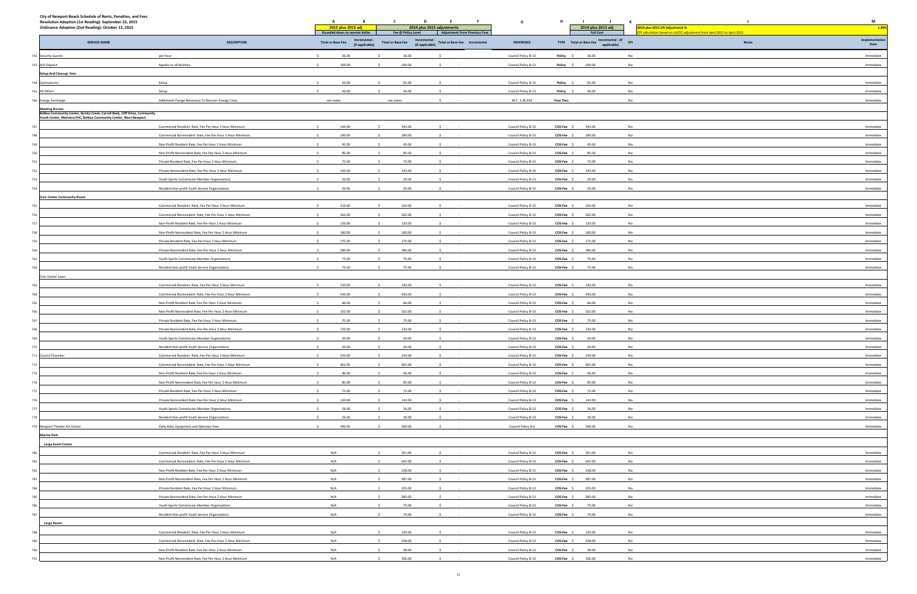| ⋍<br>n based on LA/OC adjustment from April 2013 to April 2015 | $\cdots$       |
|----------------------------------------------------------------|----------------|
| <b>Notes</b>                                                   | Implementation |
|                                                                | Date           |
|                                                                | Immediate      |
|                                                                | Immediate      |
|                                                                |                |
|                                                                | Immediate      |
|                                                                | Immediate      |
|                                                                |                |
|                                                                | Immediate      |
|                                                                |                |
|                                                                |                |
|                                                                | Immediate      |
|                                                                | Immediate      |
|                                                                | Immediate      |
|                                                                | Immediate      |
|                                                                | Immediate      |
|                                                                | Immediate      |
|                                                                |                |
|                                                                | Immediate      |
|                                                                | Immediate      |
|                                                                |                |
|                                                                | Immediate      |
|                                                                | Immediate      |
|                                                                | Immediate      |
|                                                                | Immediate      |
|                                                                | Immediate      |
|                                                                | Immediate      |
|                                                                |                |
|                                                                | Immediate      |
|                                                                | Immediate      |
|                                                                |                |
|                                                                | Immediate      |
|                                                                | Immediate      |
|                                                                | Immediate      |
|                                                                | Immediate      |
|                                                                | Immediate      |
|                                                                | Immediate      |
|                                                                | Immediate      |
|                                                                |                |
|                                                                | Immediate      |
|                                                                | Immediate      |
|                                                                | Immediate      |
|                                                                | Immediate      |
|                                                                | Immediate      |
|                                                                | Immediate      |
|                                                                | Immediate      |
|                                                                | Immediate      |
|                                                                | Immediate      |
|                                                                |                |
|                                                                | Immediate      |
|                                                                |                |
|                                                                |                |
|                                                                | Immediate      |
|                                                                | Immediate      |
|                                                                | Immediate      |
|                                                                | Immediate      |
|                                                                | Immediate      |
|                                                                | Immediate      |
|                                                                | Immediate      |
|                                                                |                |
|                                                                | Immediate      |
|                                                                |                |
|                                                                | Immediate      |
|                                                                | Immediate      |
|                                                                | Immediate      |
|                                                                |                |

| City of Newport Beach Schedule of Rents, Penalties, and Fees<br>Resolution Adoption (1st Reading): September 22, 2015<br>Ordinance Adoption (2nd Reading): October 13, 2015 |                                                                                                                   | A<br>B<br>2012 plus 2013 adj<br>Rounded down to nearest dollar | C<br>D<br>E<br>$-$ F<br>2014 plus 2015 adjustments<br>Fee @ Policy Level<br>Adjustment From Previous Year | G                                          | н.<br>- 11<br>2014 plus 2015 adj<br><b>Full Cost</b>       | K<br>014 plus 2015 CPI Adjustment %<br>calculation based on LA/OC adjustment from April 2013 to April 2015 | M<br>1.89%             |
|-----------------------------------------------------------------------------------------------------------------------------------------------------------------------------|-------------------------------------------------------------------------------------------------------------------|----------------------------------------------------------------|-----------------------------------------------------------------------------------------------------------|--------------------------------------------|------------------------------------------------------------|------------------------------------------------------------------------------------------------------------|------------------------|
| <b>SERVICE NAME</b>                                                                                                                                                         | <b>DESCRIPTION</b>                                                                                                | Incremental<br><b>Total or Base Fee</b><br>(if applicable)     | Incremental<br>Total or Base Fee  Incremental<br><b>Total or Base Fee</b><br>(if applicable)              | <b>REFERENCE</b>                           | Incremental - (if<br>TYPE Total or Base Fee<br>applicable) | <b>CPI</b><br>$\operatorname{\sf Notes}$                                                                   | Implementation<br>Date |
| 742 Security Guards                                                                                                                                                         | per hour                                                                                                          | 36.00<br>$\sim$                                                | 36.00                                                                                                     | Council Policy B-13                        | Policy \$<br>36.00                                         | No                                                                                                         | Immediate              |
| 743 A/V Deposit                                                                                                                                                             | Applies to all facilities                                                                                         | 100.00                                                         | 100.00                                                                                                    | Council Policy B-13                        | 100.00<br>Policy \$                                        | No                                                                                                         | Immediate              |
| <b>Setup And Cleanup Fees</b>                                                                                                                                               |                                                                                                                   |                                                                |                                                                                                           |                                            |                                                            |                                                                                                            |                        |
| 744 Gymnasiums                                                                                                                                                              | Setup                                                                                                             | 65.00                                                          | 65.00                                                                                                     | Council Policy B-13                        | Policy \$<br>65.00                                         | No                                                                                                         | Immediate              |
| 745 All Others                                                                                                                                                              | Setup                                                                                                             | 40.00                                                          | 40.00                                                                                                     | Council Policy B-13                        | Policy \$<br>40.00                                         | No                                                                                                         | Immediate              |
| 746 Energy Surcharge                                                                                                                                                        | Additional Charge Necessary To Recover Energy Costs                                                               | see notes                                                      | see notes                                                                                                 | M.C. 3.36.030                              | Pass Thru                                                  | No                                                                                                         | Immediate              |
| Meeting Rooms<br>Balboa Community Center, Bonita Creek, Carroll Beek, Cliff Drive, Community                                                                                |                                                                                                                   |                                                                |                                                                                                           |                                            |                                                            |                                                                                                            |                        |
| Youth Center, Mariners/VJC, Balboa Community Center, West Newport                                                                                                           |                                                                                                                   |                                                                |                                                                                                           |                                            |                                                            |                                                                                                            |                        |
|                                                                                                                                                                             | Commercial Resident Rate, Fee Per Hour 2 Hour Minimum                                                             | 144.00<br>$\sim$                                               | 144.00<br>$\sim$                                                                                          | Council Policy B-13                        | COS-Fee \$<br>144.00                                       | No                                                                                                         | Immediate              |
| 748                                                                                                                                                                         | Commercial Nonresident Rate, Fee Per Hour 2 Hour Minimum                                                          | 290.00                                                         | 290.00                                                                                                    | Council Policy B-13                        | COS-Fee \$<br>290.00                                       | No                                                                                                         | Immediate              |
| 749                                                                                                                                                                         | Non-Profit Resident Rate, Fee Per Hour 2 Hour Minimum                                                             | 45.00                                                          | 45.00                                                                                                     | Council Policy B-13                        | COS-Fee \$<br>45.00                                        | No                                                                                                         | Immediate              |
| 750                                                                                                                                                                         | Non-Profit Nonresident Rate, Fee Per Hour 2 Hour Minimum                                                          | $\sim$<br>85.00                                                | 85.00<br>$\sim$<br>S.                                                                                     | Council Policy B-13                        | 85.00<br>COS-Fee \$                                        | No                                                                                                         | Immediate              |
| 751                                                                                                                                                                         | Private Resident Rate, Fee Per Hour 2 Hour Minimum                                                                | $\sim$<br>72.00                                                | 72.00                                                                                                     | Council Policy B-13                        | COS-Fee \$<br>72.00                                        | No                                                                                                         | Immediate              |
| 752                                                                                                                                                                         | Private Nonresident Rate, Fee Per Hour 2 Hour Minimum                                                             | 143.00                                                         | 143.00                                                                                                    | Council Policy B-13                        | COS-Fee \$<br>143.00                                       | No                                                                                                         | Immediate              |
|                                                                                                                                                                             | Youth Sports Commission Member Organizations                                                                      | 20.00                                                          | 20.00                                                                                                     | Council Policy B-13                        | 20.00<br>COS-Fee \$                                        | No                                                                                                         | Immediate              |
|                                                                                                                                                                             | Resident Non profit Youth Service Organizations                                                                   | 20.00                                                          | 20.00                                                                                                     | Council Policy B-13                        | COS-Fee \$<br>20.00                                        | No                                                                                                         | Immediate              |
| <b>Civic Center Community Room</b>                                                                                                                                          |                                                                                                                   |                                                                |                                                                                                           |                                            |                                                            |                                                                                                            |                        |
|                                                                                                                                                                             | Commercial Resident Rate, Fee Per Hour 2 Hour Minimum                                                             | 310.00                                                         | 310.00<br>562.00                                                                                          | Council Policy B-13                        | COS-Fee \$<br>310.00                                       | No                                                                                                         | Immediate              |
|                                                                                                                                                                             | Commercial Nonresident Rate, Fee Per Hour 2 Hour Minimun<br>Non-Profit Resident Rate, Fee Per Hour 2 Hour Minimum | 562.00<br>120.00                                               | 120.00                                                                                                    | Council Policy B-13                        | 562.00<br>COS-Fee \$<br>120.00<br>COS-Fee \$               | No<br>No                                                                                                   | Immediate<br>Immediate |
|                                                                                                                                                                             | Non-Profit Nonresident Rate, Fee Per Hour 2 Hour Minimum                                                          | 180.00                                                         | 180.00                                                                                                    | Council Policy B-13<br>Council Policy B-13 | 180.00<br>COS-Fee \$                                       | No                                                                                                         | Immediate              |
|                                                                                                                                                                             | Private Resident Rate, Fee Per Hour 2 Hour Minimum                                                                | 175.00                                                         | 175.00                                                                                                    | Council Policy B-13                        | 175.00<br>COS-Fee \$                                       | No                                                                                                         | Immediate              |
|                                                                                                                                                                             | Private Nonresident Rate, Fee Per Hour 2 Hour Minimum                                                             | 280.00<br>$\sim$                                               | 280.00                                                                                                    | Council Policy B-13                        | COS-Fee \$<br>280.00                                       | No                                                                                                         | Immediate              |
|                                                                                                                                                                             | Youth Sports Commission Member Organizations                                                                      | 75.00                                                          | 75.00                                                                                                     | Council Policy B-13                        | COS-Fee \$<br>75.00                                        | No                                                                                                         | Immediate              |
|                                                                                                                                                                             | Resident Non profit Youth Service Organizations                                                                   | 75.00                                                          | 75.00                                                                                                     | Council Policy B-13                        | COS-Fee \$<br>75.00                                        | No                                                                                                         | Immediate              |
| Civic Center Lawn                                                                                                                                                           |                                                                                                                   |                                                                |                                                                                                           |                                            |                                                            |                                                                                                            |                        |
|                                                                                                                                                                             | Commercial Resident Rate, Fee Per Hour 2 Hour Minimum                                                             | 230.00                                                         | 230.00                                                                                                    | Council Policy B-13                        | COS-Fee \$<br>230.00                                       | No                                                                                                         | Immediate              |
|                                                                                                                                                                             | Commercial Nonresident Rate, Fee Per Hour 2 Hour Minimum                                                          | 430.00                                                         | 430.00                                                                                                    | Council Policy B-13                        | $COS-Fee$ \$<br>430.00                                     | No                                                                                                         | Immediate              |
|                                                                                                                                                                             | Non-Profit Resident Rate, Fee Per Hour 2 Hour Minimum                                                             | 66.00                                                          | 66.00                                                                                                     | Council Policy B-13                        | 66.00<br>COS-Fee \$                                        | No                                                                                                         | Immediate              |
|                                                                                                                                                                             | Non-Profit Nonresident Rate, Fee Per Hour 2 Hour Minimum                                                          | 102.00                                                         | 102.00                                                                                                    | Council Policy B-13                        | COS-Fee \$<br>102.00                                       | No                                                                                                         | Immediate              |
| 767                                                                                                                                                                         | Private Resident Rate, Fee Per Hour 2 Hour Minimum                                                                | 75.00                                                          | 75.00                                                                                                     | Council Policy B-13                        | COS-Fee \$<br>75.00                                        | No                                                                                                         | Immediate              |
|                                                                                                                                                                             | Private Nonresident Rate, Fee Per Hour 2 Hour Minimum                                                             | 120.00                                                         | 120.00                                                                                                    | Council Policy B-13                        | 120.00<br>COS-Fee \$                                       | No                                                                                                         | Immediate              |
|                                                                                                                                                                             | Youth Sports Commission Member Organizations                                                                      | 50.00                                                          | 50.00                                                                                                     | Council Policy B-13                        | COS-Fee \$<br>50.00                                        | No                                                                                                         | Immediate              |
|                                                                                                                                                                             | Resident Non profit Youth Service Organizations                                                                   | 50.00<br>$\sim$                                                | 50.00                                                                                                     | Council Policy B-13                        | COS-Fee \$<br>50.00                                        |                                                                                                            | Immediate              |
| 771 Council Chamber                                                                                                                                                         | Commercial Resident Rate, Fee Per Hour 2 Hour Minimum                                                             | 234.00                                                         | 234.00                                                                                                    | Council Policy B-13                        | COS-Fee \$<br>234.00                                       | No                                                                                                         | Immediate              |
| 772                                                                                                                                                                         | Commercial Nonresident Rate, Fee Per Hour 2 Hour Minimum                                                          | 462.00                                                         | 462.00                                                                                                    | Council Policy B-13                        | COS-Fee \$<br>462.00                                       | No                                                                                                         | Immediate              |
| 773                                                                                                                                                                         | Non-Profit Resident Rate, Fee Per Hour 2 Hour Minimum                                                             | 46.00<br>$\sim$                                                | 46.00<br>$\sim$<br>S.                                                                                     | Council Policy B-13                        | COS-Fee \$<br>46.00                                        | No                                                                                                         | Immediate              |
| 774                                                                                                                                                                         | Non-Profit Nonresident Rate, Fee Per Hour 2 Hour Minimum                                                          | 85.00                                                          | 85.00                                                                                                     | Council Policy B-13                        | COS-Fee \$<br>85.00                                        | No                                                                                                         | Immediate              |
| 775                                                                                                                                                                         | Private Resident Rate, Fee Per Hour 2 Hour Minimum                                                                | 72.00                                                          | 72.00                                                                                                     | Council Policy B-13                        | COS-Fee \$<br>72.00                                        | No                                                                                                         | Immediate              |
| 776                                                                                                                                                                         | Private Nonresident Rate, Fee Per Hour 2 Hour Minimum                                                             | 143.00<br>$\sim$                                               | 143.00                                                                                                    | Council Policy B-13                        | COS-Fee \$<br>143.00                                       | No                                                                                                         | Immediate              |
| 777                                                                                                                                                                         | Youth Sports Commission Member Organizations                                                                      | 26.00                                                          | 26.00                                                                                                     | Council Policy B-13                        | COS-Fee \$<br>26.00                                        | No                                                                                                         | Immediate              |
|                                                                                                                                                                             | Resident Non profit Youth Service Organizations                                                                   | 26.00                                                          | 26.00                                                                                                     | Council Policy B-13                        | 26.00<br>COS-Fee \$                                        | No                                                                                                         | Immediate              |
| Newport Theater Art Center                                                                                                                                                  | Daily Rate, Equipment and Operator Fees                                                                           | 390.00                                                         | 390.00                                                                                                    | Council Policy B-6                         | 390.00<br>COS-Fee \$                                       | No                                                                                                         | Immediate              |
| <b>Marina Park</b>                                                                                                                                                          |                                                                                                                   |                                                                |                                                                                                           |                                            |                                                            |                                                                                                            |                        |
| <b>Large Event Center</b>                                                                                                                                                   |                                                                                                                   |                                                                |                                                                                                           |                                            |                                                            |                                                                                                            |                        |
|                                                                                                                                                                             | Commercial Resident Rate, Fee Per Hour 2 Hour Minimum                                                             | N/A                                                            | 351.00                                                                                                    | Council Policy B-13                        | $COS-Fee$ \$<br>351.00                                     | No                                                                                                         | Immediate              |
|                                                                                                                                                                             | Commercial Nonresident Rate, Fee Per Hour 2 Hour Minimum                                                          | N/A                                                            | 645.00                                                                                                    | Council Policy B-13                        | COS-Fee \$<br>645.00                                       | No                                                                                                         | Immediate              |
| 782                                                                                                                                                                         | Non-Profit Resident Rate, Fee Per Hour 2 Hour Minimum                                                             | N/A                                                            | 128.00                                                                                                    | Council Policy B-13                        | COS-Fee \$<br>128.00                                       | No                                                                                                         | Immediate              |
|                                                                                                                                                                             | Non-Profit Nonresident Rate, Fee Per Hour 2 Hour Minimum                                                          | N/A                                                            | 287.00                                                                                                    | Council Policy B-13                        | COS-Fee \$<br>287.00                                       | No                                                                                                         | Immediate              |
|                                                                                                                                                                             | Private Resident Rate, Fee Per Hour 2 Hour Minimum<br>Private Nonresident Rate, Fee Per Hour 2 Hour Minimum       | N/A<br>N/A                                                     | 225.00<br>383.00                                                                                          | Council Policy B-13                        | COS-Fee \$<br>225.00<br>383.00                             | No<br>No                                                                                                   | Immediate<br>Immediate |
|                                                                                                                                                                             |                                                                                                                   |                                                                |                                                                                                           | Council Policy B-13                        | COS-Fee \$                                                 |                                                                                                            |                        |
|                                                                                                                                                                             | Youth Sports Commission Member Organizations                                                                      | N/A<br>N/A                                                     | 75.00<br>75.00                                                                                            | Council Policy B-13                        | COS-Fee \$<br>75.00<br>COS-Fee \$<br>75.00                 | No<br>No                                                                                                   | Immediate<br>Immediate |
|                                                                                                                                                                             | Resident Non profit Youth Service Organizations                                                                   |                                                                |                                                                                                           | Council Policy B-13                        |                                                            |                                                                                                            |                        |
| Large Room                                                                                                                                                                  | Commercial Resident Rate, Fee Per Hour 2 Hour Minimum                                                             | N/A                                                            | 135.00                                                                                                    | Council Policy B-13                        | COS-Fee \$<br>135.00                                       | No                                                                                                         | Immediate              |
|                                                                                                                                                                             | Commercial Nonresident Rate, Fee Per Hour 2 Hour Minimum                                                          | N/A                                                            | 238.00                                                                                                    | Council Policy B-13                        | COS-Fee \$<br>238.00                                       | No                                                                                                         | Immediate              |
|                                                                                                                                                                             | Non-Profit Resident Rate, Fee Per Hour 2 Hour Minimum                                                             | N/A                                                            | 48.00                                                                                                     | Council Policy B-13                        | COS-Fee \$<br>48.00                                        | No                                                                                                         | Immediate              |
|                                                                                                                                                                             | Non-Profit Nonresident Rate, Fee Per Hour 2 Hour Minimum                                                          | N/A                                                            | 106.00                                                                                                    | Council Policy B-13                        | COS-Fee \$<br>106.00                                       | No                                                                                                         | Immediate              |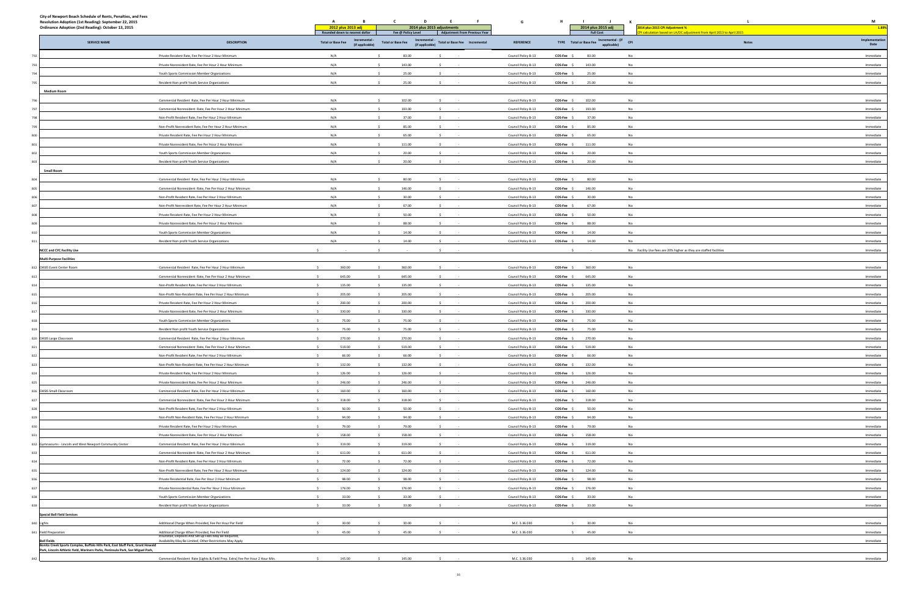| n based on LA/OC adjustment from April 2013 to April 2015<br><b>Notes</b> | Implementation<br>Date |
|---------------------------------------------------------------------------|------------------------|
|                                                                           | Immediate              |
|                                                                           | Immediate              |
|                                                                           | Immediate              |
|                                                                           | Immediate              |
|                                                                           |                        |
|                                                                           | Immediate              |
|                                                                           | Immediate              |
|                                                                           | Immediate              |
|                                                                           | Immediate              |
|                                                                           | Immediate<br>Immediate |
|                                                                           | Immediate              |
|                                                                           | Immediate              |
|                                                                           |                        |
|                                                                           | Immediate              |
|                                                                           | Immediate              |
|                                                                           | Immediate              |
|                                                                           | Immediate              |
|                                                                           | Immediate              |
|                                                                           | Immediate<br>Immediate |
|                                                                           | Immediate              |
| es are 20% higher as they are staffed facilities                          | Immediate              |
|                                                                           |                        |
|                                                                           | Immediate              |
|                                                                           | Immediate              |
|                                                                           | Immediate              |
|                                                                           | Immediate              |
|                                                                           | Immediate              |
|                                                                           | Immediate              |
|                                                                           | Immediate<br>Immediate |
|                                                                           | Immediate              |
|                                                                           | Immediate              |
|                                                                           | Immediate              |
|                                                                           | Immediate              |
|                                                                           | Immediate              |
|                                                                           | Immediate              |
|                                                                           | Immediate              |
|                                                                           | Immediate              |
|                                                                           | Immediate<br>Immediate |
|                                                                           | Immediate              |
|                                                                           | Immediate              |
|                                                                           | Immediate              |
|                                                                           | Immediate              |
|                                                                           | Immediate              |
|                                                                           | Immediate              |
|                                                                           | Immediate              |
|                                                                           | Immediate              |
|                                                                           | Immediate              |
|                                                                           | Immediate              |
|                                                                           | Immediate              |
|                                                                           | Immediate              |
|                                                                           | Immediate              |
|                                                                           |                        |
|                                                                           | Immediate              |

| <b>Total or Base Fee</b><br>N/A<br>N/A<br>N/A<br>N/A<br>N/A<br>N/A<br>N/A<br>N/A<br>N/A<br>N/A<br>N/A<br>N/A<br>N/A<br>N/A<br>N/A<br>N/A<br>N/A<br>N/A<br>N/A<br>N/A<br>135.00                                                                | 2012 plus 2013 adj<br>Rounded down to nearest dollar<br><b>Incremental</b><br>(if applicable)<br>360.00<br>645.00<br>205.00 | Fee @ Policy Level<br>Incremental -<br>(if applicable)<br><b>Total or Base Fee</b><br>83.00<br>143.00<br>25.00<br>25.00<br>102.00<br>193.00<br>37.00<br>85.00<br>S.<br>65.00<br>111.00<br>20.00<br>20.00<br>80.00<br>146.00<br>30.00<br>67.00<br>50.00<br>88.00<br>14.00<br>14.00<br>360.00<br>645.00<br>135.00 | 2014 plus 2015 adjustments<br><b>Adjustment From Previous Year</b><br>Total or Base Fee  Incremental<br>-S<br>$\sim$<br>$\sim$<br>$\sim$ | <b>REFERENCE</b><br>Council Policy B-13<br>Council Policy B-13<br>Council Policy B-13<br>Council Policy B-13<br>Council Policy B-13<br>Council Policy B-13<br>Council Policy B-13<br>Council Policy B-13<br>Council Policy B-13<br>Council Policy B-13<br>Council Policy B-13<br>Council Policy B-13<br>Council Policy B-13<br>Council Policy B-13<br>Council Policy B-13<br>Council Policy B-13<br>Council Policy B-13<br>Council Policy B-13<br>Council Policy B-13<br>Council Policy B-13<br>Council Policy B-13<br>Council Policy B-13 | COS-Fee \$<br>COS-Fee \$<br>COS-Fee \$<br>COS-Fee \$<br>$COS-Fee$ $S$<br>COS-Fee \$<br>COS-Fee \$<br>COS-Fee \$<br>COS-Fee \$<br>COS-Fee \$<br>COS-Fee \$<br>COS-Fee \$<br>COS-Fee \$<br>COS-Fee \$<br>COS-Fee \$<br>COS-Fee \$<br>COS-Fee \$<br>COS-Fee \$<br>COS-Fee \$<br>COS-Fee \$<br>$\sim$<br>COS-Fee \$<br>COS-Fee \$ | 2014 plus 2015 adj<br><b>Full Cost</b><br>TYPE Total or Base Fee Incremental - (if CPI<br>83.00<br>143.00<br>25.00<br>25.00<br>102.00<br>193.00<br>37.00<br>85.00<br>65.00<br>111.00<br>20.00<br>20.00<br>80.00<br>146.00<br>30.00<br>67.00<br>50.00<br>88.00<br>14.00<br>14.00<br>360.00 | 2014 plus 2015 CPI Adjustment %<br>PI calculation based on LA/OC adjustment from April 2013 to April 2015<br><b>Notes</b><br>No<br>No<br>No<br>No<br>No<br>No<br>No<br>No<br>No<br>No<br>No<br>No<br>No<br>No<br>No<br>No<br>No<br>No<br>No<br>No<br>No Facility Use fees are 20% higher as they are staffed facilities | 1.89%<br>Implementation<br>Date<br>Immediate<br>Immediate<br>Immediate<br>Immediate<br>Immediate<br>Immediate<br>Immediate<br>Immediate<br>Immediate<br>Immediate<br>Immediate<br>Immediate<br>Immediate<br>Immediate<br>Immediate<br>Immediate<br>Immediate<br>Immediate<br>Immediate<br>Immediate<br>Immediate<br>Immediate |
|-----------------------------------------------------------------------------------------------------------------------------------------------------------------------------------------------------------------------------------------------|-----------------------------------------------------------------------------------------------------------------------------|-----------------------------------------------------------------------------------------------------------------------------------------------------------------------------------------------------------------------------------------------------------------------------------------------------------------|------------------------------------------------------------------------------------------------------------------------------------------|--------------------------------------------------------------------------------------------------------------------------------------------------------------------------------------------------------------------------------------------------------------------------------------------------------------------------------------------------------------------------------------------------------------------------------------------------------------------------------------------------------------------------------------------|-------------------------------------------------------------------------------------------------------------------------------------------------------------------------------------------------------------------------------------------------------------------------------------------------------------------------------|-------------------------------------------------------------------------------------------------------------------------------------------------------------------------------------------------------------------------------------------------------------------------------------------|-------------------------------------------------------------------------------------------------------------------------------------------------------------------------------------------------------------------------------------------------------------------------------------------------------------------------|-------------------------------------------------------------------------------------------------------------------------------------------------------------------------------------------------------------------------------------------------------------------------------------------------------------------------------|
|                                                                                                                                                                                                                                               |                                                                                                                             |                                                                                                                                                                                                                                                                                                                 |                                                                                                                                          |                                                                                                                                                                                                                                                                                                                                                                                                                                                                                                                                            |                                                                                                                                                                                                                                                                                                                               |                                                                                                                                                                                                                                                                                           |                                                                                                                                                                                                                                                                                                                         |                                                                                                                                                                                                                                                                                                                               |
|                                                                                                                                                                                                                                               |                                                                                                                             |                                                                                                                                                                                                                                                                                                                 |                                                                                                                                          |                                                                                                                                                                                                                                                                                                                                                                                                                                                                                                                                            |                                                                                                                                                                                                                                                                                                                               |                                                                                                                                                                                                                                                                                           |                                                                                                                                                                                                                                                                                                                         |                                                                                                                                                                                                                                                                                                                               |
|                                                                                                                                                                                                                                               |                                                                                                                             |                                                                                                                                                                                                                                                                                                                 |                                                                                                                                          |                                                                                                                                                                                                                                                                                                                                                                                                                                                                                                                                            |                                                                                                                                                                                                                                                                                                                               |                                                                                                                                                                                                                                                                                           |                                                                                                                                                                                                                                                                                                                         |                                                                                                                                                                                                                                                                                                                               |
|                                                                                                                                                                                                                                               |                                                                                                                             |                                                                                                                                                                                                                                                                                                                 |                                                                                                                                          |                                                                                                                                                                                                                                                                                                                                                                                                                                                                                                                                            |                                                                                                                                                                                                                                                                                                                               |                                                                                                                                                                                                                                                                                           |                                                                                                                                                                                                                                                                                                                         |                                                                                                                                                                                                                                                                                                                               |
|                                                                                                                                                                                                                                               |                                                                                                                             |                                                                                                                                                                                                                                                                                                                 |                                                                                                                                          |                                                                                                                                                                                                                                                                                                                                                                                                                                                                                                                                            |                                                                                                                                                                                                                                                                                                                               |                                                                                                                                                                                                                                                                                           |                                                                                                                                                                                                                                                                                                                         |                                                                                                                                                                                                                                                                                                                               |
|                                                                                                                                                                                                                                               |                                                                                                                             |                                                                                                                                                                                                                                                                                                                 |                                                                                                                                          |                                                                                                                                                                                                                                                                                                                                                                                                                                                                                                                                            |                                                                                                                                                                                                                                                                                                                               |                                                                                                                                                                                                                                                                                           |                                                                                                                                                                                                                                                                                                                         |                                                                                                                                                                                                                                                                                                                               |
|                                                                                                                                                                                                                                               |                                                                                                                             |                                                                                                                                                                                                                                                                                                                 |                                                                                                                                          |                                                                                                                                                                                                                                                                                                                                                                                                                                                                                                                                            |                                                                                                                                                                                                                                                                                                                               |                                                                                                                                                                                                                                                                                           |                                                                                                                                                                                                                                                                                                                         |                                                                                                                                                                                                                                                                                                                               |
|                                                                                                                                                                                                                                               |                                                                                                                             |                                                                                                                                                                                                                                                                                                                 |                                                                                                                                          |                                                                                                                                                                                                                                                                                                                                                                                                                                                                                                                                            |                                                                                                                                                                                                                                                                                                                               |                                                                                                                                                                                                                                                                                           |                                                                                                                                                                                                                                                                                                                         |                                                                                                                                                                                                                                                                                                                               |
|                                                                                                                                                                                                                                               |                                                                                                                             |                                                                                                                                                                                                                                                                                                                 |                                                                                                                                          |                                                                                                                                                                                                                                                                                                                                                                                                                                                                                                                                            |                                                                                                                                                                                                                                                                                                                               |                                                                                                                                                                                                                                                                                           |                                                                                                                                                                                                                                                                                                                         |                                                                                                                                                                                                                                                                                                                               |
|                                                                                                                                                                                                                                               |                                                                                                                             |                                                                                                                                                                                                                                                                                                                 |                                                                                                                                          |                                                                                                                                                                                                                                                                                                                                                                                                                                                                                                                                            |                                                                                                                                                                                                                                                                                                                               |                                                                                                                                                                                                                                                                                           |                                                                                                                                                                                                                                                                                                                         |                                                                                                                                                                                                                                                                                                                               |
|                                                                                                                                                                                                                                               |                                                                                                                             |                                                                                                                                                                                                                                                                                                                 |                                                                                                                                          |                                                                                                                                                                                                                                                                                                                                                                                                                                                                                                                                            |                                                                                                                                                                                                                                                                                                                               |                                                                                                                                                                                                                                                                                           |                                                                                                                                                                                                                                                                                                                         |                                                                                                                                                                                                                                                                                                                               |
|                                                                                                                                                                                                                                               |                                                                                                                             |                                                                                                                                                                                                                                                                                                                 |                                                                                                                                          |                                                                                                                                                                                                                                                                                                                                                                                                                                                                                                                                            |                                                                                                                                                                                                                                                                                                                               |                                                                                                                                                                                                                                                                                           |                                                                                                                                                                                                                                                                                                                         |                                                                                                                                                                                                                                                                                                                               |
|                                                                                                                                                                                                                                               |                                                                                                                             |                                                                                                                                                                                                                                                                                                                 |                                                                                                                                          |                                                                                                                                                                                                                                                                                                                                                                                                                                                                                                                                            |                                                                                                                                                                                                                                                                                                                               |                                                                                                                                                                                                                                                                                           |                                                                                                                                                                                                                                                                                                                         |                                                                                                                                                                                                                                                                                                                               |
|                                                                                                                                                                                                                                               |                                                                                                                             |                                                                                                                                                                                                                                                                                                                 |                                                                                                                                          |                                                                                                                                                                                                                                                                                                                                                                                                                                                                                                                                            |                                                                                                                                                                                                                                                                                                                               |                                                                                                                                                                                                                                                                                           |                                                                                                                                                                                                                                                                                                                         |                                                                                                                                                                                                                                                                                                                               |
|                                                                                                                                                                                                                                               |                                                                                                                             |                                                                                                                                                                                                                                                                                                                 |                                                                                                                                          |                                                                                                                                                                                                                                                                                                                                                                                                                                                                                                                                            |                                                                                                                                                                                                                                                                                                                               |                                                                                                                                                                                                                                                                                           |                                                                                                                                                                                                                                                                                                                         |                                                                                                                                                                                                                                                                                                                               |
|                                                                                                                                                                                                                                               |                                                                                                                             |                                                                                                                                                                                                                                                                                                                 |                                                                                                                                          |                                                                                                                                                                                                                                                                                                                                                                                                                                                                                                                                            |                                                                                                                                                                                                                                                                                                                               |                                                                                                                                                                                                                                                                                           |                                                                                                                                                                                                                                                                                                                         |                                                                                                                                                                                                                                                                                                                               |
|                                                                                                                                                                                                                                               |                                                                                                                             |                                                                                                                                                                                                                                                                                                                 |                                                                                                                                          |                                                                                                                                                                                                                                                                                                                                                                                                                                                                                                                                            |                                                                                                                                                                                                                                                                                                                               |                                                                                                                                                                                                                                                                                           |                                                                                                                                                                                                                                                                                                                         |                                                                                                                                                                                                                                                                                                                               |
|                                                                                                                                                                                                                                               |                                                                                                                             |                                                                                                                                                                                                                                                                                                                 |                                                                                                                                          |                                                                                                                                                                                                                                                                                                                                                                                                                                                                                                                                            |                                                                                                                                                                                                                                                                                                                               |                                                                                                                                                                                                                                                                                           |                                                                                                                                                                                                                                                                                                                         |                                                                                                                                                                                                                                                                                                                               |
|                                                                                                                                                                                                                                               |                                                                                                                             |                                                                                                                                                                                                                                                                                                                 |                                                                                                                                          |                                                                                                                                                                                                                                                                                                                                                                                                                                                                                                                                            |                                                                                                                                                                                                                                                                                                                               |                                                                                                                                                                                                                                                                                           |                                                                                                                                                                                                                                                                                                                         |                                                                                                                                                                                                                                                                                                                               |
|                                                                                                                                                                                                                                               |                                                                                                                             |                                                                                                                                                                                                                                                                                                                 |                                                                                                                                          |                                                                                                                                                                                                                                                                                                                                                                                                                                                                                                                                            |                                                                                                                                                                                                                                                                                                                               |                                                                                                                                                                                                                                                                                           |                                                                                                                                                                                                                                                                                                                         |                                                                                                                                                                                                                                                                                                                               |
|                                                                                                                                                                                                                                               |                                                                                                                             |                                                                                                                                                                                                                                                                                                                 |                                                                                                                                          |                                                                                                                                                                                                                                                                                                                                                                                                                                                                                                                                            |                                                                                                                                                                                                                                                                                                                               |                                                                                                                                                                                                                                                                                           |                                                                                                                                                                                                                                                                                                                         |                                                                                                                                                                                                                                                                                                                               |
|                                                                                                                                                                                                                                               |                                                                                                                             |                                                                                                                                                                                                                                                                                                                 |                                                                                                                                          |                                                                                                                                                                                                                                                                                                                                                                                                                                                                                                                                            |                                                                                                                                                                                                                                                                                                                               |                                                                                                                                                                                                                                                                                           |                                                                                                                                                                                                                                                                                                                         |                                                                                                                                                                                                                                                                                                                               |
|                                                                                                                                                                                                                                               |                                                                                                                             |                                                                                                                                                                                                                                                                                                                 |                                                                                                                                          |                                                                                                                                                                                                                                                                                                                                                                                                                                                                                                                                            |                                                                                                                                                                                                                                                                                                                               |                                                                                                                                                                                                                                                                                           |                                                                                                                                                                                                                                                                                                                         |                                                                                                                                                                                                                                                                                                                               |
|                                                                                                                                                                                                                                               |                                                                                                                             |                                                                                                                                                                                                                                                                                                                 |                                                                                                                                          |                                                                                                                                                                                                                                                                                                                                                                                                                                                                                                                                            |                                                                                                                                                                                                                                                                                                                               |                                                                                                                                                                                                                                                                                           |                                                                                                                                                                                                                                                                                                                         |                                                                                                                                                                                                                                                                                                                               |
|                                                                                                                                                                                                                                               |                                                                                                                             |                                                                                                                                                                                                                                                                                                                 |                                                                                                                                          |                                                                                                                                                                                                                                                                                                                                                                                                                                                                                                                                            |                                                                                                                                                                                                                                                                                                                               |                                                                                                                                                                                                                                                                                           |                                                                                                                                                                                                                                                                                                                         |                                                                                                                                                                                                                                                                                                                               |
|                                                                                                                                                                                                                                               |                                                                                                                             |                                                                                                                                                                                                                                                                                                                 |                                                                                                                                          |                                                                                                                                                                                                                                                                                                                                                                                                                                                                                                                                            |                                                                                                                                                                                                                                                                                                                               |                                                                                                                                                                                                                                                                                           |                                                                                                                                                                                                                                                                                                                         |                                                                                                                                                                                                                                                                                                                               |
|                                                                                                                                                                                                                                               |                                                                                                                             |                                                                                                                                                                                                                                                                                                                 |                                                                                                                                          |                                                                                                                                                                                                                                                                                                                                                                                                                                                                                                                                            |                                                                                                                                                                                                                                                                                                                               |                                                                                                                                                                                                                                                                                           | No                                                                                                                                                                                                                                                                                                                      |                                                                                                                                                                                                                                                                                                                               |
|                                                                                                                                                                                                                                               |                                                                                                                             |                                                                                                                                                                                                                                                                                                                 |                                                                                                                                          |                                                                                                                                                                                                                                                                                                                                                                                                                                                                                                                                            |                                                                                                                                                                                                                                                                                                                               | 645.00                                                                                                                                                                                                                                                                                    | No                                                                                                                                                                                                                                                                                                                      | Immediate                                                                                                                                                                                                                                                                                                                     |
|                                                                                                                                                                                                                                               |                                                                                                                             |                                                                                                                                                                                                                                                                                                                 |                                                                                                                                          | Council Policy B-13                                                                                                                                                                                                                                                                                                                                                                                                                                                                                                                        | COS-Fee \$                                                                                                                                                                                                                                                                                                                    | 135.00                                                                                                                                                                                                                                                                                    | No                                                                                                                                                                                                                                                                                                                      | Immediate                                                                                                                                                                                                                                                                                                                     |
|                                                                                                                                                                                                                                               |                                                                                                                             | 205.00                                                                                                                                                                                                                                                                                                          |                                                                                                                                          | Council Policy B-13                                                                                                                                                                                                                                                                                                                                                                                                                                                                                                                        | COS-Fee \$                                                                                                                                                                                                                                                                                                                    | 205.00                                                                                                                                                                                                                                                                                    | No                                                                                                                                                                                                                                                                                                                      | Immediate                                                                                                                                                                                                                                                                                                                     |
|                                                                                                                                                                                                                                               | 200.00                                                                                                                      | 200.00                                                                                                                                                                                                                                                                                                          |                                                                                                                                          | Council Policy B-13                                                                                                                                                                                                                                                                                                                                                                                                                                                                                                                        | COS-Fee \$                                                                                                                                                                                                                                                                                                                    | 200.00                                                                                                                                                                                                                                                                                    | No                                                                                                                                                                                                                                                                                                                      | Immediate                                                                                                                                                                                                                                                                                                                     |
|                                                                                                                                                                                                                                               | 330.00                                                                                                                      | 330.00                                                                                                                                                                                                                                                                                                          |                                                                                                                                          | Council Policy B-13                                                                                                                                                                                                                                                                                                                                                                                                                                                                                                                        | COS-Fee \$                                                                                                                                                                                                                                                                                                                    | 330.00                                                                                                                                                                                                                                                                                    | No                                                                                                                                                                                                                                                                                                                      | Immediate                                                                                                                                                                                                                                                                                                                     |
|                                                                                                                                                                                                                                               | 75.00                                                                                                                       | 75.00                                                                                                                                                                                                                                                                                                           |                                                                                                                                          | Council Policy B-13                                                                                                                                                                                                                                                                                                                                                                                                                                                                                                                        | COS-Fee \$                                                                                                                                                                                                                                                                                                                    | 75.00                                                                                                                                                                                                                                                                                     | No                                                                                                                                                                                                                                                                                                                      | Immediate                                                                                                                                                                                                                                                                                                                     |
|                                                                                                                                                                                                                                               |                                                                                                                             | 75.00                                                                                                                                                                                                                                                                                                           | $\sim$                                                                                                                                   | Council Policy B-13                                                                                                                                                                                                                                                                                                                                                                                                                                                                                                                        | COS-Fee \$                                                                                                                                                                                                                                                                                                                    | 75.00                                                                                                                                                                                                                                                                                     |                                                                                                                                                                                                                                                                                                                         | Immediate                                                                                                                                                                                                                                                                                                                     |
|                                                                                                                                                                                                                                               |                                                                                                                             | 270.00                                                                                                                                                                                                                                                                                                          |                                                                                                                                          | Council Policy B-13                                                                                                                                                                                                                                                                                                                                                                                                                                                                                                                        | COS-Fee \$                                                                                                                                                                                                                                                                                                                    | 270.00                                                                                                                                                                                                                                                                                    |                                                                                                                                                                                                                                                                                                                         | Immediate                                                                                                                                                                                                                                                                                                                     |
| $\sim$                                                                                                                                                                                                                                        |                                                                                                                             | 519.00                                                                                                                                                                                                                                                                                                          | $\sim$                                                                                                                                   | Council Policy B-13                                                                                                                                                                                                                                                                                                                                                                                                                                                                                                                        | COS-Fee \$                                                                                                                                                                                                                                                                                                                    | 519.00                                                                                                                                                                                                                                                                                    |                                                                                                                                                                                                                                                                                                                         | Immediate                                                                                                                                                                                                                                                                                                                     |
|                                                                                                                                                                                                                                               |                                                                                                                             | 66.00                                                                                                                                                                                                                                                                                                           |                                                                                                                                          | Council Policy B-13                                                                                                                                                                                                                                                                                                                                                                                                                                                                                                                        | COS-Fee \$                                                                                                                                                                                                                                                                                                                    |                                                                                                                                                                                                                                                                                           |                                                                                                                                                                                                                                                                                                                         | Immediate                                                                                                                                                                                                                                                                                                                     |
|                                                                                                                                                                                                                                               |                                                                                                                             | 132.00                                                                                                                                                                                                                                                                                                          |                                                                                                                                          | Council Policy B-13                                                                                                                                                                                                                                                                                                                                                                                                                                                                                                                        | COS-Fee \$                                                                                                                                                                                                                                                                                                                    | 132.00                                                                                                                                                                                                                                                                                    |                                                                                                                                                                                                                                                                                                                         | Immediate                                                                                                                                                                                                                                                                                                                     |
|                                                                                                                                                                                                                                               |                                                                                                                             | 126.00                                                                                                                                                                                                                                                                                                          | $\ddot{\phantom{1}}$                                                                                                                     | Council Policy B-13                                                                                                                                                                                                                                                                                                                                                                                                                                                                                                                        | COS-Fee \$                                                                                                                                                                                                                                                                                                                    | 126.00                                                                                                                                                                                                                                                                                    |                                                                                                                                                                                                                                                                                                                         | Immediate                                                                                                                                                                                                                                                                                                                     |
|                                                                                                                                                                                                                                               |                                                                                                                             | 246.00                                                                                                                                                                                                                                                                                                          |                                                                                                                                          | Council Policy B-13                                                                                                                                                                                                                                                                                                                                                                                                                                                                                                                        | COS-Fee \$                                                                                                                                                                                                                                                                                                                    | 246.00                                                                                                                                                                                                                                                                                    |                                                                                                                                                                                                                                                                                                                         | Immediate                                                                                                                                                                                                                                                                                                                     |
|                                                                                                                                                                                                                                               |                                                                                                                             | 160.00                                                                                                                                                                                                                                                                                                          |                                                                                                                                          | Council Policy B-13                                                                                                                                                                                                                                                                                                                                                                                                                                                                                                                        | COS-Fee \$                                                                                                                                                                                                                                                                                                                    | 160.00                                                                                                                                                                                                                                                                                    |                                                                                                                                                                                                                                                                                                                         | Immediate                                                                                                                                                                                                                                                                                                                     |
|                                                                                                                                                                                                                                               |                                                                                                                             | 318.00                                                                                                                                                                                                                                                                                                          |                                                                                                                                          | Council Policy B-13                                                                                                                                                                                                                                                                                                                                                                                                                                                                                                                        | COS-Fee \$                                                                                                                                                                                                                                                                                                                    | 318.00                                                                                                                                                                                                                                                                                    |                                                                                                                                                                                                                                                                                                                         | Immediate                                                                                                                                                                                                                                                                                                                     |
|                                                                                                                                                                                                                                               |                                                                                                                             | 50.00                                                                                                                                                                                                                                                                                                           |                                                                                                                                          | Council Policy B-13                                                                                                                                                                                                                                                                                                                                                                                                                                                                                                                        | COS-Fee \$                                                                                                                                                                                                                                                                                                                    | 50.00                                                                                                                                                                                                                                                                                     |                                                                                                                                                                                                                                                                                                                         | Immediate                                                                                                                                                                                                                                                                                                                     |
|                                                                                                                                                                                                                                               |                                                                                                                             | 94.00                                                                                                                                                                                                                                                                                                           |                                                                                                                                          | Council Policy B-13                                                                                                                                                                                                                                                                                                                                                                                                                                                                                                                        | COS-Fee \$                                                                                                                                                                                                                                                                                                                    | 94.00                                                                                                                                                                                                                                                                                     |                                                                                                                                                                                                                                                                                                                         | Immediate                                                                                                                                                                                                                                                                                                                     |
|                                                                                                                                                                                                                                               |                                                                                                                             | 79.00                                                                                                                                                                                                                                                                                                           |                                                                                                                                          | Council Policy B-13                                                                                                                                                                                                                                                                                                                                                                                                                                                                                                                        | COS-Fee \$                                                                                                                                                                                                                                                                                                                    | 79.00                                                                                                                                                                                                                                                                                     |                                                                                                                                                                                                                                                                                                                         | Immediate                                                                                                                                                                                                                                                                                                                     |
|                                                                                                                                                                                                                                               |                                                                                                                             | 158.00                                                                                                                                                                                                                                                                                                          |                                                                                                                                          | Council Policy B-13                                                                                                                                                                                                                                                                                                                                                                                                                                                                                                                        | COS-Fee \$                                                                                                                                                                                                                                                                                                                    | 158.00                                                                                                                                                                                                                                                                                    |                                                                                                                                                                                                                                                                                                                         | Immediate                                                                                                                                                                                                                                                                                                                     |
|                                                                                                                                                                                                                                               |                                                                                                                             | 319.00                                                                                                                                                                                                                                                                                                          |                                                                                                                                          | Council Policy B-13                                                                                                                                                                                                                                                                                                                                                                                                                                                                                                                        | COS-Fee \$                                                                                                                                                                                                                                                                                                                    | 319.00                                                                                                                                                                                                                                                                                    |                                                                                                                                                                                                                                                                                                                         | Immediate                                                                                                                                                                                                                                                                                                                     |
|                                                                                                                                                                                                                                               |                                                                                                                             | 611.00                                                                                                                                                                                                                                                                                                          |                                                                                                                                          | Council Policy B-13                                                                                                                                                                                                                                                                                                                                                                                                                                                                                                                        | COS-Fee \$                                                                                                                                                                                                                                                                                                                    | 611.00                                                                                                                                                                                                                                                                                    |                                                                                                                                                                                                                                                                                                                         | Immediate                                                                                                                                                                                                                                                                                                                     |
|                                                                                                                                                                                                                                               |                                                                                                                             | 72.00                                                                                                                                                                                                                                                                                                           |                                                                                                                                          | Council Policy B-13                                                                                                                                                                                                                                                                                                                                                                                                                                                                                                                        | COS-Fee \$                                                                                                                                                                                                                                                                                                                    | 72.00                                                                                                                                                                                                                                                                                     |                                                                                                                                                                                                                                                                                                                         | Immediate                                                                                                                                                                                                                                                                                                                     |
|                                                                                                                                                                                                                                               |                                                                                                                             | 124.00                                                                                                                                                                                                                                                                                                          |                                                                                                                                          | Council Policy B-13                                                                                                                                                                                                                                                                                                                                                                                                                                                                                                                        | COS-Fee \$                                                                                                                                                                                                                                                                                                                    | 124.00                                                                                                                                                                                                                                                                                    |                                                                                                                                                                                                                                                                                                                         | Immediate                                                                                                                                                                                                                                                                                                                     |
|                                                                                                                                                                                                                                               |                                                                                                                             | 98.00                                                                                                                                                                                                                                                                                                           |                                                                                                                                          | Council Policy B-13                                                                                                                                                                                                                                                                                                                                                                                                                                                                                                                        | COS-Fee \$                                                                                                                                                                                                                                                                                                                    | 98.00                                                                                                                                                                                                                                                                                     |                                                                                                                                                                                                                                                                                                                         | Immediate                                                                                                                                                                                                                                                                                                                     |
|                                                                                                                                                                                                                                               |                                                                                                                             | 176.00                                                                                                                                                                                                                                                                                                          |                                                                                                                                          | Council Policy B-13                                                                                                                                                                                                                                                                                                                                                                                                                                                                                                                        | COS-Fee                                                                                                                                                                                                                                                                                                                       | 176.00                                                                                                                                                                                                                                                                                    |                                                                                                                                                                                                                                                                                                                         | Immediate                                                                                                                                                                                                                                                                                                                     |
|                                                                                                                                                                                                                                               |                                                                                                                             | 33.00                                                                                                                                                                                                                                                                                                           |                                                                                                                                          | Council Policy B-13                                                                                                                                                                                                                                                                                                                                                                                                                                                                                                                        | COS-Fee \$                                                                                                                                                                                                                                                                                                                    | 33.00                                                                                                                                                                                                                                                                                     |                                                                                                                                                                                                                                                                                                                         | Immediate                                                                                                                                                                                                                                                                                                                     |
|                                                                                                                                                                                                                                               |                                                                                                                             | 33.00                                                                                                                                                                                                                                                                                                           |                                                                                                                                          | Council Policy B-13                                                                                                                                                                                                                                                                                                                                                                                                                                                                                                                        | COS-Fee \$                                                                                                                                                                                                                                                                                                                    | 33.00                                                                                                                                                                                                                                                                                     |                                                                                                                                                                                                                                                                                                                         | Immediate                                                                                                                                                                                                                                                                                                                     |
|                                                                                                                                                                                                                                               |                                                                                                                             |                                                                                                                                                                                                                                                                                                                 |                                                                                                                                          |                                                                                                                                                                                                                                                                                                                                                                                                                                                                                                                                            |                                                                                                                                                                                                                                                                                                                               |                                                                                                                                                                                                                                                                                           |                                                                                                                                                                                                                                                                                                                         |                                                                                                                                                                                                                                                                                                                               |
|                                                                                                                                                                                                                                               |                                                                                                                             | 30.00                                                                                                                                                                                                                                                                                                           |                                                                                                                                          | M.C. 3.36.030                                                                                                                                                                                                                                                                                                                                                                                                                                                                                                                              | $\sim$                                                                                                                                                                                                                                                                                                                        | 30.00                                                                                                                                                                                                                                                                                     |                                                                                                                                                                                                                                                                                                                         | Immediate                                                                                                                                                                                                                                                                                                                     |
|                                                                                                                                                                                                                                               |                                                                                                                             | 45.00                                                                                                                                                                                                                                                                                                           |                                                                                                                                          | M.C. 3.36.030                                                                                                                                                                                                                                                                                                                                                                                                                                                                                                                              |                                                                                                                                                                                                                                                                                                                               | 45.00                                                                                                                                                                                                                                                                                     |                                                                                                                                                                                                                                                                                                                         | Immediate                                                                                                                                                                                                                                                                                                                     |
|                                                                                                                                                                                                                                               |                                                                                                                             |                                                                                                                                                                                                                                                                                                                 |                                                                                                                                          |                                                                                                                                                                                                                                                                                                                                                                                                                                                                                                                                            |                                                                                                                                                                                                                                                                                                                               |                                                                                                                                                                                                                                                                                           |                                                                                                                                                                                                                                                                                                                         |                                                                                                                                                                                                                                                                                                                               |
| Commercial Nonresident Rate, Fee Per Hour 2 Hour Minimum<br>Commercial Nonresident Rate, Fee Per Hour 2 Hour Minimum<br>Non-Profit Non-Resident Rate, Fee Per Hour 2 Hour Minimum<br>Commercial Nonresident Rate, Fee Per Hour 2 Hour Minimum |                                                                                                                             | 75.00<br>270.00<br>519.00<br>66.00<br>132.00<br>126.00<br>246.00<br>160.00<br>318.00<br>50.00<br>94.00<br>79.00<br>158.00<br>319.00<br>611.00<br>72.00<br>124.00<br>98.00<br>176.00<br>33.00<br>33.00<br>30.00<br>45.00                                                                                         |                                                                                                                                          |                                                                                                                                                                                                                                                                                                                                                                                                                                                                                                                                            |                                                                                                                                                                                                                                                                                                                               |                                                                                                                                                                                                                                                                                           | 66.00                                                                                                                                                                                                                                                                                                                   | No<br>No<br>No<br>No<br>No<br>No<br>No<br>No<br>No<br>No<br>No<br>No<br>No<br>No<br>No<br>No<br>No<br>No<br>No<br>No<br>No<br>No<br>No                                                                                                                                                                                        |